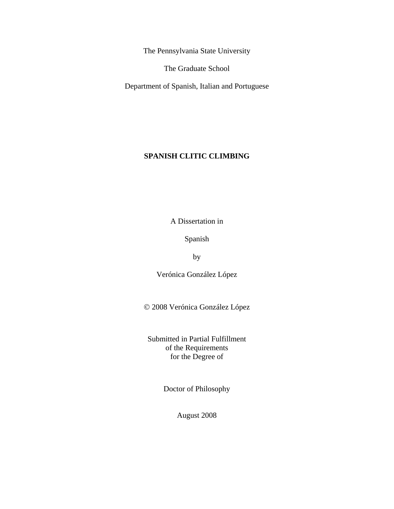The Pennsylvania State University

The Graduate School

Department of Spanish, Italian and Portuguese

## **SPANISH CLITIC CLIMBING**

A Dissertation in

Spanish

by

Verónica González López

© 2008 Verónica González López

Submitted in Partial Fulfillment of the Requirements for the Degree of

Doctor of Philosophy

August 2008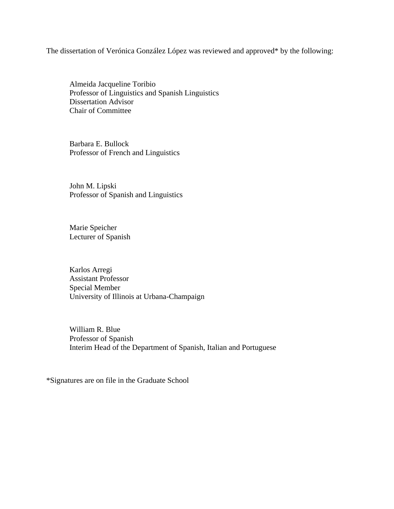The dissertation of Verónica González López was reviewed and approved\* by the following:

Almeida Jacqueline Toribio Professor of Linguistics and Spanish Linguistics Dissertation Advisor Chair of Committee

Barbara E. Bullock Professor of French and Linguistics

John M. Lipski Professor of Spanish and Linguistics

Marie Speicher Lecturer of Spanish

Karlos Arregi Assistant Professor Special Member University of Illinois at Urbana-Champaign

William R. Blue Professor of Spanish Interim Head of the Department of Spanish, Italian and Portuguese

\*Signatures are on file in the Graduate School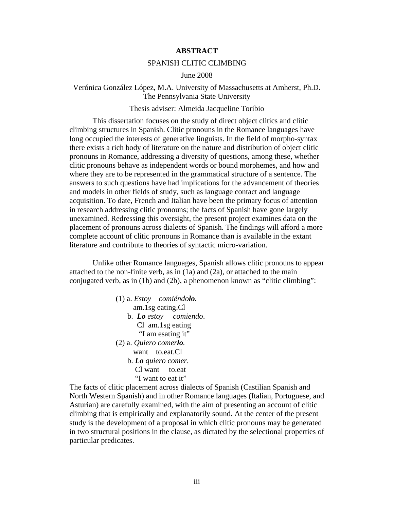## **ABSTRACT**

#### SPANISH CLITIC CLIMBING

#### June 2008

## Verónica González López, M.A. University of Massachusetts at Amherst, Ph.D. The Pennsylvania State University

#### Thesis adviser: Almeida Jacqueline Toribio

 This dissertation focuses on the study of direct object clitics and clitic climbing structures in Spanish. Clitic pronouns in the Romance languages have long occupied the interests of generative linguists. In the field of morpho-syntax there exists a rich body of literature on the nature and distribution of object clitic pronouns in Romance, addressing a diversity of questions, among these, whether clitic pronouns behave as independent words or bound morphemes, and how and where they are to be represented in the grammatical structure of a sentence. The answers to such questions have had implications for the advancement of theories and models in other fields of study, such as language contact and language acquisition. To date, French and Italian have been the primary focus of attention in research addressing clitic pronouns; the facts of Spanish have gone largely unexamined. Redressing this oversight, the present project examines data on the placement of pronouns across dialects of Spanish. The findings will afford a more complete account of clitic pronouns in Romance than is available in the extant literature and contribute to theories of syntactic micro-variation.

Unlike other Romance languages, Spanish allows clitic pronouns to appear attached to the non-finite verb, as in  $(1a)$  and  $(2a)$ , or attached to the main conjugated verb, as in (1b) and (2b), a phenomenon known as "clitic climbing":

> (1) a. *Estoy comiéndolo.* am.1sg eating.Cl b. *Lo estoy comiendo*. Cl am.1sg eating "I am esating it" (2) a. *Quiero comerlo.*  want to.eat.Cl b. *Lo quiero comer.* Cl want to.eat "I want to eat it"

The facts of clitic placement across dialects of Spanish (Castilian Spanish and North Western Spanish) and in other Romance languages (Italian, Portuguese, and Asturian) are carefully examined, with the aim of presenting an account of clitic climbing that is empirically and explanatorily sound. At the center of the present study is the development of a proposal in which clitic pronouns may be generated in two structural positions in the clause, as dictated by the selectional properties of particular predicates.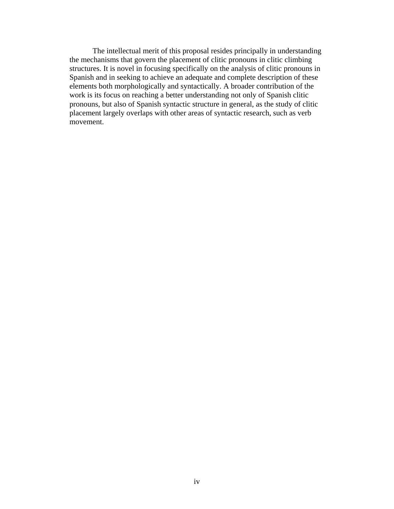The intellectual merit of this proposal resides principally in understanding the mechanisms that govern the placement of clitic pronouns in clitic climbing structures. It is novel in focusing specifically on the analysis of clitic pronouns in Spanish and in seeking to achieve an adequate and complete description of these elements both morphologically and syntactically. A broader contribution of the work is its focus on reaching a better understanding not only of Spanish clitic pronouns, but also of Spanish syntactic structure in general, as the study of clitic placement largely overlaps with other areas of syntactic research, such as verb movement.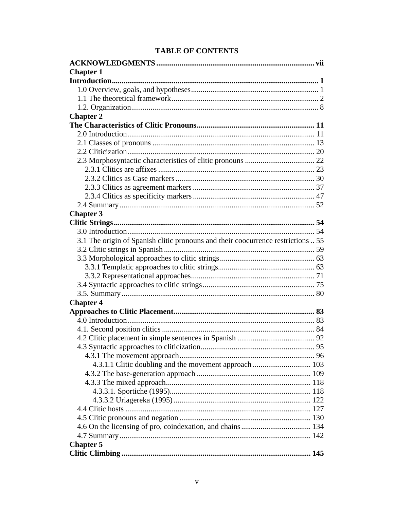| <b>Chapter 1</b>                                                                 |  |
|----------------------------------------------------------------------------------|--|
|                                                                                  |  |
|                                                                                  |  |
|                                                                                  |  |
|                                                                                  |  |
| <b>Chapter 2</b>                                                                 |  |
|                                                                                  |  |
|                                                                                  |  |
|                                                                                  |  |
|                                                                                  |  |
|                                                                                  |  |
|                                                                                  |  |
|                                                                                  |  |
|                                                                                  |  |
|                                                                                  |  |
|                                                                                  |  |
| <b>Chapter 3</b>                                                                 |  |
|                                                                                  |  |
|                                                                                  |  |
| 3.1 The origin of Spanish clitic pronouns and their coocurrence restrictions  55 |  |
|                                                                                  |  |
|                                                                                  |  |
|                                                                                  |  |
|                                                                                  |  |
|                                                                                  |  |
|                                                                                  |  |
| <b>Chapter 4</b>                                                                 |  |
|                                                                                  |  |
|                                                                                  |  |
|                                                                                  |  |
|                                                                                  |  |
|                                                                                  |  |
|                                                                                  |  |
| 4.3.1.1 Clitic doubling and the movement approach  103                           |  |
|                                                                                  |  |
|                                                                                  |  |
|                                                                                  |  |
|                                                                                  |  |
|                                                                                  |  |
|                                                                                  |  |
|                                                                                  |  |
|                                                                                  |  |
| <b>Chapter 5</b>                                                                 |  |
|                                                                                  |  |

# **TABLE OF CONTENTS**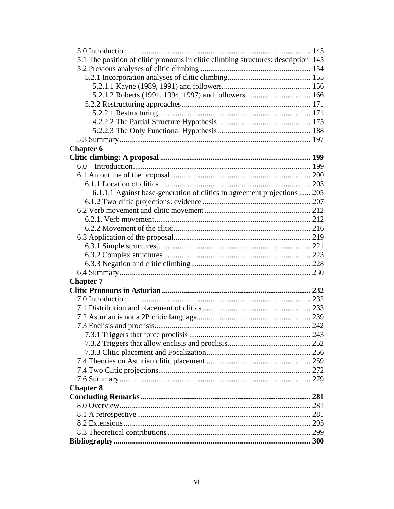| 5.1 The position of clitic pronouns in clitic climbing structures: description 145 |  |
|------------------------------------------------------------------------------------|--|
|                                                                                    |  |
|                                                                                    |  |
|                                                                                    |  |
|                                                                                    |  |
|                                                                                    |  |
|                                                                                    |  |
|                                                                                    |  |
|                                                                                    |  |
|                                                                                    |  |
| <b>Chapter 6</b>                                                                   |  |
|                                                                                    |  |
| 6.0                                                                                |  |
|                                                                                    |  |
|                                                                                    |  |
| 6.1.1.1 Against base-generation of clitics in agreement projections  205           |  |
|                                                                                    |  |
|                                                                                    |  |
|                                                                                    |  |
|                                                                                    |  |
|                                                                                    |  |
|                                                                                    |  |
|                                                                                    |  |
|                                                                                    |  |
|                                                                                    |  |
| <b>Chapter 7</b>                                                                   |  |
|                                                                                    |  |
|                                                                                    |  |
|                                                                                    |  |
|                                                                                    |  |
|                                                                                    |  |
|                                                                                    |  |
|                                                                                    |  |
|                                                                                    |  |
|                                                                                    |  |
|                                                                                    |  |
|                                                                                    |  |
| <b>Chapter 8</b>                                                                   |  |
|                                                                                    |  |
|                                                                                    |  |
|                                                                                    |  |
|                                                                                    |  |
|                                                                                    |  |
|                                                                                    |  |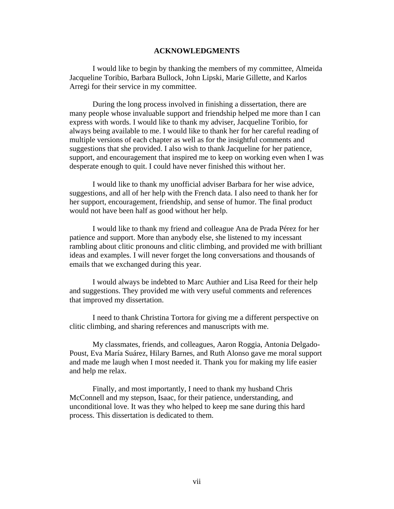## **ACKNOWLEDGMENTS**

I would like to begin by thanking the members of my committee, Almeida Jacqueline Toribio, Barbara Bullock, John Lipski, Marie Gillette, and Karlos Arregi for their service in my committee.

During the long process involved in finishing a dissertation, there are many people whose invaluable support and friendship helped me more than I can express with words. I would like to thank my adviser, Jacqueline Toribio, for always being available to me. I would like to thank her for her careful reading of multiple versions of each chapter as well as for the insightful comments and suggestions that she provided. I also wish to thank Jacqueline for her patience, support, and encouragement that inspired me to keep on working even when I was desperate enough to quit. I could have never finished this without her.

I would like to thank my unofficial adviser Barbara for her wise advice, suggestions, and all of her help with the French data. I also need to thank her for her support, encouragement, friendship, and sense of humor. The final product would not have been half as good without her help.

I would like to thank my friend and colleague Ana de Prada Pérez for her patience and support. More than anybody else, she listened to my incessant rambling about clitic pronouns and clitic climbing, and provided me with brilliant ideas and examples. I will never forget the long conversations and thousands of emails that we exchanged during this year.

I would always be indebted to Marc Authier and Lisa Reed for their help and suggestions. They provided me with very useful comments and references that improved my dissertation.

I need to thank Christina Tortora for giving me a different perspective on clitic climbing, and sharing references and manuscripts with me.

My classmates, friends, and colleagues, Aaron Roggia, Antonia Delgado-Poust, Eva María Suárez, Hilary Barnes, and Ruth Alonso gave me moral support and made me laugh when I most needed it. Thank you for making my life easier and help me relax.

Finally, and most importantly, I need to thank my husband Chris McConnell and my stepson, Isaac, for their patience, understanding, and unconditional love. It was they who helped to keep me sane during this hard process. This dissertation is dedicated to them.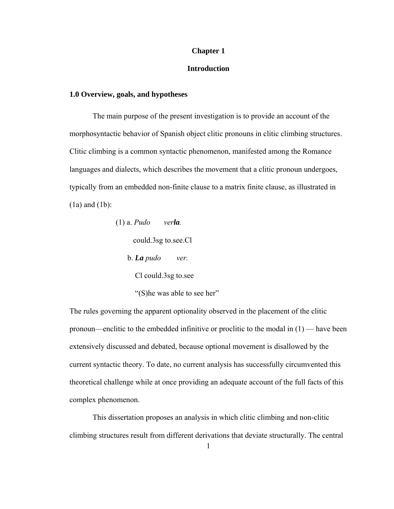#### **Chapter 1**

## **Introduction**

### **1.0 Overview, goals, and hypotheses**

 The main purpose of the present investigation is to provide an account of the morphosyntactic behavior of Spanish object clitic pronouns in clitic climbing structures. Clitic climbing is a common syntactic phenomenon, manifested among the Romance languages and dialects, which describes the movement that a clitic pronoun undergoes, typically from an embedded non-finite clause to a matrix finite clause, as illustrated in (1a) and (1b):

> (1) a. *Pudo verla.* could.3sg to.see.Cl b. *La pudo ver.*  Cl could.3sg to.see "(S)he was able to see her"

The rules governing the apparent optionality observed in the placement of the clitic pronoun—enclitic to the embedded infinitive or proclitic to the modal in (1) — have been extensively discussed and debated, because optional movement is disallowed by the current syntactic theory. To date, no current analysis has successfully circumvented this theoretical challenge while at once providing an adequate account of the full facts of this complex phenomenon.

 This dissertation proposes an analysis in which clitic climbing and non-clitic climbing structures result from different derivations that deviate structurally. The central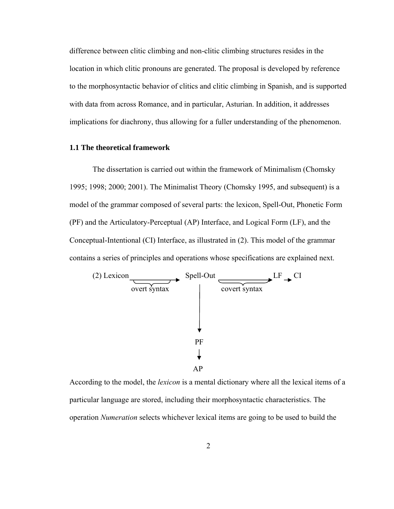difference between clitic climbing and non-clitic climbing structures resides in the location in which clitic pronouns are generated. The proposal is developed by reference to the morphosyntactic behavior of clitics and clitic climbing in Spanish, and is supported with data from across Romance, and in particular, Asturian. In addition, it addresses implications for diachrony, thus allowing for a fuller understanding of the phenomenon.

## **1.1 The theoretical framework**

The dissertation is carried out within the framework of Minimalism (Chomsky 1995; 1998; 2000; 2001). The Minimalist Theory (Chomsky 1995, and subsequent) is a model of the grammar composed of several parts: the lexicon, Spell-Out, Phonetic Form (PF) and the Articulatory-Perceptual (AP) Interface, and Logical Form (LF), and the Conceptual-Intentional (CI) Interface, as illustrated in (2). This model of the grammar contains a series of principles and operations whose specifications are explained next.



According to the model, the *lexicon* is a mental dictionary where all the lexical items of a particular language are stored, including their morphosyntactic characteristics. The operation *Numeration* selects whichever lexical items are going to be used to build the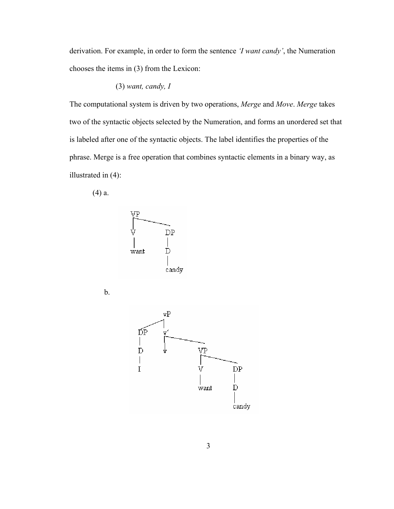derivation. For example, in order to form the sentence *'I want candy'*, the Numeration chooses the items in (3) from the Lexicon:

## (3) *want, candy, I*

The computational system is driven by two operations, *Merge* and *Move*. *Merge* takes two of the syntactic objects selected by the Numeration, and forms an unordered set that is labeled after one of the syntactic objects. The label identifies the properties of the phrase. Merge is a free operation that combines syntactic elements in a binary way, as illustrated in (4):

(4) a.



b.

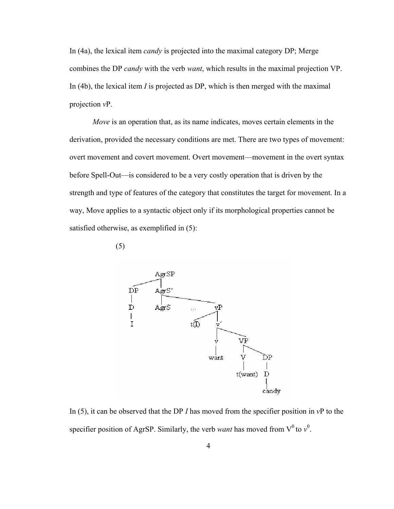In (4a), the lexical item *candy* is projected into the maximal category DP; Merge combines the DP *candy* with the verb *want*, which results in the maximal projection VP. In (4b), the lexical item *I* is projected as DP, which is then merged with the maximal projection *v*P.

*Move* is an operation that, as its name indicates, moves certain elements in the derivation, provided the necessary conditions are met. There are two types of movement: overt movement and covert movement. Overt movement—movement in the overt syntax before Spell-Out—is considered to be a very costly operation that is driven by the strength and type of features of the category that constitutes the target for movement. In a way, Move applies to a syntactic object only if its morphological properties cannot be satisfied otherwise, as exemplified in (5):

(5)



In (5), it can be observed that the DP *I* has moved from the specifier position in *v*P to the specifier position of AgrSP. Similarly, the verb *want* has moved from  $V^0$  to  $v^0$ .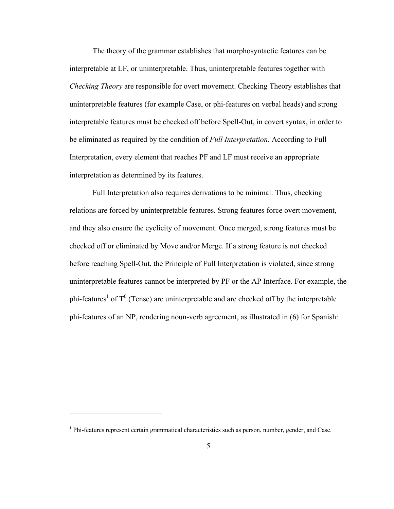The theory of the grammar establishes that morphosyntactic features can be interpretable at LF, or uninterpretable. Thus, uninterpretable features together with *Checking Theory* are responsible for overt movement. Checking Theory establishes that uninterpretable features (for example Case, or phi-features on verbal heads) and strong interpretable features must be checked off before Spell-Out, in covert syntax, in order to be eliminated as required by the condition of *Full Interpretation*. According to Full Interpretation, every element that reaches PF and LF must receive an appropriate interpretation as determined by its features.

 Full Interpretation also requires derivations to be minimal. Thus, checking relations are forced by uninterpretable features. Strong features force overt movement, and they also ensure the cyclicity of movement. Once merged, strong features must be checked off or eliminated by Move and/or Merge. If a strong feature is not checked before reaching Spell-Out, the Principle of Full Interpretation is violated, since strong uninterpretable features cannot be interpreted by PF or the AP Interface. For example, the phi-features<sup>1</sup> of  $T^0$  (Tense) are uninterpretable and are checked off by the interpretable phi-features of an NP, rendering noun-verb agreement, as illustrated in (6) for Spanish:

<sup>&</sup>lt;sup>1</sup> Phi-features represent certain grammatical characteristics such as person, number, gender, and Case.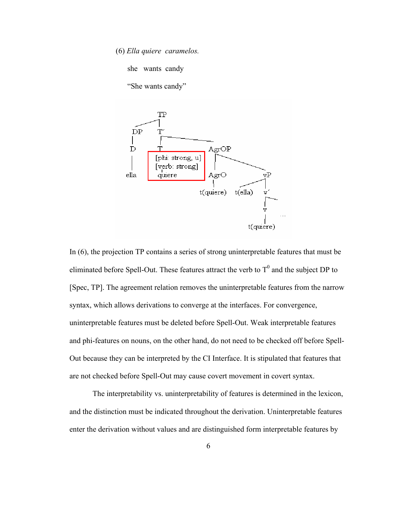## (6) *Ella quiere caramelos.*

she wants candy

"She wants candy"



In (6), the projection TP contains a series of strong uninterpretable features that must be eliminated before Spell-Out. These features attract the verb to  $T^0$  and the subject DP to [Spec, TP]. The agreement relation removes the uninterpretable features from the narrow syntax, which allows derivations to converge at the interfaces. For convergence, uninterpretable features must be deleted before Spell-Out. Weak interpretable features and phi-features on nouns, on the other hand, do not need to be checked off before Spell-Out because they can be interpreted by the CI Interface. It is stipulated that features that are not checked before Spell-Out may cause covert movement in covert syntax.

 The interpretability vs. uninterpretability of features is determined in the lexicon, and the distinction must be indicated throughout the derivation. Uninterpretable features enter the derivation without values and are distinguished form interpretable features by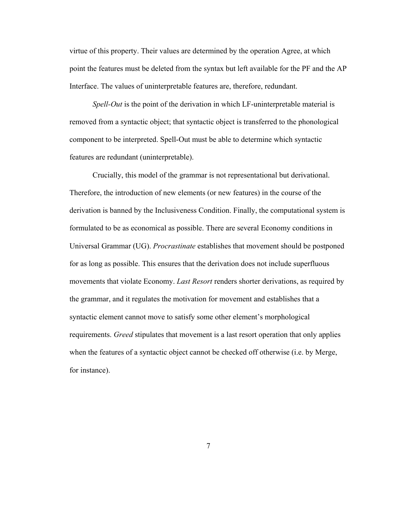virtue of this property. Their values are determined by the operation Agree, at which point the features must be deleted from the syntax but left available for the PF and the AP Interface. The values of uninterpretable features are, therefore, redundant.

*Spell-Out* is the point of the derivation in which LF-uninterpretable material is removed from a syntactic object; that syntactic object is transferred to the phonological component to be interpreted. Spell-Out must be able to determine which syntactic features are redundant (uninterpretable).

 Crucially, this model of the grammar is not representational but derivational. Therefore, the introduction of new elements (or new features) in the course of the derivation is banned by the Inclusiveness Condition. Finally, the computational system is formulated to be as economical as possible. There are several Economy conditions in Universal Grammar (UG). *Procrastinate* establishes that movement should be postponed for as long as possible. This ensures that the derivation does not include superfluous movements that violate Economy. *Last Resort* renders shorter derivations, as required by the grammar, and it regulates the motivation for movement and establishes that a syntactic element cannot move to satisfy some other element's morphological requirements. *Greed* stipulates that movement is a last resort operation that only applies when the features of a syntactic object cannot be checked off otherwise (i.e. by Merge, for instance).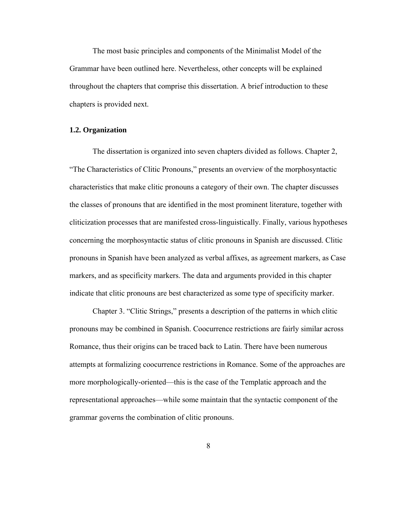The most basic principles and components of the Minimalist Model of the Grammar have been outlined here. Nevertheless, other concepts will be explained throughout the chapters that comprise this dissertation. A brief introduction to these chapters is provided next.

#### **1.2. Organization**

 The dissertation is organized into seven chapters divided as follows. Chapter 2, "The Characteristics of Clitic Pronouns," presents an overview of the morphosyntactic characteristics that make clitic pronouns a category of their own. The chapter discusses the classes of pronouns that are identified in the most prominent literature, together with cliticization processes that are manifested cross-linguistically. Finally, various hypotheses concerning the morphosyntactic status of clitic pronouns in Spanish are discussed. Clitic pronouns in Spanish have been analyzed as verbal affixes, as agreement markers, as Case markers, and as specificity markers. The data and arguments provided in this chapter indicate that clitic pronouns are best characterized as some type of specificity marker.

 Chapter 3. "Clitic Strings," presents a description of the patterns in which clitic pronouns may be combined in Spanish. Coocurrence restrictions are fairly similar across Romance, thus their origins can be traced back to Latin. There have been numerous attempts at formalizing coocurrence restrictions in Romance. Some of the approaches are more morphologically-oriented—this is the case of the Templatic approach and the representational approaches—while some maintain that the syntactic component of the grammar governs the combination of clitic pronouns.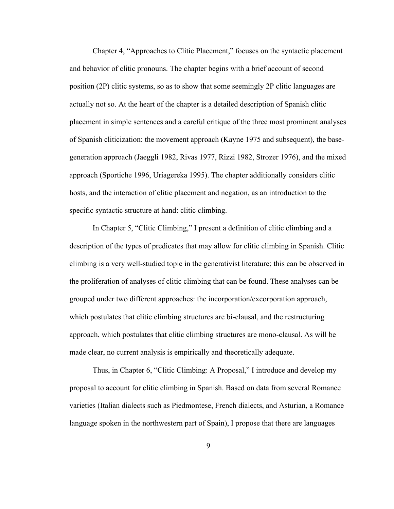Chapter 4, "Approaches to Clitic Placement," focuses on the syntactic placement and behavior of clitic pronouns. The chapter begins with a brief account of second position (2P) clitic systems, so as to show that some seemingly 2P clitic languages are actually not so. At the heart of the chapter is a detailed description of Spanish clitic placement in simple sentences and a careful critique of the three most prominent analyses of Spanish cliticization: the movement approach (Kayne 1975 and subsequent), the basegeneration approach (Jaeggli 1982, Rivas 1977, Rizzi 1982, Strozer 1976), and the mixed approach (Sportiche 1996, Uriagereka 1995). The chapter additionally considers clitic hosts, and the interaction of clitic placement and negation, as an introduction to the specific syntactic structure at hand: clitic climbing.

 In Chapter 5, "Clitic Climbing," I present a definition of clitic climbing and a description of the types of predicates that may allow for clitic climbing in Spanish. Clitic climbing is a very well-studied topic in the generativist literature; this can be observed in the proliferation of analyses of clitic climbing that can be found. These analyses can be grouped under two different approaches: the incorporation/excorporation approach, which postulates that clitic climbing structures are bi-clausal, and the restructuring approach, which postulates that clitic climbing structures are mono-clausal. As will be made clear, no current analysis is empirically and theoretically adequate.

 Thus, in Chapter 6, "Clitic Climbing: A Proposal," I introduce and develop my proposal to account for clitic climbing in Spanish. Based on data from several Romance varieties (Italian dialects such as Piedmontese, French dialects, and Asturian, a Romance language spoken in the northwestern part of Spain), I propose that there are languages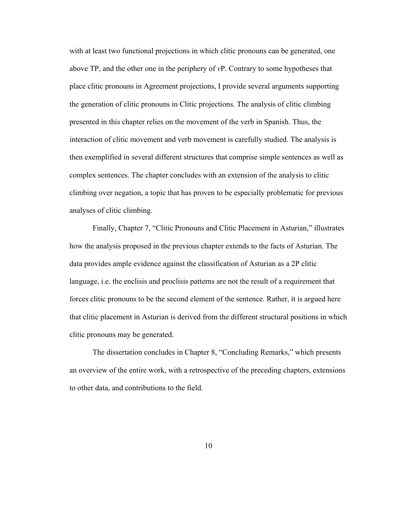with at least two functional projections in which clitic pronouns can be generated, one above TP, and the other one in the periphery of *v*P. Contrary to some hypotheses that place clitic pronouns in Agreement projections, I provide several arguments supporting the generation of clitic pronouns in Clitic projections. The analysis of clitic climbing presented in this chapter relies on the movement of the verb in Spanish. Thus, the interaction of clitic movement and verb movement is carefully studied. The analysis is then exemplified in several different structures that comprise simple sentences as well as complex sentences. The chapter concludes with an extension of the analysis to clitic climbing over negation, a topic that has proven to be especially problematic for previous analyses of clitic climbing.

 Finally, Chapter 7, "Clitic Pronouns and Clitic Placement in Asturian," illustrates how the analysis proposed in the previous chapter extends to the facts of Asturian. The data provides ample evidence against the classification of Asturian as a 2P clitic language, i.e. the enclisis and proclisis patterns are not the result of a requirement that forces clitic pronouns to be the second element of the sentence. Rather, it is argued here that clitic placement in Asturian is derived from the different structural positions in which clitic pronouns may be generated.

 The dissertation concludes in Chapter 8, "Concluding Remarks," which presents an overview of the entire work, with a retrospective of the preceding chapters, extensions to other data, and contributions to the field.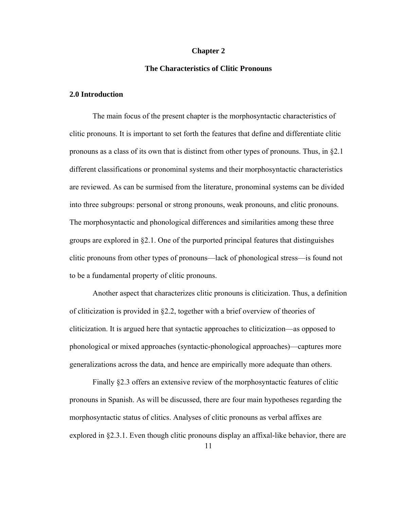#### **Chapter 2**

## **The Characteristics of Clitic Pronouns**

### **2.0 Introduction**

 The main focus of the present chapter is the morphosyntactic characteristics of clitic pronouns. It is important to set forth the features that define and differentiate clitic pronouns as a class of its own that is distinct from other types of pronouns. Thus, in §2.1 different classifications or pronominal systems and their morphosyntactic characteristics are reviewed. As can be surmised from the literature, pronominal systems can be divided into three subgroups: personal or strong pronouns, weak pronouns, and clitic pronouns. The morphosyntactic and phonological differences and similarities among these three groups are explored in §2.1. One of the purported principal features that distinguishes clitic pronouns from other types of pronouns—lack of phonological stress—is found not to be a fundamental property of clitic pronouns.

 Another aspect that characterizes clitic pronouns is cliticization. Thus, a definition of cliticization is provided in §2.2, together with a brief overview of theories of cliticization. It is argued here that syntactic approaches to cliticization—as opposed to phonological or mixed approaches (syntactic-phonological approaches)—captures more generalizations across the data, and hence are empirically more adequate than others.

 Finally §2.3 offers an extensive review of the morphosyntactic features of clitic pronouns in Spanish. As will be discussed, there are four main hypotheses regarding the morphosyntactic status of clitics. Analyses of clitic pronouns as verbal affixes are explored in §2.3.1. Even though clitic pronouns display an affixal-like behavior, there are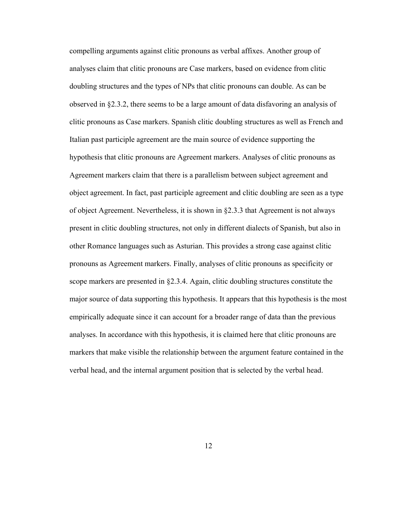compelling arguments against clitic pronouns as verbal affixes. Another group of analyses claim that clitic pronouns are Case markers, based on evidence from clitic doubling structures and the types of NPs that clitic pronouns can double. As can be observed in §2.3.2, there seems to be a large amount of data disfavoring an analysis of clitic pronouns as Case markers. Spanish clitic doubling structures as well as French and Italian past participle agreement are the main source of evidence supporting the hypothesis that clitic pronouns are Agreement markers. Analyses of clitic pronouns as Agreement markers claim that there is a parallelism between subject agreement and object agreement. In fact, past participle agreement and clitic doubling are seen as a type of object Agreement. Nevertheless, it is shown in §2.3.3 that Agreement is not always present in clitic doubling structures, not only in different dialects of Spanish, but also in other Romance languages such as Asturian. This provides a strong case against clitic pronouns as Agreement markers. Finally, analyses of clitic pronouns as specificity or scope markers are presented in §2.3.4. Again, clitic doubling structures constitute the major source of data supporting this hypothesis. It appears that this hypothesis is the most empirically adequate since it can account for a broader range of data than the previous analyses. In accordance with this hypothesis, it is claimed here that clitic pronouns are markers that make visible the relationship between the argument feature contained in the verbal head, and the internal argument position that is selected by the verbal head.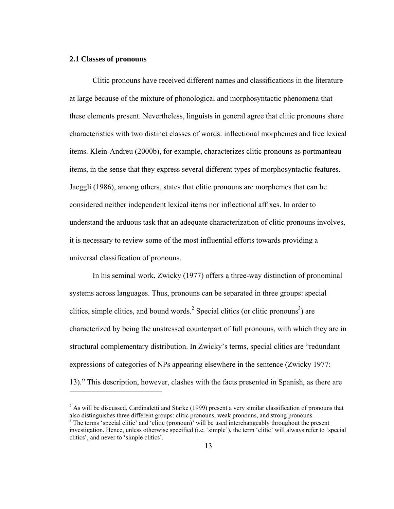#### **2.1 Classes of pronouns**

 $\overline{a}$ 

 Clitic pronouns have received different names and classifications in the literature at large because of the mixture of phonological and morphosyntactic phenomena that these elements present. Nevertheless, linguists in general agree that clitic pronouns share characteristics with two distinct classes of words: inflectional morphemes and free lexical items. Klein-Andreu (2000b), for example, characterizes clitic pronouns as portmanteau items, in the sense that they express several different types of morphosyntactic features. Jaeggli (1986), among others, states that clitic pronouns are morphemes that can be considered neither independent lexical items nor inflectional affixes. In order to understand the arduous task that an adequate characterization of clitic pronouns involves, it is necessary to review some of the most influential efforts towards providing a universal classification of pronouns.

 In his seminal work, Zwicky (1977) offers a three-way distinction of pronominal systems across languages. Thus, pronouns can be separated in three groups: special clitics, simple clitics, and bound words.<sup>2</sup> Special clitics (or clitic pronouns<sup>3</sup>) are characterized by being the unstressed counterpart of full pronouns, with which they are in structural complementary distribution. In Zwicky's terms, special clitics are "redundant expressions of categories of NPs appearing elsewhere in the sentence (Zwicky 1977: 13)." This description, however, clashes with the facts presented in Spanish, as there are

 $2^2$  As will be discussed, Cardinaletti and Starke (1999) present a very similar classification of pronouns that also distinguishes three different groups: clitic pronouns, weak pronouns, and strong pronouns. 3

 $3$  The terms 'special clitic' and 'clitic (pronoun)' will be used interchangeably throughout the present investigation. Hence, unless otherwise specified (i.e. 'simple'), the term 'clitic' will always refer to 'special clitics', and never to 'simple clitics'.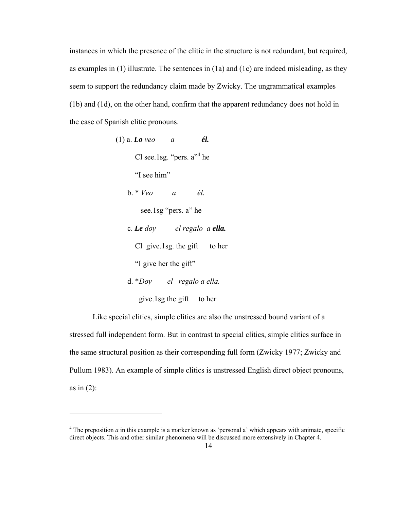instances in which the presence of the clitic in the structure is not redundant, but required, as examples in (1) illustrate. The sentences in (1a) and (1c) are indeed misleading, as they seem to support the redundancy claim made by Zwicky. The ungrammatical examples (1b) and (1d), on the other hand, confirm that the apparent redundancy does not hold in the case of Spanish clitic pronouns.

 $(1)$  a. Lo *veo* a *él.* Cl see.1sg. "pers.  $a''^4$  he "I see him" b. \* *Veo a él.* see.1sg "pers. a" he c. *Le doy el regalo a ella.*  Cl give. 1sg. the gift to her "I give her the gift" d. \**Doy el regalo a ella.*  give.  $1$ sg the gift to her

 Like special clitics, simple clitics are also the unstressed bound variant of a stressed full independent form. But in contrast to special clitics, simple clitics surface in the same structural position as their corresponding full form (Zwicky 1977; Zwicky and Pullum 1983). An example of simple clitics is unstressed English direct object pronouns, as in  $(2)$ :

 $4$  The preposition *a* in this example is a marker known as 'personal a' which appears with animate, specific direct objects. This and other similar phenomena will be discussed more extensively in Chapter 4.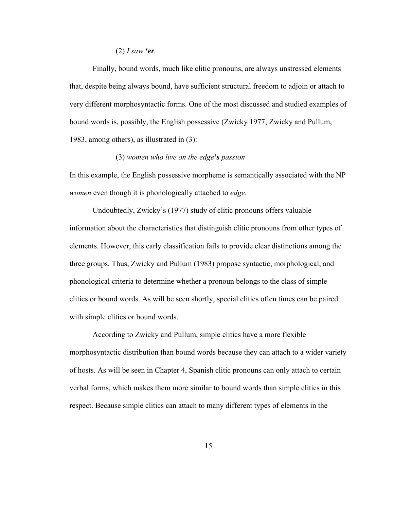#### $(2) I saw 'er.$

 Finally, bound words, much like clitic pronouns, are always unstressed elements that, despite being always bound, have sufficient structural freedom to adjoin or attach to very different morphosyntactic forms. One of the most discussed and studied examples of bound words is, possibly, the English possessive (Zwicky 1977; Zwicky and Pullum, 1983, among others), as illustrated in (3):

## (3) *women who live on the edge's passion*

In this example, the English possessive morpheme is semantically associated with the NP *women* even though it is phonologically attached to *edge*.

 Undoubtedly, Zwicky's (1977) study of clitic pronouns offers valuable information about the characteristics that distinguish clitic pronouns from other types of elements. However, this early classification fails to provide clear distinctions among the three groups. Thus, Zwicky and Pullum (1983) propose syntactic, morphological, and phonological criteria to determine whether a pronoun belongs to the class of simple clitics or bound words. As will be seen shortly, special clitics often times can be paired with simple clitics or bound words.

 According to Zwicky and Pullum, simple clitics have a more flexible morphosyntactic distribution than bound words because they can attach to a wider variety of hosts. As will be seen in Chapter 4, Spanish clitic pronouns can only attach to certain verbal forms, which makes them more similar to bound words than simple clitics in this respect. Because simple clitics can attach to many different types of elements in the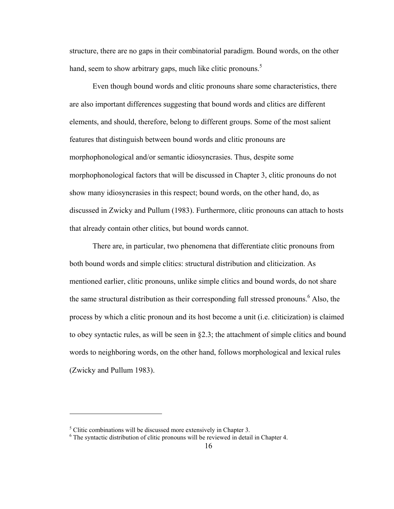structure, there are no gaps in their combinatorial paradigm. Bound words, on the other hand, seem to show arbitrary gaps, much like clitic pronouns.<sup>5</sup>

 Even though bound words and clitic pronouns share some characteristics, there are also important differences suggesting that bound words and clitics are different elements, and should, therefore, belong to different groups. Some of the most salient features that distinguish between bound words and clitic pronouns are morphophonological and/or semantic idiosyncrasies. Thus, despite some morphophonological factors that will be discussed in Chapter 3, clitic pronouns do not show many idiosyncrasies in this respect; bound words, on the other hand, do, as discussed in Zwicky and Pullum (1983). Furthermore, clitic pronouns can attach to hosts that already contain other clitics, but bound words cannot.

 There are, in particular, two phenomena that differentiate clitic pronouns from both bound words and simple clitics: structural distribution and cliticization. As mentioned earlier, clitic pronouns, unlike simple clitics and bound words, do not share the same structural distribution as their corresponding full stressed pronouns.<sup>6</sup> Also, the process by which a clitic pronoun and its host become a unit (i.e. cliticization) is claimed to obey syntactic rules, as will be seen in §2.3; the attachment of simple clitics and bound words to neighboring words, on the other hand, follows morphological and lexical rules (Zwicky and Pullum 1983).

<sup>&</sup>lt;sup>5</sup> Clitic combinations will be discussed more extensively in Chapter 3.

<sup>&</sup>lt;sup>6</sup> The syntactic distribution of clitic pronouns will be reviewed in detail in Chapter 4.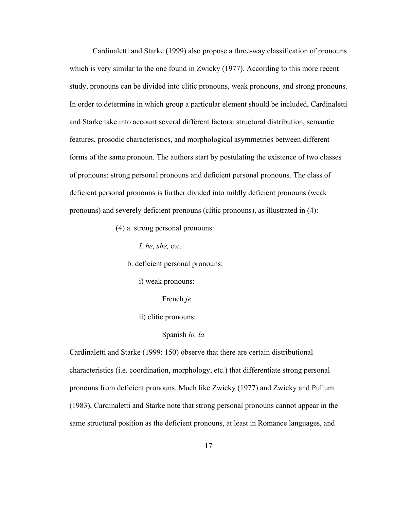Cardinaletti and Starke (1999) also propose a three-way classification of pronouns which is very similar to the one found in Zwicky (1977). According to this more recent study, pronouns can be divided into clitic pronouns, weak pronouns, and strong pronouns. In order to determine in which group a particular element should be included, Cardinaletti and Starke take into account several different factors: structural distribution, semantic features, prosodic characteristics, and morphological asymmetries between different forms of the same pronoun. The authors start by postulating the existence of two classes of pronouns: strong personal pronouns and deficient personal pronouns. The class of deficient personal pronouns is further divided into mildly deficient pronouns (weak pronouns) and severely deficient pronouns (clitic pronouns), as illustrated in (4):

(4) a. strong personal pronouns:

*I, he, she,* etc.

b. deficient personal pronouns:

i) weak pronouns:

French *je*

ii) clitic pronouns:

Spanish *lo, la*

Cardinaletti and Starke (1999: 150) observe that there are certain distributional characteristics (i.e. coordination, morphology, etc.) that differentiate strong personal pronouns from deficient pronouns. Much like Zwicky (1977) and Zwicky and Pullum (1983), Cardinaletti and Starke note that strong personal pronouns cannot appear in the same structural position as the deficient pronouns, at least in Romance languages, and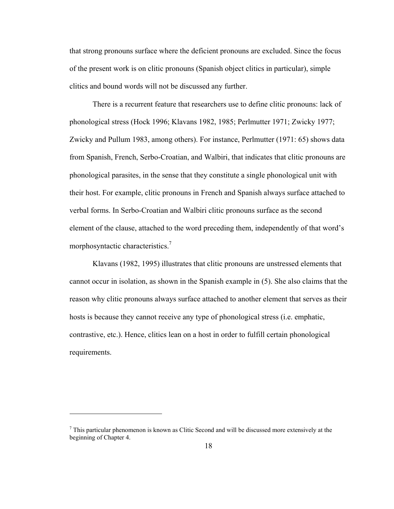that strong pronouns surface where the deficient pronouns are excluded. Since the focus of the present work is on clitic pronouns (Spanish object clitics in particular), simple clitics and bound words will not be discussed any further.

 There is a recurrent feature that researchers use to define clitic pronouns: lack of phonological stress (Hock 1996; Klavans 1982, 1985; Perlmutter 1971; Zwicky 1977; Zwicky and Pullum 1983, among others). For instance, Perlmutter (1971: 65) shows data from Spanish, French, Serbo-Croatian, and Walbiri, that indicates that clitic pronouns are phonological parasites, in the sense that they constitute a single phonological unit with their host. For example, clitic pronouns in French and Spanish always surface attached to verbal forms. In Serbo-Croatian and Walbiri clitic pronouns surface as the second element of the clause, attached to the word preceding them, independently of that word's morphosyntactic characteristics.<sup>7</sup>

 Klavans (1982, 1995) illustrates that clitic pronouns are unstressed elements that cannot occur in isolation, as shown in the Spanish example in (5). She also claims that the reason why clitic pronouns always surface attached to another element that serves as their hosts is because they cannot receive any type of phonological stress (i.e. emphatic, contrastive, etc.). Hence, clitics lean on a host in order to fulfill certain phonological requirements.

 $<sup>7</sup>$  This particular phenomenon is known as Clitic Second and will be discussed more extensively at the</sup> beginning of Chapter 4.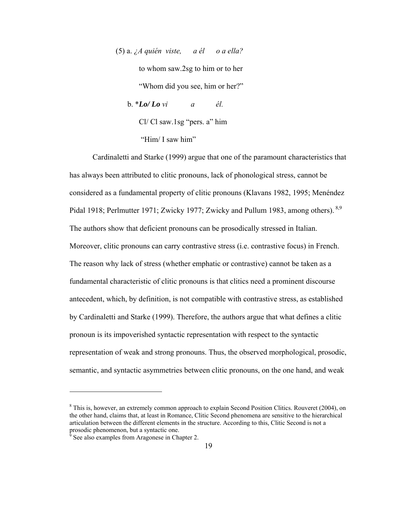(5) a. *¿A quién viste, a él o a ella?*  to whom saw.2sg to him or to her "Whom did you see, him or her?" b. \**Lo/ Lo vi a él.*  Cl/ Cl saw.1sg "pers. a" him "Him/ I saw him"

 Cardinaletti and Starke (1999) argue that one of the paramount characteristics that has always been attributed to clitic pronouns, lack of phonological stress, cannot be considered as a fundamental property of clitic pronouns (Klavans 1982, 1995; Menéndez Pidal 1918; Perlmutter 1971; Zwicky 1977; Zwicky and Pullum 1983, among others). 8,9 The authors show that deficient pronouns can be prosodically stressed in Italian. Moreover, clitic pronouns can carry contrastive stress (i.e. contrastive focus) in French. The reason why lack of stress (whether emphatic or contrastive) cannot be taken as a fundamental characteristic of clitic pronouns is that clitics need a prominent discourse antecedent, which, by definition, is not compatible with contrastive stress, as established by Cardinaletti and Starke (1999). Therefore, the authors argue that what defines a clitic pronoun is its impoverished syntactic representation with respect to the syntactic representation of weak and strong pronouns. Thus, the observed morphological, prosodic, semantic, and syntactic asymmetries between clitic pronouns, on the one hand, and weak

<sup>&</sup>lt;sup>8</sup> This is, however, an extremely common approach to explain Second Position Clitics. Rouveret (2004), on the other hand, claims that, at least in Romance, Clitic Second phenomena are sensitive to the hierarchical articulation between the different elements in the structure. According to this, Clitic Second is not a prosodic phenomenon, but a syntactic one. 9 See also examples from Aragonese in Chapter 2.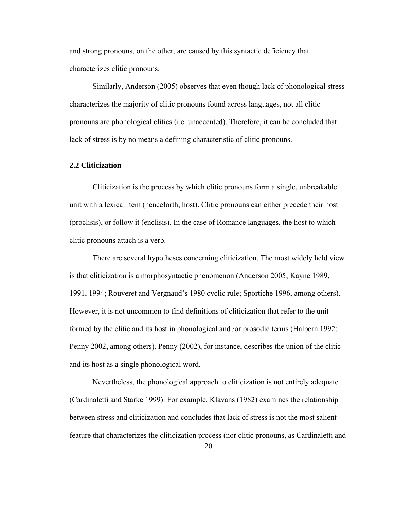and strong pronouns, on the other, are caused by this syntactic deficiency that characterizes clitic pronouns.

 Similarly, Anderson (2005) observes that even though lack of phonological stress characterizes the majority of clitic pronouns found across languages, not all clitic pronouns are phonological clitics (i.e. unaccented). Therefore, it can be concluded that lack of stress is by no means a defining characteristic of clitic pronouns.

#### **2.2 Cliticization**

 Cliticization is the process by which clitic pronouns form a single, unbreakable unit with a lexical item (henceforth, host). Clitic pronouns can either precede their host (proclisis), or follow it (enclisis). In the case of Romance languages, the host to which clitic pronouns attach is a verb.

 There are several hypotheses concerning cliticization. The most widely held view is that cliticization is a morphosyntactic phenomenon (Anderson 2005; Kayne 1989, 1991, 1994; Rouveret and Vergnaud's 1980 cyclic rule; Sportiche 1996, among others). However, it is not uncommon to find definitions of cliticization that refer to the unit formed by the clitic and its host in phonological and /or prosodic terms (Halpern 1992; Penny 2002, among others). Penny (2002), for instance, describes the union of the clitic and its host as a single phonological word.

 Nevertheless, the phonological approach to cliticization is not entirely adequate (Cardinaletti and Starke 1999). For example, Klavans (1982) examines the relationship between stress and cliticization and concludes that lack of stress is not the most salient feature that characterizes the cliticization process (nor clitic pronouns, as Cardinaletti and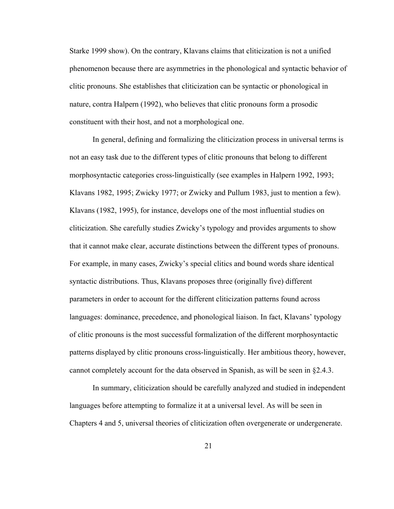Starke 1999 show). On the contrary, Klavans claims that cliticization is not a unified phenomenon because there are asymmetries in the phonological and syntactic behavior of clitic pronouns. She establishes that cliticization can be syntactic or phonological in nature, contra Halpern (1992), who believes that clitic pronouns form a prosodic constituent with their host, and not a morphological one.

 In general, defining and formalizing the cliticization process in universal terms is not an easy task due to the different types of clitic pronouns that belong to different morphosyntactic categories cross-linguistically (see examples in Halpern 1992, 1993; Klavans 1982, 1995; Zwicky 1977; or Zwicky and Pullum 1983, just to mention a few). Klavans (1982, 1995), for instance, develops one of the most influential studies on cliticization. She carefully studies Zwicky's typology and provides arguments to show that it cannot make clear, accurate distinctions between the different types of pronouns. For example, in many cases, Zwicky's special clitics and bound words share identical syntactic distributions. Thus, Klavans proposes three (originally five) different parameters in order to account for the different cliticization patterns found across languages: dominance, precedence, and phonological liaison. In fact, Klavans' typology of clitic pronouns is the most successful formalization of the different morphosyntactic patterns displayed by clitic pronouns cross-linguistically. Her ambitious theory, however, cannot completely account for the data observed in Spanish, as will be seen in §2.4.3.

 In summary, cliticization should be carefully analyzed and studied in independent languages before attempting to formalize it at a universal level. As will be seen in Chapters 4 and 5, universal theories of cliticization often overgenerate or undergenerate.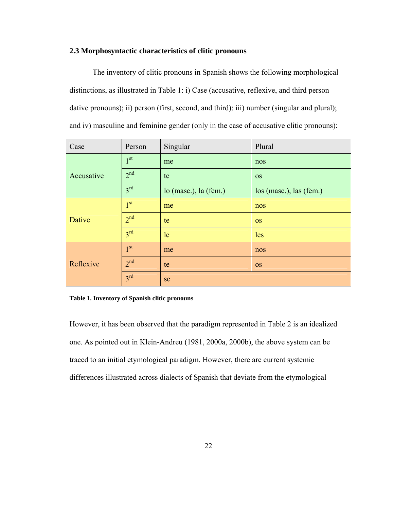## **2.3 Morphosyntactic characteristics of clitic pronouns**

The inventory of clitic pronouns in Spanish shows the following morphological distinctions, as illustrated in Table 1: i) Case (accusative, reflexive, and third person dative pronouns); ii) person (first, second, and third); iii) number (singular and plural); and iv) masculine and feminine gender (only in the case of accusative clitic pronouns):

| Case       | Person          | Singular              | Plural                  |
|------------|-----------------|-----------------------|-------------------------|
| Accusative | 1 <sup>st</sup> | me                    | nos                     |
|            | 2 <sup>nd</sup> | te                    | <b>OS</b>               |
|            | 3 <sup>rd</sup> | lo (masc.), la (fem.) | los (masc.), las (fem.) |
| Dative     | 1 <sup>st</sup> | me                    | nos                     |
|            | 2 <sup>nd</sup> | te                    | <b>OS</b>               |
|            | 3 <sup>rd</sup> | le                    | les                     |
| Reflexive  | 1 <sup>st</sup> | me                    | nos                     |
|            | 2 <sup>nd</sup> | te                    | <b>OS</b>               |
|            | 3 <sup>rd</sup> | se                    |                         |

#### **Table 1. Inventory of Spanish clitic pronouns**

However, it has been observed that the paradigm represented in Table 2 is an idealized one. As pointed out in Klein-Andreu (1981, 2000a, 2000b), the above system can be traced to an initial etymological paradigm. However, there are current systemic differences illustrated across dialects of Spanish that deviate from the etymological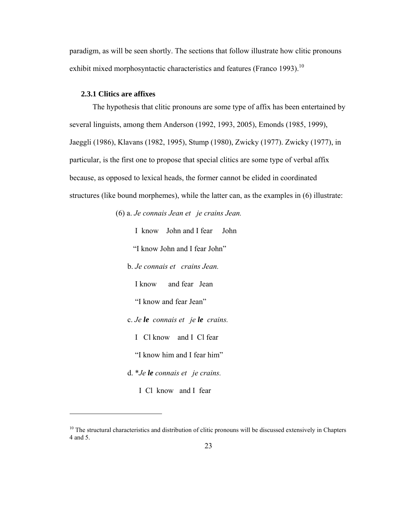paradigm, as will be seen shortly. The sections that follow illustrate how clitic pronouns exhibit mixed morphosyntactic characteristics and features (Franco 1993).<sup>10</sup>

## **2.3.1 Clitics are affixes**

 The hypothesis that clitic pronouns are some type of affix has been entertained by several linguists, among them Anderson (1992, 1993, 2005), Emonds (1985, 1999), Jaeggli (1986), Klavans (1982, 1995), Stump (1980), Zwicky (1977). Zwicky (1977), in particular, is the first one to propose that special clitics are some type of verbal affix because, as opposed to lexical heads, the former cannot be elided in coordinated structures (like bound morphemes), while the latter can, as the examples in (6) illustrate:

(6) a. *Je connais Jean et je crains Jean.*

I know John and I fear John

"I know John and I fear John"

b. *Je connais et crains Jean.* 

I know and fear Jean

"I know and fear Jean"

c. *Je le connais et je le crains.* 

I Cl know and I Cl fear

"I know him and I fear him"

d. \**Je le connais et je crains.* 

I Cl know and I fear

<sup>&</sup>lt;sup>10</sup> The structural characteristics and distribution of clitic pronouns will be discussed extensively in Chapters 4 and 5.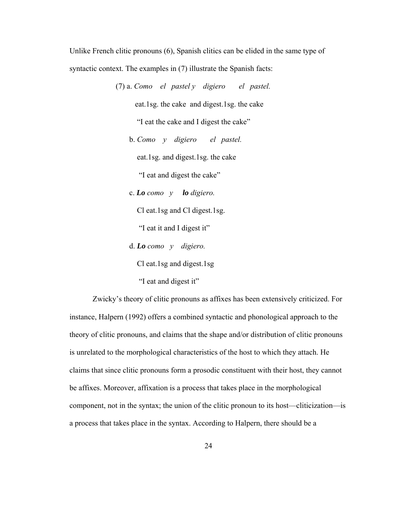Unlike French clitic pronouns (6), Spanish clitics can be elided in the same type of syntactic context. The examples in  $(7)$  illustrate the Spanish facts:

> (7) a. *Como el pastel y digiero el pastel.* eat.1sg. the cake and digest.1sg. the cake "I eat the cake and I digest the cake"

b. *Como y digiero el pastel.* 

eat.1sg. and digest.1sg. the cake

"I eat and digest the cake"

c. *Lo como y lo digiero.* 

Cl eat.1sg and Cl digest.1sg.

"I eat it and I digest it"

d. *Lo como y digiero.*

Cl eat.1sg and digest.1sg

"I eat and digest it"

 Zwicky's theory of clitic pronouns as affixes has been extensively criticized. For instance, Halpern (1992) offers a combined syntactic and phonological approach to the theory of clitic pronouns, and claims that the shape and/or distribution of clitic pronouns is unrelated to the morphological characteristics of the host to which they attach. He claims that since clitic pronouns form a prosodic constituent with their host, they cannot be affixes. Moreover, affixation is a process that takes place in the morphological component, not in the syntax; the union of the clitic pronoun to its host—cliticization—is a process that takes place in the syntax. According to Halpern, there should be a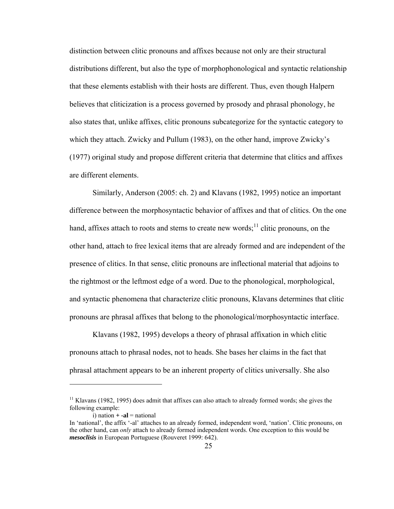distinction between clitic pronouns and affixes because not only are their structural distributions different, but also the type of morphophonological and syntactic relationship that these elements establish with their hosts are different. Thus, even though Halpern believes that cliticization is a process governed by prosody and phrasal phonology, he also states that, unlike affixes, clitic pronouns subcategorize for the syntactic category to which they attach. Zwicky and Pullum (1983), on the other hand, improve Zwicky's (1977) original study and propose different criteria that determine that clitics and affixes are different elements.

 Similarly, Anderson (2005: ch. 2) and Klavans (1982, 1995) notice an important difference between the morphosyntactic behavior of affixes and that of clitics. On the one hand, affixes attach to roots and stems to create new words;<sup>11</sup> clitic pronouns, on the other hand, attach to free lexical items that are already formed and are independent of the presence of clitics. In that sense, clitic pronouns are inflectional material that adjoins to the rightmost or the leftmost edge of a word. Due to the phonological, morphological, and syntactic phenomena that characterize clitic pronouns, Klavans determines that clitic pronouns are phrasal affixes that belong to the phonological/morphosyntactic interface.

 Klavans (1982, 1995) develops a theory of phrasal affixation in which clitic pronouns attach to phrasal nodes, not to heads. She bases her claims in the fact that phrasal attachment appears to be an inherent property of clitics universally. She also

<sup>&</sup>lt;sup>11</sup> Klavans (1982, 1995) does admit that affixes can also attach to already formed words; she gives the following example:

i) nation  $+ -aI =$  national

In 'national', the affix '-al' attaches to an already formed, independent word, 'nation'. Clitic pronouns, on the other hand, can *only* attach to already formed independent words. One exception to this would be *mesoclisis* in European Portuguese (Rouveret 1999: 642).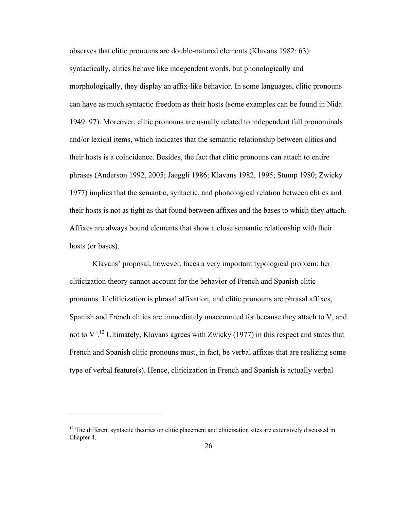observes that clitic pronouns are double-natured elements (Klavans 1982: 63): syntactically, clitics behave like independent words, but phonologically and morphologically, they display an affix-like behavior. In some languages, clitic pronouns can have as much syntactic freedom as their hosts (some examples can be found in Nida 1949: 97). Moreover, clitic pronouns are usually related to independent full pronominals and/or lexical items, which indicates that the semantic relationship between clitics and their hosts is a coincidence. Besides, the fact that clitic pronouns can attach to entire phrases (Anderson 1992, 2005; Jaeggli 1986; Klavans 1982, 1995; Stump 1980; Zwicky 1977) implies that the semantic, syntactic, and phonological relation between clitics and their hosts is not as tight as that found between affixes and the bases to which they attach. Affixes are always bound elements that show a close semantic relationship with their hosts (or bases).

 Klavans' proposal, however, faces a very important typological problem: her cliticization theory cannot account for the behavior of French and Spanish clitic pronouns. If cliticization is phrasal affixation, and clitic pronouns are phrasal affixes, Spanish and French clitics are immediately unaccounted for because they attach to V, and not to  $V^{\prime}$ .<sup>12</sup> Ultimately, Klavans agrees with Zwicky (1977) in this respect and states that French and Spanish clitic pronouns must, in fact, be verbal affixes that are realizing some type of verbal feature(s). Hence, cliticization in French and Spanish is actually verbal

<u>.</u>

 $12$  The different syntactic theories on clitic placement and cliticization sites are extensively discussed in Chapter 4.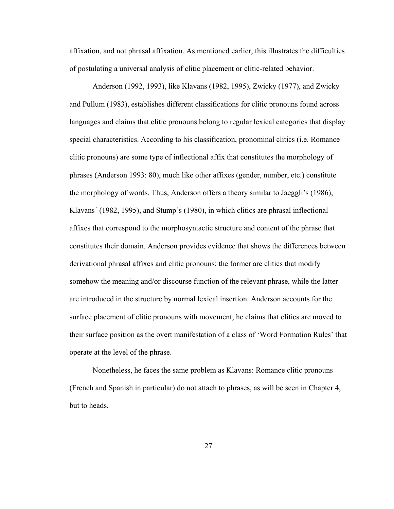affixation, and not phrasal affixation. As mentioned earlier, this illustrates the difficulties of postulating a universal analysis of clitic placement or clitic-related behavior.

 Anderson (1992, 1993), like Klavans (1982, 1995), Zwicky (1977), and Zwicky and Pullum (1983), establishes different classifications for clitic pronouns found across languages and claims that clitic pronouns belong to regular lexical categories that display special characteristics. According to his classification, pronominal clitics (i.e. Romance clitic pronouns) are some type of inflectional affix that constitutes the morphology of phrases (Anderson 1993: 80), much like other affixes (gender, number, etc.) constitute the morphology of words. Thus, Anderson offers a theory similar to Jaeggli's (1986), Klavans´ (1982, 1995), and Stump's (1980), in which clitics are phrasal inflectional affixes that correspond to the morphosyntactic structure and content of the phrase that constitutes their domain. Anderson provides evidence that shows the differences between derivational phrasal affixes and clitic pronouns: the former are clitics that modify somehow the meaning and/or discourse function of the relevant phrase, while the latter are introduced in the structure by normal lexical insertion. Anderson accounts for the surface placement of clitic pronouns with movement; he claims that clitics are moved to their surface position as the overt manifestation of a class of 'Word Formation Rules' that operate at the level of the phrase.

 Nonetheless, he faces the same problem as Klavans: Romance clitic pronouns (French and Spanish in particular) do not attach to phrases, as will be seen in Chapter 4, but to heads.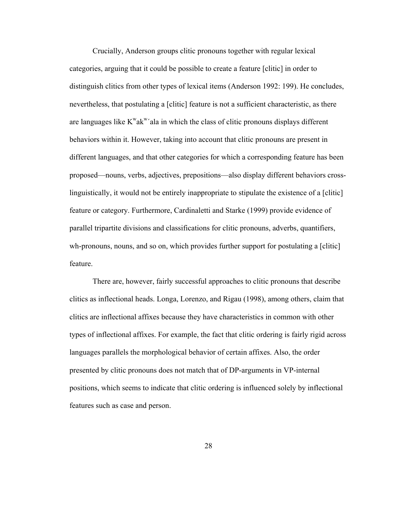Crucially, Anderson groups clitic pronouns together with regular lexical categories, arguing that it could be possible to create a feature [clitic] in order to distinguish clitics from other types of lexical items (Anderson 1992: 199). He concludes, nevertheless, that postulating a [clitic] feature is not a sufficient characteristic, as there are languages like  $K^{\nu}a k^{\nu}$  ala in which the class of clitic pronouns displays different behaviors within it. However, taking into account that clitic pronouns are present in different languages, and that other categories for which a corresponding feature has been proposed—nouns, verbs, adjectives, prepositions—also display different behaviors crosslinguistically, it would not be entirely inappropriate to stipulate the existence of a [clitic] feature or category. Furthermore, Cardinaletti and Starke (1999) provide evidence of parallel tripartite divisions and classifications for clitic pronouns, adverbs, quantifiers, wh-pronouns, nouns, and so on, which provides further support for postulating a [clitic] feature.

There are, however, fairly successful approaches to clitic pronouns that describe clitics as inflectional heads. Longa, Lorenzo, and Rigau (1998), among others, claim that clitics are inflectional affixes because they have characteristics in common with other types of inflectional affixes. For example, the fact that clitic ordering is fairly rigid across languages parallels the morphological behavior of certain affixes. Also, the order presented by clitic pronouns does not match that of DP-arguments in VP-internal positions, which seems to indicate that clitic ordering is influenced solely by inflectional features such as case and person.

28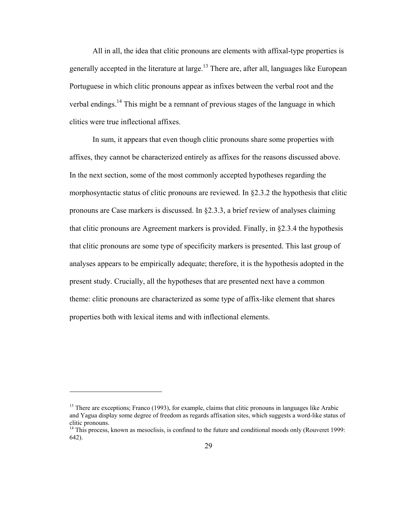All in all, the idea that clitic pronouns are elements with affixal-type properties is generally accepted in the literature at large.<sup>13</sup> There are, after all, languages like European Portuguese in which clitic pronouns appear as infixes between the verbal root and the verbal endings.<sup>14</sup> This might be a remnant of previous stages of the language in which clitics were true inflectional affixes.

 In sum, it appears that even though clitic pronouns share some properties with affixes, they cannot be characterized entirely as affixes for the reasons discussed above. In the next section, some of the most commonly accepted hypotheses regarding the morphosyntactic status of clitic pronouns are reviewed. In §2.3.2 the hypothesis that clitic pronouns are Case markers is discussed. In §2.3.3, a brief review of analyses claiming that clitic pronouns are Agreement markers is provided. Finally, in §2.3.4 the hypothesis that clitic pronouns are some type of specificity markers is presented. This last group of analyses appears to be empirically adequate; therefore, it is the hypothesis adopted in the present study. Crucially, all the hypotheses that are presented next have a common theme: clitic pronouns are characterized as some type of affix-like element that shares properties both with lexical items and with inflectional elements.

 $13$  There are exceptions; Franco (1993), for example, claims that clitic pronouns in languages like Arabic and Yagua display some degree of freedom as regards affixation sites, which suggests a word-like status of clitic pronouns.

 $14$  This process, known as mesoclisis, is confined to the future and conditional moods only (Rouveret 1999: 642).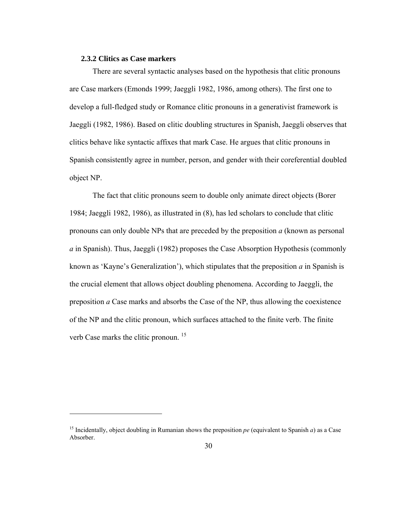### **2.3.2 Clitics as Case markers**

<u>.</u>

 There are several syntactic analyses based on the hypothesis that clitic pronouns are Case markers (Emonds 1999; Jaeggli 1982, 1986, among others). The first one to develop a full-fledged study or Romance clitic pronouns in a generativist framework is Jaeggli (1982, 1986). Based on clitic doubling structures in Spanish, Jaeggli observes that clitics behave like syntactic affixes that mark Case. He argues that clitic pronouns in Spanish consistently agree in number, person, and gender with their coreferential doubled object NP.

 The fact that clitic pronouns seem to double only animate direct objects (Borer 1984; Jaeggli 1982, 1986), as illustrated in (8), has led scholars to conclude that clitic pronouns can only double NPs that are preceded by the preposition *a* (known as personal *a* in Spanish). Thus, Jaeggli (1982) proposes the Case Absorption Hypothesis (commonly known as 'Kayne's Generalization'), which stipulates that the preposition *a* in Spanish is the crucial element that allows object doubling phenomena. According to Jaeggli, the preposition *a* Case marks and absorbs the Case of the NP, thus allowing the coexistence of the NP and the clitic pronoun, which surfaces attached to the finite verb. The finite verb Case marks the clitic pronoun.<sup>15</sup>

<sup>15</sup> Incidentally, object doubling in Rumanian shows the preposition *pe* (equivalent to Spanish *a*) as a Case Absorber.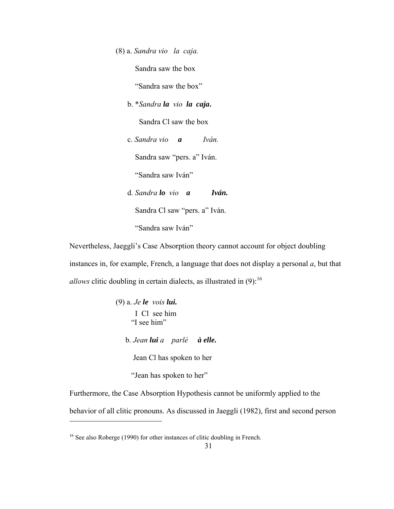(8) a. *Sandra vio la caja.* 

Sandra saw the box

"Sandra saw the box"

b. \**Sandra la vio la caja***.**

Sandra Cl saw the box

c. *Sandra vio a Iván.*

Sandra saw "pers. a" Iván.

"Sandra saw Iván"

d. *Sandra lo vio a Iván.*

Sandra Cl saw "pers. a" Iván.

"Sandra saw Iván"

Nevertheless, Jaeggli's Case Absorption theory cannot account for object doubling instances in, for example, French, a language that does not display a personal *a*, but that *allows* clitic doubling in certain dialects, as illustrated in  $(9)$ :<sup>16</sup>

> (9) a. *Je le vois lui.* I Cl see him "I see him" b. *Jean lui a parlé à elle.*  Jean Cl has spoken to her "Jean has spoken to her"

Furthermore, the Case Absorption Hypothesis cannot be uniformly applied to the

behavior of all clitic pronouns. As discussed in Jaeggli (1982), first and second person

<sup>&</sup>lt;sup>16</sup> See also Roberge (1990) for other instances of clitic doubling in French.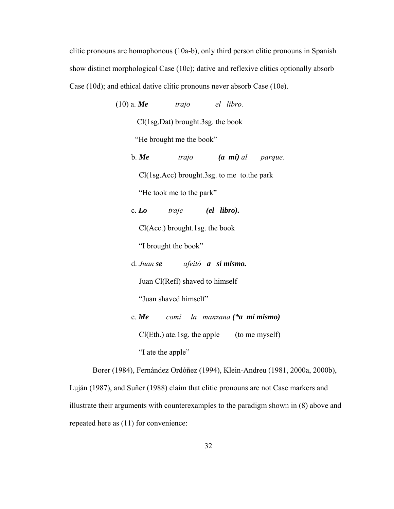clitic pronouns are homophonous (10a-b), only third person clitic pronouns in Spanish show distinct morphological Case (10c); dative and reflexive clitics optionally absorb Case (10d); and ethical dative clitic pronouns never absorb Case (10e).

> (10) a. *Me trajo el libro.*  Cl(1sg.Dat) brought.3sg. the book "He brought me the book" b. *Me trajo (a mí) al parque.*  Cl(1sg.Acc) brought.3sg. to me to.the park "He took me to the park" c. *Lo traje (el libro).* Cl(Acc.) brought.1sg. the book "I brought the book" d. *Juan se afeitó a sí mismo.* Juan Cl(Refl) shaved to himself "Juan shaved himself" e. *Me comí la manzana (\*a mí mismo)*   $Cl(Eth.)$  ate.1sg. the apple (to me myself) "I ate the apple"

Borer (1984), Fernández Ordóñez (1994), Klein-Andreu (1981, 2000a, 2000b),

Luján (1987), and Suñer (1988) claim that clitic pronouns are not Case markers and illustrate their arguments with counterexamples to the paradigm shown in (8) above and repeated here as (11) for convenience: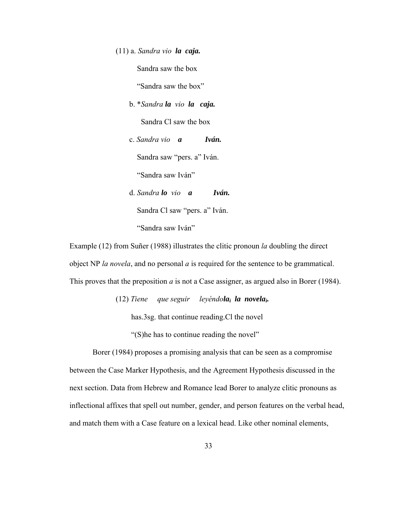(11) a. *Sandra vio la caja.*

Sandra saw the box

"Sandra saw the box"

b. \**Sandra la vio la caja.*

Sandra Cl saw the box

c. *Sandra vio a Iván.* 

Sandra saw "pers. a" Iván.

"Sandra saw Iván"

 d. *Sandra lo vio a Iván.* Sandra Cl saw "pers. a" Iván.

"Sandra saw Iván"

Example (12) from Suñer (1988) illustrates the clitic pronoun *la* doubling the direct object NP *la novela*, and no personal *a* is required for the sentence to be grammatical. This proves that the preposition *a* is not a Case assigner, as argued also in Borer (1984).

(12) *Tiene que seguir leyéndolai la novelai.*

has.3sg. that continue reading.Cl the novel

"(S)he has to continue reading the novel"

 Borer (1984) proposes a promising analysis that can be seen as a compromise between the Case Marker Hypothesis, and the Agreement Hypothesis discussed in the next section. Data from Hebrew and Romance lead Borer to analyze clitic pronouns as inflectional affixes that spell out number, gender, and person features on the verbal head, and match them with a Case feature on a lexical head. Like other nominal elements,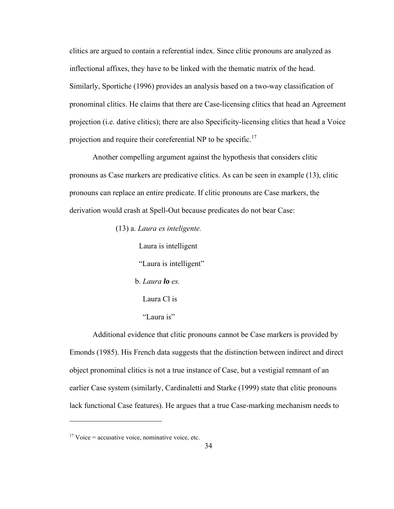clitics are argued to contain a referential index. Since clitic pronouns are analyzed as inflectional affixes, they have to be linked with the thematic matrix of the head. Similarly, Sportiche (1996) provides an analysis based on a two-way classification of pronominal clitics. He claims that there are Case-licensing clitics that head an Agreement projection (i.e. dative clitics); there are also Specificity-licensing clitics that head a Voice projection and require their coreferential NP to be specific.<sup>17</sup>

 Another compelling argument against the hypothesis that considers clitic pronouns as Case markers are predicative clitics. As can be seen in example (13), clitic pronouns can replace an entire predicate. If clitic pronouns are Case markers, the derivation would crash at Spell-Out because predicates do not bear Case:

(13) a. *Laura es inteligente.* 

Laura is intelligent

"Laura is intelligent"

b. *Laura lo es.* 

Laura Cl is

"Laura is"

 Additional evidence that clitic pronouns cannot be Case markers is provided by Emonds (1985). His French data suggests that the distinction between indirect and direct object pronominal clitics is not a true instance of Case, but a vestigial remnant of an earlier Case system (similarly, Cardinaletti and Starke (1999) state that clitic pronouns lack functional Case features). He argues that a true Case-marking mechanism needs to

1

 $17$  Voice = accusative voice, nominative voice, etc.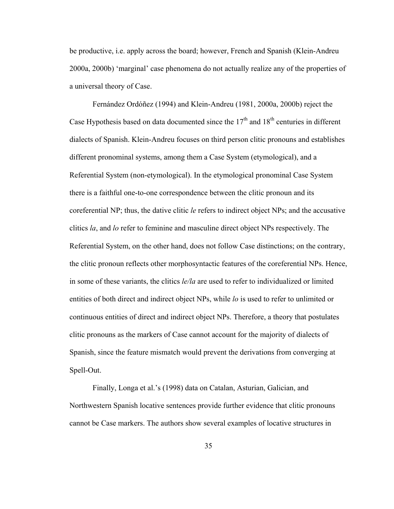be productive, i.e. apply across the board; however, French and Spanish (Klein-Andreu 2000a, 2000b) 'marginal' case phenomena do not actually realize any of the properties of a universal theory of Case.

Fernández Ordóñez (1994) and Klein-Andreu (1981, 2000a, 2000b) reject the Case Hypothesis based on data documented since the  $17<sup>th</sup>$  and  $18<sup>th</sup>$  centuries in different dialects of Spanish. Klein-Andreu focuses on third person clitic pronouns and establishes different pronominal systems, among them a Case System (etymological), and a Referential System (non-etymological). In the etymological pronominal Case System there is a faithful one-to-one correspondence between the clitic pronoun and its coreferential NP; thus, the dative clitic *le* refers to indirect object NPs; and the accusative clitics *la*, and *lo* refer to feminine and masculine direct object NPs respectively. The Referential System, on the other hand, does not follow Case distinctions; on the contrary, the clitic pronoun reflects other morphosyntactic features of the coreferential NPs. Hence, in some of these variants, the clitics *le/la* are used to refer to individualized or limited entities of both direct and indirect object NPs, while *lo* is used to refer to unlimited or continuous entities of direct and indirect object NPs. Therefore, a theory that postulates clitic pronouns as the markers of Case cannot account for the majority of dialects of Spanish, since the feature mismatch would prevent the derivations from converging at Spell-Out.

 Finally, Longa et al.'s (1998) data on Catalan, Asturian, Galician, and Northwestern Spanish locative sentences provide further evidence that clitic pronouns cannot be Case markers. The authors show several examples of locative structures in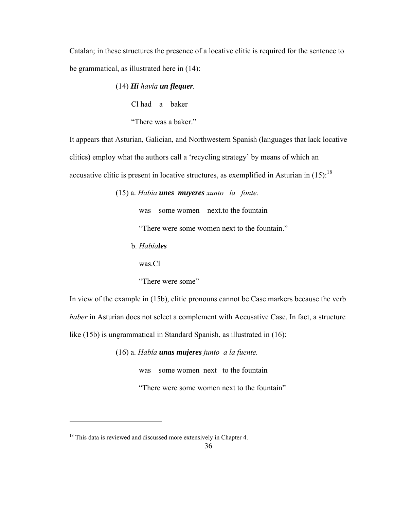Catalan; in these structures the presence of a locative clitic is required for the sentence to be grammatical, as illustrated here in (14):

## (14) *Hi havía un flequer.*

Cl had a baker

"There was a baker."

It appears that Asturian, Galician, and Northwestern Spanish (languages that lack locative clitics) employ what the authors call a 'recycling strategy' by means of which an accusative clitic is present in locative structures, as exemplified in Asturian in  $(15)$ :<sup>18</sup>

(15) a. *Había unes muyeres xunto la fonte.* 

was some women next.to the fountain

"There were some women next to the fountain."

b. *Habíales* 

was.Cl

"There were some"

In view of the example in (15b), clitic pronouns cannot be Case markers because the verb *haber* in Asturian does not select a complement with Accusative Case. In fact, a structure like (15b) is ungrammatical in Standard Spanish, as illustrated in (16):

(16) a. *Había unas mujeres junto a la fuente.* 

was some women next to the fountain

"There were some women next to the fountain"

1

<sup>&</sup>lt;sup>18</sup> This data is reviewed and discussed more extensively in Chapter 4.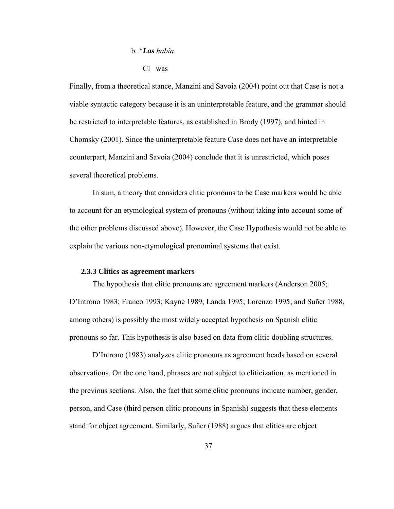#### b. \**Las había*.

Cl was

Finally, from a theoretical stance, Manzini and Savoia (2004) point out that Case is not a viable syntactic category because it is an uninterpretable feature, and the grammar should be restricted to interpretable features, as established in Brody (1997), and hinted in Chomsky (2001). Since the uninterpretable feature Case does not have an interpretable counterpart, Manzini and Savoia (2004) conclude that it is unrestricted, which poses several theoretical problems.

 In sum, a theory that considers clitic pronouns to be Case markers would be able to account for an etymological system of pronouns (without taking into account some of the other problems discussed above). However, the Case Hypothesis would not be able to explain the various non-etymological pronominal systems that exist.

#### **2.3.3 Clitics as agreement markers**

 The hypothesis that clitic pronouns are agreement markers (Anderson 2005; D'Introno 1983; Franco 1993; Kayne 1989; Landa 1995; Lorenzo 1995; and Suñer 1988, among others) is possibly the most widely accepted hypothesis on Spanish clitic pronouns so far. This hypothesis is also based on data from clitic doubling structures.

 D'Introno (1983) analyzes clitic pronouns as agreement heads based on several observations. On the one hand, phrases are not subject to cliticization, as mentioned in the previous sections. Also, the fact that some clitic pronouns indicate number, gender, person, and Case (third person clitic pronouns in Spanish) suggests that these elements stand for object agreement. Similarly, Suñer (1988) argues that clitics are object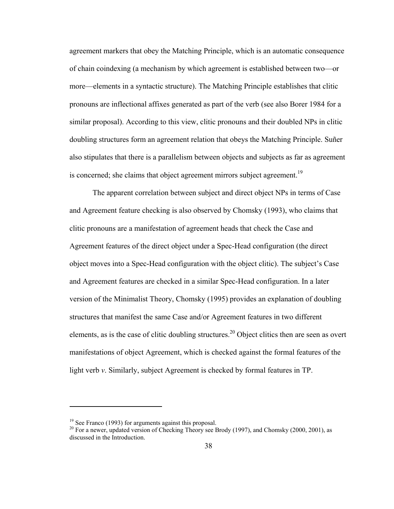agreement markers that obey the Matching Principle, which is an automatic consequence of chain coindexing (a mechanism by which agreement is established between two—or more—elements in a syntactic structure). The Matching Principle establishes that clitic pronouns are inflectional affixes generated as part of the verb (see also Borer 1984 for a similar proposal). According to this view, clitic pronouns and their doubled NPs in clitic doubling structures form an agreement relation that obeys the Matching Principle. Suñer also stipulates that there is a parallelism between objects and subjects as far as agreement is concerned; she claims that object agreement mirrors subject agreement.<sup>19</sup>

 The apparent correlation between subject and direct object NPs in terms of Case and Agreement feature checking is also observed by Chomsky (1993), who claims that clitic pronouns are a manifestation of agreement heads that check the Case and Agreement features of the direct object under a Spec-Head configuration (the direct object moves into a Spec-Head configuration with the object clitic). The subject's Case and Agreement features are checked in a similar Spec-Head configuration. In a later version of the Minimalist Theory, Chomsky (1995) provides an explanation of doubling structures that manifest the same Case and/or Agreement features in two different elements, as is the case of clitic doubling structures.<sup>20</sup> Object clitics then are seen as overt manifestations of object Agreement, which is checked against the formal features of the light verb *v*. Similarly, subject Agreement is checked by formal features in TP.

<sup>&</sup>lt;sup>19</sup> See Franco (1993) for arguments against this proposal.

<sup>&</sup>lt;sup>20</sup> For a newer, updated version of Checking Theory see Brody (1997), and Chomsky (2000, 2001), as discussed in the Introduction.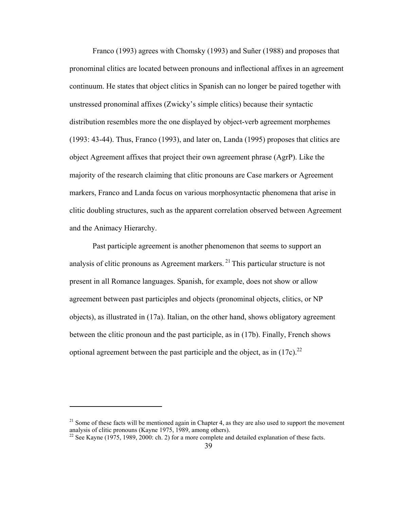Franco (1993) agrees with Chomsky (1993) and Suñer (1988) and proposes that pronominal clitics are located between pronouns and inflectional affixes in an agreement continuum. He states that object clitics in Spanish can no longer be paired together with unstressed pronominal affixes (Zwicky's simple clitics) because their syntactic distribution resembles more the one displayed by object-verb agreement morphemes (1993: 43-44). Thus, Franco (1993), and later on, Landa (1995) proposes that clitics are object Agreement affixes that project their own agreement phrase (AgrP). Like the majority of the research claiming that clitic pronouns are Case markers or Agreement markers, Franco and Landa focus on various morphosyntactic phenomena that arise in clitic doubling structures, such as the apparent correlation observed between Agreement and the Animacy Hierarchy.

 Past participle agreement is another phenomenon that seems to support an analysis of clitic pronouns as Agreement markers.  $21$  This particular structure is not present in all Romance languages. Spanish, for example, does not show or allow agreement between past participles and objects (pronominal objects, clitics, or NP objects), as illustrated in (17a). Italian, on the other hand, shows obligatory agreement between the clitic pronoun and the past participle, as in (17b). Finally, French shows optional agreement between the past participle and the object, as in  $(17c)^{22}$ 

 $21$  Some of these facts will be mentioned again in Chapter 4, as they are also used to support the movement analysis of clitic pronouns (Kayne 1975, 1989, among others).

<sup>&</sup>lt;sup>22</sup> See Kayne (1975, 1989, 2000: ch. 2) for a more complete and detailed explanation of these facts.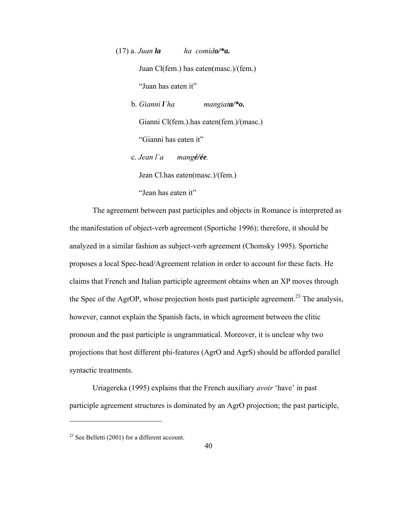(17) a. *Juan la ha comido/\*a.* Juan Cl(fem.) has eaten(masc.)/(fem.) "Juan has eaten it" b. *Gianni l´ha mangiata/\*o.* Gianni Cl(fem.).has eaten(fem.)/(masc.) "Gianni has eaten it" c. *Jean l´a mangé/ée.*  Jean Cl.has eaten(masc.)/(fem.) "Jean has eaten it"

 The agreement between past participles and objects in Romance is interpreted as the manifestation of object-verb agreement (Sportiche 1996); therefore, it should be analyzed in a similar fashion as subject-verb agreement (Chomsky 1995). Sportiche proposes a local Spec-head/Agreement relation in order to account for these facts. He claims that French and Italian participle agreement obtains when an XP moves through the Spec of the AgrOP, whose projection hosts past participle agreement.<sup>23</sup> The analysis, however, cannot explain the Spanish facts, in which agreement between the clitic pronoun and the past participle is ungrammatical. Moreover, it is unclear why two projections that host different phi-features (AgrO and AgrS) should be afforded parallel syntactic treatments.

 Uriagereka (1995) explains that the French auxiliary *avoir* 'have' in past participle agreement structures is dominated by an AgrO projection; the past participle,

 $23$  See Belletti (2001) for a different account.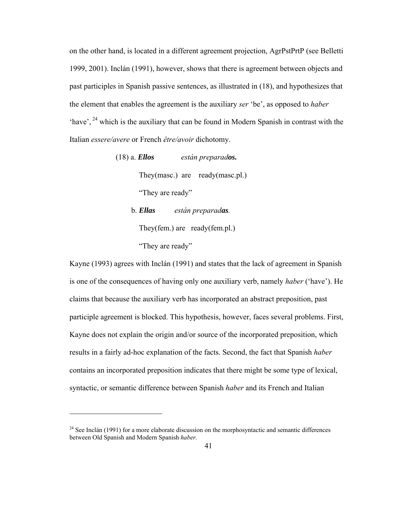on the other hand, is located in a different agreement projection, AgrPstPrtP (see Belletti 1999, 2001). Inclán (1991), however, shows that there is agreement between objects and past participles in Spanish passive sentences, as illustrated in (18), and hypothesizes that the element that enables the agreement is the auxiliary *ser* 'be', as opposed to *haber* 'have',  $^{24}$  which is the auxiliary that can be found in Modern Spanish in contrast with the Italian *essere/avere* or French *être/avoir* dichotomy.

> (18) a. *Ellos están preparados.* They(masc.) are ready(masc.pl.) "They are ready" b. *Ellas están preparadas.*  They(fem.) are ready(fem.pl.)

> > "They are ready"

 $\overline{a}$ 

Kayne (1993) agrees with Inclán (1991) and states that the lack of agreement in Spanish is one of the consequences of having only one auxiliary verb, namely *haber* ('have'). He claims that because the auxiliary verb has incorporated an abstract preposition, past participle agreement is blocked. This hypothesis, however, faces several problems. First, Kayne does not explain the origin and/or source of the incorporated preposition, which results in a fairly ad-hoc explanation of the facts. Second, the fact that Spanish *haber* contains an incorporated preposition indicates that there might be some type of lexical, syntactic, or semantic difference between Spanish *haber* and its French and Italian

 $24$  See Inclán (1991) for a more elaborate discussion on the morphosyntactic and semantic differences between Old Spanish and Modern Spanish *haber.*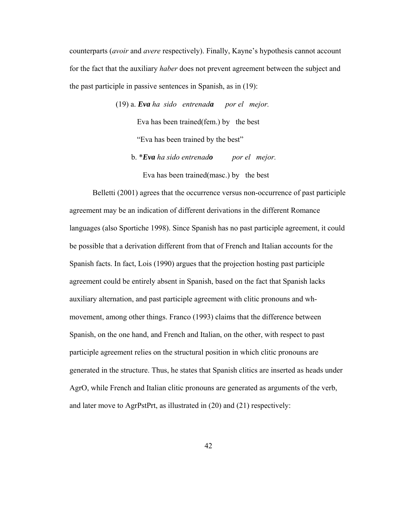counterparts (*avoir* and *avere* respectively). Finally, Kayne's hypothesis cannot account for the fact that the auxiliary *haber* does not prevent agreement between the subject and the past participle in passive sentences in Spanish, as in (19):

> (19) a. *Eva ha sido entrenada por el mejor.*  Eva has been trained(fem.) by the best "Eva has been trained by the best"

 b. \**Eva ha sido entrenado por el mejor.* Eva has been trained(masc.) by the best

 Belletti (2001) agrees that the occurrence versus non-occurrence of past participle agreement may be an indication of different derivations in the different Romance languages (also Sportiche 1998). Since Spanish has no past participle agreement, it could be possible that a derivation different from that of French and Italian accounts for the Spanish facts. In fact, Lois (1990) argues that the projection hosting past participle agreement could be entirely absent in Spanish, based on the fact that Spanish lacks auxiliary alternation, and past participle agreement with clitic pronouns and whmovement, among other things. Franco (1993) claims that the difference between Spanish, on the one hand, and French and Italian, on the other, with respect to past participle agreement relies on the structural position in which clitic pronouns are generated in the structure. Thus, he states that Spanish clitics are inserted as heads under AgrO, while French and Italian clitic pronouns are generated as arguments of the verb, and later move to AgrPstPrt, as illustrated in (20) and (21) respectively: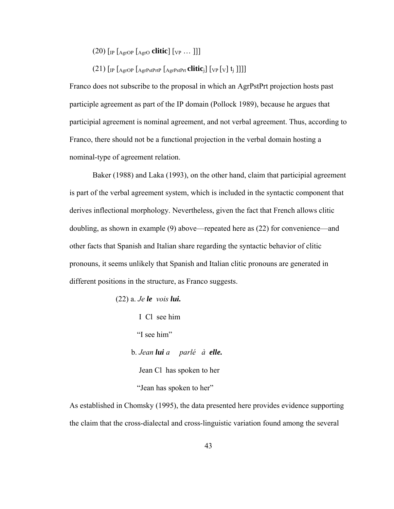$(20)$  [IP [AgrOP [AgrO **clitic**] [VP ... ]]]

 $(21)$   $\left[$  [IP  $\left[$  AgrOP  $\left[$  AgrPstPrtP  $\left[$  AgrPstPrt **clitic**<sub>j</sub> $\left[$   $\left[$   $\vee$  $\right]$   $\left[$   $\vee$  $\right]$   $\left[$   $\vee$  $\left[$   $\right]$   $\left[$   $\right]$   $\right]$ 

Franco does not subscribe to the proposal in which an AgrPstPrt projection hosts past participle agreement as part of the IP domain (Pollock 1989), because he argues that participial agreement is nominal agreement, and not verbal agreement. Thus, according to Franco, there should not be a functional projection in the verbal domain hosting a nominal-type of agreement relation.

Baker (1988) and Laka (1993), on the other hand, claim that participial agreement is part of the verbal agreement system, which is included in the syntactic component that derives inflectional morphology. Nevertheless, given the fact that French allows clitic doubling, as shown in example (9) above—repeated here as (22) for convenience—and other facts that Spanish and Italian share regarding the syntactic behavior of clitic pronouns, it seems unlikely that Spanish and Italian clitic pronouns are generated in different positions in the structure, as Franco suggests.

> (22) a. *Je le vois lui.* I Cl see him "I see him" b. *Jean lui a parlé à elle.* Jean Cl has spoken to her "Jean has spoken to her"

As established in Chomsky (1995), the data presented here provides evidence supporting the claim that the cross-dialectal and cross-linguistic variation found among the several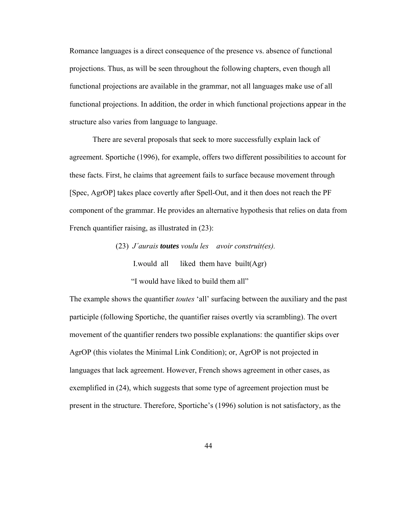Romance languages is a direct consequence of the presence vs. absence of functional projections. Thus, as will be seen throughout the following chapters, even though all functional projections are available in the grammar, not all languages make use of all functional projections. In addition, the order in which functional projections appear in the structure also varies from language to language.

 There are several proposals that seek to more successfully explain lack of agreement. Sportiche (1996), for example, offers two different possibilities to account for these facts. First, he claims that agreement fails to surface because movement through [Spec, AgrOP] takes place covertly after Spell-Out, and it then does not reach the PF component of the grammar. He provides an alternative hypothesis that relies on data from French quantifier raising, as illustrated in (23):

> (23) *J´aurais toutes voulu les avoir construit(es).* I. would all liked them have built $(Agr)$ "I would have liked to build them all"

The example shows the quantifier *toutes* 'all' surfacing between the auxiliary and the past participle (following Sportiche, the quantifier raises overtly via scrambling). The overt movement of the quantifier renders two possible explanations: the quantifier skips over AgrOP (this violates the Minimal Link Condition); or, AgrOP is not projected in languages that lack agreement. However, French shows agreement in other cases, as exemplified in (24), which suggests that some type of agreement projection must be present in the structure. Therefore, Sportiche's (1996) solution is not satisfactory, as the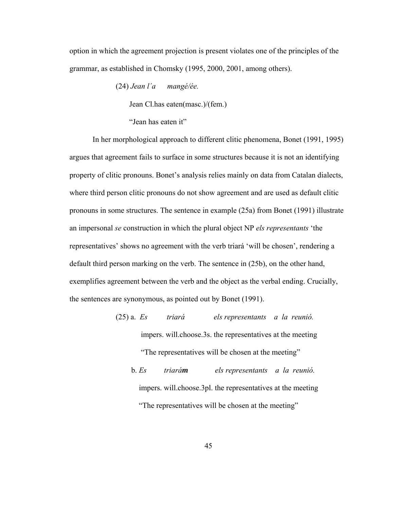option in which the agreement projection is present violates one of the principles of the grammar, as established in Chomsky (1995, 2000, 2001, among others).

(24) *Jean l´a mangé/ée.* 

Jean Cl.has eaten(masc.)/(fem.)

"Jean has eaten it"

 In her morphological approach to different clitic phenomena, Bonet (1991, 1995) argues that agreement fails to surface in some structures because it is not an identifying property of clitic pronouns. Bonet's analysis relies mainly on data from Catalan dialects, where third person clitic pronouns do not show agreement and are used as default clitic pronouns in some structures. The sentence in example (25a) from Bonet (1991) illustrate an impersonal *se* construction in which the plural object NP *els representants* 'the representatives' shows no agreement with the verb triará 'will be chosen', rendering a default third person marking on the verb. The sentence in (25b), on the other hand, exemplifies agreement between the verb and the object as the verbal ending. Crucially, the sentences are synonymous, as pointed out by Bonet (1991).

> (25) a. *Es triará els representants a la reunió.*  impers. will.choose.3s. the representatives at the meeting "The representatives will be chosen at the meeting"

 b. *Es triarám els representants a la reunió.*  impers. will.choose.3pl. the representatives at the meeting "The representatives will be chosen at the meeting"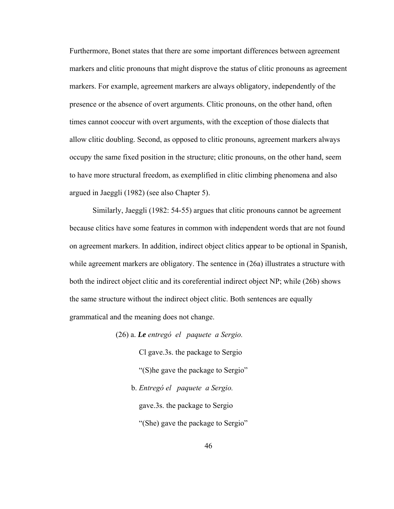Furthermore, Bonet states that there are some important differences between agreement markers and clitic pronouns that might disprove the status of clitic pronouns as agreement markers. For example, agreement markers are always obligatory, independently of the presence or the absence of overt arguments. Clitic pronouns, on the other hand, often times cannot cooccur with overt arguments, with the exception of those dialects that allow clitic doubling. Second, as opposed to clitic pronouns, agreement markers always occupy the same fixed position in the structure; clitic pronouns, on the other hand, seem to have more structural freedom, as exemplified in clitic climbing phenomena and also argued in Jaeggli (1982) (see also Chapter 5).

 Similarly, Jaeggli (1982: 54-55) argues that clitic pronouns cannot be agreement because clitics have some features in common with independent words that are not found on agreement markers. In addition, indirect object clitics appear to be optional in Spanish, while agreement markers are obligatory. The sentence in (26a) illustrates a structure with both the indirect object clitic and its coreferential indirect object NP; while (26b) shows the same structure without the indirect object clitic. Both sentences are equally grammatical and the meaning does not change.

> (26) a. *Le entregó el paquete a Sergio.*  Cl gave.3s. the package to Sergio "(S)he gave the package to Sergio" b. *Entregó el paquete a Sergio.*  gave.3s. the package to Sergio "(She) gave the package to Sergio"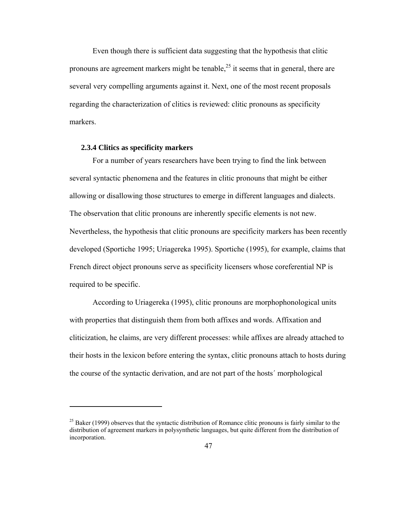Even though there is sufficient data suggesting that the hypothesis that clitic pronouns are agreement markers might be tenable,  $^{25}$  it seems that in general, there are several very compelling arguments against it. Next, one of the most recent proposals regarding the characterization of clitics is reviewed: clitic pronouns as specificity markers.

## **2.3.4 Clitics as specificity markers**

 $\overline{a}$ 

 For a number of years researchers have been trying to find the link between several syntactic phenomena and the features in clitic pronouns that might be either allowing or disallowing those structures to emerge in different languages and dialects. The observation that clitic pronouns are inherently specific elements is not new. Nevertheless, the hypothesis that clitic pronouns are specificity markers has been recently developed (Sportiche 1995; Uriagereka 1995). Sportiche (1995), for example, claims that French direct object pronouns serve as specificity licensers whose coreferential NP is required to be specific.

 According to Uriagereka (1995), clitic pronouns are morphophonological units with properties that distinguish them from both affixes and words. Affixation and cliticization, he claims, are very different processes: while affixes are already attached to their hosts in the lexicon before entering the syntax, clitic pronouns attach to hosts during the course of the syntactic derivation, and are not part of the hosts´ morphological

<sup>&</sup>lt;sup>25</sup> Baker (1999) observes that the syntactic distribution of Romance clitic pronouns is fairly similar to the distribution of agreement markers in polysynthetic languages, but quite different from the distribution of incorporation.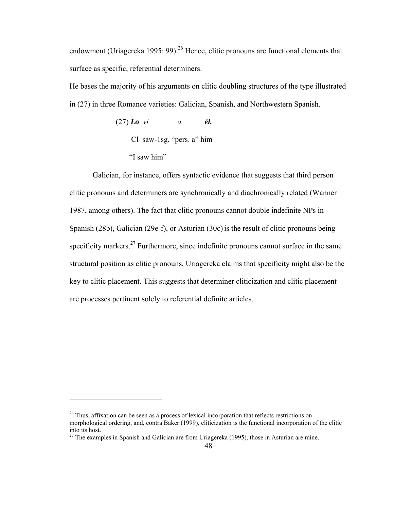endowment (Uriagereka 1995: 99).<sup>26</sup> Hence, clitic pronouns are functional elements that surface as specific, referential determiners.

He bases the majority of his arguments on clitic doubling structures of the type illustrated in (27) in three Romance varieties: Galician, Spanish, and Northwestern Spanish.

 (27) *Lo vi a él.*  Cl saw-1sg. "pers. a" him "I saw him"

 Galician, for instance, offers syntactic evidence that suggests that third person clitic pronouns and determiners are synchronically and diachronically related (Wanner 1987, among others). The fact that clitic pronouns cannot double indefinite NPs in Spanish (28b), Galician (29e-f), or Asturian (30c) is the result of clitic pronouns being specificity markers.<sup>27</sup> Furthermore, since indefinite pronouns cannot surface in the same structural position as clitic pronouns, Uriagereka claims that specificity might also be the key to clitic placement. This suggests that determiner cliticization and clitic placement are processes pertinent solely to referential definite articles.

<sup>&</sup>lt;sup>26</sup> Thus, affixation can be seen as a process of lexical incorporation that reflects restrictions on morphological ordering, and, contra Baker (1999), cliticization is the functional incorporation of the clitic into its host.

 $27$  The examples in Spanish and Galician are from Uriagereka (1995), those in Asturian are mine.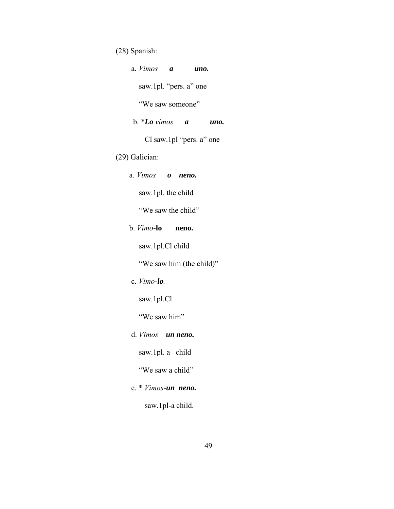(28) Spanish:

 a. *Vimos a uno.* saw.1pl. "pers. a" one "We saw someone" b. \**Lo vimos a uno.*  Cl saw.1pl "pers. a" one (29) Galician: a. *Vimos o neno.* 

saw.1pl. the child

"We saw the child"

b. *Vimo*-**lo neno.** 

saw.1pl.Cl child

"We saw him (the child)"

c. *Vimo-lo.* 

saw.1pl.Cl

"We saw him"

d. *Vimos un neno.* 

saw.1pl. a child

"We saw a child"

e. \* *Vimos-un neno.*

saw.1pl-a child.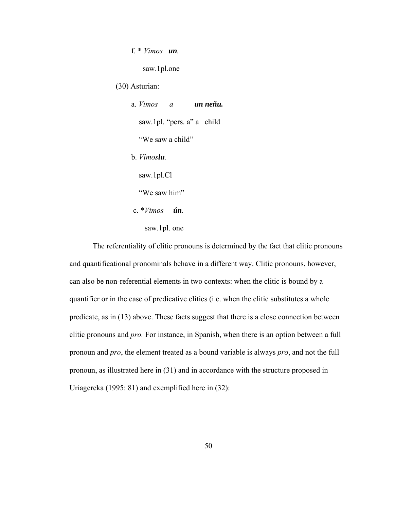f. \* *Vimos un.* 

saw.1pl.one

(30) Asturian:

 a. *Vimos a un neñu.*  saw.1pl. "pers. a" a child "We saw a child" b. *Vímoslu.*  saw.1pl.Cl "We saw him" c. \**Vimos ún.*  saw.1pl. one

 The referentiality of clitic pronouns is determined by the fact that clitic pronouns and quantificational pronominals behave in a different way. Clitic pronouns, however, can also be non-referential elements in two contexts: when the clitic is bound by a quantifier or in the case of predicative clitics (i.e. when the clitic substitutes a whole predicate, as in (13) above. These facts suggest that there is a close connection between clitic pronouns and *pro.* For instance, in Spanish, when there is an option between a full pronoun and *pro*, the element treated as a bound variable is always *pro*, and not the full pronoun, as illustrated here in (31) and in accordance with the structure proposed in Uriagereka (1995: 81) and exemplified here in (32):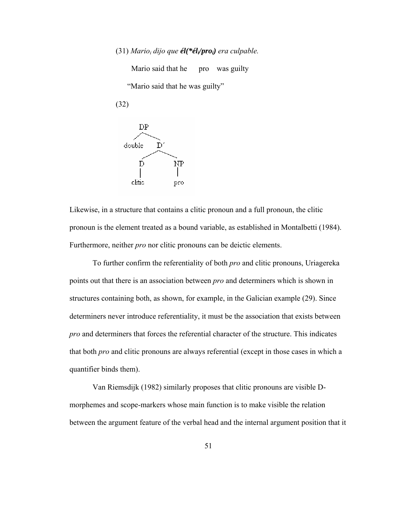### (31) *Marioi dijo que él(\*éli/proi) era culpable.*

Mario said that he pro was guilty "Mario said that he was guilty" (32)



Likewise, in a structure that contains a clitic pronoun and a full pronoun, the clitic pronoun is the element treated as a bound variable, as established in Montalbetti (1984). Furthermore, neither *pro* nor clitic pronouns can be deictic elements.

 To further confirm the referentiality of both *pro* and clitic pronouns, Uriagereka points out that there is an association between *pro* and determiners which is shown in structures containing both, as shown, for example, in the Galician example (29). Since determiners never introduce referentiality, it must be the association that exists between *pro* and determiners that forces the referential character of the structure. This indicates that both *pro* and clitic pronouns are always referential (except in those cases in which a quantifier binds them).

 Van Riemsdijk (1982) similarly proposes that clitic pronouns are visible Dmorphemes and scope-markers whose main function is to make visible the relation between the argument feature of the verbal head and the internal argument position that it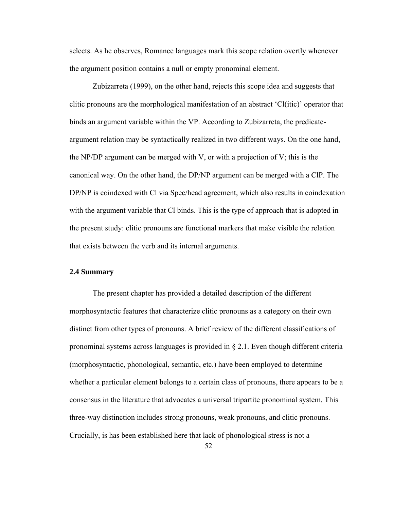selects. As he observes, Romance languages mark this scope relation overtly whenever the argument position contains a null or empty pronominal element.

Zubizarreta (1999), on the other hand, rejects this scope idea and suggests that clitic pronouns are the morphological manifestation of an abstract 'Cl(itic)' operator that binds an argument variable within the VP. According to Zubizarreta, the predicateargument relation may be syntactically realized in two different ways. On the one hand, the NP/DP argument can be merged with V, or with a projection of V; this is the canonical way. On the other hand, the DP/NP argument can be merged with a ClP. The DP/NP is coindexed with Cl via Spec/head agreement, which also results in coindexation with the argument variable that Cl binds. This is the type of approach that is adopted in the present study: clitic pronouns are functional markers that make visible the relation that exists between the verb and its internal arguments.

#### **2.4 Summary**

The present chapter has provided a detailed description of the different morphosyntactic features that characterize clitic pronouns as a category on their own distinct from other types of pronouns. A brief review of the different classifications of pronominal systems across languages is provided in § 2.1. Even though different criteria (morphosyntactic, phonological, semantic, etc.) have been employed to determine whether a particular element belongs to a certain class of pronouns, there appears to be a consensus in the literature that advocates a universal tripartite pronominal system. This three-way distinction includes strong pronouns, weak pronouns, and clitic pronouns. Crucially, is has been established here that lack of phonological stress is not a

52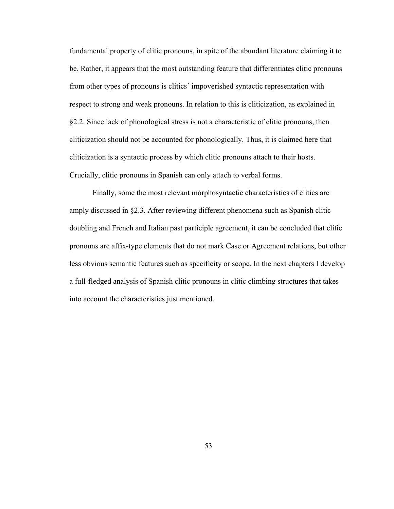fundamental property of clitic pronouns, in spite of the abundant literature claiming it to be. Rather, it appears that the most outstanding feature that differentiates clitic pronouns from other types of pronouns is clitics´ impoverished syntactic representation with respect to strong and weak pronouns. In relation to this is cliticization, as explained in §2.2. Since lack of phonological stress is not a characteristic of clitic pronouns, then cliticization should not be accounted for phonologically. Thus, it is claimed here that cliticization is a syntactic process by which clitic pronouns attach to their hosts. Crucially, clitic pronouns in Spanish can only attach to verbal forms.

 Finally, some the most relevant morphosyntactic characteristics of clitics are amply discussed in §2.3. After reviewing different phenomena such as Spanish clitic doubling and French and Italian past participle agreement, it can be concluded that clitic pronouns are affix-type elements that do not mark Case or Agreement relations, but other less obvious semantic features such as specificity or scope. In the next chapters I develop a full-fledged analysis of Spanish clitic pronouns in clitic climbing structures that takes into account the characteristics just mentioned.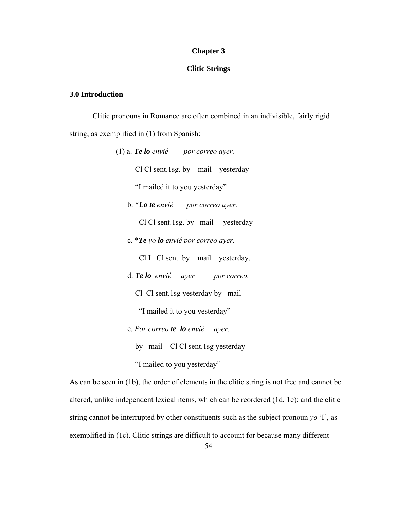## **Chapter 3**

## **Clitic Strings**

### **3.0 Introduction**

 Clitic pronouns in Romance are often combined in an indivisible, fairly rigid string, as exemplified in (1) from Spanish:

| $(1)$ a. Te lo envié por correo ayer.                             |
|-------------------------------------------------------------------|
| Cl Cl sent. 1sg. by mail yesterday                                |
| "I mailed it to you yesterday"                                    |
| b. <i>*Lo te envié</i> por correo ayer.                           |
| Cl Cl sent. 1sg. by mail yesterday                                |
| c. *Te yo lo envié por correo ayer.                               |
| C1 I Cl sent by mail yesterday.                                   |
| d. Te lo envié ayer por correo.                                   |
| Cl Cl sent. 1sg yesterday by mail                                 |
| "I mailed it to you yesterday"                                    |
| e. Por correo te lo envié ayer.                                   |
| by mail Cl Cl sent. 1sg yesterday                                 |
| "I mailed to you yesterday"                                       |
| As can be seen in (1b) the order of elements in the clitic string |

As can be seen in (1b), the order of elements in the clitic string is not free and cannot be altered, unlike independent lexical items, which can be reordered (1d, 1e); and the clitic string cannot be interrupted by other constituents such as the subject pronoun *yo* 'I', as exemplified in (1c). Clitic strings are difficult to account for because many different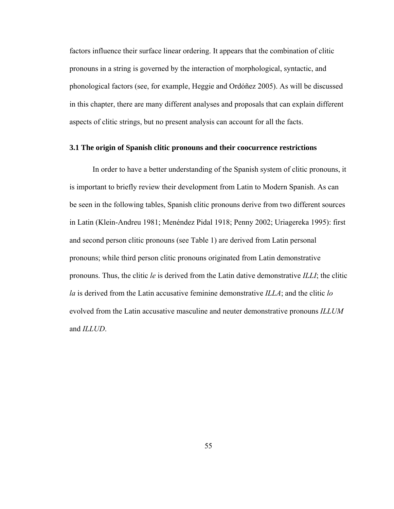factors influence their surface linear ordering. It appears that the combination of clitic pronouns in a string is governed by the interaction of morphological, syntactic, and phonological factors (see, for example, Heggie and Ordóñez 2005). As will be discussed in this chapter, there are many different analyses and proposals that can explain different aspects of clitic strings, but no present analysis can account for all the facts.

#### **3.1 The origin of Spanish clitic pronouns and their coocurrence restrictions**

In order to have a better understanding of the Spanish system of clitic pronouns, it is important to briefly review their development from Latin to Modern Spanish. As can be seen in the following tables, Spanish clitic pronouns derive from two different sources in Latin (Klein-Andreu 1981; Menéndez Pidal 1918; Penny 2002; Uriagereka 1995): first and second person clitic pronouns (see Table 1) are derived from Latin personal pronouns; while third person clitic pronouns originated from Latin demonstrative pronouns. Thus, the clitic *le* is derived from the Latin dative demonstrative *ILLI*; the clitic *la* is derived from the Latin accusative feminine demonstrative *ILLA*; and the clitic *lo* evolved from the Latin accusative masculine and neuter demonstrative pronouns *ILLUM*  and *ILLUD*.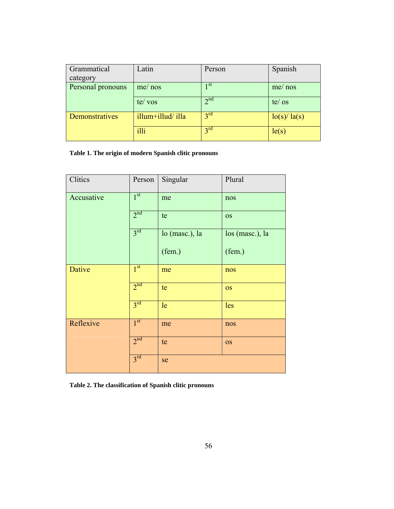| Grammatical           | Latin             | Person          | Spanish             |
|-----------------------|-------------------|-----------------|---------------------|
| category              |                   |                 |                     |
| Personal pronouns     | $me/$ nos         | 1 <sup>st</sup> | $me/$ nos           |
|                       | te/vos            | $2^{nd}$        | $te/\cos$           |
| <b>Demonstratives</b> | illum+illud/ illa | $2^{rd}$        | $\log(y) / \log(y)$ |
|                       | illi              | $2^{\text{rd}}$ | le(s)               |

# **Table 1. The origin of modern Spanish clitic pronouns**

| Clitics    | Person          | Singular       | Plural          |
|------------|-----------------|----------------|-----------------|
| Accusative | 1 <sup>st</sup> | me             | nos             |
|            | 2 <sup>nd</sup> | te             | <b>OS</b>       |
|            | 3 <sup>rd</sup> | lo (masc.), la | los (masc.), la |
|            |                 | (fem.)         | (fem.)          |
| Dative     | 1 <sup>st</sup> | me             | nos             |
|            | 2 <sup>nd</sup> | te             | <b>OS</b>       |
|            | 3 <sup>rd</sup> | le             | les             |
| Reflexive  | 1 <sup>st</sup> | me             | nos             |
|            | 2 <sup>nd</sup> | te             | <b>OS</b>       |
|            | 3 <sup>rd</sup> | se             |                 |

## **Table 2. The classification of Spanish clitic pronouns**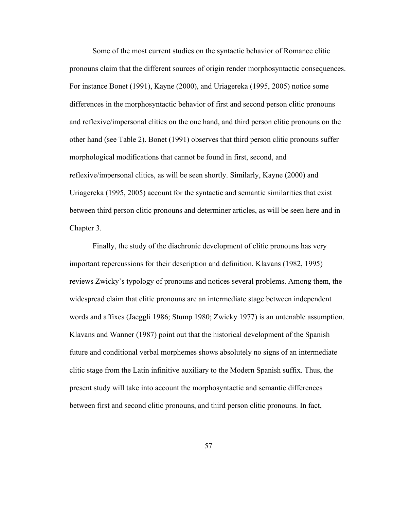Some of the most current studies on the syntactic behavior of Romance clitic pronouns claim that the different sources of origin render morphosyntactic consequences. For instance Bonet (1991), Kayne (2000), and Uriagereka (1995, 2005) notice some differences in the morphosyntactic behavior of first and second person clitic pronouns and reflexive/impersonal clitics on the one hand, and third person clitic pronouns on the other hand (see Table 2). Bonet (1991) observes that third person clitic pronouns suffer morphological modifications that cannot be found in first, second, and reflexive/impersonal clitics, as will be seen shortly. Similarly, Kayne (2000) and Uriagereka (1995, 2005) account for the syntactic and semantic similarities that exist between third person clitic pronouns and determiner articles, as will be seen here and in Chapter 3.

 Finally, the study of the diachronic development of clitic pronouns has very important repercussions for their description and definition. Klavans (1982, 1995) reviews Zwicky's typology of pronouns and notices several problems. Among them, the widespread claim that clitic pronouns are an intermediate stage between independent words and affixes (Jaeggli 1986; Stump 1980; Zwicky 1977) is an untenable assumption. Klavans and Wanner (1987) point out that the historical development of the Spanish future and conditional verbal morphemes shows absolutely no signs of an intermediate clitic stage from the Latin infinitive auxiliary to the Modern Spanish suffix. Thus, the present study will take into account the morphosyntactic and semantic differences between first and second clitic pronouns, and third person clitic pronouns. In fact,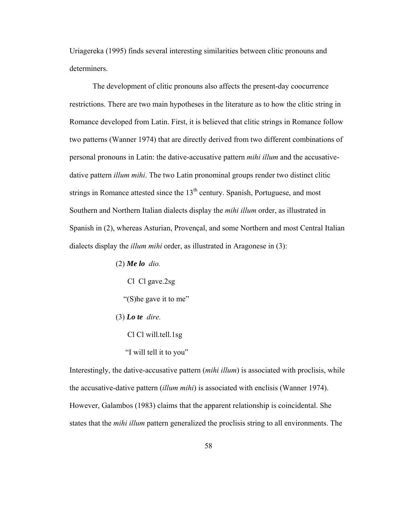Uriagereka (1995) finds several interesting similarities between clitic pronouns and determiners.

 The development of clitic pronouns also affects the present-day coocurrence restrictions. There are two main hypotheses in the literature as to how the clitic string in Romance developed from Latin. First, it is believed that clitic strings in Romance follow two patterns (Wanner 1974) that are directly derived from two different combinations of personal pronouns in Latin: the dative-accusative pattern *mihi illum* and the accusativedative pattern *illum mihi*. The two Latin pronominal groups render two distinct clitic strings in Romance attested since the  $13<sup>th</sup>$  century. Spanish, Portuguese, and most Southern and Northern Italian dialects display the *mihi illum* order, as illustrated in Spanish in (2), whereas Asturian, Provençal, and some Northern and most Central Italian dialects display the *illum mihi* order, as illustrated in Aragonese in (3):

(2) *Me lo dio.* 

Cl Cl gave.2sg

"(S)he gave it to me"

(3) *Lo te dire.* 

Cl Cl will.tell.1sg

"I will tell it to you"

Interestingly, the dative-accusative pattern (*mihi illum*) is associated with proclisis, while the accusative-dative pattern (*illum mihi*) is associated with enclisis (Wanner 1974). However, Galambos (1983) claims that the apparent relationship is coincidental. She states that the *mihi illum* pattern generalized the proclisis string to all environments. The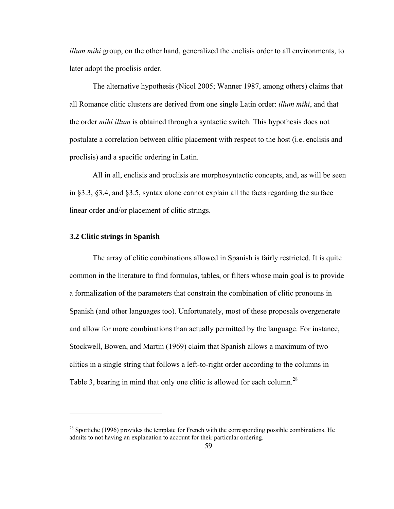*illum mihi* group, on the other hand, generalized the enclisis order to all environments, to later adopt the proclisis order.

 The alternative hypothesis (Nicol 2005; Wanner 1987, among others) claims that all Romance clitic clusters are derived from one single Latin order: *illum mihi*, and that the order *mihi illum* is obtained through a syntactic switch. This hypothesis does not postulate a correlation between clitic placement with respect to the host (i.e. enclisis and proclisis) and a specific ordering in Latin.

 All in all, enclisis and proclisis are morphosyntactic concepts, and, as will be seen in §3.3, §3.4, and §3.5, syntax alone cannot explain all the facts regarding the surface linear order and/or placement of clitic strings.

### **3.2 Clitic strings in Spanish**

 $\overline{a}$ 

 The array of clitic combinations allowed in Spanish is fairly restricted. It is quite common in the literature to find formulas, tables, or filters whose main goal is to provide a formalization of the parameters that constrain the combination of clitic pronouns in Spanish (and other languages too). Unfortunately, most of these proposals overgenerate and allow for more combinations than actually permitted by the language. For instance, Stockwell, Bowen, and Martin (1969) claim that Spanish allows a maximum of two clitics in a single string that follows a left-to-right order according to the columns in Table 3, bearing in mind that only one clitic is allowed for each column.<sup>28</sup>

 $^{28}$  Sportiche (1996) provides the template for French with the corresponding possible combinations. He admits to not having an explanation to account for their particular ordering.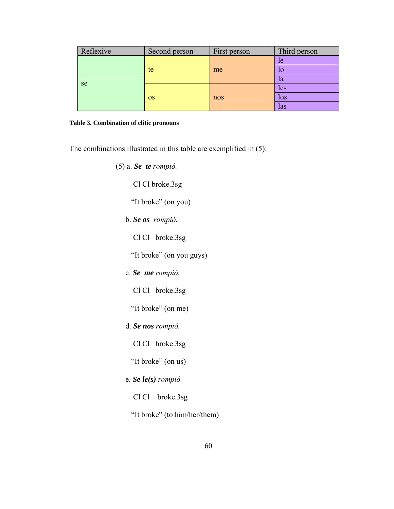| Reflexive | Second person | First person | Third person |
|-----------|---------------|--------------|--------------|
| se        | te            | me           | le           |
|           |               |              | 10           |
|           |               |              | la           |
|           | <b>OS</b>     | nos          | les          |
|           |               |              | los          |
|           |               |              | las          |

#### **Table 3. Combination of clitic pronouns**

The combinations illustrated in this table are exemplified in (5):

- (5) a. *Se te rompió.* 
	- Cl Cl broke.3sg
	- "It broke" (on you)
	- b. *Se os rompió.* 
		- Cl Cl broke.3sg
		- "It broke" (on you guys)
	- c. *Se me rompió.* 
		- Cl Cl broke.3sg
		- "It broke" (on me)
	- d. *Se nos rompió.* 
		- Cl Cl broke.3sg
		- "It broke" (on us)
	- e. *Se le(s) rompió.* 
		- Cl Cl broke.3sg
		- "It broke" (to him/her/them)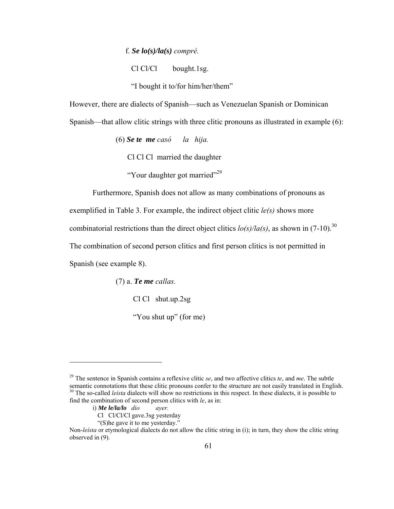#### f. *Se lo(s)/la(s) compré.*

Cl Cl/Cl bought.1sg.

"I bought it to/for him/her/them"

However, there are dialects of Spanish—such as Venezuelan Spanish or Dominican Spanish—that allow clitic strings with three clitic pronouns as illustrated in example (6):

(6) *Se te me casó la hija.*

Cl Cl Cl married the daughter

"Your daughter got married"<sup>29</sup>

Furthermore, Spanish does not allow as many combinations of pronouns as

exemplified in Table 3. For example, the indirect object clitic *le(s)* shows more

combinatorial restrictions than the direct object clitics  $\frac{lo(s)}{a(s)}$ , as shown in (7-10).<sup>30</sup>

The combination of second person clitics and first person clitics is not permitted in

Spanish (see example 8).

1

(7) a. *Te me callas.* 

Cl Cl shut.up.2sg

"You shut up" (for me)

<sup>&</sup>lt;sup>29</sup> The sentence in Spanish contains a reflexive clitic *se*, and two affective clitics *te*, and *me*. The subtle semantic connotations that these clitic pronouns confer to the structure are not easily translated in Eng  $30$  The so-called *leista* dialects will show no restrictions in this respect. In these dialects, it is possible to find the combination of second person clitics with *le*, as in:

i) *Me le/la/lo dio ayer.* 

Cl Cl/Cl/Cl gave.3sg yesterday

 <sup>&</sup>quot;(S)he gave it to me yesterday."

Non-*leísta* or etymological dialects do not allow the clitic string in (i); in turn, they show the clitic string observed in (9).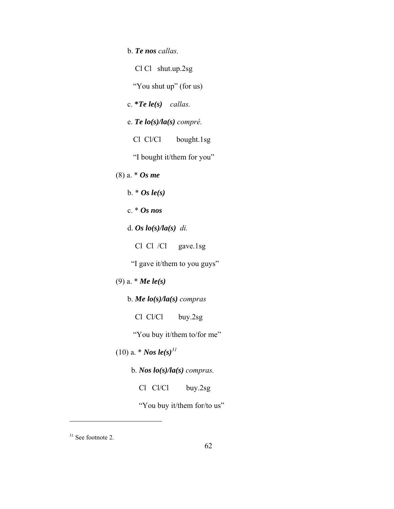b. *Te nos callas.* 

Cl Cl shut.up.2sg

"You shut up" (for us)

c. **\****Te le(s)**callas.* 

e. *Te lo(s)/la(s) compré.* 

Cl Cl/Cl bought.1sg

"I bought it/them for you"

(8) a. \* *Os me*

b. \* *Os le(s)*

c. \* *Os nos* 

d. *Os lo(s)/la(s) di.* 

Cl Cl /Cl gave.1sg

"I gave it/them to you guys"

(9) a. \* *Me le(s)*

b. *Me lo(s)/la(s) compras* 

Cl Cl/Cl buy.2sg

"You buy it/them to/for me"

 $(10)$  a. \* *Nos le(s)*<sup>31</sup>

b. *Nos lo(s)/la(s) compras.* 

Cl Cl/Cl buy.2sg

"You buy it/them for/to us"

1

<sup>&</sup>lt;sup>31</sup> See footnote 2.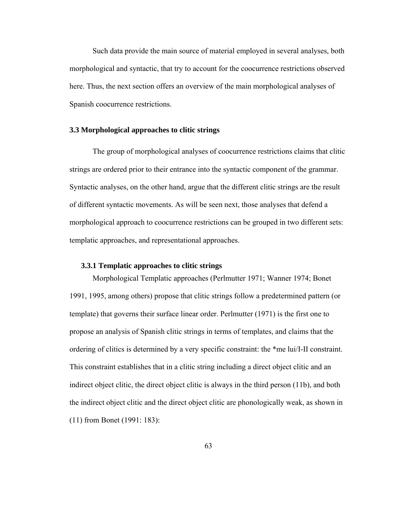Such data provide the main source of material employed in several analyses, both morphological and syntactic, that try to account for the coocurrence restrictions observed here. Thus, the next section offers an overview of the main morphological analyses of Spanish coocurrence restrictions.

#### **3.3 Morphological approaches to clitic strings**

The group of morphological analyses of coocurrence restrictions claims that clitic strings are ordered prior to their entrance into the syntactic component of the grammar. Syntactic analyses, on the other hand, argue that the different clitic strings are the result of different syntactic movements. As will be seen next, those analyses that defend a morphological approach to coocurrence restrictions can be grouped in two different sets: templatic approaches, and representational approaches.

#### **3.3.1 Templatic approaches to clitic strings**

 Morphological Templatic approaches (Perlmutter 1971; Wanner 1974; Bonet 1991, 1995, among others) propose that clitic strings follow a predetermined pattern (or template) that governs their surface linear order. Perlmutter (1971) is the first one to propose an analysis of Spanish clitic strings in terms of templates, and claims that the ordering of clitics is determined by a very specific constraint: the \*me lui/I-II constraint. This constraint establishes that in a clitic string including a direct object clitic and an indirect object clitic, the direct object clitic is always in the third person (11b), and both the indirect object clitic and the direct object clitic are phonologically weak, as shown in (11) from Bonet (1991: 183):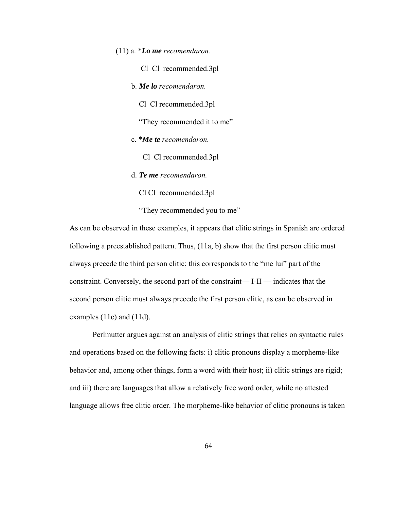(11) a. \**Lo me recomendaron.* 

Cl Cl recommended.3pl

b. *Me lo recomendaron.* 

Cl Cl recommended.3pl

"They recommended it to me"

c. \**Me te recomendaron.* 

Cl Cl recommended.3pl

d. *Te me recomendaron.* 

Cl Cl recommended.3pl

"They recommended you to me"

As can be observed in these examples, it appears that clitic strings in Spanish are ordered following a preestablished pattern. Thus, (11a, b) show that the first person clitic must always precede the third person clitic; this corresponds to the "me lui" part of the constraint. Conversely, the second part of the constraint— I-II — indicates that the second person clitic must always precede the first person clitic, as can be observed in examples (11c) and (11d).

 Perlmutter argues against an analysis of clitic strings that relies on syntactic rules and operations based on the following facts: i) clitic pronouns display a morpheme-like behavior and, among other things, form a word with their host; ii) clitic strings are rigid; and iii) there are languages that allow a relatively free word order, while no attested language allows free clitic order. The morpheme-like behavior of clitic pronouns is taken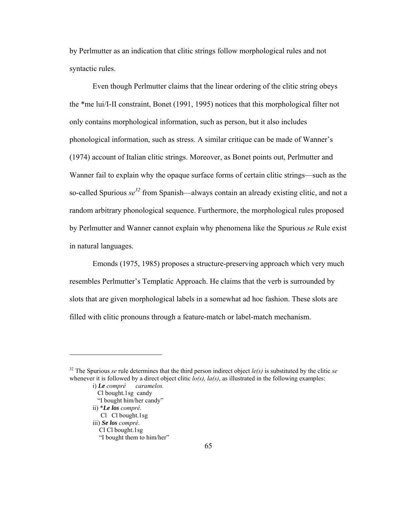by Perlmutter as an indication that clitic strings follow morphological rules and not syntactic rules.

 Even though Perlmutter claims that the linear ordering of the clitic string obeys the \*me lui/I-II constraint, Bonet (1991, 1995) notices that this morphological filter not only contains morphological information, such as person, but it also includes phonological information, such as stress. A similar critique can be made of Wanner's (1974) account of Italian clitic strings. Moreover, as Bonet points out, Perlmutter and Wanner fail to explain why the opaque surface forms of certain clitic strings—such as the so-called Spurious *se <sup>32</sup>* from Spanish—always contain an already existing clitic, and not a random arbitrary phonological sequence. Furthermore, the morphological rules proposed by Perlmutter and Wanner cannot explain why phenomena like the Spurious *se* Rule exist in natural languages.

 Emonds (1975, 1985) proposes a structure-preserving approach which very much resembles Perlmutter's Templatic Approach. He claims that the verb is surrounded by slots that are given morphological labels in a somewhat ad hoc fashion. These slots are filled with clitic pronouns through a feature-match or label-match mechanism.

 i) *Le compré caramelos.* Cl bought.1sg candy "I bought him/her candy" ii) \**Le los compré.* Cl Cl bought.1sg iii) *Se los compré*. Cl Cl bought.1sg "I bought them to him/her"

1

 $32$  The Spurious *se* rule determines that the third person indirect object *le(s)* is substituted by the clitic *se* whenever it is followed by a direct object clitic  $l_0(s)$ ,  $l_0(s)$ , as illustrated in the following examples: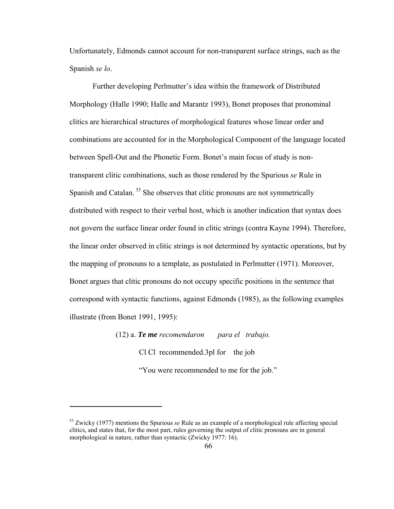Unfortunately, Edmonds cannot account for non-transparent surface strings, such as the Spanish *se lo*.

 Further developing Perlmutter's idea within the framework of Distributed Morphology (Halle 1990; Halle and Marantz 1993), Bonet proposes that pronominal clitics are hierarchical structures of morphological features whose linear order and combinations are accounted for in the Morphological Component of the language located between Spell-Out and the Phonetic Form. Bonet's main focus of study is nontransparent clitic combinations, such as those rendered by the Spurious *se* Rule in Spanish and Catalan.<sup>33</sup> She observes that clitic pronouns are not symmetrically distributed with respect to their verbal host, which is another indication that syntax does not govern the surface linear order found in clitic strings (contra Kayne 1994). Therefore, the linear order observed in clitic strings is not determined by syntactic operations, but by the mapping of pronouns to a template, as postulated in Perlmutter (1971). Moreover, Bonet argues that clitic pronouns do not occupy specific positions in the sentence that correspond with syntactic functions, against Edmonds (1985), as the following examples illustrate (from Bonet 1991, 1995):

> (12) a. *Te me recomendaron para el trabajo.*  Cl Cl recommended.3pl for the job "You were recommended to me for the job."

<sup>33</sup> Zwicky (1977) mentions the Spurious *se* Rule as an example of a morphological rule affecting special clitics, and states that, for the most part, rules governing the output of clitic pronouns are in general morphological in nature, rather than syntactic (Zwicky 1977: 16).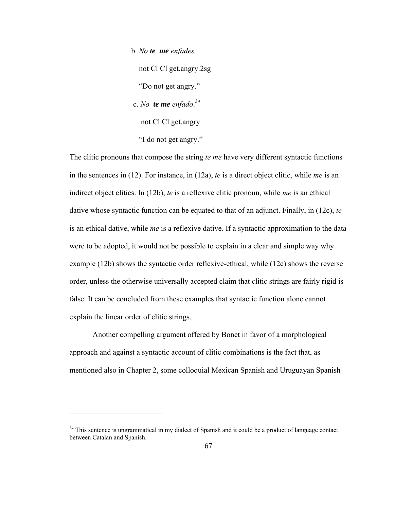b. *No te me enfades.* not Cl Cl get.angry.2sg "Do not get angry." c. *No te me enfado*. *34* not Cl Cl get.angry "I do not get angry."

The clitic pronouns that compose the string *te me* have very different syntactic functions in the sentences in (12). For instance, in (12a), *te* is a direct object clitic, while *me* is an indirect object clitics. In (12b), *te* is a reflexive clitic pronoun, while *me* is an ethical dative whose syntactic function can be equated to that of an adjunct. Finally, in (12c), *te* is an ethical dative, while *me* is a reflexive dative. If a syntactic approximation to the data were to be adopted, it would not be possible to explain in a clear and simple way why example (12b) shows the syntactic order reflexive-ethical, while (12c) shows the reverse order, unless the otherwise universally accepted claim that clitic strings are fairly rigid is false. It can be concluded from these examples that syntactic function alone cannot explain the linear order of clitic strings.

 Another compelling argument offered by Bonet in favor of a morphological approach and against a syntactic account of clitic combinations is the fact that, as mentioned also in Chapter 2, some colloquial Mexican Spanish and Uruguayan Spanish

<u>.</u>

 $34$  This sentence is ungrammatical in my dialect of Spanish and it could be a product of language contact between Catalan and Spanish.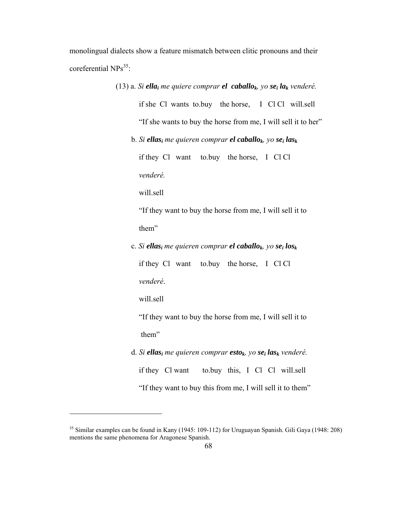monolingual dialects show a feature mismatch between clitic pronouns and their coreferential  $NPs^{35}$ :

(13) a. *Si ella<sub>i</sub> me quiere comprar el caballo<sub>k</sub>*, yo *se<sub>i</sub>**la<sub>k</sub>* venderé.

if she Cl wants to.buy the horse, I Cl Cl will.sell "If she wants to buy the horse from me, I will sell it to her"

b. *Si ellasi me quieren comprar el caballok, yo sei lask* 

 if they Cl want to.buy the horse, I Cl Cl *venderé.* 

will.sell

 "If they want to buy the horse from me, I will sell it to them"

c. *Si ellas<sub>i</sub>* me quieren comprar *el caballo<sub>k</sub>, yo se<sub>i</sub> los<sub>k</sub>* 

 if they Cl want to.buy the horse, I Cl Cl *venderé*.

will.sell

- "If they want to buy the horse from me, I will sell it to them"
- d. *Si ellasi me quieren comprar estok, yo sei lask venderé.*  if they Cl want to.buy this, I Cl Cl will.sell "If they want to buy this from me, I will sell it to them"

<sup>&</sup>lt;sup>35</sup> Similar examples can be found in Kany (1945: 109-112) for Uruguayan Spanish. Gili Gaya (1948: 208) mentions the same phenomena for Aragonese Spanish.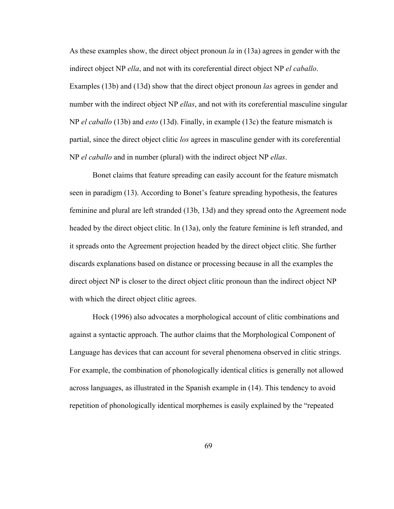As these examples show, the direct object pronoun *la* in (13a) agrees in gender with the indirect object NP *ella*, and not with its coreferential direct object NP *el caballo*. Examples (13b) and (13d) show that the direct object pronoun *las* agrees in gender and number with the indirect object NP *ellas*, and not with its coreferential masculine singular NP *el caballo* (13b) and *esto* (13d). Finally, in example (13c) the feature mismatch is partial, since the direct object clitic *los* agrees in masculine gender with its coreferential NP *el caballo* and in number (plural) with the indirect object NP *ellas*.

 Bonet claims that feature spreading can easily account for the feature mismatch seen in paradigm (13). According to Bonet's feature spreading hypothesis, the features feminine and plural are left stranded (13b, 13d) and they spread onto the Agreement node headed by the direct object clitic. In (13a), only the feature feminine is left stranded, and it spreads onto the Agreement projection headed by the direct object clitic. She further discards explanations based on distance or processing because in all the examples the direct object NP is closer to the direct object clitic pronoun than the indirect object NP with which the direct object clitic agrees.

 Hock (1996) also advocates a morphological account of clitic combinations and against a syntactic approach. The author claims that the Morphological Component of Language has devices that can account for several phenomena observed in clitic strings. For example, the combination of phonologically identical clitics is generally not allowed across languages, as illustrated in the Spanish example in (14). This tendency to avoid repetition of phonologically identical morphemes is easily explained by the "repeated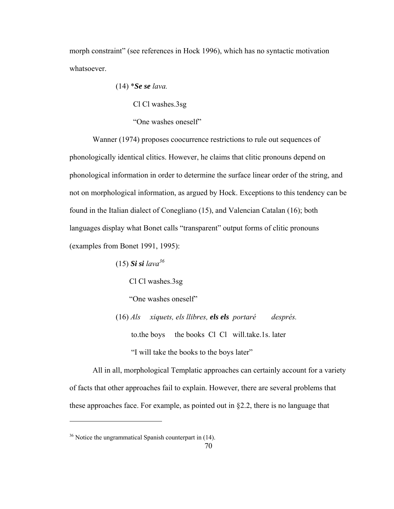morph constraint" (see references in Hock 1996), which has no syntactic motivation whatsoever.

(14) \**Se se lava.* 

Cl Cl washes.3sg

"One washes oneself"

Wanner (1974) proposes coocurrence restrictions to rule out sequences of phonologically identical clitics. However, he claims that clitic pronouns depend on phonological information in order to determine the surface linear order of the string, and not on morphological information, as argued by Hock. Exceptions to this tendency can be found in the Italian dialect of Conegliano (15), and Valencian Catalan (16); both languages display what Bonet calls "transparent" output forms of clitic pronouns (examples from Bonet 1991, 1995):

(15) *Si si lava<sup>36</sup>*

Cl Cl washes.3sg

"One washes oneself"

 (16) *Als xiquets, els llibres, els els portaré després.* to.the boys the books Cl Cl will.take.1s. later "I will take the books to the boys later"

 All in all, morphological Templatic approaches can certainly account for a variety of facts that other approaches fail to explain. However, there are several problems that these approaches face. For example, as pointed out in §2.2, there is no language that

<sup>&</sup>lt;sup>36</sup> Notice the ungrammatical Spanish counterpart in (14).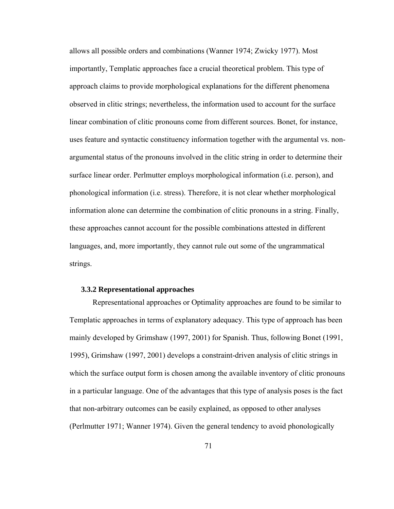allows all possible orders and combinations (Wanner 1974; Zwicky 1977). Most importantly, Templatic approaches face a crucial theoretical problem. This type of approach claims to provide morphological explanations for the different phenomena observed in clitic strings; nevertheless, the information used to account for the surface linear combination of clitic pronouns come from different sources. Bonet, for instance, uses feature and syntactic constituency information together with the argumental vs. nonargumental status of the pronouns involved in the clitic string in order to determine their surface linear order. Perlmutter employs morphological information (i.e. person), and phonological information (i.e. stress). Therefore, it is not clear whether morphological information alone can determine the combination of clitic pronouns in a string. Finally, these approaches cannot account for the possible combinations attested in different languages, and, more importantly, they cannot rule out some of the ungrammatical strings.

# **3.3.2 Representational approaches**

Representational approaches or Optimality approaches are found to be similar to Templatic approaches in terms of explanatory adequacy. This type of approach has been mainly developed by Grimshaw (1997, 2001) for Spanish. Thus, following Bonet (1991, 1995), Grimshaw (1997, 2001) develops a constraint-driven analysis of clitic strings in which the surface output form is chosen among the available inventory of clitic pronouns in a particular language. One of the advantages that this type of analysis poses is the fact that non-arbitrary outcomes can be easily explained, as opposed to other analyses (Perlmutter 1971; Wanner 1974). Given the general tendency to avoid phonologically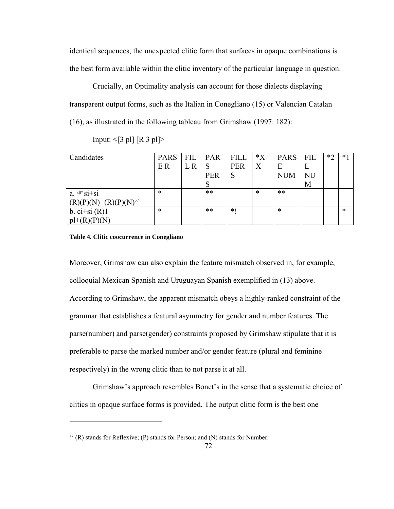identical sequences, the unexpected clitic form that surfaces in opaque combinations is the best form available within the clitic inventory of the particular language in question.

 Crucially, an Optimality analysis can account for those dialects displaying transparent output forms, such as the Italian in Conegliano (15) or Valencian Catalan (16), as illustrated in the following tableau from Grimshaw (1997: 182):

Input:  $\leq$ [3 pl] [R 3 pl]>

| Candidates                 | <b>PARS</b> | FIL            | PAR        | <b>FILL</b> | $*_{X}$ | <b>PARS</b> | FIL       | $*$ | $*1$   |
|----------------------------|-------------|----------------|------------|-------------|---------|-------------|-----------|-----|--------|
|                            | ER          | L <sub>R</sub> |            | <b>PER</b>  | X       | E           |           |     |        |
|                            |             |                | <b>PER</b> |             |         | <b>NUM</b>  | <b>NU</b> |     |        |
|                            |             |                | P          |             |         |             | M         |     |        |
| a. $\mathcal{F}$ si+si     | $\ast$      |                | $***$      |             | $\ast$  | $***$       |           |     |        |
| $(R)(P)(N)+(R)(P)(N)^{37}$ |             |                |            |             |         |             |           |     |        |
| b. $ci+si(R)1$             | $\ast$      |                | $***$      | $*1$        |         | *           |           |     | $\ast$ |
| $pl+(R)(P)(N)$             |             |                |            |             |         |             |           |     |        |

### **Table 4. Clitic coocurrence in Conegliano**

 $\overline{a}$ 

Moreover, Grimshaw can also explain the feature mismatch observed in, for example, colloquial Mexican Spanish and Uruguayan Spanish exemplified in (13) above. According to Grimshaw, the apparent mismatch obeys a highly-ranked constraint of the grammar that establishes a featural asymmetry for gender and number features. The parse(number) and parse(gender) constraints proposed by Grimshaw stipulate that it is preferable to parse the marked number and/or gender feature (plural and feminine respectively) in the wrong clitic than to not parse it at all.

 Grimshaw's approach resembles Bonet's in the sense that a systematic choice of clitics in opaque surface forms is provided. The output clitic form is the best one

 $37$  (R) stands for Reflexive; (P) stands for Person; and (N) stands for Number.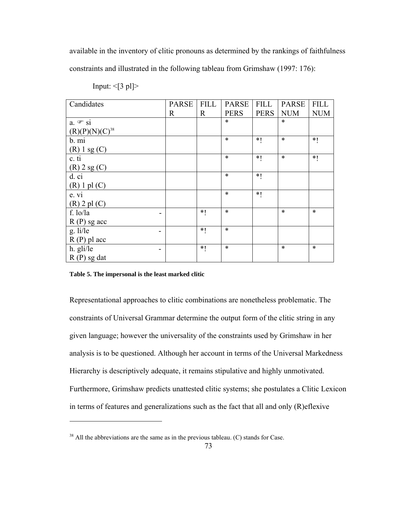available in the inventory of clitic pronouns as determined by the rankings of faithfulness constraints and illustrated in the following tableau from Grimshaw (1997: 176):

| Candidates          | <b>PARSE</b> | <b>FILL</b>  | <b>PARSE</b> | <b>FILL</b> | <b>PARSE</b> | <b>FILL</b> |
|---------------------|--------------|--------------|--------------|-------------|--------------|-------------|
|                     | $\mathbf R$  | $\mathbb{R}$ | <b>PERS</b>  | <b>PERS</b> | <b>NUM</b>   | <b>NUM</b>  |
| $a. \circ$ si       |              |              | $\ast$       |             | $\ast$       |             |
| $(R)(P)(N)(C)^{38}$ |              |              |              |             |              |             |
| b. mi               |              |              | $\ast$       | $*1$        | $\ast$       | $*1$        |
| (R) 1 sg(C)         |              |              |              |             |              |             |
| c. ti               |              |              | $\ast$       | $*1$        | $\ast$       | $*$         |
| (R) 2 sg (C)        |              |              |              |             |              |             |
| d. ci               |              |              | $\ast$       | $*1$        |              |             |
| (R) 1 pl (C)        |              |              |              |             |              |             |
| e. vi               |              |              | $\ast$       | $*1$        |              |             |
| $(R)$ 2 pl $(C)$    |              |              |              |             |              |             |
| f. lo/la            |              | $*$          | $\ast$       |             | $\ast$       | $\ast$      |
| $R(P)$ sg acc       |              |              |              |             |              |             |
| $g.$ li/le          |              | $*$          | $\ast$       |             |              |             |
| $R(P)$ pl acc       |              |              |              |             |              |             |
| h. gli/le           |              | $*$ (        | $\ast$       |             | $\ast$       | $\ast$      |
| $R(P)$ sg dat       |              |              |              |             |              |             |

Input:  $\leq$ [3 pl]>

### **Table 5. The impersonal is the least marked clitic**

 $\overline{a}$ 

Representational approaches to clitic combinations are nonetheless problematic. The constraints of Universal Grammar determine the output form of the clitic string in any given language; however the universality of the constraints used by Grimshaw in her analysis is to be questioned. Although her account in terms of the Universal Markedness Hierarchy is descriptively adequate, it remains stipulative and highly unmotivated. Furthermore, Grimshaw predicts unattested clitic systems; she postulates a Clitic Lexicon in terms of features and generalizations such as the fact that all and only (R)eflexive

<sup>&</sup>lt;sup>38</sup> All the abbreviations are the same as in the previous tableau. (C) stands for Case.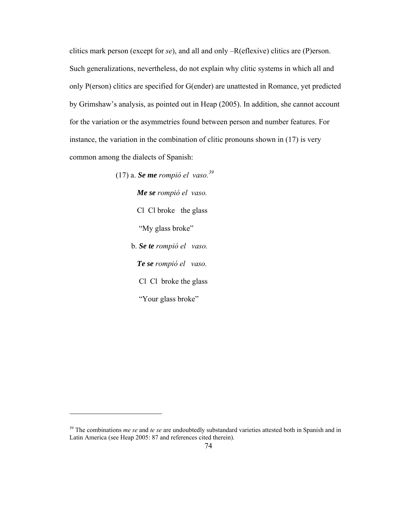clitics mark person (except for *se*), and all and only –R(eflexive) clitics are (P)erson. Such generalizations, nevertheless, do not explain why clitic systems in which all and only P(erson) clitics are specified for G(ender) are unattested in Romance, yet predicted by Grimshaw's analysis, as pointed out in Heap (2005). In addition, she cannot account for the variation or the asymmetries found between person and number features. For instance, the variation in the combination of clitic pronouns shown in (17) is very common among the dialects of Spanish:

> (17) a. *Se me rompió el vaso.<sup>39</sup> Me se rompió el vaso.*  Cl Cl broke the glass "My glass broke" b. *Se te rompió el vaso. Te se rompió el vaso.*  Cl Cl broke the glass "Your glass broke"

<u>.</u>

<sup>&</sup>lt;sup>39</sup> The combinations *me se* and *te se* are undoubtedly substandard varieties attested both in Spanish and in Latin America (see Heap 2005: 87 and references cited therein).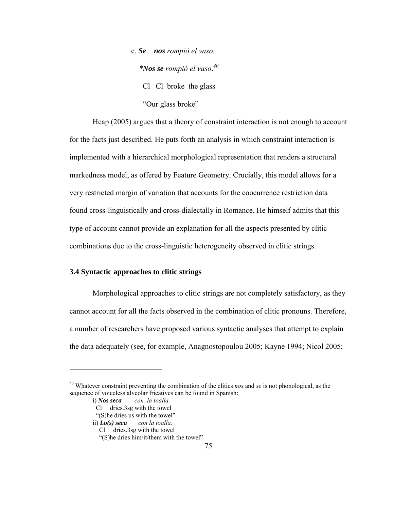c. *Se nos rompió el vaso. \*Nos se rompió el vaso*. *40* Cl Cl broke the glass "Our glass broke"

 Heap (2005) argues that a theory of constraint interaction is not enough to account for the facts just described. He puts forth an analysis in which constraint interaction is implemented with a hierarchical morphological representation that renders a structural markedness model, as offered by Feature Geometry. Crucially, this model allows for a very restricted margin of variation that accounts for the coocurrence restriction data found cross-linguistically and cross-dialectally in Romance. He himself admits that this type of account cannot provide an explanation for all the aspects presented by clitic combinations due to the cross-linguistic heterogeneity observed in clitic strings.

# **3.4 Syntactic approaches to clitic strings**

 Morphological approaches to clitic strings are not completely satisfactory, as they cannot account for all the facts observed in the combination of clitic pronouns. Therefore, a number of researchers have proposed various syntactic analyses that attempt to explain the data adequately (see, for example, Anagnostopoulou 2005; Kayne 1994; Nicol 2005;

<sup>40</sup> Whatever constraint preventing the combination of the clitics *nos* and *se* is not phonological, as the sequence of voiceless alveolar fricatives can be found in Spanish:

i) *Nos seca con la toalla.*

Cl dries.3sg with the towel

 <sup>&</sup>quot;(S)he dries us with the towel"

ii) *Lo(s) seca con la toalla.*

Cl dries.3sg with the towel

 <sup>&</sup>quot;(S)he dries him/it/them with the towel"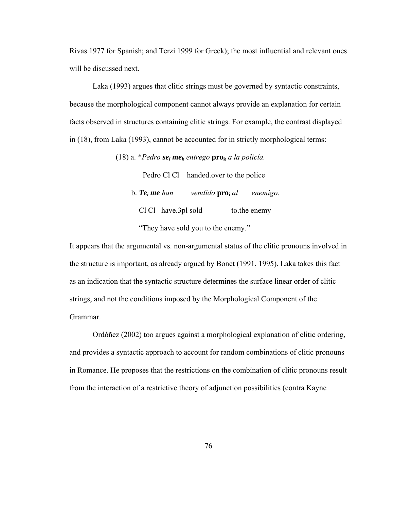Rivas 1977 for Spanish; and Terzi 1999 for Greek); the most influential and relevant ones will be discussed next.

 Laka (1993) argues that clitic strings must be governed by syntactic constraints, because the morphological component cannot always provide an explanation for certain facts observed in structures containing clitic strings. For example, the contrast displayed in (18), from Laka (1993), cannot be accounted for in strictly morphological terms:

(18) a. \**Pedro sei mek entrego* **prok** *a la policía.* 

Pedro Cl Cl handed.over to the police b. *Tei me han vendido* **proi** *al enemigo.*  Cl Cl have.3pl sold to.the enemy "They have sold you to the enemy."

It appears that the argumental vs. non-argumental status of the clitic pronouns involved in the structure is important, as already argued by Bonet (1991, 1995). Laka takes this fact as an indication that the syntactic structure determines the surface linear order of clitic strings, and not the conditions imposed by the Morphological Component of the Grammar.

 Ordóñez (2002) too argues against a morphological explanation of clitic ordering, and provides a syntactic approach to account for random combinations of clitic pronouns in Romance. He proposes that the restrictions on the combination of clitic pronouns result from the interaction of a restrictive theory of adjunction possibilities (contra Kayne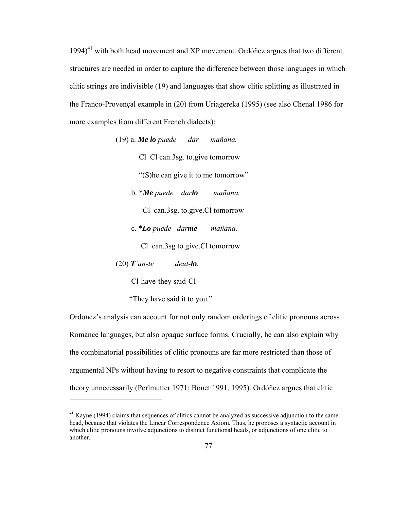$1994$ <sup>41</sup> with both head movement and XP movement. Ordóñez argues that two different structures are needed in order to capture the difference between those languages in which clitic strings are indivisible (19) and languages that show clitic splitting as illustrated in the Franco-Provençal example in (20) from Uriagereka (1995) (see also Chenal 1986 for more examples from different French dialects):

(19) a. *Me lo puede dar mañana.* 

Cl Cl can.3sg. to.give tomorrow

"(S)he can give it to me tomorrow"

b. \**Me puede darlo mañana.* 

Cl can.3sg. to.give.Cl tomorrow

c. \**Lo puede darme mañana.* 

Cl can.3sg to.give.Cl tomorrow

 $(20)$   $\boldsymbol{T}'$ *an-te* deut-*lo*.

1

Cl-have-they said-Cl

"They have said it to you."

Ordonez's analysis can account for not only random orderings of clitic pronouns across Romance languages, but also opaque surface forms. Crucially, he can also explain why the combinatorial possibilities of clitic pronouns are far more restricted than those of argumental NPs without having to resort to negative constraints that complicate the theory unnecessarily (Perlmutter 1971; Bonet 1991, 1995). Ordóñez argues that clitic

 $41$  Kayne (1994) claims that sequences of clitics cannot be analyzed as successive adjunction to the same head, because that violates the Linear Correspondence Axiom. Thus, he proposes a syntactic account in which clitic pronouns involve adjunctions to distinct functional heads, or adjunctions of one clitic to another.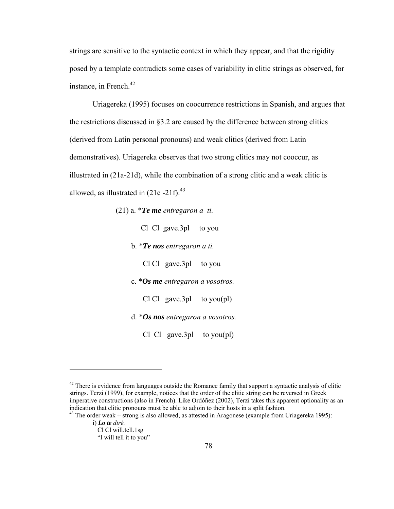strings are sensitive to the syntactic context in which they appear, and that the rigidity posed by a template contradicts some cases of variability in clitic strings as observed, for instance, in French. $42$ 

 Uriagereka (1995) focuses on coocurrence restrictions in Spanish, and argues that the restrictions discussed in §3.2 are caused by the difference between strong clitics (derived from Latin personal pronouns) and weak clitics (derived from Latin demonstratives). Uriagereka observes that two strong clitics may not cooccur, as illustrated in (21a-21d), while the combination of a strong clitic and a weak clitic is allowed, as illustrated in  $(21e - 21f)^{43}$ 

(21) a. \**Te me entregaron a ti.* 

Cl Cl gave.3pl to you

b. \**Te nos entregaron a ti.* 

Cl Cl gave.3pl to you

c. \**Os me entregaron a vosotros.* 

Cl Cl gave.3pl to you(pl)

d. \**Os nos entregaron a vosotros.* 

Cl Cl gave.3pl to you(pl)

 $42$  There is evidence from languages outside the Romance family that support a syntactic analysis of clitic strings. Terzi (1999), for example, notices that the order of the clitic string can be reversed in Greek imperative constructions (also in French). Like Ordóñez (2002), Terzi takes this apparent optionality as an indication that clitic pronouns must be able to adjoin to their hosts in a split fashion.

 $43$  The order weak + strong is also allowed, as attested in Aragonese (example from Uriagereka 1995):

i) *Lo te diré.*

Cl Cl will.tell.1sg

 <sup>&</sup>quot;I will tell it to you"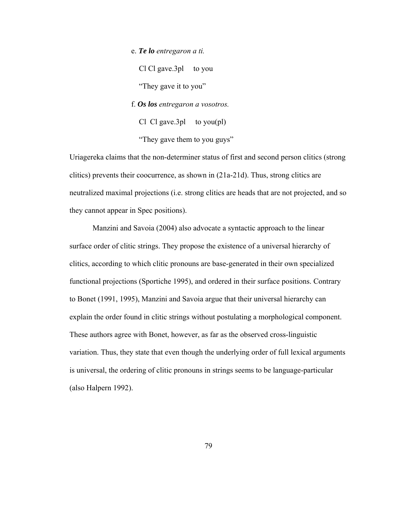e. *Te lo entregaron a ti.*  Cl Cl gave.3pl to you "They gave it to you" f. *Os los entregaron a vosotros.*  Cl Cl gave.3pl to you(pl) "They gave them to you guys"

Uriagereka claims that the non-determiner status of first and second person clitics (strong clitics) prevents their coocurrence, as shown in (21a-21d). Thus, strong clitics are neutralized maximal projections (i.e. strong clitics are heads that are not projected, and so they cannot appear in Spec positions).

 Manzini and Savoia (2004) also advocate a syntactic approach to the linear surface order of clitic strings. They propose the existence of a universal hierarchy of clitics, according to which clitic pronouns are base-generated in their own specialized functional projections (Sportiche 1995), and ordered in their surface positions. Contrary to Bonet (1991, 1995), Manzini and Savoia argue that their universal hierarchy can explain the order found in clitic strings without postulating a morphological component. These authors agree with Bonet, however, as far as the observed cross-linguistic variation. Thus, they state that even though the underlying order of full lexical arguments is universal, the ordering of clitic pronouns in strings seems to be language-particular (also Halpern 1992).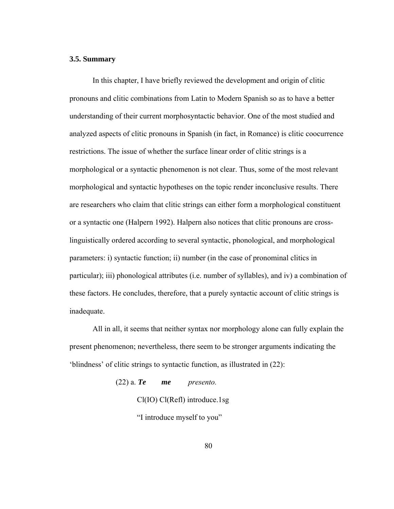### **3.5. Summary**

 In this chapter, I have briefly reviewed the development and origin of clitic pronouns and clitic combinations from Latin to Modern Spanish so as to have a better understanding of their current morphosyntactic behavior. One of the most studied and analyzed aspects of clitic pronouns in Spanish (in fact, in Romance) is clitic coocurrence restrictions. The issue of whether the surface linear order of clitic strings is a morphological or a syntactic phenomenon is not clear. Thus, some of the most relevant morphological and syntactic hypotheses on the topic render inconclusive results. There are researchers who claim that clitic strings can either form a morphological constituent or a syntactic one (Halpern 1992). Halpern also notices that clitic pronouns are crosslinguistically ordered according to several syntactic, phonological, and morphological parameters: i) syntactic function; ii) number (in the case of pronominal clitics in particular); iii) phonological attributes (i.e. number of syllables), and iv) a combination of these factors. He concludes, therefore, that a purely syntactic account of clitic strings is inadequate.

 All in all, it seems that neither syntax nor morphology alone can fully explain the present phenomenon; nevertheless, there seem to be stronger arguments indicating the 'blindness' of clitic strings to syntactic function, as illustrated in (22):

> (22) a. *Te me presento.*  Cl(IO) Cl(Refl) introduce.1sg "I introduce myself to you"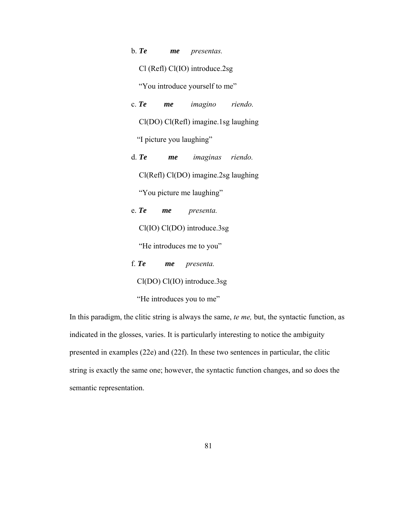- b. *Te me presentas.* Cl (Refl) Cl(IO) introduce.2sg "You introduce yourself to me"
- c. *Te me imagino riendo.*  Cl(DO) Cl(Refl) imagine.1sg laughing "I picture you laughing"
- d. *Te me imaginas riendo.*  Cl(Refl) Cl(DO) imagine.2sg laughing "You picture me laughing"
- e. *Te me presenta.* Cl(IO) Cl(DO) introduce.3sg "He introduces me to you" f. *Te me presenta.* Cl(DO) Cl(IO) introduce.3sg "He introduces you to me"

In this paradigm, the clitic string is always the same, *te me,* but, the syntactic function, as indicated in the glosses, varies. It is particularly interesting to notice the ambiguity presented in examples (22e) and (22f). In these two sentences in particular, the clitic string is exactly the same one; however, the syntactic function changes, and so does the semantic representation.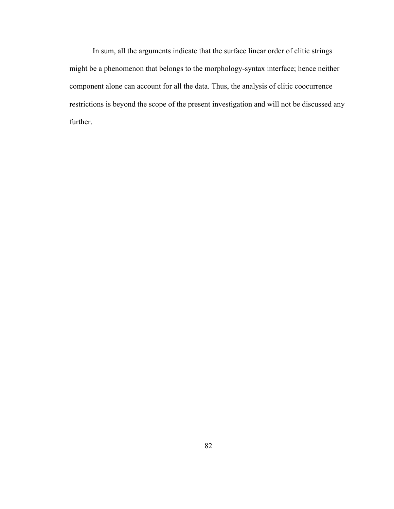In sum, all the arguments indicate that the surface linear order of clitic strings might be a phenomenon that belongs to the morphology-syntax interface; hence neither component alone can account for all the data. Thus, the analysis of clitic coocurrence restrictions is beyond the scope of the present investigation and will not be discussed any further.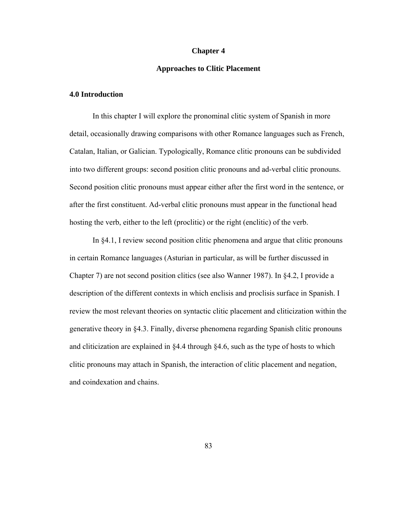### **Chapter 4**

### **Approaches to Clitic Placement**

## **4.0 Introduction**

 In this chapter I will explore the pronominal clitic system of Spanish in more detail, occasionally drawing comparisons with other Romance languages such as French, Catalan, Italian, or Galician. Typologically, Romance clitic pronouns can be subdivided into two different groups: second position clitic pronouns and ad-verbal clitic pronouns. Second position clitic pronouns must appear either after the first word in the sentence, or after the first constituent. Ad-verbal clitic pronouns must appear in the functional head hosting the verb, either to the left (proclitic) or the right (enclitic) of the verb.

 In §4.1, I review second position clitic phenomena and argue that clitic pronouns in certain Romance languages (Asturian in particular, as will be further discussed in Chapter 7) are not second position clitics (see also Wanner 1987). In §4.2, I provide a description of the different contexts in which enclisis and proclisis surface in Spanish. I review the most relevant theories on syntactic clitic placement and cliticization within the generative theory in §4.3. Finally, diverse phenomena regarding Spanish clitic pronouns and cliticization are explained in §4.4 through §4.6, such as the type of hosts to which clitic pronouns may attach in Spanish, the interaction of clitic placement and negation, and coindexation and chains.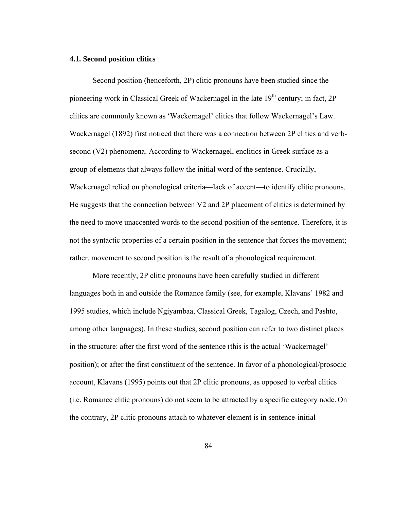#### **4.1. Second position clitics**

Second position (henceforth, 2P) clitic pronouns have been studied since the pioneering work in Classical Greek of Wackernagel in the late  $19<sup>th</sup>$  century; in fact, 2P clitics are commonly known as 'Wackernagel' clitics that follow Wackernagel's Law. Wackernagel (1892) first noticed that there was a connection between 2P clitics and verbsecond (V2) phenomena. According to Wackernagel, enclitics in Greek surface as a group of elements that always follow the initial word of the sentence. Crucially, Wackernagel relied on phonological criteria—lack of accent—to identify clitic pronouns. He suggests that the connection between V2 and 2P placement of clitics is determined by the need to move unaccented words to the second position of the sentence. Therefore, it is not the syntactic properties of a certain position in the sentence that forces the movement; rather, movement to second position is the result of a phonological requirement.

 More recently, 2P clitic pronouns have been carefully studied in different languages both in and outside the Romance family (see, for example, Klavans´ 1982 and 1995 studies, which include Ngiyambaa, Classical Greek, Tagalog, Czech, and Pashto, among other languages). In these studies, second position can refer to two distinct places in the structure: after the first word of the sentence (this is the actual 'Wackernagel' position); or after the first constituent of the sentence. In favor of a phonological/prosodic account, Klavans (1995) points out that 2P clitic pronouns, as opposed to verbal clitics (i.e. Romance clitic pronouns) do not seem to be attracted by a specific category node. On the contrary, 2P clitic pronouns attach to whatever element is in sentence-initial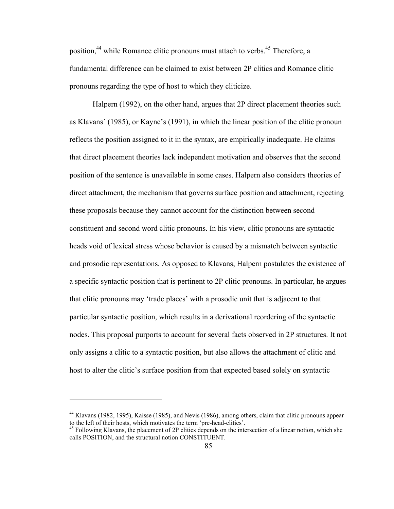position,<sup>44</sup> while Romance clitic pronouns must attach to verbs.<sup>45</sup> Therefore, a fundamental difference can be claimed to exist between 2P clitics and Romance clitic pronouns regarding the type of host to which they cliticize.

 Halpern (1992), on the other hand, argues that 2P direct placement theories such as Klavans´ (1985), or Kayne's (1991), in which the linear position of the clitic pronoun reflects the position assigned to it in the syntax, are empirically inadequate. He claims that direct placement theories lack independent motivation and observes that the second position of the sentence is unavailable in some cases. Halpern also considers theories of direct attachment, the mechanism that governs surface position and attachment, rejecting these proposals because they cannot account for the distinction between second constituent and second word clitic pronouns. In his view, clitic pronouns are syntactic heads void of lexical stress whose behavior is caused by a mismatch between syntactic and prosodic representations. As opposed to Klavans, Halpern postulates the existence of a specific syntactic position that is pertinent to 2P clitic pronouns. In particular, he argues that clitic pronouns may 'trade places' with a prosodic unit that is adjacent to that particular syntactic position, which results in a derivational reordering of the syntactic nodes. This proposal purports to account for several facts observed in 2P structures. It not only assigns a clitic to a syntactic position, but also allows the attachment of clitic and host to alter the clitic's surface position from that expected based solely on syntactic

 $44$  Klavans (1982, 1995), Kaisse (1985), and Nevis (1986), among others, claim that clitic pronouns appear to the left of their hosts, which motivates the term 'pre-head-clitics'.

<sup>&</sup>lt;sup>45</sup> Following Klavans, the placement of 2P clitics depends on the intersection of a linear notion, which she calls POSITION, and the structural notion CONSTITUENT.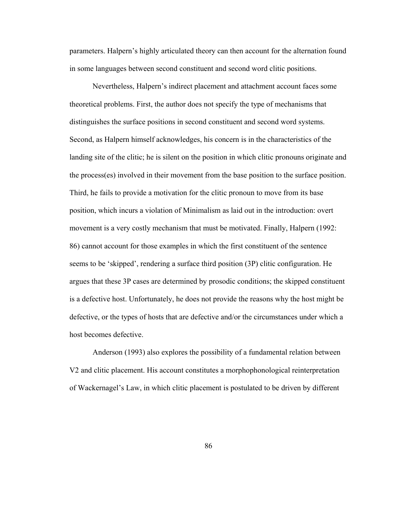parameters. Halpern's highly articulated theory can then account for the alternation found in some languages between second constituent and second word clitic positions.

 Nevertheless, Halpern's indirect placement and attachment account faces some theoretical problems. First, the author does not specify the type of mechanisms that distinguishes the surface positions in second constituent and second word systems. Second, as Halpern himself acknowledges, his concern is in the characteristics of the landing site of the clitic; he is silent on the position in which clitic pronouns originate and the process(es) involved in their movement from the base position to the surface position. Third, he fails to provide a motivation for the clitic pronoun to move from its base position, which incurs a violation of Minimalism as laid out in the introduction: overt movement is a very costly mechanism that must be motivated. Finally, Halpern (1992: 86) cannot account for those examples in which the first constituent of the sentence seems to be 'skipped', rendering a surface third position (3P) clitic configuration. He argues that these 3P cases are determined by prosodic conditions; the skipped constituent is a defective host. Unfortunately, he does not provide the reasons why the host might be defective, or the types of hosts that are defective and/or the circumstances under which a host becomes defective.

 Anderson (1993) also explores the possibility of a fundamental relation between V2 and clitic placement. His account constitutes a morphophonological reinterpretation of Wackernagel's Law, in which clitic placement is postulated to be driven by different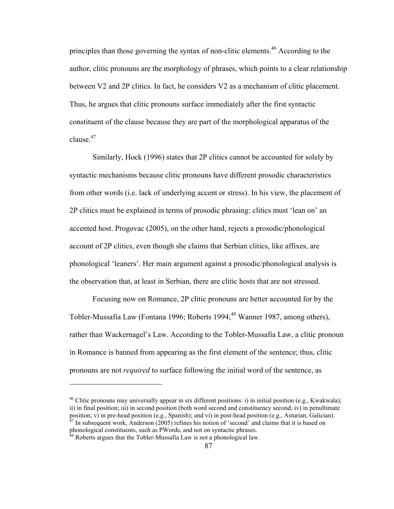principles than those governing the syntax of non-clitic elements.46 According to the author, clitic pronouns are the morphology of phrases, which points to a clear relationship between V2 and 2P clitics. In fact, he considers V2 as a mechanism of clitic placement. Thus, he argues that clitic pronouns surface immediately after the first syntactic constituent of the clause because they are part of the morphological apparatus of the clause.47

 Similarly, Hock (1996) states that 2P clitics cannot be accounted for solely by syntactic mechanisms because clitic pronouns have different prosodic characteristics from other words (i.e. lack of underlying accent or stress). In his view, the placement of 2P clitics must be explained in terms of prosodic phrasing: clitics must 'lean on' an accented host. Progovac (2005), on the other hand, rejects a prosodic/phonological account of 2P clitics, even though she claims that Serbian clitics, like affixes, are phonological 'leaners'. Her main argument against a prosodic/phonological analysis is the observation that, at least in Serbian, there are clitic hosts that are not stressed.

 Focusing now on Romance, 2P clitic pronouns are better accounted for by the Tobler-Mussafia Law (Fontana 1996; Roberts 1994;<sup>48</sup> Wanner 1987, among others), rather than Wackernagel's Law. According to the Tobler-Mussafia Law, a clitic pronoun in Romance is banned from appearing as the first element of the sentence; thus, clitic pronouns are not *required* to surface following the initial word of the sentence, as

phonological constituents, such as PWords, and not on syntactic phrases.

<sup>&</sup>lt;sup>46</sup> Clitic pronouns may universally appear in six different positions: i) in initial position (e.g., Kwakwala); ii) in final position; iii) in second position (both word second and constituency second; iv) in penultimate position; v) in pre-head position (e.g., Spanish); and vi) in post-head position (e.g., Asturian, Galician). <sup>47</sup> In subsequent work, Anderson (2005) refines his notion of 'second' and claims that it is based on

<sup>&</sup>lt;sup>48</sup> Roberts argues that the Tobler-Mussafia Law is not a phonological law.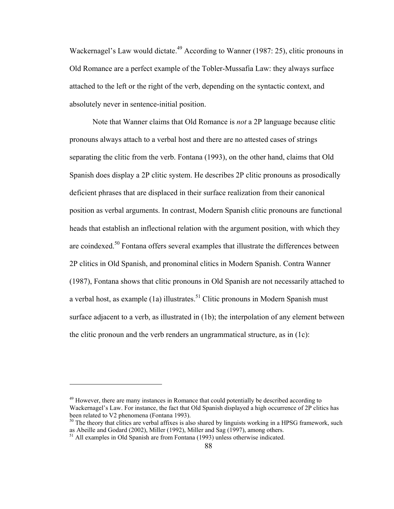Wackernagel's Law would dictate.<sup>49</sup> According to Wanner (1987: 25), clitic pronouns in Old Romance are a perfect example of the Tobler-Mussafia Law: they always surface attached to the left or the right of the verb, depending on the syntactic context, and absolutely never in sentence-initial position.

 Note that Wanner claims that Old Romance is *not* a 2P language because clitic pronouns always attach to a verbal host and there are no attested cases of strings separating the clitic from the verb. Fontana (1993), on the other hand, claims that Old Spanish does display a 2P clitic system. He describes 2P clitic pronouns as prosodically deficient phrases that are displaced in their surface realization from their canonical position as verbal arguments. In contrast, Modern Spanish clitic pronouns are functional heads that establish an inflectional relation with the argument position, with which they are coindexed.<sup>50</sup> Fontana offers several examples that illustrate the differences between 2P clitics in Old Spanish, and pronominal clitics in Modern Spanish. Contra Wanner (1987), Fontana shows that clitic pronouns in Old Spanish are not necessarily attached to a verbal host, as example  $(1a)$  illustrates.<sup>51</sup> Clitic pronouns in Modern Spanish must surface adjacent to a verb, as illustrated in (1b); the interpolation of any element between the clitic pronoun and the verb renders an ungrammatical structure, as in (1c):

 $49$  However, there are many instances in Romance that could potentially be described according to Wackernagel's Law. For instance, the fact that Old Spanish displayed a high occurrence of 2P clitics has been related to V2 phenomena (Fontana 1993).

 $50$  The theory that clitics are verbal affixes is also shared by linguists working in a HPSG framework, such as Abeille and Godard (2002), Miller (1992), Miller and Sag (1997), among others.

<sup>&</sup>lt;sup>51</sup> All examples in Old Spanish are from Fontana (1993) unless otherwise indicated.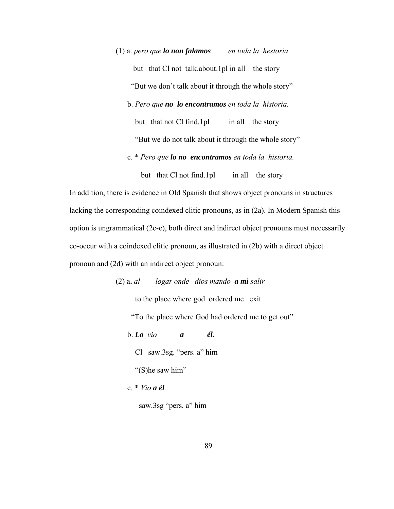(1) a. *pero que lo non falamos en toda la hestoria*  but that Cl not talk.about.1pl in all the story "But we don't talk about it through the whole story" b. *Pero que no lo encontramos en toda la historia.* but that not Cl find.1pl in all the story "But we do not talk about it through the whole story" c. \* *Pero que lo no encontramos en toda la historia.* 

but that Cl not find.1pl in all the story

In addition, there is evidence in Old Spanish that shows object pronouns in structures lacking the corresponding coindexed clitic pronouns, as in (2a). In Modern Spanish this option is ungrammatical (2c-e), both direct and indirect object pronouns must necessarily co-occur with a coindexed clitic pronoun, as illustrated in (2b) with a direct object pronoun and (2d) with an indirect object pronoun:

> (2) a**.** *al logar onde dios mando a mi salir*  to.the place where god ordered me exit "To the place where God had ordered me to get out"

b. *Lo vio a él.*

Cl saw.3sg. "pers. a" him

"(S)he saw him"

c. \* *Vio a él.* 

saw.3sg "pers. a" him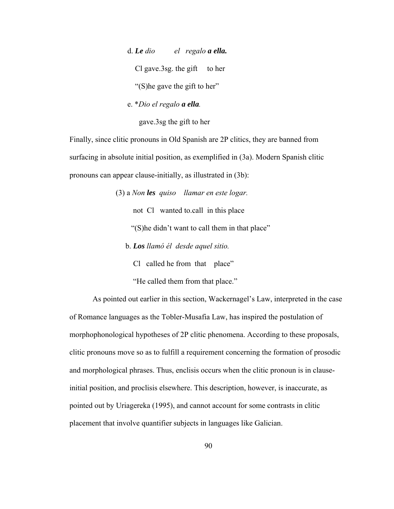d. *Le dio el regalo a ella.* Cl gave. 3sg. the gift to her "(S)he gave the gift to her" e. \**Dio el regalo a ella.* 

gave.3sg the gift to her

Finally, since clitic pronouns in Old Spanish are 2P clitics, they are banned from surfacing in absolute initial position, as exemplified in (3a). Modern Spanish clitic pronouns can appear clause-initially, as illustrated in (3b):

(3) a *Non les quiso llamar en este logar.* 

not Cl wanted to.call in this place

"(S)he didn't want to call them in that place"

b. *Los llamó él desde aquel sitio.* 

Cl called he from that place"

"He called them from that place."

 As pointed out earlier in this section, Wackernagel's Law, interpreted in the case of Romance languages as the Tobler-Musafia Law, has inspired the postulation of morphophonological hypotheses of 2P clitic phenomena. According to these proposals, clitic pronouns move so as to fulfill a requirement concerning the formation of prosodic and morphological phrases. Thus, enclisis occurs when the clitic pronoun is in clauseinitial position, and proclisis elsewhere. This description, however, is inaccurate, as pointed out by Uriagereka (1995), and cannot account for some contrasts in clitic placement that involve quantifier subjects in languages like Galician.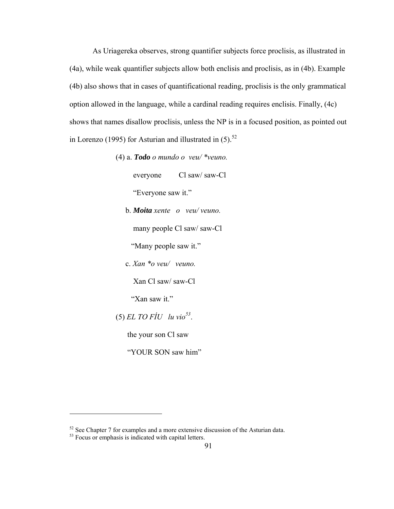As Uriagereka observes, strong quantifier subjects force proclisis, as illustrated in (4a), while weak quantifier subjects allow both enclisis and proclisis, as in (4b). Example (4b) also shows that in cases of quantificational reading, proclisis is the only grammatical option allowed in the language, while a cardinal reading requires enclisis. Finally, (4c) shows that names disallow proclisis, unless the NP is in a focused position, as pointed out in Lorenzo (1995) for Asturian and illustrated in  $(5)$ .<sup>52</sup>

(4) a. *Todo o mundo o veu/ \*veuno.* 

everyone Cl saw/ saw-Cl

"Everyone saw it."

b. *Moita xente o veu/ veuno.* 

many people Cl saw/ saw-Cl

"Many people saw it."

c. *Xan \*o veu/ veuno.* 

Xan Cl saw/ saw-Cl

"Xan saw it."

 $(5)$  *EL TO FIU lu vio*<sup>53</sup>.

the your son Cl saw

"YOUR SON saw him"

<u>.</u>

 $52$  See Chapter 7 for examples and a more extensive discussion of the Asturian data.<br> $53$  Focus or emphasis is indicated with capital letters.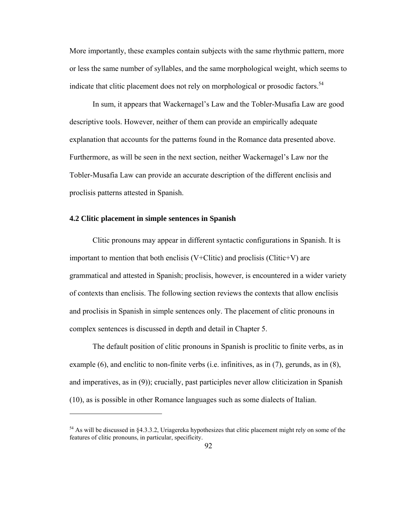More importantly, these examples contain subjects with the same rhythmic pattern, more or less the same number of syllables, and the same morphological weight, which seems to indicate that clitic placement does not rely on morphological or prosodic factors.<sup>54</sup>

 In sum, it appears that Wackernagel's Law and the Tobler-Musafia Law are good descriptive tools. However, neither of them can provide an empirically adequate explanation that accounts for the patterns found in the Romance data presented above. Furthermore, as will be seen in the next section, neither Wackernagel's Law nor the Tobler-Musafia Law can provide an accurate description of the different enclisis and proclisis patterns attested in Spanish.

# **4.2 Clitic placement in simple sentences in Spanish**

 $\overline{a}$ 

Clitic pronouns may appear in different syntactic configurations in Spanish. It is important to mention that both enclisis  $(V+C$ litic) and proclisis  $(C$ litic $+V$ ) are grammatical and attested in Spanish; proclisis, however, is encountered in a wider variety of contexts than enclisis. The following section reviews the contexts that allow enclisis and proclisis in Spanish in simple sentences only. The placement of clitic pronouns in complex sentences is discussed in depth and detail in Chapter 5.

 The default position of clitic pronouns in Spanish is proclitic to finite verbs, as in example  $(6)$ , and enclitic to non-finite verbs (i.e. infinitives, as in  $(7)$ , gerunds, as in  $(8)$ , and imperatives, as in (9)); crucially, past participles never allow cliticization in Spanish (10), as is possible in other Romance languages such as some dialects of Italian.

<sup>&</sup>lt;sup>54</sup> As will be discussed in §4.3.3.2, Uriagereka hypothesizes that clitic placement might rely on some of the features of clitic pronouns, in particular, specificity.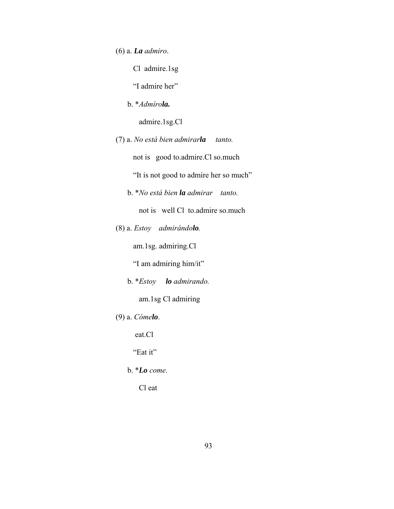(6) a. *La admiro*.

Cl admire.1sg

"I admire her"

b. \**Admírola.*

admire.1sg.Cl

(7) a. *No está bien admirarla tanto.*

not is good to.admire.Cl so.much

"It is not good to admire her so much"

b. \**No está bien la admirar tanto.*

not is well Cl to.admire so.much

(8) a. *Estoy admirándolo.* 

am.1sg. admiring.Cl

"I am admiring him/it"

b. \**Estoy lo admirando.* 

am.1sg Cl admiring

(9) a. *Cómelo*.

eat.Cl

"Eat it"

b. \**Lo come.*

Cl eat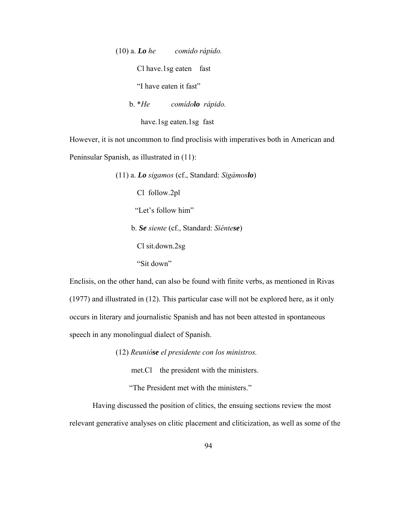(10) a. *Lo he comido rápido.* Cl have.1sg eaten fast "I have eaten it fast" b. \**He comídolo rápido.*  have.1sg eaten.1sg fast

However, it is not uncommon to find proclisis with imperatives both in American and Peninsular Spanish, as illustrated in (11):

> (11) a. *Lo sigamos* (cf., Standard: *Sigámoslo*) Cl follow.2pl "Let's follow him" b. *Se siente* (cf., Standard: *Siéntese*) Cl sit.down.2sg "Sit down"

Enclisis, on the other hand, can also be found with finite verbs, as mentioned in Rivas (1977) and illustrated in (12). This particular case will not be explored here, as it only occurs in literary and journalistic Spanish and has not been attested in spontaneous speech in any monolingual dialect of Spanish.

(12) *Reunióse el presidente con los ministros.* 

met.Cl the president with the ministers.

"The President met with the ministers."

 Having discussed the position of clitics, the ensuing sections review the most relevant generative analyses on clitic placement and cliticization, as well as some of the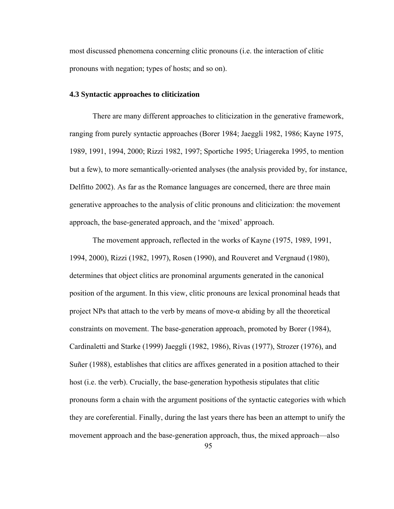most discussed phenomena concerning clitic pronouns (i.e. the interaction of clitic pronouns with negation; types of hosts; and so on).

## **4.3 Syntactic approaches to cliticization**

 There are many different approaches to cliticization in the generative framework, ranging from purely syntactic approaches (Borer 1984; Jaeggli 1982, 1986; Kayne 1975, 1989, 1991, 1994, 2000; Rizzi 1982, 1997; Sportiche 1995; Uriagereka 1995, to mention but a few), to more semantically-oriented analyses (the analysis provided by, for instance, Delfitto 2002). As far as the Romance languages are concerned, there are three main generative approaches to the analysis of clitic pronouns and cliticization: the movement approach, the base-generated approach, and the 'mixed' approach.

The movement approach, reflected in the works of Kayne (1975, 1989, 1991, 1994, 2000), Rizzi (1982, 1997), Rosen (1990), and Rouveret and Vergnaud (1980), determines that object clitics are pronominal arguments generated in the canonical position of the argument. In this view, clitic pronouns are lexical pronominal heads that project NPs that attach to the verb by means of move- $\alpha$  abiding by all the theoretical constraints on movement. The base-generation approach, promoted by Borer (1984), Cardinaletti and Starke (1999) Jaeggli (1982, 1986), Rivas (1977), Strozer (1976), and Suñer (1988), establishes that clitics are affixes generated in a position attached to their host (i.e. the verb). Crucially, the base-generation hypothesis stipulates that clitic pronouns form a chain with the argument positions of the syntactic categories with which they are coreferential. Finally, during the last years there has been an attempt to unify the movement approach and the base-generation approach, thus, the mixed approach—also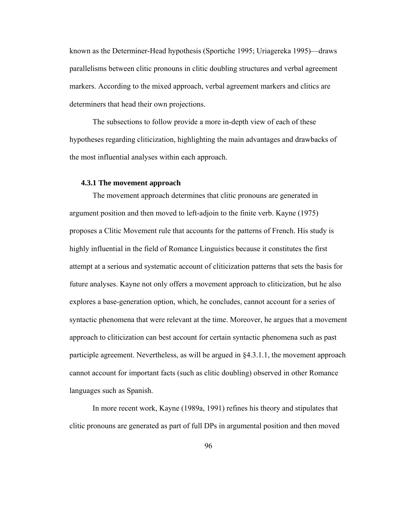known as the Determiner-Head hypothesis (Sportiche 1995; Uriagereka 1995)—draws parallelisms between clitic pronouns in clitic doubling structures and verbal agreement markers. According to the mixed approach, verbal agreement markers and clitics are determiners that head their own projections.

 The subsections to follow provide a more in-depth view of each of these hypotheses regarding cliticization, highlighting the main advantages and drawbacks of the most influential analyses within each approach.

# **4.3.1 The movement approach**

 The movement approach determines that clitic pronouns are generated in argument position and then moved to left-adjoin to the finite verb. Kayne (1975) proposes a Clitic Movement rule that accounts for the patterns of French. His study is highly influential in the field of Romance Linguistics because it constitutes the first attempt at a serious and systematic account of cliticization patterns that sets the basis for future analyses. Kayne not only offers a movement approach to cliticization, but he also explores a base-generation option, which, he concludes, cannot account for a series of syntactic phenomena that were relevant at the time. Moreover, he argues that a movement approach to cliticization can best account for certain syntactic phenomena such as past participle agreement. Nevertheless, as will be argued in §4.3.1.1, the movement approach cannot account for important facts (such as clitic doubling) observed in other Romance languages such as Spanish.

 In more recent work, Kayne (1989a, 1991) refines his theory and stipulates that clitic pronouns are generated as part of full DPs in argumental position and then moved

96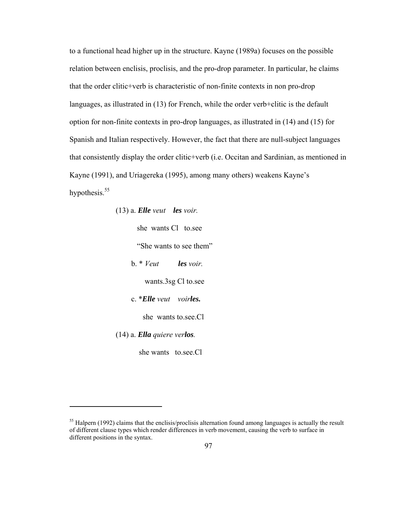to a functional head higher up in the structure. Kayne (1989a) focuses on the possible relation between enclisis, proclisis, and the pro-drop parameter. In particular, he claims that the order clitic+verb is characteristic of non-finite contexts in non pro-drop languages, as illustrated in (13) for French, while the order verb+clitic is the default option for non-finite contexts in pro-drop languages, as illustrated in (14) and (15) for Spanish and Italian respectively. However, the fact that there are null-subject languages that consistently display the order clitic+verb (i.e. Occitan and Sardinian, as mentioned in Kayne (1991), and Uriagereka (1995), among many others) weakens Kayne's hypothesis.<sup>55</sup>

(13) a. *Elle veut les voir.* 

she wants Cl to.see

"She wants to see them"

 $b^*$  *Veut les voir.* 

wants.3sg Cl to.see

c. \**Elle veut voirles.*

she wants to.see.Cl

(14) a. *Ella quiere verlos.*

 $\overline{a}$ 

she wants to.see.Cl

<sup>&</sup>lt;sup>55</sup> Halpern (1992) claims that the enclisis/proclisis alternation found among languages is actually the result of different clause types which render differences in verb movement, causing the verb to surface in different positions in the syntax.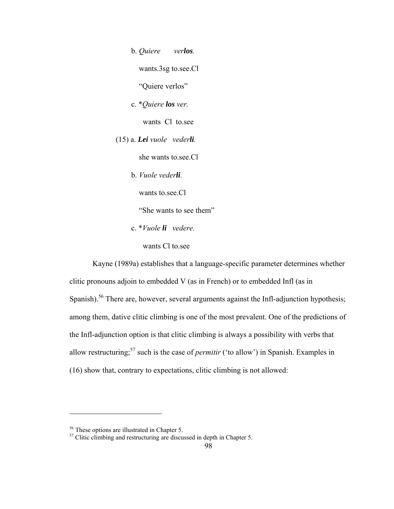b. *Quiere verlos.* 

wants.3sg to.see.Cl

"Quiere verlos"

c. \**Quiere los ver.* 

wants Cl to.see

(15) a. *Lei vuole vederli.* 

she wants to.see.Cl

b. *Vuole vederli.*

wants to.see.Cl

"She wants to see them"

c. \**Vuole li vedere.*

wants Cl to.see

 Kayne (1989a) establishes that a language-specific parameter determines whether clitic pronouns adjoin to embedded V (as in French) or to embedded Infl (as in Spanish).<sup>56</sup> There are, however, several arguments against the Infl-adjunction hypothesis; among them, dative clitic climbing is one of the most prevalent. One of the predictions of the Infl-adjunction option is that clitic climbing is always a possibility with verbs that allow restructuring;57 such is the case of *permitir* ('to allow') in Spanish. Examples in (16) show that, contrary to expectations, clitic climbing is not allowed:

<sup>56</sup> These options are illustrated in Chapter 5.

 $57$  Clitic climbing and restructuring are discussed in depth in Chapter 5.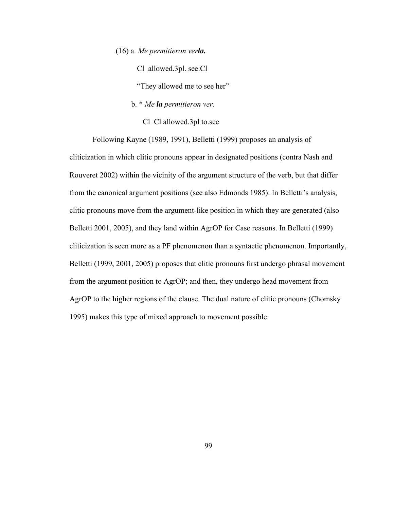## (16) a. *Me permitieron verla.*

Cl allowed.3pl. see.Cl

"They allowed me to see her"

b. \* *Me la permitieron ver.* 

Cl Cl allowed.3pl to.see

Following Kayne (1989, 1991), Belletti (1999) proposes an analysis of cliticization in which clitic pronouns appear in designated positions (contra Nash and Rouveret 2002) within the vicinity of the argument structure of the verb, but that differ from the canonical argument positions (see also Edmonds 1985). In Belletti's analysis, clitic pronouns move from the argument-like position in which they are generated (also Belletti 2001, 2005), and they land within AgrOP for Case reasons. In Belletti (1999) cliticization is seen more as a PF phenomenon than a syntactic phenomenon. Importantly, Belletti (1999, 2001, 2005) proposes that clitic pronouns first undergo phrasal movement from the argument position to AgrOP; and then, they undergo head movement from AgrOP to the higher regions of the clause. The dual nature of clitic pronouns (Chomsky 1995) makes this type of mixed approach to movement possible.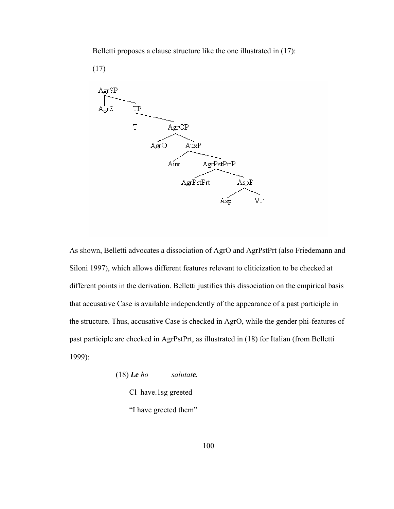Belletti proposes a clause structure like the one illustrated in (17):



As shown, Belletti advocates a dissociation of AgrO and AgrPstPrt (also Friedemann and Siloni 1997), which allows different features relevant to cliticization to be checked at different points in the derivation. Belletti justifies this dissociation on the empirical basis that accusative Case is available independently of the appearance of a past participle in the structure. Thus, accusative Case is checked in AgrO, while the gender phi-features of past participle are checked in AgrPstPrt, as illustrated in (18) for Italian (from Belletti 1999):

$$
(18) Le ho salutate.
$$
  
Cl have. 1sg greeted

- 
- "I have greeted them"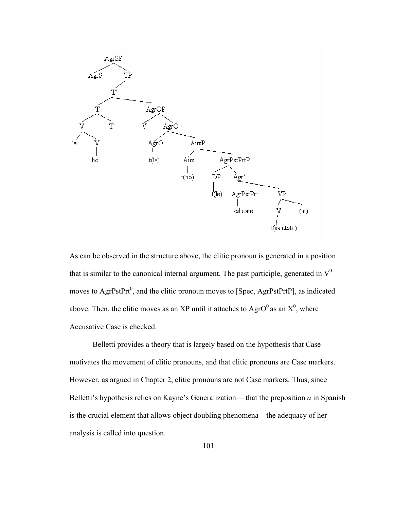

As can be observed in the structure above, the clitic pronoun is generated in a position that is similar to the canonical internal argument. The past participle, generated in  $V^0$ moves to AgrPstPrt<sup>0</sup>, and the clitic pronoun moves to [Spec, AgrPstPrtP], as indicated above. Then, the clitic moves as an XP until it attaches to  $AgrO^0$  as an  $X^0$ , where Accusative Case is checked.

 Belletti provides a theory that is largely based on the hypothesis that Case motivates the movement of clitic pronouns, and that clitic pronouns are Case markers. However, as argued in Chapter 2, clitic pronouns are not Case markers. Thus, since Belletti's hypothesis relies on Kayne's Generalization— that the preposition *a* in Spanish is the crucial element that allows object doubling phenomena—the adequacy of her analysis is called into question.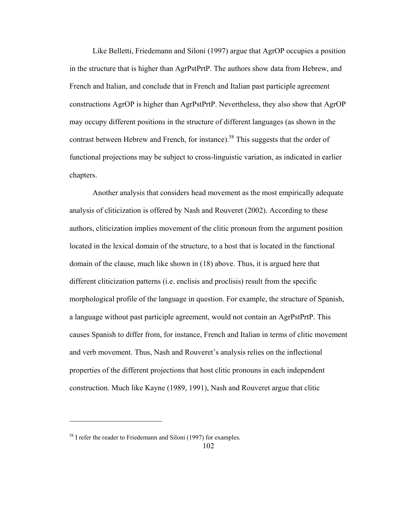Like Belletti, Friedemann and Siloni (1997) argue that AgrOP occupies a position in the structure that is higher than AgrPstPrtP. The authors show data from Hebrew, and French and Italian, and conclude that in French and Italian past participle agreement constructions AgrOP is higher than AgrPstPrtP. Nevertheless, they also show that AgrOP may occupy different positions in the structure of different languages (as shown in the contrast between Hebrew and French, for instance).<sup>58</sup> This suggests that the order of functional projections may be subject to cross-linguistic variation, as indicated in earlier chapters.

 Another analysis that considers head movement as the most empirically adequate analysis of cliticization is offered by Nash and Rouveret (2002). According to these authors, cliticization implies movement of the clitic pronoun from the argument position located in the lexical domain of the structure, to a host that is located in the functional domain of the clause, much like shown in (18) above. Thus, it is argued here that different cliticization patterns (i.e. enclisis and proclisis) result from the specific morphological profile of the language in question. For example, the structure of Spanish, a language without past participle agreement, would not contain an AgrPstPrtP. This causes Spanish to differ from, for instance, French and Italian in terms of clitic movement and verb movement. Thus, Nash and Rouveret's analysis relies on the inflectional properties of the different projections that host clitic pronouns in each independent construction. Much like Kayne (1989, 1991), Nash and Rouveret argue that clitic

<sup>&</sup>lt;sup>58</sup> I refer the reader to Friedemann and Siloni (1997) for examples.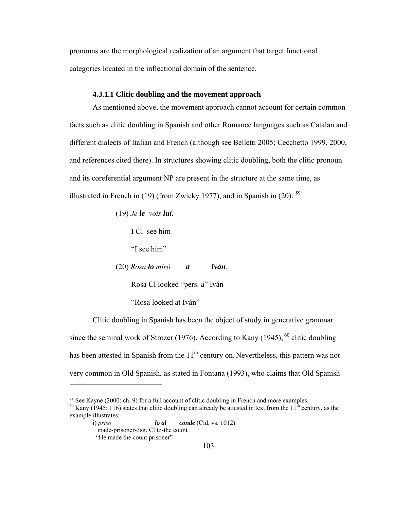pronouns are the morphological realization of an argument that target functional categories located in the inflectional domain of the sentence.

#### **4.3.1.1 Clitic doubling and the movement approach**

As mentioned above, the movement approach cannot account for certain common facts such as clitic doubling in Spanish and other Romance languages such as Catalan and different dialects of Italian and French (although see Belletti 2005; Cecchetto 1999, 2000, and references cited there). In structures showing clitic doubling, both the clitic pronoun and its coreferential argument NP are present in the structure at the same time, as illustrated in French in (19) (from Zwicky 1977), and in Spanish in (20):  $59$ 

(19) *Je le vois lui.*

I Cl see him

"I see him"

(20) *Rosa lo miró a Iván.*

Rosa Cl looked "pers. a" Iván

"Rosa looked at Iván"

Clitic doubling in Spanish has been the object of study in generative grammar since the seminal work of Strozer (1976). According to Kany (1945),  $^{60}$  clitic doubling has been attested in Spanish from the  $11<sup>th</sup>$  century on. Nevertheless, this pattern was not very common in Old Spanish, as stated in Fontana (1993), who claims that Old Spanish

<sup>&</sup>lt;sup>59</sup> See Kayne (2000: ch. 9) for a full account of clitic doubling in French and more examples.<br><sup>60</sup> Kany (1945: 116) states that clitic doubling can already be attested in text from the 11<sup>th</sup> century, as the

example illustrates:

i) *priso lo al conde* (Cid, vs. 1012)

made-prisoner-3sg. Cl to-the count

<sup>&</sup>quot;He made the count prisoner"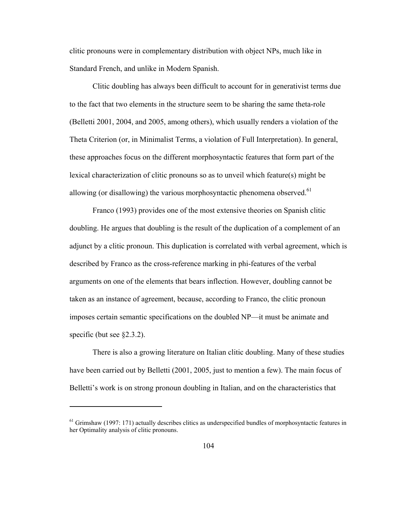clitic pronouns were in complementary distribution with object NPs, much like in Standard French, and unlike in Modern Spanish.

 Clitic doubling has always been difficult to account for in generativist terms due to the fact that two elements in the structure seem to be sharing the same theta-role (Belletti 2001, 2004, and 2005, among others), which usually renders a violation of the Theta Criterion (or, in Minimalist Terms, a violation of Full Interpretation). In general, these approaches focus on the different morphosyntactic features that form part of the lexical characterization of clitic pronouns so as to unveil which feature(s) might be allowing (or disallowing) the various morphosyntactic phenomena observed.<sup>61</sup>

Franco (1993) provides one of the most extensive theories on Spanish clitic doubling. He argues that doubling is the result of the duplication of a complement of an adjunct by a clitic pronoun. This duplication is correlated with verbal agreement, which is described by Franco as the cross-reference marking in phi-features of the verbal arguments on one of the elements that bears inflection. However, doubling cannot be taken as an instance of agreement, because, according to Franco, the clitic pronoun imposes certain semantic specifications on the doubled NP—it must be animate and specific (but see §2.3.2).

 There is also a growing literature on Italian clitic doubling. Many of these studies have been carried out by Belletti (2001, 2005, just to mention a few). The main focus of Belletti's work is on strong pronoun doubling in Italian, and on the characteristics that

 $61$  Grimshaw (1997: 171) actually describes clitics as underspecified bundles of morphosyntactic features in her Optimality analysis of clitic pronouns.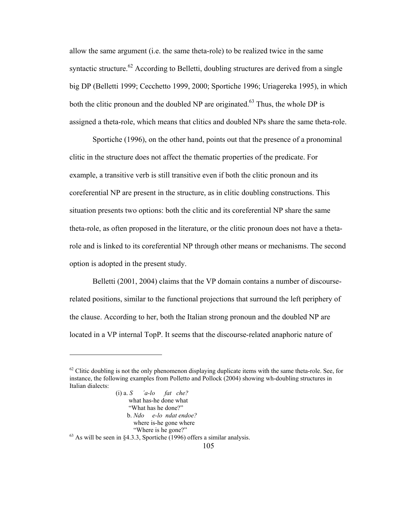allow the same argument (i.e. the same theta-role) to be realized twice in the same syntactic structure.<sup>62</sup> According to Belletti, doubling structures are derived from a single big DP (Belletti 1999; Cecchetto 1999, 2000; Sportiche 1996; Uriagereka 1995), in which both the clitic pronoun and the doubled NP are originated.<sup>63</sup> Thus, the whole DP is assigned a theta-role, which means that clitics and doubled NPs share the same theta-role.

 Sportiche (1996), on the other hand, points out that the presence of a pronominal clitic in the structure does not affect the thematic properties of the predicate. For example, a transitive verb is still transitive even if both the clitic pronoun and its coreferential NP are present in the structure, as in clitic doubling constructions. This situation presents two options: both the clitic and its coreferential NP share the same theta-role, as often proposed in the literature, or the clitic pronoun does not have a thetarole and is linked to its coreferential NP through other means or mechanisms. The second option is adopted in the present study.

 Belletti (2001, 2004) claims that the VP domain contains a number of discourserelated positions, similar to the functional projections that surround the left periphery of the clause. According to her, both the Italian strong pronoun and the doubled NP are located in a VP internal TopP. It seems that the discourse-related anaphoric nature of

 (i) a. *S ´a-lo fat che?*  what has-he done what "What has he done?" b. *Ndo e-lo ndat endoe?*  where is-he gone where "Where is he gone?"

 $\overline{a}$ 

 $^{63}$  As will be seen in §4.3.3, Sportiche (1996) offers a similar analysis.

 $62$  Clitic doubling is not the only phenomenon displaying duplicate items with the same theta-role. See, for instance, the following examples from Polletto and Pollock (2004) showing wh-doubling structures in Italian dialects: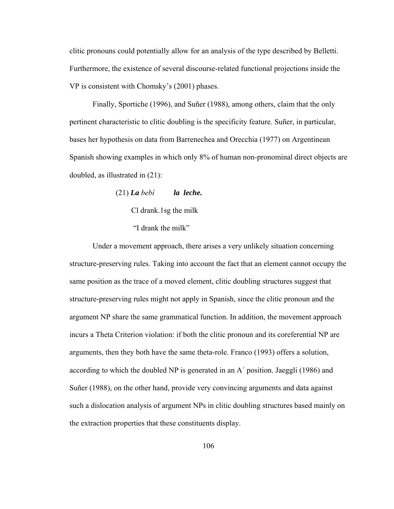clitic pronouns could potentially allow for an analysis of the type described by Belletti. Furthermore, the existence of several discourse-related functional projections inside the VP is consistent with Chomsky's (2001) phases.

Finally, Sportiche (1996), and Suñer (1988), among others, claim that the only pertinent characteristic to clitic doubling is the specificity feature. Suñer, in particular, bases her hypothesis on data from Barrenechea and Orecchia (1977) on Argentinean Spanish showing examples in which only 8% of human non-pronominal direct objects are doubled, as illustrated in (21):

> (21) *La bebí la leche.* Cl drank.1sg the milk

"I drank the milk"

 Under a movement approach, there arises a very unlikely situation concerning structure-preserving rules. Taking into account the fact that an element cannot occupy the same position as the trace of a moved element, clitic doubling structures suggest that structure-preserving rules might not apply in Spanish, since the clitic pronoun and the argument NP share the same grammatical function. In addition, the movement approach incurs a Theta Criterion violation: if both the clitic pronoun and its coreferential NP are arguments, then they both have the same theta-role. Franco (1993) offers a solution, according to which the doubled NP is generated in an A´ position. Jaeggli (1986) and Suñer (1988), on the other hand, provide very convincing arguments and data against such a dislocation analysis of argument NPs in clitic doubling structures based mainly on the extraction properties that these constituents display.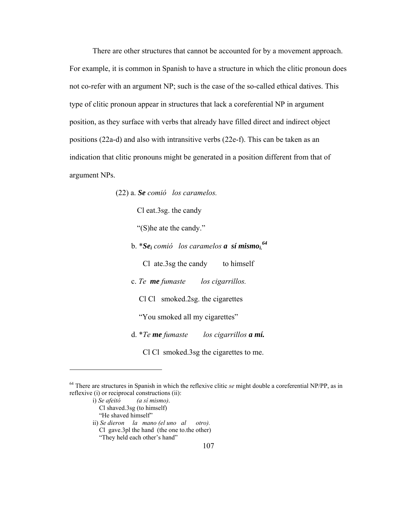There are other structures that cannot be accounted for by a movement approach. For example, it is common in Spanish to have a structure in which the clitic pronoun does not co-refer with an argument NP; such is the case of the so-called ethical datives. This type of clitic pronoun appear in structures that lack a coreferential NP in argument position, as they surface with verbs that already have filled direct and indirect object positions (22a-d) and also with intransitive verbs (22e-f). This can be taken as an indication that clitic pronouns might be generated in a position different from that of argument NPs.

(22) a. *Se comió los caramelos.* 

Cl eat.3sg. the candy

"(S)he ate the candy."

b. \**Sei comió los caramelos a sí mismoi***.** *64*

Cl at e.3sg the candy to himself

c. *Te**me fumaste los cigarrillos.* 

Cl Cl smoked.2sg. the cigarettes

"You smoked all my cigarettes"

d. \**Te me fumaste los cigarrillos a mí.* 

Cl Cl smoked.3sg the cigarettes to me.

<sup>&</sup>lt;sup>64</sup> There are structures in Spanish in which the reflexive clitic *se* might double a coreferential NP/PP, as in reflexive (i) or reciprocal constructions (ii):

i) *Se afeitó (a sí mismo)*. Cl shaved.3sg (to himself)

 <sup>&</sup>quot;He shaved himself"

ii) *Se dieron la mano (el uno al otro).*

Cl gave.3pl the hand (the one to.the other)

<sup>&</sup>quot;They held each other's hand"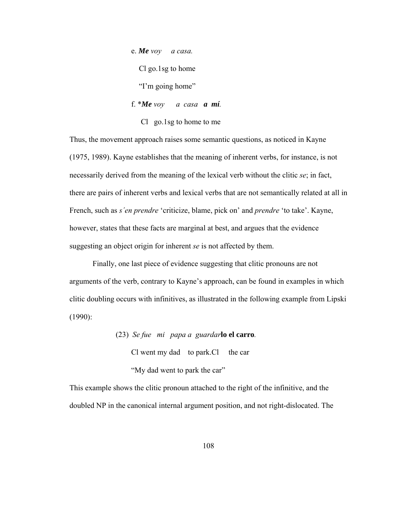e. *Me voy a casa.*  Cl go.1sg to home "I'm going home" f. \**Me voy a casa a mí.*  Cl go.1sg to home to me

Thus, the movement approach raises some semantic questions, as noticed in Kayne (1975, 1989). Kayne establishes that the meaning of inherent verbs, for instance, is not necessarily derived from the meaning of the lexical verb without the clitic *se*; in fact, there are pairs of inherent verbs and lexical verbs that are not semantically related at all in French, such as *s´en prendre* 'criticize, blame, pick on' and *prendre* 'to take'. Kayne, however, states that these facts are marginal at best, and argues that the evidence suggesting an object origin for inherent *se* is not affected by them.

 Finally, one last piece of evidence suggesting that clitic pronouns are not arguments of the verb, contrary to Kayne's approach, can be found in examples in which clitic doubling occurs with infinitives, as illustrated in the following example from Lipski (1990):

> (23) *Se fue mi papa a guardar***lo el carro***.* Cl went my dad to park.Cl the car "My dad went to park the car"

This example shows the clitic pronoun attached to the right of the infinitive, and the doubled NP in the canonical internal argument position, and not right-dislocated. The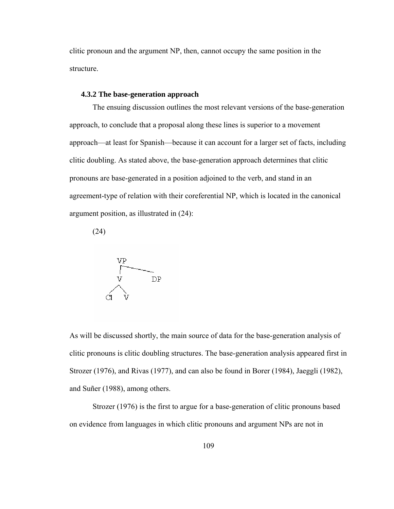clitic pronoun and the argument NP, then, cannot occupy the same position in the structure.

#### **4.3.2 The base-generation approach**

 The ensuing discussion outlines the most relevant versions of the base-generation approach, to conclude that a proposal along these lines is superior to a movement approach—at least for Spanish—because it can account for a larger set of facts, including clitic doubling. As stated above, the base-generation approach determines that clitic pronouns are base-generated in a position adjoined to the verb, and stand in an agreement-type of relation with their coreferential NP, which is located in the canonical argument position, as illustrated in (24):





As will be discussed shortly, the main source of data for the base-generation analysis of clitic pronouns is clitic doubling structures. The base-generation analysis appeared first in Strozer (1976), and Rivas (1977), and can also be found in Borer (1984), Jaeggli (1982), and Suñer (1988), among others.

 Strozer (1976) is the first to argue for a base-generation of clitic pronouns based on evidence from languages in which clitic pronouns and argument NPs are not in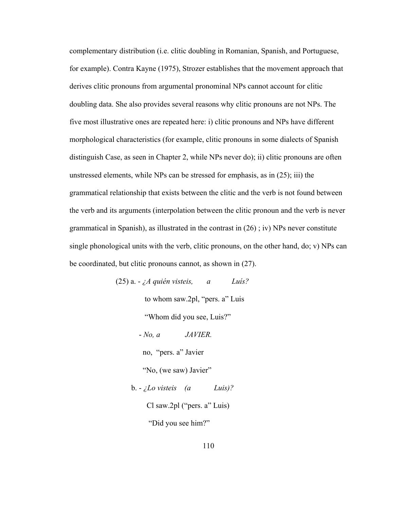complementary distribution (i.e. clitic doubling in Romanian, Spanish, and Portuguese, for example). Contra Kayne (1975), Strozer establishes that the movement approach that derives clitic pronouns from argumental pronominal NPs cannot account for clitic doubling data. She also provides several reasons why clitic pronouns are not NPs. The five most illustrative ones are repeated here: i) clitic pronouns and NPs have different morphological characteristics (for example, clitic pronouns in some dialects of Spanish distinguish Case, as seen in Chapter 2, while NPs never do); ii) clitic pronouns are often unstressed elements, while NPs can be stressed for emphasis, as in (25); iii) the grammatical relationship that exists between the clitic and the verb is not found between the verb and its arguments (interpolation between the clitic pronoun and the verb is never grammatical in Spanish), as illustrated in the contrast in  $(26)$ ; iv) NPs never constitute single phonological units with the verb, clitic pronouns, on the other hand, do; v) NPs can be coordinated, but clitic pronouns cannot, as shown in (27).

> (25) a. - *¿A quién visteis, a Luís?*  to whom saw.2pl, "pers. a" Luis "Whom did you see, Luis?" - *No, a JAVIER.*  no, "pers. a" Javier "No, (we saw) Javier" b. - *¿Lo visteis (a Luis)?*  Cl saw.2pl ("pers. a" Luis) "Did you see him?"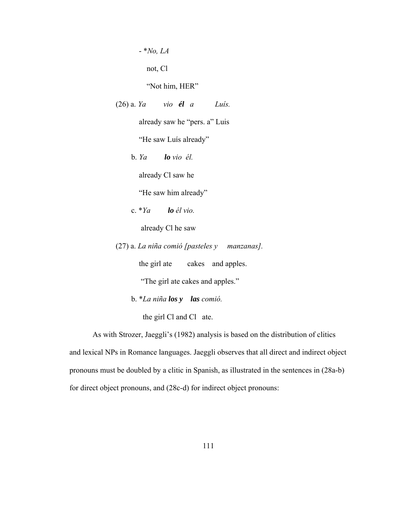- \**No, LA* 

not, Cl

"Not him, HER"

(26) a. *Ya vio él a Luís.* 

already saw he "pers. a" Luis

"He saw Luís already"

b. *Ya lo vio él.*

already Cl saw he

"He saw him already"

c. \**Ya lo él vio.* 

already Cl he saw

(27) a. *La niña comió [pasteles y manzanas].* 

the girl ate cakes and apples.

"The girl ate cakes and apples."

b. \**La niña los y las comió.* 

the girl Cl and Cl ate.

 As with Strozer, Jaeggli's (1982) analysis is based on the distribution of clitics and lexical NPs in Romance languages. Jaeggli observes that all direct and indirect object pronouns must be doubled by a clitic in Spanish, as illustrated in the sentences in (28a-b) for direct object pronouns, and (28c-d) for indirect object pronouns: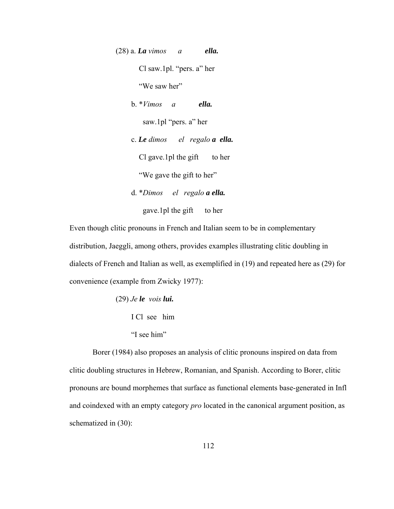(28) a. *La vimos a ella.*  Cl saw.1pl. "pers. a" her "We saw her" b. \**Vimos a ella.* saw.1pl "pers. a" her c. *Le dimos el regalo a ella.*  $Cl$  gave.1pl the gift to her "We gave the gift to her" d. \**Dimos el regalo a ella.*  gave. 1 pl the gift to her

Even though clitic pronouns in French and Italian seem to be in complementary distribution, Jaeggli, among others, provides examples illustrating clitic doubling in dialects of French and Italian as well, as exemplified in (19) and repeated here as (29) for convenience (example from Zwicky 1977):

(29) *Je le vois lui.*

I Cl see him

"I see him"

 Borer (1984) also proposes an analysis of clitic pronouns inspired on data from clitic doubling structures in Hebrew, Romanian, and Spanish. According to Borer, clitic pronouns are bound morphemes that surface as functional elements base-generated in Infl and coindexed with an empty category *pro* located in the canonical argument position, as schematized in (30):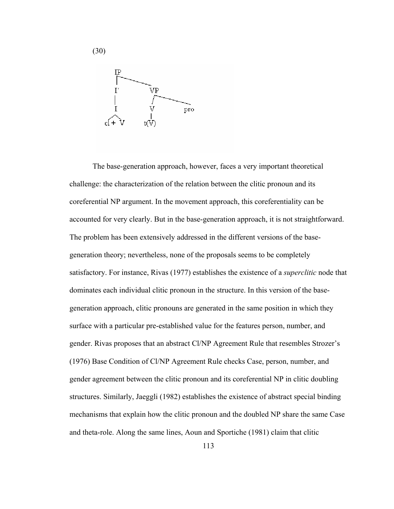

 The base-generation approach, however, faces a very important theoretical challenge: the characterization of the relation between the clitic pronoun and its coreferential NP argument. In the movement approach, this coreferentiality can be accounted for very clearly. But in the base-generation approach, it is not straightforward. The problem has been extensively addressed in the different versions of the basegeneration theory; nevertheless, none of the proposals seems to be completely satisfactory. For instance, Rivas (1977) establishes the existence of a *superclitic* node that dominates each individual clitic pronoun in the structure. In this version of the basegeneration approach, clitic pronouns are generated in the same position in which they surface with a particular pre-established value for the features person, number, and gender. Rivas proposes that an abstract Cl/NP Agreement Rule that resembles Strozer's (1976) Base Condition of Cl/NP Agreement Rule checks Case, person, number, and gender agreement between the clitic pronoun and its coreferential NP in clitic doubling structures. Similarly, Jaeggli (1982) establishes the existence of abstract special binding mechanisms that explain how the clitic pronoun and the doubled NP share the same Case and theta-role. Along the same lines, Aoun and Sportiche (1981) claim that clitic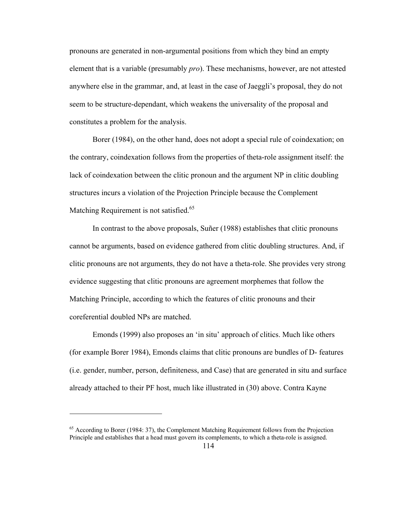pronouns are generated in non-argumental positions from which they bind an empty element that is a variable (presumably *pro*). These mechanisms, however, are not attested anywhere else in the grammar, and, at least in the case of Jaeggli's proposal, they do not seem to be structure-dependant, which weakens the universality of the proposal and constitutes a problem for the analysis.

 Borer (1984), on the other hand, does not adopt a special rule of coindexation; on the contrary, coindexation follows from the properties of theta-role assignment itself: the lack of coindexation between the clitic pronoun and the argument NP in clitic doubling structures incurs a violation of the Projection Principle because the Complement Matching Requirement is not satisfied. $65$ 

 In contrast to the above proposals, Suñer (1988) establishes that clitic pronouns cannot be arguments, based on evidence gathered from clitic doubling structures. And, if clitic pronouns are not arguments, they do not have a theta-role. She provides very strong evidence suggesting that clitic pronouns are agreement morphemes that follow the Matching Principle, according to which the features of clitic pronouns and their coreferential doubled NPs are matched.

 Emonds (1999) also proposes an 'in situ' approach of clitics. Much like others (for example Borer 1984), Emonds claims that clitic pronouns are bundles of D- features (i.e. gender, number, person, definiteness, and Case) that are generated in situ and surface already attached to their PF host, much like illustrated in (30) above. Contra Kayne

<sup>&</sup>lt;sup>65</sup> According to Borer (1984: 37), the Complement Matching Requirement follows from the Projection Principle and establishes that a head must govern its complements, to which a theta-role is assigned.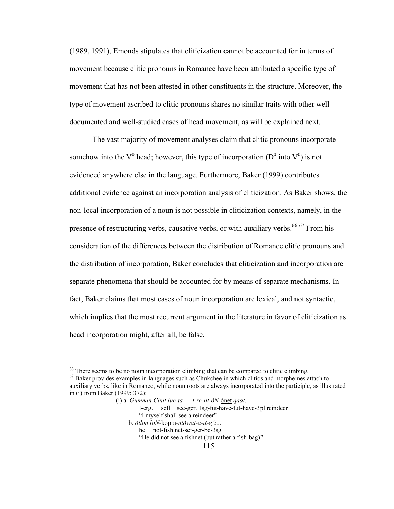(1989, 1991), Emonds stipulates that cliticization cannot be accounted for in terms of movement because clitic pronouns in Romance have been attributed a specific type of movement that has not been attested in other constituents in the structure. Moreover, the type of movement ascribed to clitic pronouns shares no similar traits with other welldocumented and well-studied cases of head movement, as will be explained next.

 The vast majority of movement analyses claim that clitic pronouns incorporate somehow into the V<sup>0</sup> head; however, this type of incorporation ( $D^0$  into V<sup>0</sup>) is not evidenced anywhere else in the language. Furthermore, Baker (1999) contributes additional evidence against an incorporation analysis of cliticization. As Baker shows, the non-local incorporation of a noun is not possible in cliticization contexts, namely, in the presence of restructuring verbs, causative verbs, or with auxiliary verbs.<sup>66 67</sup> From his consideration of the differences between the distribution of Romance clitic pronouns and the distribution of incorporation, Baker concludes that cliticization and incorporation are separate phenomena that should be accounted for by means of separate mechanisms. In fact, Baker claims that most cases of noun incorporation are lexical, and not syntactic, which implies that the most recurrent argument in the literature in favor of cliticization as head incorporation might, after all, be false.

(i) a. *Gumnan Cinit lue-ta t-re-nt-ðN-*ðnet *qaat.*

- I-erg. sefl see-ger. 1sg-fut-have-fut-have-3pl reindeer "I myself shall see a reindeer"
- b. *ðtlon loN-*kopra*-ntðwat-a-it-g´i…*
	- he not-fish.net-set-ger-be-3sg
	- "He did not see a fishnet (but rather a fish-bag)"

<sup>&</sup>lt;sup>66</sup> There seems to be no noun incorporation climbing that can be compared to clitic climbing.

 $67$  Baker provides examples in languages such as Chukchee in which clitics and morphemes attach to auxiliary verbs, like in Romance, while noun roots are always incorporated into the participle, as illustrated in (i) from Baker (1999: 372):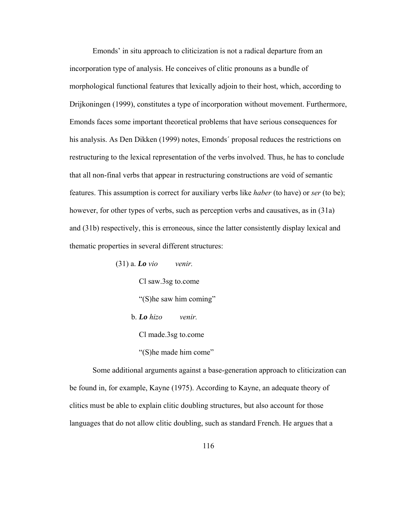Emonds' in situ approach to cliticization is not a radical departure from an incorporation type of analysis. He conceives of clitic pronouns as a bundle of morphological functional features that lexically adjoin to their host, which, according to Drijkoningen (1999), constitutes a type of incorporation without movement. Furthermore, Emonds faces some important theoretical problems that have serious consequences for his analysis. As Den Dikken (1999) notes, Emonds´ proposal reduces the restrictions on restructuring to the lexical representation of the verbs involved. Thus, he has to conclude that all non-final verbs that appear in restructuring constructions are void of semantic features. This assumption is correct for auxiliary verbs like *haber* (to have) or *ser* (to be); however, for other types of verbs, such as perception verbs and causatives, as in  $(31a)$ and (31b) respectively, this is erroneous, since the latter consistently display lexical and thematic properties in several different structures:

> (31) a. *Lo vio venir.*  Cl saw.3sg to.come "(S)he saw him coming" b. *Lo hizo venir.*  Cl made.3sg to.come "(S)he made him come"

 Some additional arguments against a base-generation approach to cliticization can be found in, for example, Kayne (1975). According to Kayne, an adequate theory of clitics must be able to explain clitic doubling structures, but also account for those languages that do not allow clitic doubling, such as standard French. He argues that a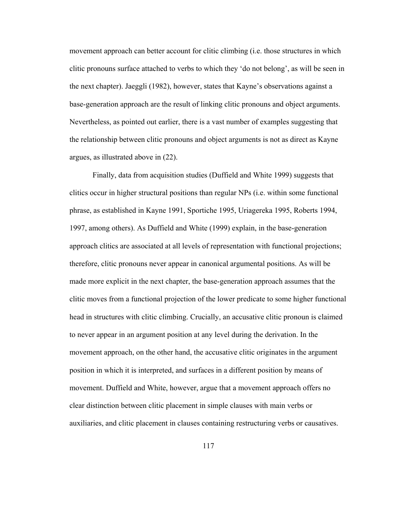movement approach can better account for clitic climbing (i.e. those structures in which clitic pronouns surface attached to verbs to which they 'do not belong', as will be seen in the next chapter). Jaeggli (1982), however, states that Kayne's observations against a base-generation approach are the result of linking clitic pronouns and object arguments. Nevertheless, as pointed out earlier, there is a vast number of examples suggesting that the relationship between clitic pronouns and object arguments is not as direct as Kayne argues, as illustrated above in (22).

 Finally, data from acquisition studies (Duffield and White 1999) suggests that clitics occur in higher structural positions than regular NPs (i.e. within some functional phrase, as established in Kayne 1991, Sportiche 1995, Uriagereka 1995, Roberts 1994, 1997, among others). As Duffield and White (1999) explain, in the base-generation approach clitics are associated at all levels of representation with functional projections; therefore, clitic pronouns never appear in canonical argumental positions. As will be made more explicit in the next chapter, the base-generation approach assumes that the clitic moves from a functional projection of the lower predicate to some higher functional head in structures with clitic climbing. Crucially, an accusative clitic pronoun is claimed to never appear in an argument position at any level during the derivation. In the movement approach, on the other hand, the accusative clitic originates in the argument position in which it is interpreted, and surfaces in a different position by means of movement. Duffield and White, however, argue that a movement approach offers no clear distinction between clitic placement in simple clauses with main verbs or auxiliaries, and clitic placement in clauses containing restructuring verbs or causatives.

117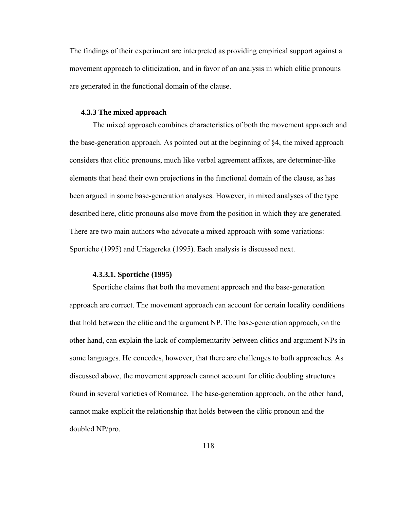The findings of their experiment are interpreted as providing empirical support against a movement approach to cliticization, and in favor of an analysis in which clitic pronouns are generated in the functional domain of the clause.

#### **4.3.3 The mixed approach**

 The mixed approach combines characteristics of both the movement approach and the base-generation approach. As pointed out at the beginning of §4, the mixed approach considers that clitic pronouns, much like verbal agreement affixes, are determiner-like elements that head their own projections in the functional domain of the clause, as has been argued in some base-generation analyses. However, in mixed analyses of the type described here, clitic pronouns also move from the position in which they are generated. There are two main authors who advocate a mixed approach with some variations: Sportiche (1995) and Uriagereka (1995). Each analysis is discussed next.

### **4.3.3.1. Sportiche (1995)**

 Sportiche claims that both the movement approach and the base-generation approach are correct. The movement approach can account for certain locality conditions that hold between the clitic and the argument NP. The base-generation approach, on the other hand, can explain the lack of complementarity between clitics and argument NPs in some languages. He concedes, however, that there are challenges to both approaches. As discussed above, the movement approach cannot account for clitic doubling structures found in several varieties of Romance. The base-generation approach, on the other hand, cannot make explicit the relationship that holds between the clitic pronoun and the doubled NP/pro.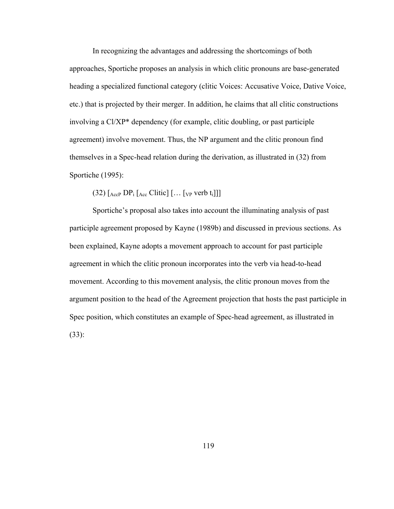In recognizing the advantages and addressing the shortcomings of both approaches, Sportiche proposes an analysis in which clitic pronouns are base-generated heading a specialized functional category (clitic Voices: Accusative Voice, Dative Voice, etc.) that is projected by their merger. In addition, he claims that all clitic constructions involving a Cl/XP\* dependency (for example, clitic doubling, or past participle agreement) involve movement. Thus, the NP argument and the clitic pronoun find themselves in a Spec-head relation during the derivation, as illustrated in (32) from Sportiche (1995):

 $(32)$   $\lceil_{\text{AccP}}$  DP<sub>i</sub>  $\lceil_{\text{Acc}}$  Clitic $\lceil \dots \lceil_{\text{VP}}$  verb t<sub>i</sub>

 Sportiche's proposal also takes into account the illuminating analysis of past participle agreement proposed by Kayne (1989b) and discussed in previous sections. As been explained, Kayne adopts a movement approach to account for past participle agreement in which the clitic pronoun incorporates into the verb via head-to-head movement. According to this movement analysis, the clitic pronoun moves from the argument position to the head of the Agreement projection that hosts the past participle in Spec position, which constitutes an example of Spec-head agreement, as illustrated in (33):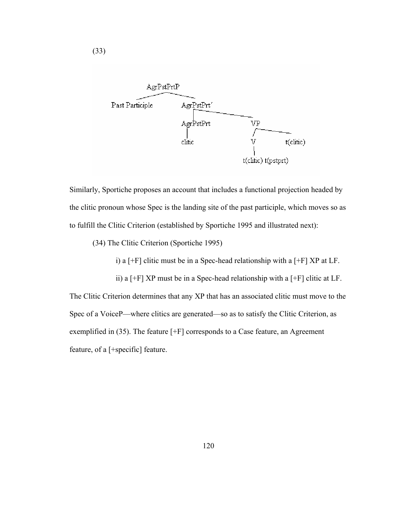

Similarly, Sportiche proposes an account that includes a functional projection headed by the clitic pronoun whose Spec is the landing site of the past participle, which moves so as to fulfill the Clitic Criterion (established by Sportiche 1995 and illustrated next):

(34) The Clitic Criterion (Sportiche 1995)

i) a [+F] clitic must be in a Spec-head relationship with a [+F] XP at LF.

ii) a [+F] XP must be in a Spec-head relationship with a [+F] clitic at LF.

The Clitic Criterion determines that any XP that has an associated clitic must move to the Spec of a VoiceP—where clitics are generated—so as to satisfy the Clitic Criterion, as exemplified in (35). The feature [+F] corresponds to a Case feature, an Agreement feature, of a [+specific] feature.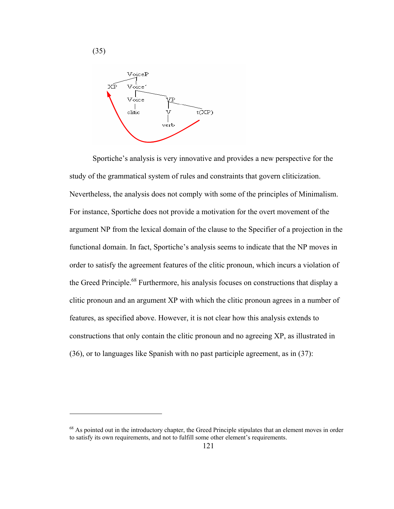

 Sportiche's analysis is very innovative and provides a new perspective for the study of the grammatical system of rules and constraints that govern cliticization. Nevertheless, the analysis does not comply with some of the principles of Minimalism. For instance, Sportiche does not provide a motivation for the overt movement of the argument NP from the lexical domain of the clause to the Specifier of a projection in the functional domain. In fact, Sportiche's analysis seems to indicate that the NP moves in order to satisfy the agreement features of the clitic pronoun, which incurs a violation of the Greed Principle.<sup>68</sup> Furthermore, his analysis focuses on constructions that display a clitic pronoun and an argument XP with which the clitic pronoun agrees in a number of features, as specified above. However, it is not clear how this analysis extends to constructions that only contain the clitic pronoun and no agreeing XP, as illustrated in (36), or to languages like Spanish with no past participle agreement, as in (37):

<u>.</u>

<sup>&</sup>lt;sup>68</sup> As pointed out in the introductory chapter, the Greed Principle stipulates that an element moves in order to satisfy its own requirements, and not to fulfill some other element's requirements.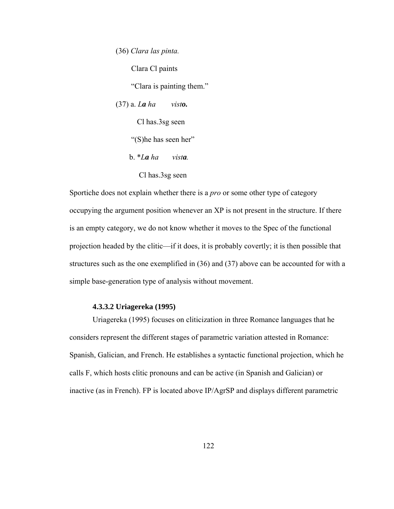(36) *Clara las pinta.* 

Clara Cl paints

"Clara is painting them."

(37) a. *La ha visto.*

Cl has.3sg seen

"(S)he has seen her"

b. \**La ha vista.* 

Cl has.3sg seen

Sportiche does not explain whether there is a *pro* or some other type of category occupying the argument position whenever an XP is not present in the structure. If there is an empty category, we do not know whether it moves to the Spec of the functional projection headed by the clitic—if it does, it is probably covertly; it is then possible that structures such as the one exemplified in (36) and (37) above can be accounted for with a simple base-generation type of analysis without movement.

### **4.3.3.2 Uriagereka (1995)**

 Uriagereka (1995) focuses on cliticization in three Romance languages that he considers represent the different stages of parametric variation attested in Romance: Spanish, Galician, and French. He establishes a syntactic functional projection, which he calls F, which hosts clitic pronouns and can be active (in Spanish and Galician) or inactive (as in French). FP is located above IP/AgrSP and displays different parametric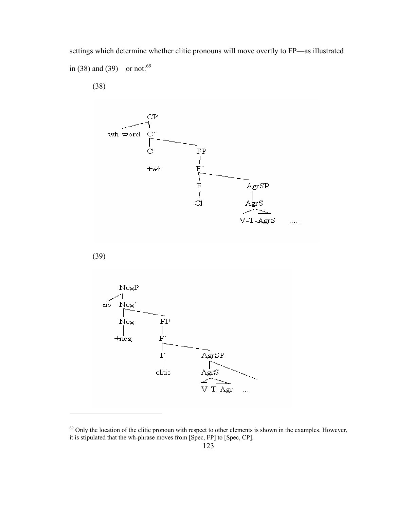settings which determine whether clitic pronouns will move overtly to FP—as illustrated in (38) and (39)—or not: $^{69}$ 

(38)





<sup>&</sup>lt;sup>69</sup> Only the location of the clitic pronoun with respect to other elements is shown in the examples. However, it is stipulated that the wh-phrase moves from [Spec, FP] to [Spec, CP].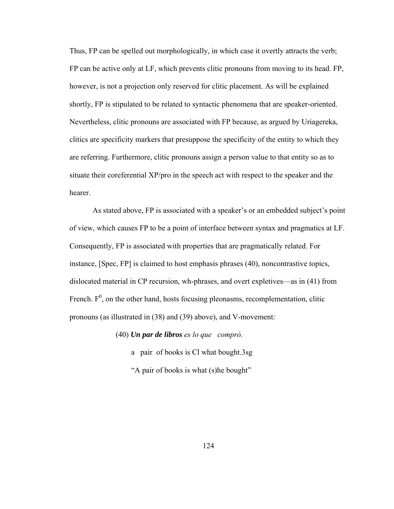Thus, FP can be spelled out morphologically, in which case it overtly attracts the verb; FP can be active only at LF, which prevents clitic pronouns from moving to its head. FP, however, is not a projection only reserved for clitic placement. As will be explained shortly, FP is stipulated to be related to syntactic phenomena that are speaker-oriented. Nevertheless, clitic pronouns are associated with FP because, as argued by Uriagereka, clitics are specificity markers that presuppose the specificity of the entity to which they are referring. Furthermore, clitic pronouns assign a person value to that entity so as to situate their coreferential XP/pro in the speech act with respect to the speaker and the hearer.

 As stated above, FP is associated with a speaker's or an embedded subject's point of view, which causes FP to be a point of interface between syntax and pragmatics at LF. Consequently, FP is associated with properties that are pragmatically related. For instance, [Spec, FP] is claimed to host emphasis phrases (40), noncontrastive topics, dislocated material in CP recursion, wh-phrases, and overt expletives—as in (41) from French.  $F<sup>0</sup>$ , on the other hand, hosts focusing pleonasms, recomplementation, clitic pronouns (as illustrated in (38) and (39) above), and V-movement:

(40) *Un par de libros es lo que compró.*

 a pair of books is Cl what bought.3sg "A pair of books is what (s)he bought"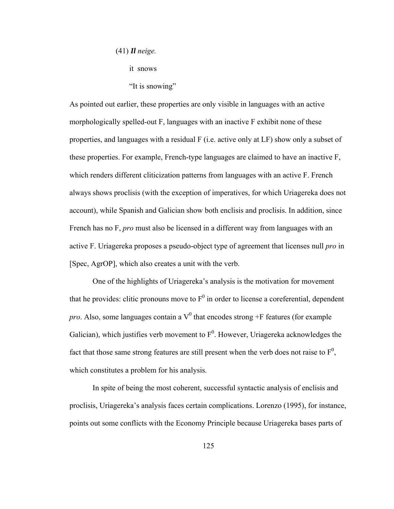(41) *Il neige.* 

it snows

"It is snowing"

As pointed out earlier, these properties are only visible in languages with an active morphologically spelled-out F, languages with an inactive F exhibit none of these properties, and languages with a residual F (i.e. active only at LF) show only a subset of these properties. For example, French-type languages are claimed to have an inactive F, which renders different cliticization patterns from languages with an active F. French always shows proclisis (with the exception of imperatives, for which Uriagereka does not account), while Spanish and Galician show both enclisis and proclisis. In addition, since French has no F, *pro* must also be licensed in a different way from languages with an active F. Uriagereka proposes a pseudo-object type of agreement that licenses null *pro* in [Spec, AgrOP], which also creates a unit with the verb.

 One of the highlights of Uriagereka's analysis is the motivation for movement that he provides: clitic pronouns move to  $F^0$  in order to license a coreferential, dependent *pro*. Also, some languages contain a  $V^0$  that encodes strong  $+F$  features (for example Galician), which justifies verb movement to  $F^0$ . However, Uriagereka acknowledges the fact that those same strong features are still present when the verb does not raise to  $F<sup>0</sup>$ , which constitutes a problem for his analysis.

In spite of being the most coherent, successful syntactic analysis of enclisis and proclisis, Uriagereka's analysis faces certain complications. Lorenzo (1995), for instance, points out some conflicts with the Economy Principle because Uriagereka bases parts of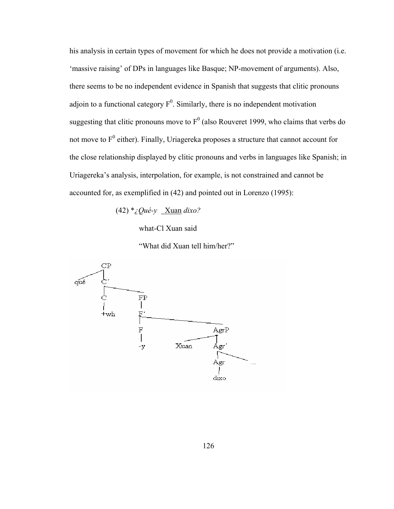his analysis in certain types of movement for which he does not provide a motivation (i.e. 'massive raising' of DPs in languages like Basque; NP-movement of arguments). Also, there seems to be no independent evidence in Spanish that suggests that clitic pronouns adjoin to a functional category  $F^0$ . Similarly, there is no independent motivation suggesting that clitic pronouns move to  $F^0$  (also Rouveret 1999, who claims that verbs do not move to  $F^0$  either). Finally, Uriagereka proposes a structure that cannot account for the close relationship displayed by clitic pronouns and verbs in languages like Spanish; in Uriagereka's analysis, interpolation, for example, is not constrained and cannot be accounted for, as exemplified in (42) and pointed out in Lorenzo (1995):

(42) \**¿Qué-y* Xuan *dixo?*

what-Cl Xuan said



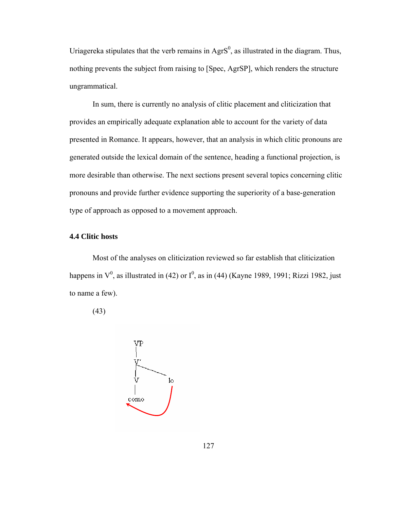Uriagereka stipulates that the verb remains in  $\text{AgrS}^0$ , as illustrated in the diagram. Thus, nothing prevents the subject from raising to [Spec, AgrSP], which renders the structure ungrammatical.

 In sum, there is currently no analysis of clitic placement and cliticization that provides an empirically adequate explanation able to account for the variety of data presented in Romance. It appears, however, that an analysis in which clitic pronouns are generated outside the lexical domain of the sentence, heading a functional projection, is more desirable than otherwise. The next sections present several topics concerning clitic pronouns and provide further evidence supporting the superiority of a base-generation type of approach as opposed to a movement approach.

## **4.4 Clitic hosts**

Most of the analyses on cliticization reviewed so far establish that cliticization happens in  $V^0$ , as illustrated in (42) or  $I^0$ , as in (44) (Kayne 1989, 1991; Rizzi 1982, just to name a few).

(43)

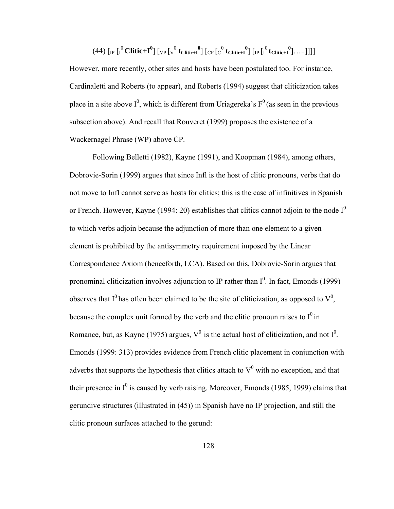$(44)$   $\left[\text{IP } \left[\text{I}^0 \text{Clitic+I}^0\right]$   $\left[\text{VP } \left[\text{V}^0 \text{ } \text{t}_{\text{Clitic}+1}^0\right]$   $\left[\text{CP } \left[\text{C}^0 \text{ } \text{t}_{\text{Clitic}+1}^0\right]$   $\left[\text{IP } \left[\text{I}^0 \text{ } \text{t}_{\text{Clitic}+1}^0\right]$ .....]]]]

However, more recently, other sites and hosts have been postulated too. For instance, Cardinaletti and Roberts (to appear), and Roberts (1994) suggest that cliticization takes place in a site above  $I^0$ , which is different from Uriagereka's  $F^0$  (as seen in the previous subsection above). And recall that Rouveret (1999) proposes the existence of a Wackernagel Phrase (WP) above CP.

Following Belletti (1982), Kayne (1991), and Koopman (1984), among others, Dobrovie-Sorin (1999) argues that since Infl is the host of clitic pronouns, verbs that do not move to Infl cannot serve as hosts for clitics; this is the case of infinitives in Spanish or French. However, Kayne (1994: 20) establishes that clitics cannot adjoin to the node  $I^0$ to which verbs adjoin because the adjunction of more than one element to a given element is prohibited by the antisymmetry requirement imposed by the Linear Correspondence Axiom (henceforth, LCA). Based on this, Dobrovie-Sorin argues that pronominal cliticization involves adjunction to IP rather than  $I^0$ . In fact, Emonds (1999) observes that  $I^0$  has often been claimed to be the site of cliticization, as opposed to  $V^0$ , because the complex unit formed by the verb and the clitic pronoun raises to  $I^0$  in Romance, but, as Kayne (1975) argues,  $V^0$  is the actual host of cliticization, and not  $I^0$ . Emonds (1999: 313) provides evidence from French clitic placement in conjunction with adverbs that supports the hypothesis that clitics attach to  $V^0$  with no exception, and that their presence in  $I^0$  is caused by verb raising. Moreover, Emonds (1985, 1999) claims that gerundive structures (illustrated in (45)) in Spanish have no IP projection, and still the clitic pronoun surfaces attached to the gerund: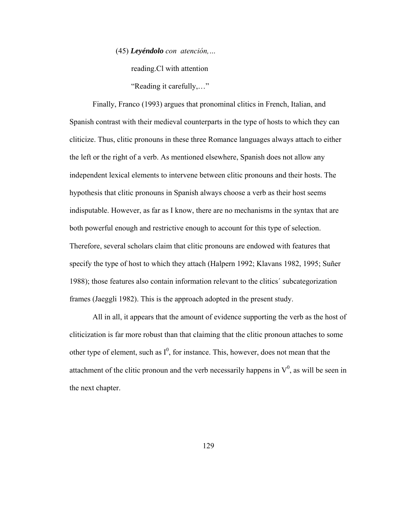(45) *Leyéndolo con atención,…* 

reading.Cl with attention

"Reading it carefully,…"

 Finally, Franco (1993) argues that pronominal clitics in French, Italian, and Spanish contrast with their medieval counterparts in the type of hosts to which they can cliticize. Thus, clitic pronouns in these three Romance languages always attach to either the left or the right of a verb. As mentioned elsewhere, Spanish does not allow any independent lexical elements to intervene between clitic pronouns and their hosts. The hypothesis that clitic pronouns in Spanish always choose a verb as their host seems indisputable. However, as far as I know, there are no mechanisms in the syntax that are both powerful enough and restrictive enough to account for this type of selection. Therefore, several scholars claim that clitic pronouns are endowed with features that specify the type of host to which they attach (Halpern 1992; Klavans 1982, 1995; Suñer 1988); those features also contain information relevant to the clitics´ subcategorization frames (Jaeggli 1982). This is the approach adopted in the present study.

 All in all, it appears that the amount of evidence supporting the verb as the host of cliticization is far more robust than that claiming that the clitic pronoun attaches to some other type of element, such as  $I^0$ , for instance. This, however, does not mean that the attachment of the clitic pronoun and the verb necessarily happens in  $V^0$ , as will be seen in the next chapter.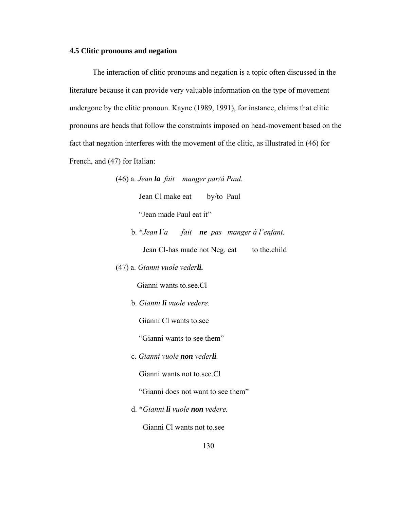### **4.5 Clitic pronouns and negation**

 The interaction of clitic pronouns and negation is a topic often discussed in the literature because it can provide very valuable information on the type of movement undergone by the clitic pronoun. Kayne (1989, 1991), for instance, claims that clitic pronouns are heads that follow the constraints imposed on head-movement based on the fact that negation interferes with the movement of the clitic, as illustrated in (46) for French, and (47) for Italian:

> (46) a. *Jean la fait manger par/à Paul.*  Jean Cl make eat by/to Paul "Jean made Paul eat it"

> > b. \**Jean l´a fait ne pas manger à l´enfant.*

Jean Cl-has made not Neg. eat to the.child

(47) a. *Gianni vuole vederli.*

Gianni wants to.see.Cl

b. *Gianni li vuole vedere.* 

Gianni Cl wants to.see

"Gianni wants to see them"

c. *Gianni vuole non vederli.* 

Gianni wants not to.see.Cl

"Gianni does not want to see them"

d. \**Gianni li vuole non vedere.*

Gianni Cl wants not to.see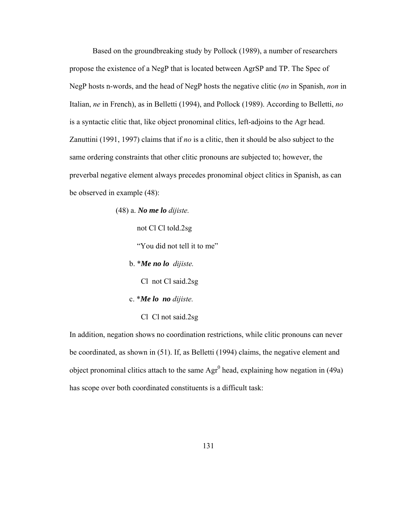Based on the groundbreaking study by Pollock (1989), a number of researchers propose the existence of a NegP that is located between AgrSP and TP. The Spec of NegP hosts n-words, and the head of NegP hosts the negative clitic (*no* in Spanish, *non* in Italian, *ne* in French), as in Belletti (1994), and Pollock (1989). According to Belletti, *no* is a syntactic clitic that, like object pronominal clitics, left-adjoins to the Agr head. Zanuttini (1991, 1997) claims that if *no* is a clitic, then it should be also subject to the same ordering constraints that other clitic pronouns are subjected to; however, the preverbal negative element always precedes pronominal object clitics in Spanish, as can be observed in example (48):

> (48) a. *No me lo dijiste.*  not Cl Cl told.2sg "You did not tell it to me" b. \**Me no lo dijiste.*  Cl not Cl said.2sg c. \**Me lo no dijiste.*  Cl Cl not said.2sg

In addition, negation shows no coordination restrictions, while clitic pronouns can never be coordinated, as shown in (51). If, as Belletti (1994) claims, the negative element and object pronominal clitics attach to the same  $\text{Agr}^0$  head, explaining how negation in (49a) has scope over both coordinated constituents is a difficult task: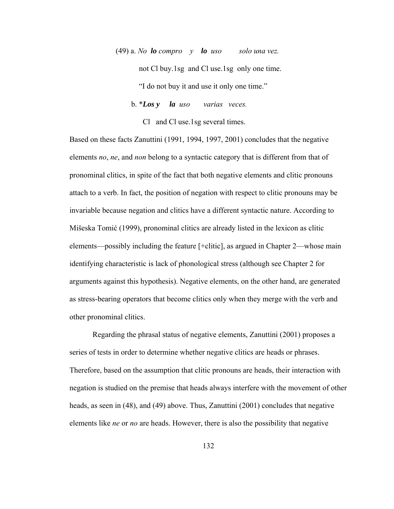(49) a. *No lo compro y lo uso solo una vez.* not Cl buy.1sg and Cl use.1sg only one time. "I do not buy it and use it only one time." b. \**Los y la uso varias veces.* 

Cl and Cl use.1sg several times.

Based on these facts Zanuttini (1991, 1994, 1997, 2001) concludes that the negative elements *no*, *ne*, and *non* belong to a syntactic category that is different from that of pronominal clitics, in spite of the fact that both negative elements and clitic pronouns attach to a verb. In fact, the position of negation with respect to clitic pronouns may be invariable because negation and clitics have a different syntactic nature. According to Mišeska Tomić (1999), pronominal clitics are already listed in the lexicon as clitic elements—possibly including the feature [+clitic], as argued in Chapter 2—whose main identifying characteristic is lack of phonological stress (although see Chapter 2 for arguments against this hypothesis). Negative elements, on the other hand, are generated as stress-bearing operators that become clitics only when they merge with the verb and other pronominal clitics.

 Regarding the phrasal status of negative elements, Zanuttini (2001) proposes a series of tests in order to determine whether negative clitics are heads or phrases. Therefore, based on the assumption that clitic pronouns are heads, their interaction with negation is studied on the premise that heads always interfere with the movement of other heads, as seen in (48), and (49) above. Thus, Zanuttini (2001) concludes that negative elements like *ne* or *no* are heads. However, there is also the possibility that negative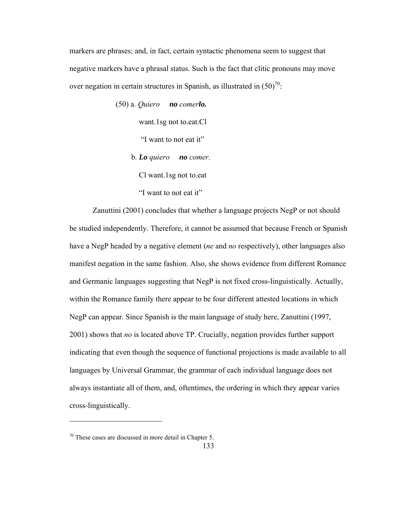markers are phrases; and, in fact, certain syntactic phenomena seem to suggest that negative markers have a phrasal status. Such is the fact that clitic pronouns may move over negation in certain structures in Spanish, as illustrated in  $(50)^{70}$ .

> (50) a. *Quiero no comerlo.* want.1sg not to.eat.Cl "I want to not eat it" b. *Lo quiero no comer.*  Cl want.1sg not to.eat "I want to not eat it"

 Zanuttini (2001) concludes that whether a language projects NegP or not should be studied independently. Therefore, it cannot be assumed that because French or Spanish have a NegP headed by a negative element (*ne* and *no* respectively), other languages also manifest negation in the same fashion. Also, she shows evidence from different Romance and Germanic languages suggesting that NegP is not fixed cross-linguistically. Actually, within the Romance family there appear to be four different attested locations in which NegP can appear. Since Spanish is the main language of study here, Zanuttini (1997, 2001) shows that *no* is located above TP. Crucially, negation provides further support indicating that even though the sequence of functional projections is made available to all languages by Universal Grammar, the grammar of each individual language does not always instantiate all of them, and, oftentimes, the ordering in which they appear varies cross-linguistically.

1

 $70$  These cases are discussed in more detail in Chapter 5.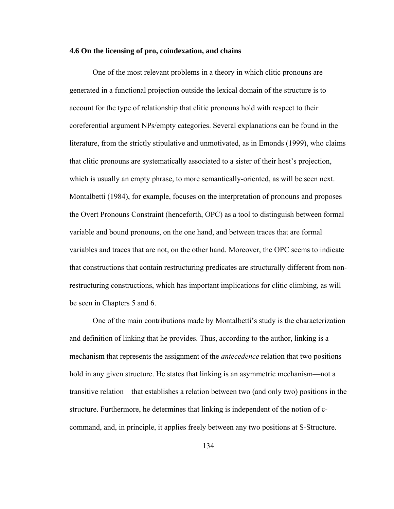# **4.6 On the licensing of pro, coindexation, and chains**

 One of the most relevant problems in a theory in which clitic pronouns are generated in a functional projection outside the lexical domain of the structure is to account for the type of relationship that clitic pronouns hold with respect to their coreferential argument NPs/empty categories. Several explanations can be found in the literature, from the strictly stipulative and unmotivated, as in Emonds (1999), who claims that clitic pronouns are systematically associated to a sister of their host's projection, which is usually an empty phrase, to more semantically-oriented, as will be seen next. Montalbetti (1984), for example, focuses on the interpretation of pronouns and proposes the Overt Pronouns Constraint (henceforth, OPC) as a tool to distinguish between formal variable and bound pronouns, on the one hand, and between traces that are formal variables and traces that are not, on the other hand. Moreover, the OPC seems to indicate that constructions that contain restructuring predicates are structurally different from nonrestructuring constructions, which has important implications for clitic climbing, as will be seen in Chapters 5 and 6.

 One of the main contributions made by Montalbetti's study is the characterization and definition of linking that he provides. Thus, according to the author, linking is a mechanism that represents the assignment of the *antecedence* relation that two positions hold in any given structure. He states that linking is an asymmetric mechanism—not a transitive relation—that establishes a relation between two (and only two) positions in the structure. Furthermore, he determines that linking is independent of the notion of ccommand, and, in principle, it applies freely between any two positions at S-Structure.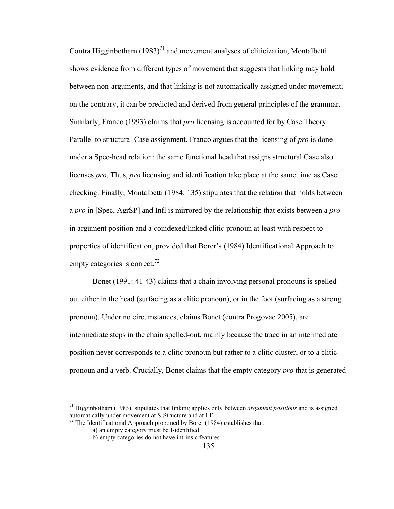Contra Higginbotham  $(1983)^{71}$  and movement analyses of cliticization, Montalbetti shows evidence from different types of movement that suggests that linking may hold between non-arguments, and that linking is not automatically assigned under movement; on the contrary, it can be predicted and derived from general principles of the grammar. Similarly, Franco (1993) claims that *pro* licensing is accounted for by Case Theory. Parallel to structural Case assignment, Franco argues that the licensing of *pro* is done under a Spec-head relation: the same functional head that assigns structural Case also licenses *pro*. Thus, *pro* licensing and identification take place at the same time as Case checking. Finally, Montalbetti (1984: 135) stipulates that the relation that holds between a *pro* in [Spec, AgrSP] and Infl is mirrored by the relationship that exists between a *pro* in argument position and a coindexed/linked clitic pronoun at least with respect to properties of identification, provided that Borer's (1984) Identificational Approach to empty categories is correct.<sup>72</sup>

 Bonet (1991: 41-43) claims that a chain involving personal pronouns is spelledout either in the head (surfacing as a clitic pronoun), or in the foot (surfacing as a strong pronoun). Under no circumstances, claims Bonet (contra Progovac 2005), are intermediate steps in the chain spelled-out, mainly because the trace in an intermediate position never corresponds to a clitic pronoun but rather to a clitic cluster, or to a clitic pronoun and a verb. Crucially, Bonet claims that the empty category *pro* that is generated

<sup>71</sup> Higginbotham (1983), stipulates that linking applies only between *argument positions* and is assigned

 $12$ <sup>72</sup> The Identificational Approach proponed by Borer (1984) establishes that:

a) an empty category must be I-identified

b) empty categories do not have intrinsic features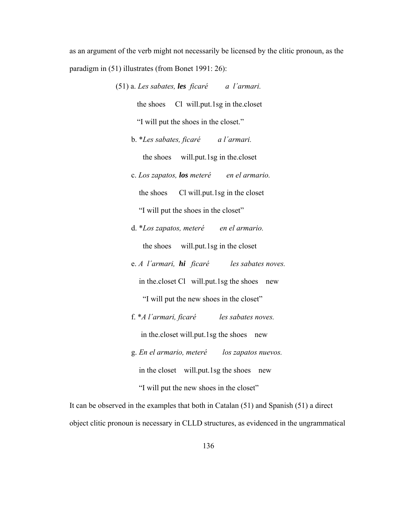as an argument of the verb might not necessarily be licensed by the clitic pronoun, as the paradigm in (51) illustrates (from Bonet 1991: 26):

- (51) a. *Les sabates, les ficaré a l´armari.*  the shoes Cl will.put.1sg in the.closet "I will put the shoes in the closet."
	- b. \**Les sabates, ficaré a l´armari.*

the shoes will.put.1sg in the.closet

 c. *Los zapatos, los meteré en el armario.* the shoes Cl will.put.1sg in the closet "I will put the shoes in the closet"

- d. \**Los zapatos, meteré en el armario.*  the shoes will.put.1sg in the closet
- e. *A l´armari, hi ficaré les sabates noves.*  in the.closet Cl will.put.1sg the shoes new "I will put the new shoes in the closet"
- f. \**A l´armari, ficaré les sabates noves.*  in the.closet will.put.1sg the shoes new
- g. *En el armario, meteré los zapatos nuevos.*  in the closet will.put.1sg the shoes new "I will put the new shoes in the closet"

It can be observed in the examples that both in Catalan (51) and Spanish (51) a direct object clitic pronoun is necessary in CLLD structures, as evidenced in the ungrammatical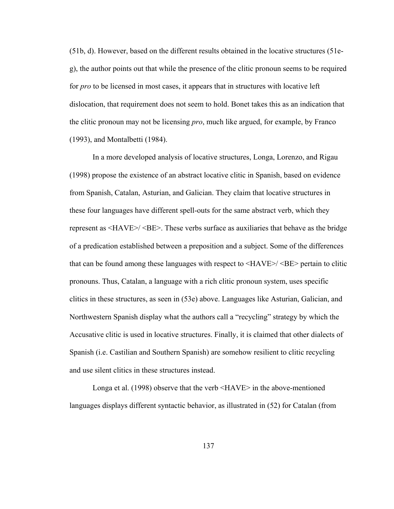(51b, d). However, based on the different results obtained in the locative structures (51eg), the author points out that while the presence of the clitic pronoun seems to be required for *pro* to be licensed in most cases, it appears that in structures with locative left dislocation, that requirement does not seem to hold. Bonet takes this as an indication that the clitic pronoun may not be licensing *pro*, much like argued, for example, by Franco (1993), and Montalbetti (1984).

In a more developed analysis of locative structures, Longa, Lorenzo, and Rigau (1998) propose the existence of an abstract locative clitic in Spanish, based on evidence from Spanish, Catalan, Asturian, and Galician. They claim that locative structures in these four languages have different spell-outs for the same abstract verb, which they represent as <HAVE>/ <BE>. These verbs surface as auxiliaries that behave as the bridge of a predication established between a preposition and a subject. Some of the differences that can be found among these languages with respect to  $\langle$ HAVE $>\rangle$   $\langle$ BE $>$  pertain to clitic pronouns. Thus, Catalan, a language with a rich clitic pronoun system, uses specific clitics in these structures, as seen in (53e) above. Languages like Asturian, Galician, and Northwestern Spanish display what the authors call a "recycling" strategy by which the Accusative clitic is used in locative structures. Finally, it is claimed that other dialects of Spanish (i.e. Castilian and Southern Spanish) are somehow resilient to clitic recycling and use silent clitics in these structures instead.

Longa et al. (1998) observe that the verb <HAVE> in the above-mentioned languages displays different syntactic behavior, as illustrated in (52) for Catalan (from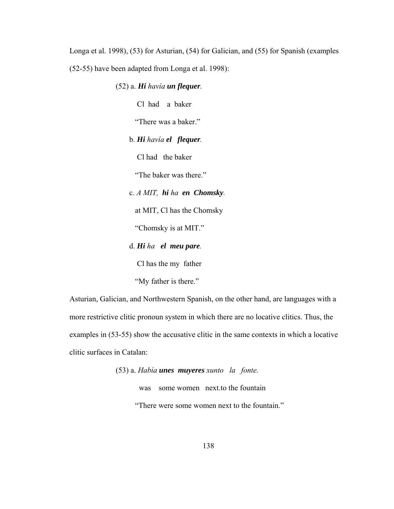Longa et al. 1998), (53) for Asturian, (54) for Galician, and (55) for Spanish (examples (52-55) have been adapted from Longa et al. 1998):

(52) a. *Hi havía un flequer.* 

Cl had a baker

"There was a baker."

b. *Hi havía el flequer.* 

Cl had the baker

"The baker was there."

c. *A MIT, hi ha en Chomsky.* 

at MIT, Cl has the Chomsky

"Chomsky is at MIT."

d. *Hi ha el meu pare.* 

Cl has the my father

"My father is there."

Asturian, Galician, and Northwestern Spanish, on the other hand, are languages with a more restrictive clitic pronoun system in which there are no locative clitics. Thus, the examples in (53-55) show the accusative clitic in the same contexts in which a locative clitic surfaces in Catalan:

(53) a. *Había unes muyeres xunto la fonte.* 

 was some women next.to the fountain "There were some women next to the fountain."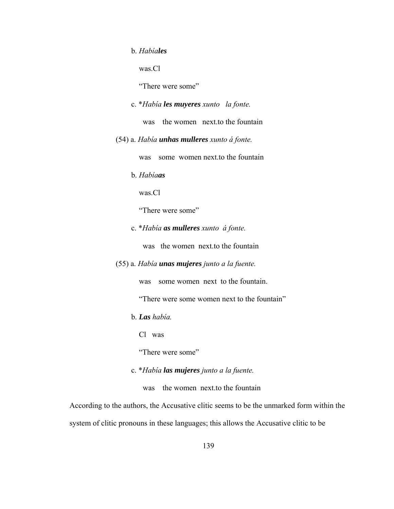b. *Habíales* 

was.Cl

"There were some"

c. \**Había les muyeres xunto la fonte.* 

was the women next.to the fountain

(54) a. *Había unhas mulleres xunto á fonte.* 

was some women next.to the fountain

b. *Habíaas*

was.Cl

"There were some"

c. \**Había as mulleres xunto á fonte.* 

was the women next.to the fountain

(55) a. *Había unas mujeres junto a la fuente.* 

was some women next to the fountain.

"There were some women next to the fountain"

b. *Las había.* 

Cl was

"There were some"

c. \**Había las mujeres junto a la fuente.* 

was the women next.to the fountain

According to the authors, the Accusative clitic seems to be the unmarked form within the system of clitic pronouns in these languages; this allows the Accusative clitic to be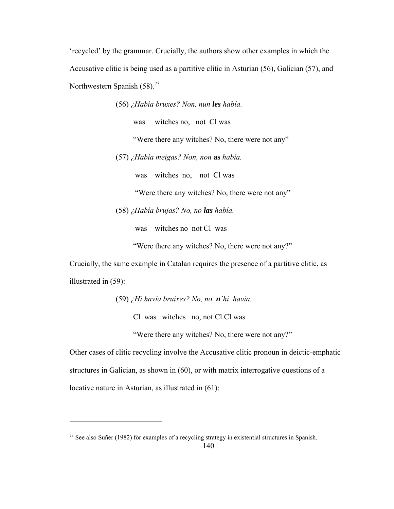'recycled' by the grammar. Crucially, the authors show other examples in which the Accusative clitic is being used as a partitive clitic in Asturian (56), Galician (57), and Northwestern Spanish  $(58)^{73}$ 

(56) *¿Había bruxes? Non, nun les había.* 

was witches no, not Cl was

"Were there any witches? No, there were not any"

(57) *¿Había meigas? Non, non* **as** *había.* 

was witches no, not Cl was

"Were there any witches? No, there were not any"

(58) *¿Había brujas? No, no las había.* 

was witches no not Cl was

"Were there any witches? No, there were not any?"

Crucially, the same example in Catalan requires the presence of a partitive clitic, as illustrated in (59):

(59) *¿Hi havía bruixes? No, no n´hi havía.* 

Cl was witches no, not Cl.Cl was

"Were there any witches? No, there were not any?"

Other cases of clitic recycling involve the Accusative clitic pronoun in deictic-emphatic structures in Galician, as shown in (60), or with matrix interrogative questions of a locative nature in Asturian, as illustrated in (61):

<sup>73</sup> See also Suñer (1982) for examples of a recycling strategy in existential structures in Spanish.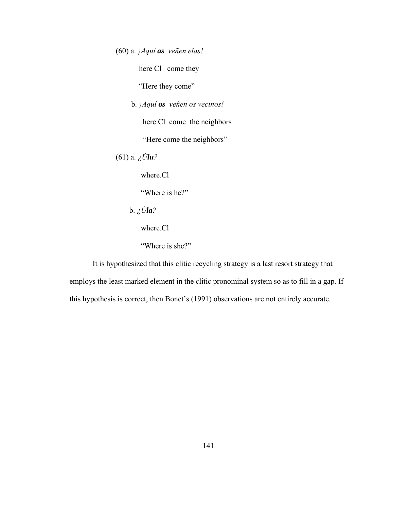(60) a. *¡Aquí as veñen elas!* 

here Cl come they

"Here they come"

b. *¡Aquí os veñen os vecinos!* 

here Cl come the neighbors

"Here come the neighbors"

(61) a. *¿Úlu?*

where.Cl

"Where is he?"

b. *¿Úla?*

where.Cl

"Where is she?"

 It is hypothesized that this clitic recycling strategy is a last resort strategy that employs the least marked element in the clitic pronominal system so as to fill in a gap. If this hypothesis is correct, then Bonet's (1991) observations are not entirely accurate.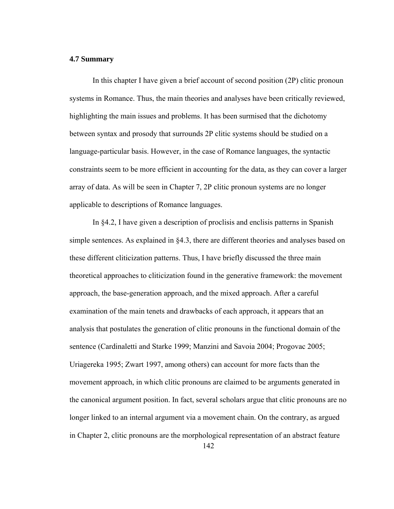#### **4.7 Summary**

 In this chapter I have given a brief account of second position (2P) clitic pronoun systems in Romance. Thus, the main theories and analyses have been critically reviewed, highlighting the main issues and problems. It has been surmised that the dichotomy between syntax and prosody that surrounds 2P clitic systems should be studied on a language-particular basis. However, in the case of Romance languages, the syntactic constraints seem to be more efficient in accounting for the data, as they can cover a larger array of data. As will be seen in Chapter 7, 2P clitic pronoun systems are no longer applicable to descriptions of Romance languages.

 In §4.2, I have given a description of proclisis and enclisis patterns in Spanish simple sentences. As explained in §4.3, there are different theories and analyses based on these different cliticization patterns. Thus, I have briefly discussed the three main theoretical approaches to cliticization found in the generative framework: the movement approach, the base-generation approach, and the mixed approach. After a careful examination of the main tenets and drawbacks of each approach, it appears that an analysis that postulates the generation of clitic pronouns in the functional domain of the sentence (Cardinaletti and Starke 1999; Manzini and Savoia 2004; Progovac 2005; Uriagereka 1995; Zwart 1997, among others) can account for more facts than the movement approach, in which clitic pronouns are claimed to be arguments generated in the canonical argument position. In fact, several scholars argue that clitic pronouns are no longer linked to an internal argument via a movement chain. On the contrary, as argued in Chapter 2, clitic pronouns are the morphological representation of an abstract feature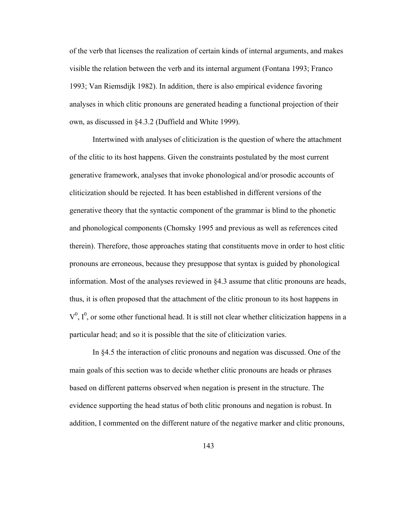of the verb that licenses the realization of certain kinds of internal arguments, and makes visible the relation between the verb and its internal argument (Fontana 1993; Franco 1993; Van Riemsdijk 1982). In addition, there is also empirical evidence favoring analyses in which clitic pronouns are generated heading a functional projection of their own, as discussed in §4.3.2 (Duffield and White 1999).

 Intertwined with analyses of cliticization is the question of where the attachment of the clitic to its host happens. Given the constraints postulated by the most current generative framework, analyses that invoke phonological and/or prosodic accounts of cliticization should be rejected. It has been established in different versions of the generative theory that the syntactic component of the grammar is blind to the phonetic and phonological components (Chomsky 1995 and previous as well as references cited therein). Therefore, those approaches stating that constituents move in order to host clitic pronouns are erroneous, because they presuppose that syntax is guided by phonological information. Most of the analyses reviewed in §4.3 assume that clitic pronouns are heads, thus, it is often proposed that the attachment of the clitic pronoun to its host happens in  $V^0$ ,  $I^0$ , or some other functional head. It is still not clear whether cliticization happens in a particular head; and so it is possible that the site of cliticization varies.

 In §4.5 the interaction of clitic pronouns and negation was discussed. One of the main goals of this section was to decide whether clitic pronouns are heads or phrases based on different patterns observed when negation is present in the structure. The evidence supporting the head status of both clitic pronouns and negation is robust. In addition, I commented on the different nature of the negative marker and clitic pronouns,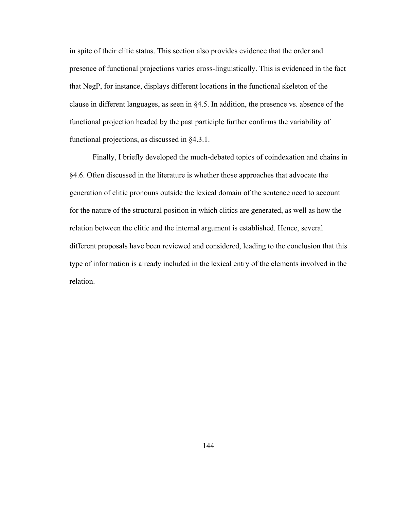in spite of their clitic status. This section also provides evidence that the order and presence of functional projections varies cross-linguistically. This is evidenced in the fact that NegP, for instance, displays different locations in the functional skeleton of the clause in different languages, as seen in §4.5. In addition, the presence vs. absence of the functional projection headed by the past participle further confirms the variability of functional projections, as discussed in §4.3.1.

 Finally, I briefly developed the much-debated topics of coindexation and chains in §4.6. Often discussed in the literature is whether those approaches that advocate the generation of clitic pronouns outside the lexical domain of the sentence need to account for the nature of the structural position in which clitics are generated, as well as how the relation between the clitic and the internal argument is established. Hence, several different proposals have been reviewed and considered, leading to the conclusion that this type of information is already included in the lexical entry of the elements involved in the relation.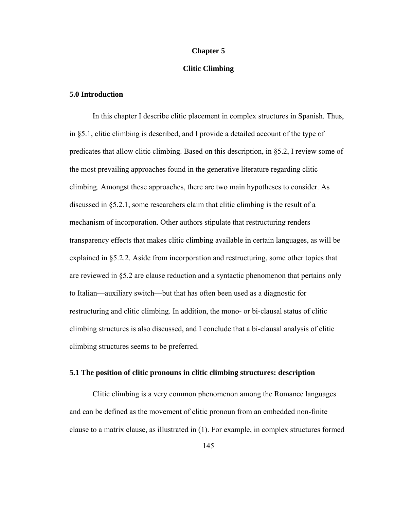#### **Chapter 5**

## **Clitic Climbing**

### **5.0 Introduction**

 In this chapter I describe clitic placement in complex structures in Spanish. Thus, in §5.1, clitic climbing is described, and I provide a detailed account of the type of predicates that allow clitic climbing. Based on this description, in §5.2, I review some of the most prevailing approaches found in the generative literature regarding clitic climbing. Amongst these approaches, there are two main hypotheses to consider. As discussed in §5.2.1, some researchers claim that clitic climbing is the result of a mechanism of incorporation. Other authors stipulate that restructuring renders transparency effects that makes clitic climbing available in certain languages, as will be explained in §5.2.2. Aside from incorporation and restructuring, some other topics that are reviewed in §5.2 are clause reduction and a syntactic phenomenon that pertains only to Italian—auxiliary switch—but that has often been used as a diagnostic for restructuring and clitic climbing. In addition, the mono- or bi-clausal status of clitic climbing structures is also discussed, and I conclude that a bi-clausal analysis of clitic climbing structures seems to be preferred.

## **5.1 The position of clitic pronouns in clitic climbing structures: description**

 Clitic climbing is a very common phenomenon among the Romance languages and can be defined as the movement of clitic pronoun from an embedded non-finite clause to a matrix clause, as illustrated in (1). For example, in complex structures formed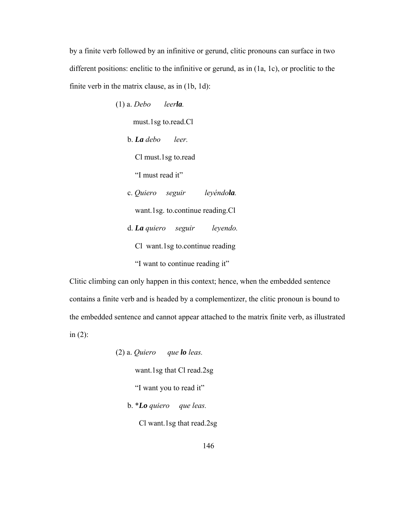by a finite verb followed by an infinitive or gerund, clitic pronouns can surface in two different positions: enclitic to the infinitive or gerund, as in (1a, 1c), or proclitic to the finite verb in the matrix clause, as in (1b, 1d):

> (1) a. *Debo leerla.*  must.1sg to.read.Cl b. *La debo leer.*  Cl must.1sg to.read "I must read it" c. *Quiero seguir leyéndola.* want.1sg. to.continue reading.Cl d. *La quiero seguir leyendo.* Cl want.1sg to.continue reading "I want to continue reading it"

Clitic climbing can only happen in this context; hence, when the embedded sentence contains a finite verb and is headed by a complementizer, the clitic pronoun is bound to the embedded sentence and cannot appear attached to the matrix finite verb, as illustrated in  $(2)$ :

> (2) a. *Quiero que lo leas.* want.1sg that Cl read.2sg "I want you to read it" b. \**Lo quiero que leas.* Cl want.1sg that read.2sg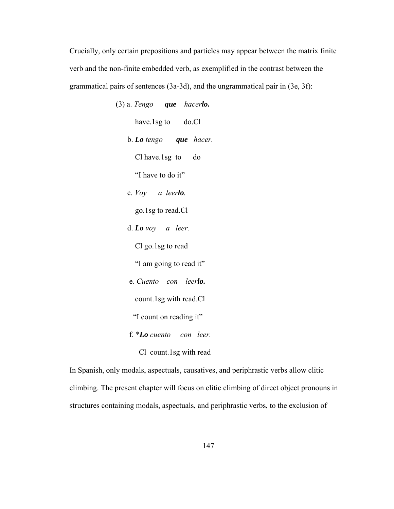Crucially, only certain prepositions and particles may appear between the matrix finite verb and the non-finite embedded verb, as exemplified in the contrast between the grammatical pairs of sentences (3a-3d), and the ungrammatical pair in (3e, 3f):

> (3) a. *Tengo que hacerlo.* have.1sg to do.Cl b. *Lo tengo que hacer.* Cl have.1sg to do "I have to do it" c. *Voy a leerlo.*  go.1sg to read.Cl d. *Lo voy a leer.* Cl go.1sg to read "I am going to read it" e. *Cuento con leerlo.* count.1sg with read.Cl "I count on reading it" f. \**Lo cuento con leer.* Cl count.1sg with read

In Spanish, only modals, aspectuals, causatives, and periphrastic verbs allow clitic climbing. The present chapter will focus on clitic climbing of direct object pronouns in structures containing modals, aspectuals, and periphrastic verbs, to the exclusion of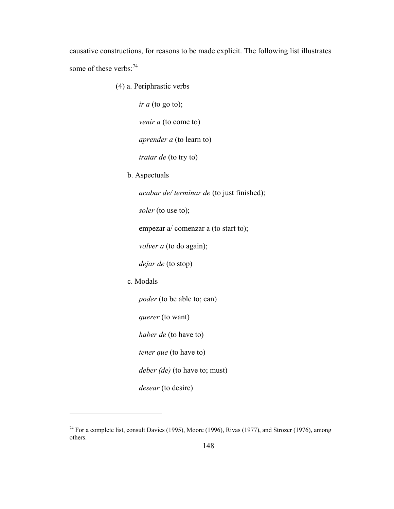causative constructions, for reasons to be made explicit. The following list illustrates some of these verbs:<sup>74</sup>

(4) a. Periphrastic verbs

*ir a* (to go to);

*venir a* (to come to)

*aprender a* (to learn to)

*tratar de* (to try to)

b. Aspectuals

*acabar de/ terminar de* (to just finished);

*soler* (to use to);

empezar a/ comenzar a (to start to);

*volver a* (to do again);

*dejar de* (to stop)

c. Modals

<u>.</u>

*poder* (to be able to; can)

*querer* (to want)

 *haber de* (to have to)

*tener que* (to have to)

*deber (de)* (to have to; must)

*desear* (to desire)

 $74$  For a complete list, consult Davies (1995), Moore (1996), Rivas (1977), and Strozer (1976), among others.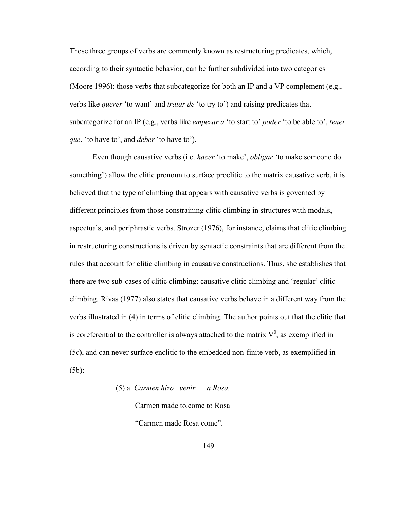These three groups of verbs are commonly known as restructuring predicates, which, according to their syntactic behavior, can be further subdivided into two categories (Moore 1996): those verbs that subcategorize for both an IP and a VP complement (e.g., verbs like *querer* 'to want' and *tratar de* 'to try to') and raising predicates that subcategorize for an IP (e.g., verbs like *empezar a* 'to start to' *poder* 'to be able to', *tener que*, 'to have to', and *deber* 'to have to').

 Even though causative verbs (i.e. *hacer* 'to make', *obligar '*to make someone do something') allow the clitic pronoun to surface proclitic to the matrix causative verb, it is believed that the type of climbing that appears with causative verbs is governed by different principles from those constraining clitic climbing in structures with modals, aspectuals, and periphrastic verbs. Strozer (1976), for instance, claims that clitic climbing in restructuring constructions is driven by syntactic constraints that are different from the rules that account for clitic climbing in causative constructions. Thus, she establishes that there are two sub-cases of clitic climbing: causative clitic climbing and 'regular' clitic climbing. Rivas (1977) also states that causative verbs behave in a different way from the verbs illustrated in (4) in terms of clitic climbing. The author points out that the clitic that is coreferential to the controller is always attached to the matrix  $V^0$ , as exemplified in (5c), and can never surface enclitic to the embedded non-finite verb, as exemplified in  $(5b)$ :

> (5) a. *Carmen hizo venir a Rosa.* Carmen made to.come to Rosa "Carmen made Rosa come".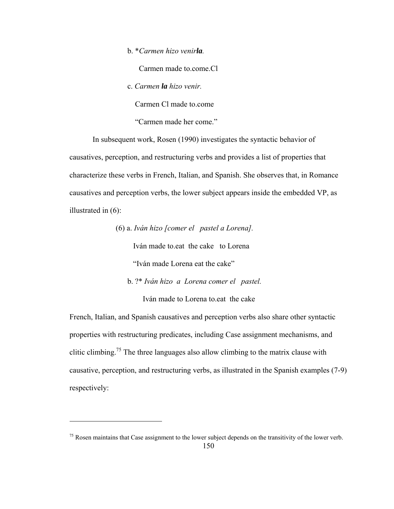# b. \**Carmen hizo venirla.*

Carmen made to.come.Cl

c. *Carmen la hizo venir.* 

Carmen Cl made to.come

"Carmen made her come."

 In subsequent work, Rosen (1990) investigates the syntactic behavior of causatives, perception, and restructuring verbs and provides a list of properties that characterize these verbs in French, Italian, and Spanish. She observes that, in Romance causatives and perception verbs, the lower subject appears inside the embedded VP, as illustrated in (6):

> (6) a. *Iván hizo [comer el pastel a Lorena].*  Iván made to.eat the cake to Lorena "Iván made Lorena eat the cake" b. ?\* *Iván hizo a Lorena comer el pastel.*

> > Iván made to Lorena to.eat the cake

French, Italian, and Spanish causatives and perception verbs also share other syntactic properties with restructuring predicates, including Case assignment mechanisms, and clitic climbing.75 The three languages also allow climbing to the matrix clause with causative, perception, and restructuring verbs, as illustrated in the Spanish examples (7-9) respectively:

<sup>&</sup>lt;sup>75</sup> Rosen maintains that Case assignment to the lower subject depends on the transitivity of the lower verb.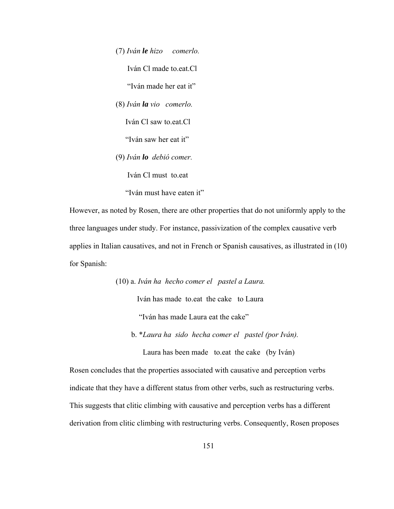(7) *Iván le hizo comerlo.*  Iván Cl made to.eat.Cl "Iván made her eat it" (8) *Iván la vio comerlo.*  Iván Cl saw to.eat.Cl "Iván saw her eat it"

(9) *Iván lo debió comer.* 

Iván Cl must to.eat

"Iván must have eaten it"

However, as noted by Rosen, there are other properties that do not uniformly apply to the three languages under study. For instance, passivization of the complex causative verb applies in Italian causatives, and not in French or Spanish causatives, as illustrated in (10) for Spanish:

> (10) a. *Iván ha hecho comer el pastel a Laura.*  Iván has made to.eat the cake to Laura "Iván has made Laura eat the cake" b. \**Laura ha sido hecha comer el pastel (por Iván).*

> > Laura has been made to.eat the cake (by Iván)

Rosen concludes that the properties associated with causative and perception verbs indicate that they have a different status from other verbs, such as restructuring verbs. This suggests that clitic climbing with causative and perception verbs has a different derivation from clitic climbing with restructuring verbs. Consequently, Rosen proposes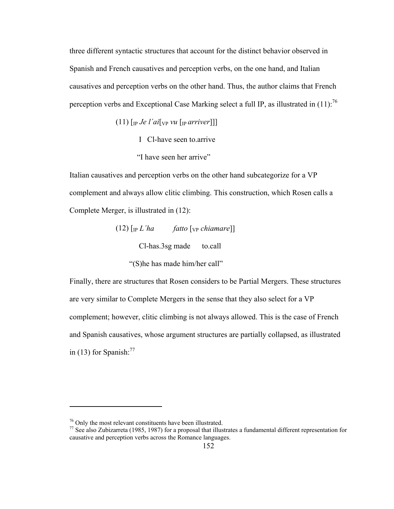three different syntactic structures that account for the distinct behavior observed in Spanish and French causatives and perception verbs, on the one hand, and Italian causatives and perception verbs on the other hand. Thus, the author claims that French perception verbs and Exceptional Case Marking select a full IP, as illustrated in  $(11)$ :<sup>76</sup>

 $(11)$   $\lceil_{\text{IP}}$  *Je l'ai* $\lceil_{\text{VP}}$  *vu*  $\lceil_{\text{IP}}$  *arriver*]]]

- I Cl-have seen to.arrive
- "I have seen her arrive"

Italian causatives and perception verbs on the other hand subcategorize for a VP complement and always allow clitic climbing. This construction, which Rosen calls a Complete Merger, is illustrated in (12):

> $(12)$   $\lceil_{\text{IP}} L'ha$  fatto  $\lceil_{\text{VP}} chiamare \rceil$ Cl-has.3sg made to.call

> > "(S)he has made him/her call"

Finally, there are structures that Rosen considers to be Partial Mergers. These structures are very similar to Complete Mergers in the sense that they also select for a VP complement; however, clitic climbing is not always allowed. This is the case of French and Spanish causatives, whose argument structures are partially collapsed, as illustrated in (13) for Spanish: $^{77}$ 

<sup>76</sup> Only the most relevant constituents have been illustrated.

<sup>&</sup>lt;sup>77</sup> See also Zubizarreta (1985, 1987) for a proposal that illustrates a fundamental different representation for causative and perception verbs across the Romance languages.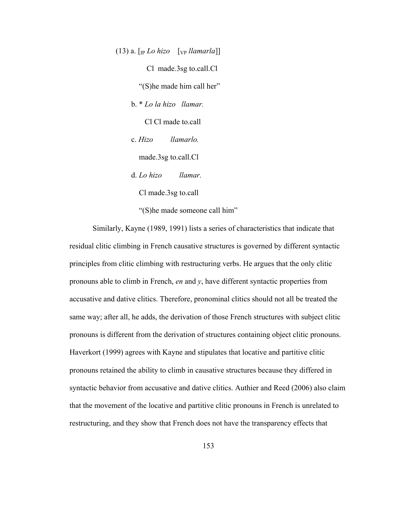$(13)$  a. [Ip *Lo hizo* [<sub>VP</sub> *llamarla*]] Cl made.3sg to.call.Cl "(S)he made him call her" b. \* *Lo la hizo llamar.*  Cl Cl made to.call c. *Hizo llamarlo.*  made.3sg to.call.Cl d. *Lo hizo llamar.* Cl made.3sg to.call

"(S)he made someone call him"

 Similarly, Kayne (1989, 1991) lists a series of characteristics that indicate that residual clitic climbing in French causative structures is governed by different syntactic principles from clitic climbing with restructuring verbs. He argues that the only clitic pronouns able to climb in French, *en* and *y*, have different syntactic properties from accusative and dative clitics. Therefore, pronominal clitics should not all be treated the same way; after all, he adds, the derivation of those French structures with subject clitic pronouns is different from the derivation of structures containing object clitic pronouns. Haverkort (1999) agrees with Kayne and stipulates that locative and partitive clitic pronouns retained the ability to climb in causative structures because they differed in syntactic behavior from accusative and dative clitics. Authier and Reed (2006) also claim that the movement of the locative and partitive clitic pronouns in French is unrelated to restructuring, and they show that French does not have the transparency effects that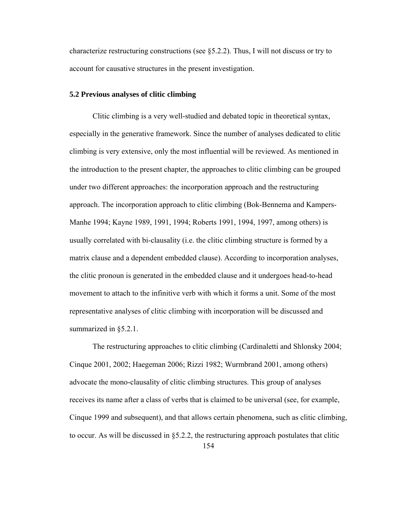characterize restructuring constructions (see §5.2.2). Thus, I will not discuss or try to account for causative structures in the present investigation.

#### **5.2 Previous analyses of clitic climbing**

Clitic climbing is a very well-studied and debated topic in theoretical syntax, especially in the generative framework. Since the number of analyses dedicated to clitic climbing is very extensive, only the most influential will be reviewed. As mentioned in the introduction to the present chapter, the approaches to clitic climbing can be grouped under two different approaches: the incorporation approach and the restructuring approach. The incorporation approach to clitic climbing (Bok-Bennema and Kampers-Manhe 1994; Kayne 1989, 1991, 1994; Roberts 1991, 1994, 1997, among others) is usually correlated with bi-clausality (i.e. the clitic climbing structure is formed by a matrix clause and a dependent embedded clause). According to incorporation analyses, the clitic pronoun is generated in the embedded clause and it undergoes head-to-head movement to attach to the infinitive verb with which it forms a unit. Some of the most representative analyses of clitic climbing with incorporation will be discussed and summarized in §5.2.1.

 The restructuring approaches to clitic climbing (Cardinaletti and Shlonsky 2004; Cinque 2001, 2002; Haegeman 2006; Rizzi 1982; Wurmbrand 2001, among others) advocate the mono-clausality of clitic climbing structures. This group of analyses receives its name after a class of verbs that is claimed to be universal (see, for example, Cinque 1999 and subsequent), and that allows certain phenomena, such as clitic climbing, to occur. As will be discussed in §5.2.2, the restructuring approach postulates that clitic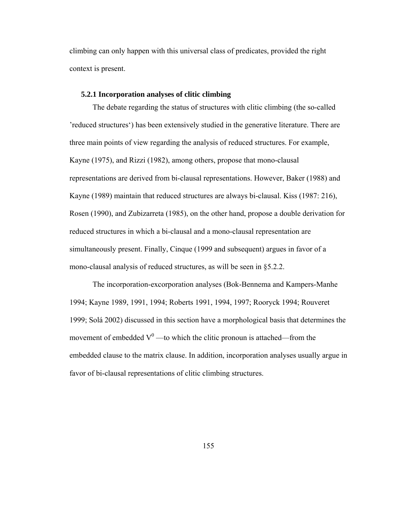climbing can only happen with this universal class of predicates, provided the right context is present.

#### **5.2.1 Incorporation analyses of clitic climbing**

 The debate regarding the status of structures with clitic climbing (the so-called 'reduced structures') has been extensively studied in the generative literature. There are three main points of view regarding the analysis of reduced structures. For example, Kayne (1975), and Rizzi (1982), among others, propose that mono-clausal representations are derived from bi-clausal representations. However, Baker (1988) and Kayne (1989) maintain that reduced structures are always bi-clausal. Kiss (1987: 216), Rosen (1990), and Zubizarreta (1985), on the other hand, propose a double derivation for reduced structures in which a bi-clausal and a mono-clausal representation are simultaneously present. Finally, Cinque (1999 and subsequent) argues in favor of a mono-clausal analysis of reduced structures, as will be seen in §5.2.2.

 The incorporation-excorporation analyses (Bok-Bennema and Kampers-Manhe 1994; Kayne 1989, 1991, 1994; Roberts 1991, 1994, 1997; Rooryck 1994; Rouveret 1999; Solá 2002) discussed in this section have a morphological basis that determines the movement of embedded  $V^0$  —to which the clitic pronoun is attached—from the embedded clause to the matrix clause. In addition, incorporation analyses usually argue in favor of bi-clausal representations of clitic climbing structures.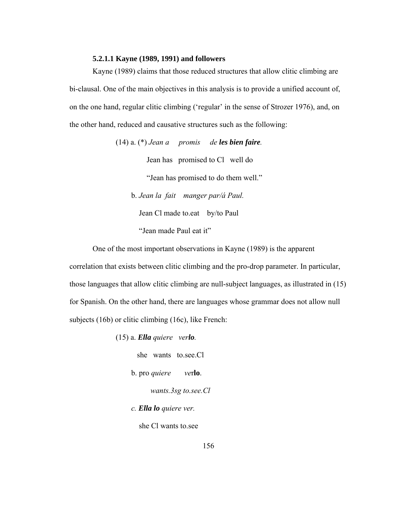# **5.2.1.1 Kayne (1989, 1991) and followers**

 Kayne (1989) claims that those reduced structures that allow clitic climbing are bi-clausal. One of the main objectives in this analysis is to provide a unified account of, on the one hand, regular clitic climbing ('regular' in the sense of Strozer 1976), and, on the other hand, reduced and causative structures such as the following:

> (14) a. (\*) *Jean a promis de les bien faire.* Jean has promised to Cl well do "Jean has promised to do them well." b. *Jean la fait manger par/á Paul.*  Jean Cl made to.eat by/to Paul "Jean made Paul eat it"

One of the most important observations in Kayne (1989) is the apparent correlation that exists between clitic climbing and the pro-drop parameter. In particular, those languages that allow clitic climbing are null-subject languages, as illustrated in (15) for Spanish. On the other hand, there are languages whose grammar does not allow null subjects (16b) or clitic climbing (16c), like French:

> (15) a. *Ella quiere verlo.*  she wants to.see.Cl b. pro *quiere ve*r**lo**. *wants.3sg to.see.Cl c. Ella lo quiere ver.*  she Cl wants to.see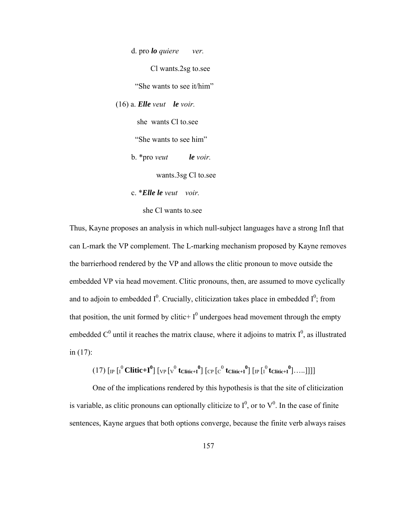d. pro *lo quiere ver.*  Cl wants.2sg to.see "She wants to see it/him" (16) a. *Elle veut le voir.*  she wants Cl to.see "She wants to see him" b. \*pro *veut le voir.*  wants.3sg Cl to.see c. \**Elle le veut voir.* 

she Cl wants to.see

Thus, Kayne proposes an analysis in which null-subject languages have a strong Infl that can L-mark the VP complement. The L-marking mechanism proposed by Kayne removes the barrierhood rendered by the VP and allows the clitic pronoun to move outside the embedded VP via head movement. Clitic pronouns, then, are assumed to move cyclically and to adjoin to embedded  $I^0$ . Crucially, cliticization takes place in embedded  $I^0$ ; from that position, the unit formed by clitic +  $I^0$  undergoes head movement through the empty embedded  $C^0$  until it reaches the matrix clause, where it adjoins to matrix  $I^0$ , as illustrated in (17):

$$
(17)\left[\text{IP }\left[\text{I}^0 \text{Clitic+I}^0\right] \left[\text{VP }\left[\text{V}^0 \text{ t}_{\text{Clitic+I}}^0\right] \left[\text{CP }\left[\text{C}^0 \text{ t}_{\text{Clitic+I}}^0\right] \left[\text{IP }\left[\text{I}^0 \text{ t}_{\text{Clitic+I}}^0\right]\dots\right]\right]\right]\right]
$$

 One of the implications rendered by this hypothesis is that the site of cliticization is variable, as clitic pronouns can optionally cliticize to  $I^0$ , or to  $V^0$ . In the case of finite sentences, Kayne argues that both options converge, because the finite verb always raises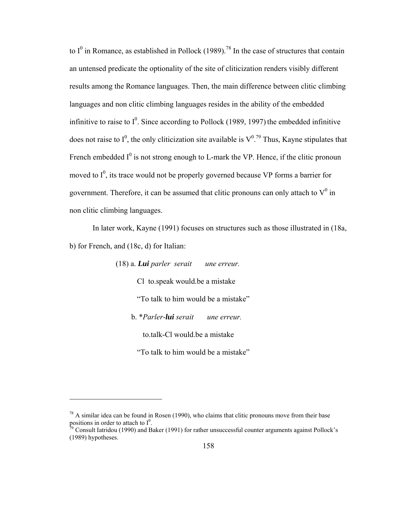to  $I^0$  in Romance, as established in Pollock (1989).<sup>78</sup> In the case of structures that contain an untensed predicate the optionality of the site of cliticization renders visibly different results among the Romance languages. Then, the main difference between clitic climbing languages and non clitic climbing languages resides in the ability of the embedded infinitive to raise to  $I^0$ . Since according to Pollock (1989, 1997) the embedded infinitive does not raise to  $I^0$ , the only cliticization site available is  $V^{0.79}$  Thus, Kayne stipulates that French embedded  $I^0$  is not strong enough to L-mark the VP. Hence, if the clitic pronoun moved to  $I^0$ , its trace would not be properly governed because VP forms a barrier for government. Therefore, it can be assumed that clitic pronouns can only attach to  $V^0$  in non clitic climbing languages.

In later work, Kayne (1991) focuses on structures such as those illustrated in (18a, b) for French, and (18c, d) for Italian:

> (18) a. *Lui parler serait une erreur.* Cl to.speak would.be a mistake "To talk to him would be a mistake" b. \**Parler-lui serait une erreur.*  to.talk-Cl would.be a mistake "To talk to him would be a mistake"

 $78$  A similar idea can be found in Rosen (1990), who claims that clitic pronouns move from their base positions in order to attach to  $I^0$ .

<sup>&</sup>lt;sup>79</sup> Consult Iatridou (1990) and Baker (1991) for rather unsuccessful counter arguments against Pollock's (1989) hypotheses.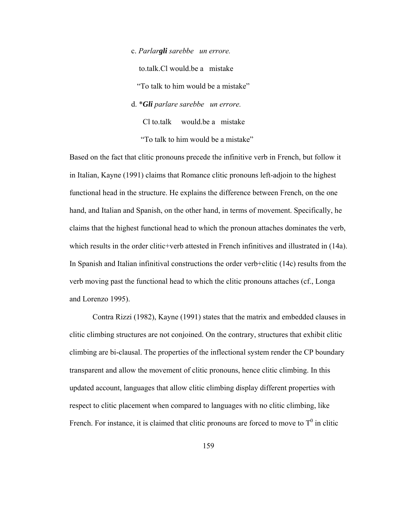c. *Parlargli sarebbe un errore.*  to.talk.Cl would.be a mistake "To talk to him would be a mistake" d. \**Gli parlare sarebbe un errore.*  Cl to.talk would.be a mistake "To talk to him would be a mistake"

Based on the fact that clitic pronouns precede the infinitive verb in French, but follow it in Italian, Kayne (1991) claims that Romance clitic pronouns left-adjoin to the highest functional head in the structure. He explains the difference between French, on the one hand, and Italian and Spanish, on the other hand, in terms of movement. Specifically, he claims that the highest functional head to which the pronoun attaches dominates the verb, which results in the order clitic+verb attested in French infinitives and illustrated in (14a). In Spanish and Italian infinitival constructions the order verb+clitic (14c) results from the verb moving past the functional head to which the clitic pronouns attaches (cf., Longa and Lorenzo 1995).

 Contra Rizzi (1982), Kayne (1991) states that the matrix and embedded clauses in clitic climbing structures are not conjoined. On the contrary, structures that exhibit clitic climbing are bi-clausal. The properties of the inflectional system render the CP boundary transparent and allow the movement of clitic pronouns, hence clitic climbing. In this updated account, languages that allow clitic climbing display different properties with respect to clitic placement when compared to languages with no clitic climbing, like French. For instance, it is claimed that clitic pronouns are forced to move to  $T^0$  in clitic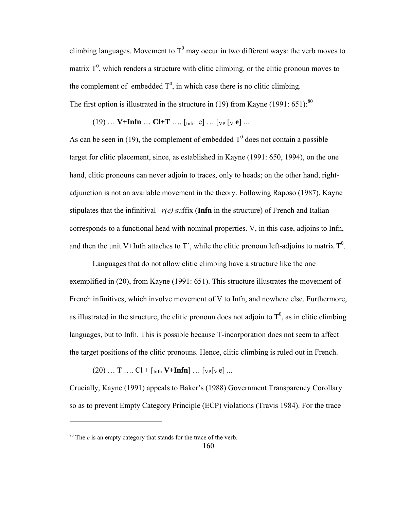climbing languages. Movement to  $T^0$  may occur in two different ways: the verb moves to matrix  $T<sup>0</sup>$ , which renders a structure with clitic climbing, or the clitic pronoun moves to the complement of embedded  $T^0$ , in which case there is no clitic climbing. The first option is illustrated in the structure in  $(19)$  from Kayne  $(1991: 651)$ :<sup>80</sup>

 $(19)$  ... **V+Infn** ... **Cl+T** ... [Infn **e**] ... [vp [v **e**] ...

As can be seen in (19), the complement of embedded  $T^0$  does not contain a possible target for clitic placement, since, as established in Kayne (1991: 650, 1994), on the one hand, clitic pronouns can never adjoin to traces, only to heads; on the other hand, rightadjunction is not an available movement in the theory. Following Raposo (1987), Kayne stipulates that the infinitival  $-r(e)$  suffix (**Infn** in the structure) of French and Italian corresponds to a functional head with nominal properties. V, in this case, adjoins to Infn, and then the unit V+Infn attaches to T', while the clitic pronoun left-adjoins to matrix  $T^0$ .

 Languages that do not allow clitic climbing have a structure like the one exemplified in (20), from Kayne (1991: 651). This structure illustrates the movement of French infinitives, which involve movement of V to Infn, and nowhere else. Furthermore, as illustrated in the structure, the clitic pronoun does not adjoin to  $T^0$ , as in clitic climbing languages, but to Infn. This is possible because T-incorporation does not seem to affect the target positions of the clitic pronouns. Hence, clitic climbing is ruled out in French.

 $(20)$  … T … Cl +  $\lceil \ln \mathbf{V} + \ln \mathbf{f} \ln \lceil \ln \sqrt{\mathbf{v}} \cdot \mathbf{v} \rceil$  …

Crucially, Kayne (1991) appeals to Baker's (1988) Government Transparency Corollary so as to prevent Empty Category Principle (ECP) violations (Travis 1984). For the trace

 $80$  The  $e$  is an empty category that stands for the trace of the verb.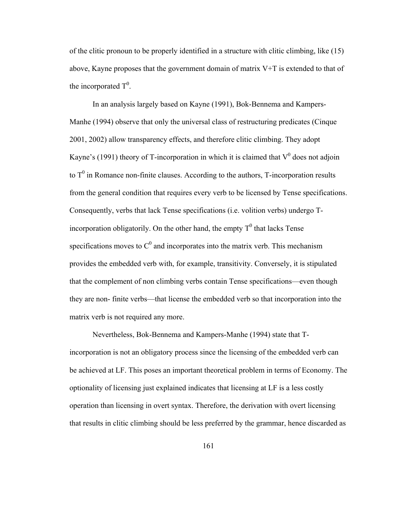of the clitic pronoun to be properly identified in a structure with clitic climbing, like (15) above, Kayne proposes that the government domain of matrix V+T is extended to that of the incorporated  $T^0$ .

 In an analysis largely based on Kayne (1991), Bok-Bennema and Kampers-Manhe (1994) observe that only the universal class of restructuring predicates (Cinque 2001, 2002) allow transparency effects, and therefore clitic climbing. They adopt Kayne's (1991) theory of T-incorporation in which it is claimed that  $V^0$  does not adjoin to  $T<sup>0</sup>$  in Romance non-finite clauses. According to the authors, T-incorporation results from the general condition that requires every verb to be licensed by Tense specifications. Consequently, verbs that lack Tense specifications (i.e. volition verbs) undergo Tincorporation obligatorily. On the other hand, the empty  $T^0$  that lacks Tense specifications moves to  $C^0$  and incorporates into the matrix verb. This mechanism provides the embedded verb with, for example, transitivity. Conversely, it is stipulated that the complement of non climbing verbs contain Tense specifications—even though they are non- finite verbs—that license the embedded verb so that incorporation into the matrix verb is not required any more.

 Nevertheless, Bok-Bennema and Kampers-Manhe (1994) state that Tincorporation is not an obligatory process since the licensing of the embedded verb can be achieved at LF. This poses an important theoretical problem in terms of Economy. The optionality of licensing just explained indicates that licensing at LF is a less costly operation than licensing in overt syntax. Therefore, the derivation with overt licensing that results in clitic climbing should be less preferred by the grammar, hence discarded as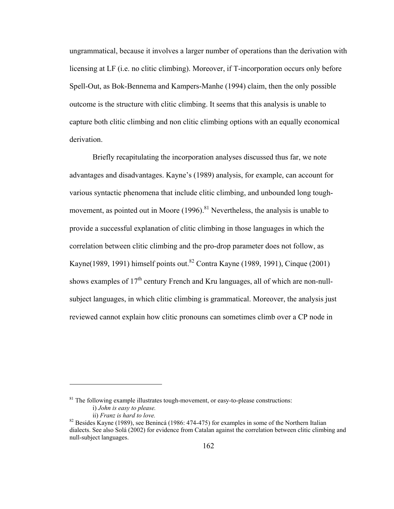ungrammatical, because it involves a larger number of operations than the derivation with licensing at LF (i.e. no clitic climbing). Moreover, if T-incorporation occurs only before Spell-Out, as Bok-Bennema and Kampers-Manhe (1994) claim, then the only possible outcome is the structure with clitic climbing. It seems that this analysis is unable to capture both clitic climbing and non clitic climbing options with an equally economical derivation.

 Briefly recapitulating the incorporation analyses discussed thus far, we note advantages and disadvantages. Kayne's (1989) analysis, for example, can account for various syntactic phenomena that include clitic climbing, and unbounded long toughmovement, as pointed out in Moore  $(1996)$ .<sup>81</sup> Nevertheless, the analysis is unable to provide a successful explanation of clitic climbing in those languages in which the correlation between clitic climbing and the pro-drop parameter does not follow, as Kayne(1989, 1991) himself points out.<sup>82</sup> Contra Kayne (1989, 1991), Cinque (2001) shows examples of  $17<sup>th</sup>$  century French and Kru languages, all of which are non-nullsubject languages, in which clitic climbing is grammatical. Moreover, the analysis just reviewed cannot explain how clitic pronouns can sometimes climb over a CP node in

 $81$  The following example illustrates tough-movement, or easy-to-please constructions:

i) *John is easy to please.* 

ii) *Franz is hard to love.*<br><sup>82</sup> Besides Kayne (1989), see Benincá (1986: 474-475) for examples in some of the Northern Italian dialects. See also Solá (2002) for evidence from Catalan against the correlation between clitic climbing and null-subject languages.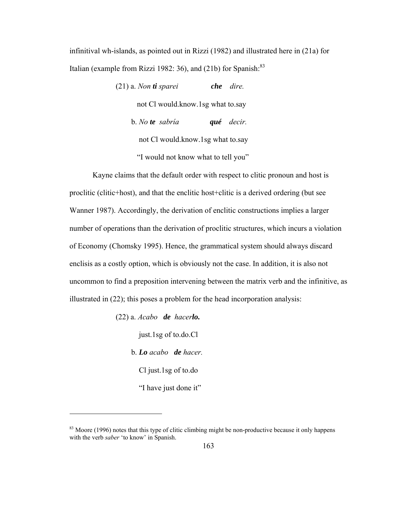infinitival wh-islands, as pointed out in Rizzi (1982) and illustrated here in (21a) for Italian (example from Rizzi 1982: 36), and  $(21b)$  for Spanish:<sup>83</sup>

> (21) a. *Non ti sparei che dire.*  not Cl would.know.1sg what to.say b. *No te sabría qué decir.*  not Cl would.know.1sg what to.say "I would not know what to tell you"

 Kayne claims that the default order with respect to clitic pronoun and host is proclitic (clitic+host), and that the enclitic host+clitic is a derived ordering (but see Wanner 1987). Accordingly, the derivation of enclitic constructions implies a larger number of operations than the derivation of proclitic structures, which incurs a violation of Economy (Chomsky 1995). Hence, the grammatical system should always discard enclisis as a costly option, which is obviously not the case. In addition, it is also not uncommon to find a preposition intervening between the matrix verb and the infinitive, as illustrated in (22); this poses a problem for the head incorporation analysis:

> just.1sg of to.do.Cl b. *Lo acabo de hacer.*  Cl just.1sg of to.do "I have just done it"

 $\overline{a}$ 

(22) a. *Acabo de hacerlo.*

<sup>&</sup>lt;sup>83</sup> Moore (1996) notes that this type of clitic climbing might be non-productive because it only happens with the verb *saber* 'to know' in Spanish.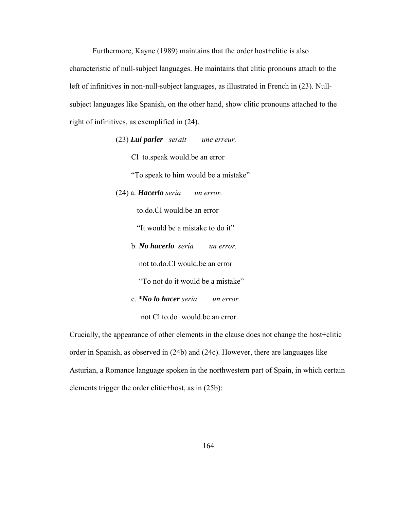Furthermore, Kayne (1989) maintains that the order host+clitic is also characteristic of null-subject languages. He maintains that clitic pronouns attach to the left of infinitives in non-null-subject languages, as illustrated in French in (23). Nullsubject languages like Spanish, on the other hand, show clitic pronouns attached to the right of infinitives, as exemplified in (24).

(23) *Lui parler**serait une erreur.* 

Cl to.speak would.be an error

"To speak to him would be a mistake"

(24) a. *Hacerlo sería un error.* 

to.do.Cl would.be an error

"It would be a mistake to do it"

 b. *No hacerlo sería un error.*  not to.do.Cl would.be an error "To not do it would be a mistake"

c. \**No lo hacer sería un error.* 

not Cl to.do would.be an error.

Crucially, the appearance of other elements in the clause does not change the host+clitic order in Spanish, as observed in (24b) and (24c). However, there are languages like Asturian, a Romance language spoken in the northwestern part of Spain, in which certain elements trigger the order clitic+host, as in (25b):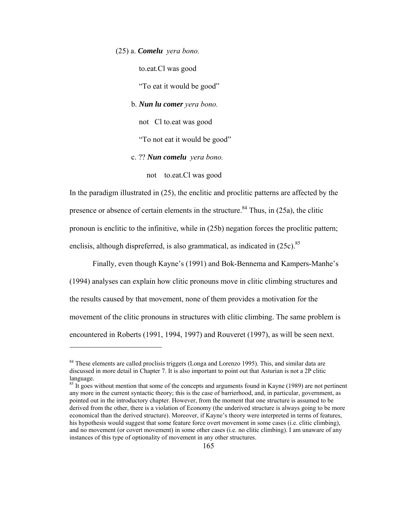## (25) a. *Comelu yera bono.*

to.eat.Cl was good

"To eat it would be good"

b. *Nun lu comer yera bono.* 

not Cl to.eat was good

"To not eat it would be good"

c. ?? *Nun comelu yera bono.*

not to.eat.Cl was good

In the paradigm illustrated in (25), the enclitic and proclitic patterns are affected by the presence or absence of certain elements in the structure.<sup>84</sup> Thus, in  $(25a)$ , the clitic pronoun is enclitic to the infinitive, while in (25b) negation forces the proclitic pattern; enclisis, although dispreferred, is also grammatical, as indicated in  $(25c)$ <sup>85</sup>

 Finally, even though Kayne's (1991) and Bok-Bennema and Kampers-Manhe's (1994) analyses can explain how clitic pronouns move in clitic climbing structures and the results caused by that movement, none of them provides a motivation for the movement of the clitic pronouns in structures with clitic climbing. The same problem is encountered in Roberts (1991, 1994, 1997) and Rouveret (1997), as will be seen next.

<sup>&</sup>lt;sup>84</sup> These elements are called proclisis triggers (Longa and Lorenzo 1995). This, and similar data are discussed in more detail in Chapter 7. It is also important to point out that Asturian is not a 2P clitic language.

 $85$  It goes without mention that some of the concepts and arguments found in Kayne (1989) are not pertinent any more in the current syntactic theory; this is the case of barrierhood, and, in particular, government, as pointed out in the introductory chapter. However, from the moment that one structure is assumed to be derived from the other, there is a violation of Economy (the underived structure is always going to be more economical than the derived structure). Moreover, if Kayne's theory were interpreted in terms of features, his hypothesis would suggest that some feature force overt movement in some cases (i.e. clitic climbing), and no movement (or covert movement) in some other cases (i.e. no clitic climbing). I am unaware of any instances of this type of optionality of movement in any other structures.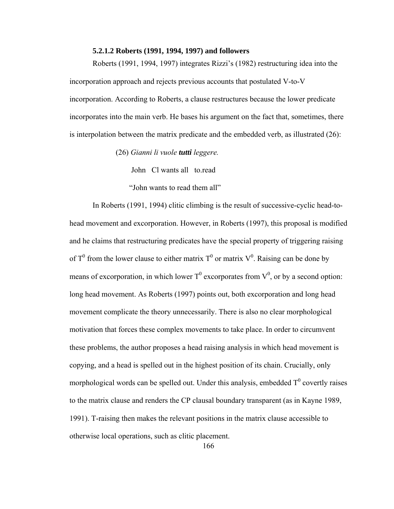## **5.2.1.2 Roberts (1991, 1994, 1997) and followers**

 Roberts (1991, 1994, 1997) integrates Rizzi's (1982) restructuring idea into the incorporation approach and rejects previous accounts that postulated V-to-V incorporation. According to Roberts, a clause restructures because the lower predicate incorporates into the main verb. He bases his argument on the fact that, sometimes, there is interpolation between the matrix predicate and the embedded verb, as illustrated (26):

(26) *Gianni li vuole tutti leggere.* 

John Cl wants all to.read

"John wants to read them all"

 In Roberts (1991, 1994) clitic climbing is the result of successive-cyclic head-tohead movement and excorporation. However, in Roberts (1997), this proposal is modified and he claims that restructuring predicates have the special property of triggering raising of T<sup>0</sup> from the lower clause to either matrix T<sup>0</sup> or matrix  $V^0$ . Raising can be done by means of excorporation, in which lower  $T^0$  excorporates from  $V^0$ , or by a second option: long head movement. As Roberts (1997) points out, both excorporation and long head movement complicate the theory unnecessarily. There is also no clear morphological motivation that forces these complex movements to take place. In order to circumvent these problems, the author proposes a head raising analysis in which head movement is copying, and a head is spelled out in the highest position of its chain. Crucially, only morphological words can be spelled out. Under this analysis, embedded  $T^0$  covertly raises to the matrix clause and renders the CP clausal boundary transparent (as in Kayne 1989, 1991). T-raising then makes the relevant positions in the matrix clause accessible to otherwise local operations, such as clitic placement.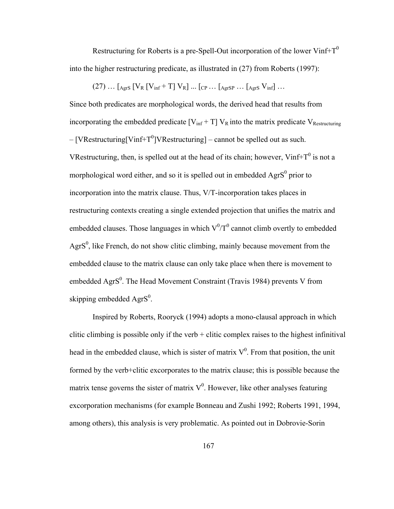Restructuring for Roberts is a pre-Spell-Out incorporation of the lower Vinf+ $T^0$ into the higher restructuring predicate, as illustrated in (27) from Roberts (1997):

$$
(27)\dots [A_{\text{grS}}\left[V_R\left[V_{\text{inf}}+T\right]V_R\right]\dots \left[\text{Cp}\dots \left[A_{\text{grSP}}\dots \left[A_{\text{grS}}V_{\text{inf}}\right]\dots \right]\right]
$$

Since both predicates are morphological words, the derived head that results from incorporating the embedded predicate  $[V_{inf} + T] V_R$  into the matrix predicate  $V_{Restructuring}$  $-[VRestructuring[Vinf+T<sup>0</sup>]VRestructuring]$  – cannot be spelled out as such. VRestructuring, then, is spelled out at the head of its chain; however, Vinf+ $T^0$  is not a morphological word either, and so it is spelled out in embedded  $\text{AgrS}^0$  prior to incorporation into the matrix clause. Thus, V/T-incorporation takes places in restructuring contexts creating a single extended projection that unifies the matrix and embedded clauses. Those languages in which  $V^0/T^0$  cannot climb overtly to embedded Agr $S<sup>0</sup>$ , like French, do not show clitic climbing, mainly because movement from the embedded clause to the matrix clause can only take place when there is movement to embedded Agr $S^0$ . The Head Movement Constraint (Travis 1984) prevents V from skipping embedded  $\text{AgrS}^0$ .

 Inspired by Roberts, Rooryck (1994) adopts a mono-clausal approach in which clitic climbing is possible only if the verb  $+$  clitic complex raises to the highest infinitival head in the embedded clause, which is sister of matrix  $V^0$ . From that position, the unit formed by the verb+clitic excorporates to the matrix clause; this is possible because the matrix tense governs the sister of matrix  $V^0$ . However, like other analyses featuring excorporation mechanisms (for example Bonneau and Zushi 1992; Roberts 1991, 1994, among others), this analysis is very problematic. As pointed out in Dobrovie-Sorin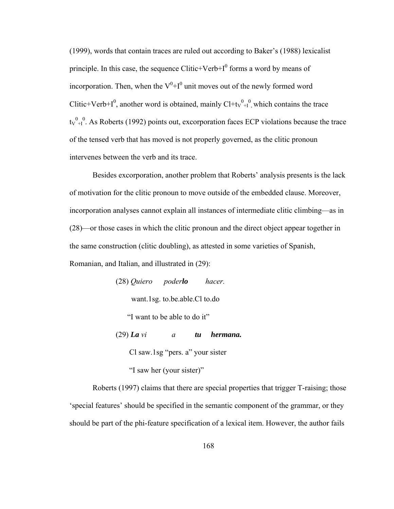(1999), words that contain traces are ruled out according to Baker's (1988) lexicalist principle. In this case, the sequence Clitic+Verb+ $I^0$  forms a word by means of incorporation. Then, when the  $V^0 + I^0$  unit moves out of the newly formed word Clitic+Verb+I<sup>0</sup>, another word is obtained, mainly Cl+t<sub>V<sup>0</sup>+I<sup>0</sup>, which contains the trace</sub>  $tv^{0}_{H}$ . As Roberts (1992) points out, excorporation faces ECP violations because the trace of the tensed verb that has moved is not properly governed, as the clitic pronoun intervenes between the verb and its trace.

 Besides excorporation, another problem that Roberts' analysis presents is the lack of motivation for the clitic pronoun to move outside of the embedded clause. Moreover, incorporation analyses cannot explain all instances of intermediate clitic climbing—as in (28)—or those cases in which the clitic pronoun and the direct object appear together in the same construction (clitic doubling), as attested in some varieties of Spanish, Romanian, and Italian, and illustrated in (29):

> (28) *Quiero poderlo hacer.* want.1sg. to.be.able.Cl to.do

"I want to be able to do it"

(29) *La vi a tu hermana.*

Cl saw.1sg "pers. a" your sister

"I saw her (your sister)"

Roberts (1997) claims that there are special properties that trigger T-raising; those 'special features' should be specified in the semantic component of the grammar, or they should be part of the phi-feature specification of a lexical item. However, the author fails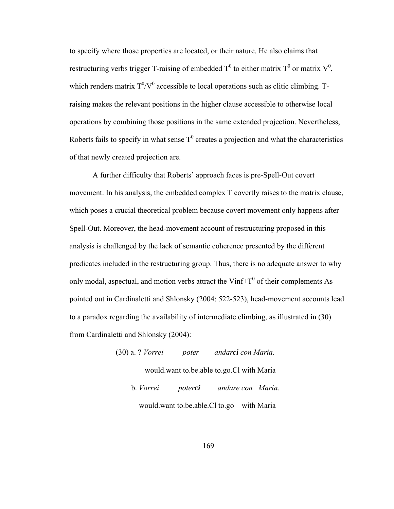to specify where those properties are located, or their nature. He also claims that restructuring verbs trigger T-raising of embedded T<sup>0</sup> to either matrix T<sup>0</sup> or matrix  $V^0$ , which renders matrix  $T^0/V^0$  accessible to local operations such as clitic climbing. Traising makes the relevant positions in the higher clause accessible to otherwise local operations by combining those positions in the same extended projection. Nevertheless, Roberts fails to specify in what sense  $T^0$  creates a projection and what the characteristics of that newly created projection are.

 A further difficulty that Roberts' approach faces is pre-Spell-Out covert movement. In his analysis, the embedded complex T covertly raises to the matrix clause, which poses a crucial theoretical problem because covert movement only happens after Spell-Out. Moreover, the head-movement account of restructuring proposed in this analysis is challenged by the lack of semantic coherence presented by the different predicates included in the restructuring group. Thus, there is no adequate answer to why only modal, aspectual, and motion verbs attract the Vinf+ $T^0$  of their complements As pointed out in Cardinaletti and Shlonsky (2004: 522-523), head-movement accounts lead to a paradox regarding the availability of intermediate climbing, as illustrated in (30) from Cardinaletti and Shlonsky (2004):

> (30) a. ? *Vorrei poter andarci con Maria.* would.want to.be.able to.go.Cl with Maria b. *Vorrei poterci andare con Maria.* would.want to.be.able.Cl to.go with Maria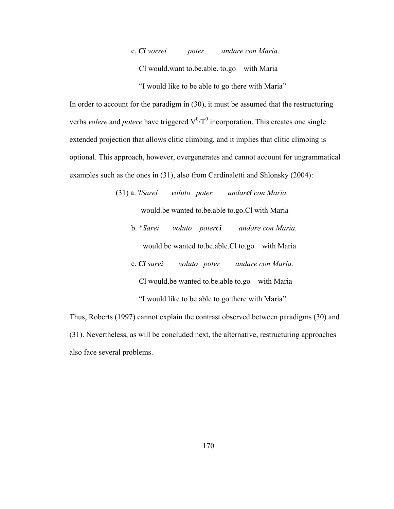c. *Ci vorrei poter andare con Maria.*  Cl would.want to.be.able. to.go with Maria "I would like to be able to go there with Maria"

In order to account for the paradigm in (30), it must be assumed that the restructuring verbs *volere* and *potere* have triggered  $V^0/T^0$  incorporation. This creates one single extended projection that allows clitic climbing, and it implies that clitic climbing is optional. This approach, however, overgenerates and cannot account for ungrammatical examples such as the ones in (31), also from Cardinaletti and Shlonsky (2004):

> (31) a. ?*Sarei voluto poter andarci con Maria.*  would.be wanted to.be.able to.go.Cl with Maria

 b. \**Sarei voluto poterci andare con Maria.*  would.be wanted to.be.able.Cl to.go with Maria c. *Ci sarei voluto poter andare con Maria.*  Cl would.be wanted to.be.able to.go with Maria "I would like to be able to go there with Maria"

Thus, Roberts (1997) cannot explain the contrast observed between paradigms (30) and (31). Nevertheless, as will be concluded next, the alternative, restructuring approaches also face several problems.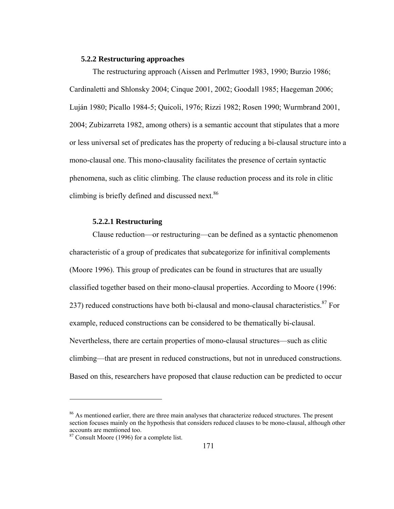## **5.2.2 Restructuring approaches**

 The restructuring approach (Aissen and Perlmutter 1983, 1990; Burzio 1986; Cardinaletti and Shlonsky 2004; Cinque 2001, 2002; Goodall 1985; Haegeman 2006; Luján 1980; Picallo 1984-5; Quicoli, 1976; Rizzi 1982; Rosen 1990; Wurmbrand 2001, 2004; Zubizarreta 1982, among others) is a semantic account that stipulates that a more or less universal set of predicates has the property of reducing a bi-clausal structure into a mono-clausal one. This mono-clausality facilitates the presence of certain syntactic phenomena, such as clitic climbing. The clause reduction process and its role in clitic climbing is briefly defined and discussed next. $86$ 

## **5.2.2.1 Restructuring**

 Clause reduction—or restructuring—can be defined as a syntactic phenomenon characteristic of a group of predicates that subcategorize for infinitival complements (Moore 1996). This group of predicates can be found in structures that are usually classified together based on their mono-clausal properties. According to Moore (1996: 237) reduced constructions have both bi-clausal and mono-clausal characteristics.<sup>87</sup> For example, reduced constructions can be considered to be thematically bi-clausal. Nevertheless, there are certain properties of mono-clausal structures—such as clitic climbing—that are present in reduced constructions, but not in unreduced constructions. Based on this, researchers have proposed that clause reduction can be predicted to occur

<sup>&</sup>lt;sup>86</sup> As mentioned earlier, there are three main analyses that characterize reduced structures. The present section focuses mainly on the hypothesis that considers reduced clauses to be mono-clausal, although other accounts are mentioned too.

<sup>87</sup> Consult Moore (1996) for a complete list.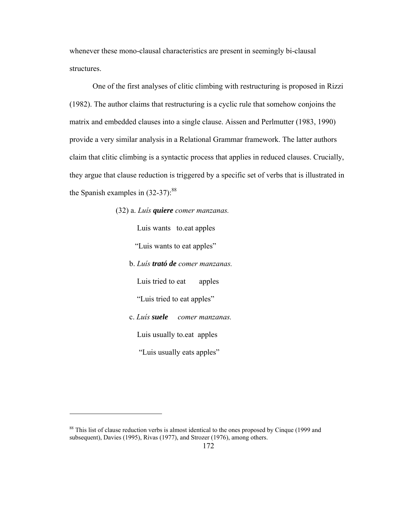whenever these mono-clausal characteristics are present in seemingly bi-clausal structures.

 One of the first analyses of clitic climbing with restructuring is proposed in Rizzi (1982). The author claims that restructuring is a cyclic rule that somehow conjoins the matrix and embedded clauses into a single clause. Aissen and Perlmutter (1983, 1990) provide a very similar analysis in a Relational Grammar framework. The latter authors claim that clitic climbing is a syntactic process that applies in reduced clauses. Crucially, they argue that clause reduction is triggered by a specific set of verbs that is illustrated in the Spanish examples in  $(32-37)$ :<sup>88</sup>

(32) a. *Luís quiere comer manzanas.* 

Luis wants to.eat apples

"Luis wants to eat apples"

b. *Luís trató de comer manzanas.* 

Luis tried to eat apples

"Luis tried to eat apples"

c. *Luís suele comer manzanas.* 

Luis usually to.eat apples

"Luis usually eats apples"

<sup>&</sup>lt;sup>88</sup> This list of clause reduction verbs is almost identical to the ones proposed by Cinque (1999 and subsequent), Davies (1995), Rivas (1977), and Strozer (1976), among others.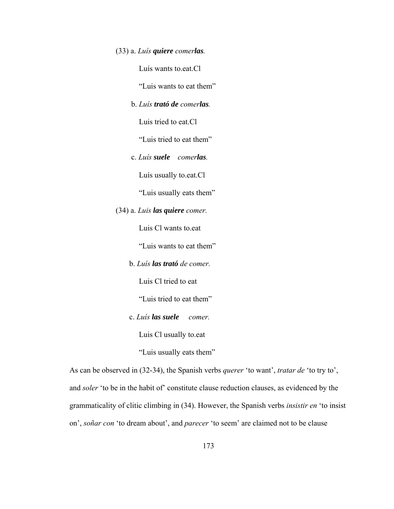## (33) a. *Luís quiere comerlas.*

Luís wants to.eat.Cl

"Luis wants to eat them"

b. *Luís trató de comerlas.* 

Luis tried to eat.Cl

"Luis tried to eat them"

c. *Luís suele comerlas.* 

Luís usually to.eat.Cl

"Luis usually eats them"

(34) a. *Luis las quiere comer.* 

Luis Cl wants to.eat

"Luis wants to eat them"

b. *Luís las trató de comer.* 

Luis Cl tried to eat

"Luis tried to eat them"

c. *Luís las suele comer.* 

Luis Cl usually to.eat

"Luis usually eats them"

As can be observed in (32-34), the Spanish verbs *querer* 'to want', *tratar de* 'to try to', and *soler* 'to be in the habit of' constitute clause reduction clauses, as evidenced by the grammaticality of clitic climbing in (34). However, the Spanish verbs *insistir en* 'to insist on', *soñar con* 'to dream about', and *parecer* 'to seem' are claimed not to be clause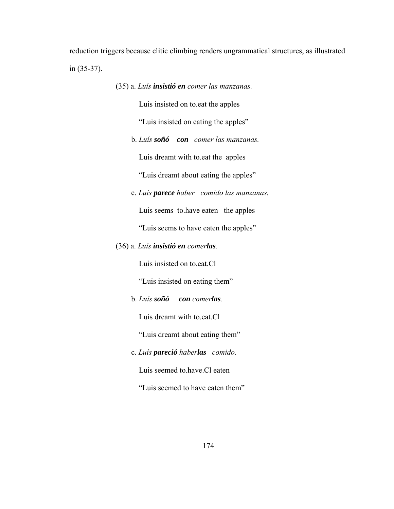reduction triggers because clitic climbing renders ungrammatical structures, as illustrated in (35-37).

(35) a. *Luís insistió en comer las manzanas.*

Luis insisted on to.eat the apples

"Luis insisted on eating the apples"

 b. *Luís soñó con comer las manzanas.*  Luis dreamt with to.eat the apples "Luis dreamt about eating the apples"

 c. *Luís parece haber comido las manzanas.*  Luis seems to.have eaten the apples "Luis seems to have eaten the apples"

(36) a. *Luís insistió en comerlas.* 

Luis insisted on to.eat.Cl

"Luis insisted on eating them"

b. *Luís soñó con comerlas.* 

Luis dreamt with to.eat.Cl

"Luis dreamt about eating them"

c. *Luís pareció haberlas comido.* 

Luis seemed to.have.Cl eaten

"Luis seemed to have eaten them"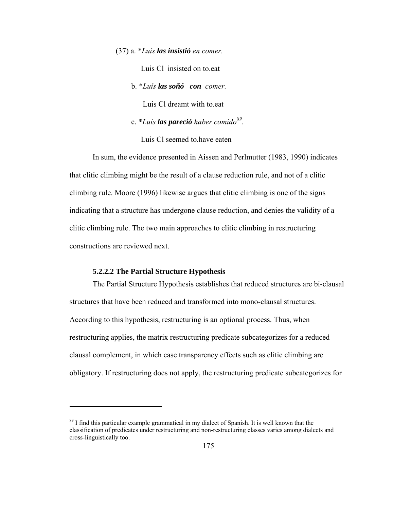(37) a. \**Luís las insistió en comer.* 

Luis Cl insisted on to.eat

b. \**Luís las soñó con comer.* 

Luis Cl dreamt with to eat.

c. \**Luís las pareció haber comido89*.

Luis Cl seemed to.have eaten

 In sum, the evidence presented in Aissen and Perlmutter (1983, 1990) indicates that clitic climbing might be the result of a clause reduction rule, and not of a clitic climbing rule. Moore (1996) likewise argues that clitic climbing is one of the signs indicating that a structure has undergone clause reduction, and denies the validity of a clitic climbing rule. The two main approaches to clitic climbing in restructuring constructions are reviewed next.

#### **5.2.2.2 The Partial Structure Hypothesis**

 $\overline{a}$ 

 The Partial Structure Hypothesis establishes that reduced structures are bi-clausal structures that have been reduced and transformed into mono-clausal structures. According to this hypothesis, restructuring is an optional process. Thus, when restructuring applies, the matrix restructuring predicate subcategorizes for a reduced clausal complement, in which case transparency effects such as clitic climbing are obligatory. If restructuring does not apply, the restructuring predicate subcategorizes for

<sup>&</sup>lt;sup>89</sup> I find this particular example grammatical in my dialect of Spanish. It is well known that the classification of predicates under restructuring and non-restructuring classes varies among dialects and cross-linguistically too.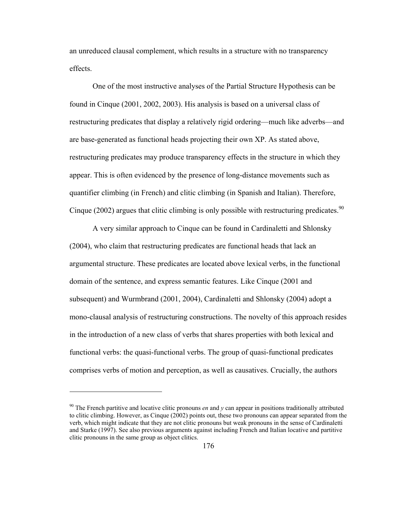an unreduced clausal complement, which results in a structure with no transparency effects.

 One of the most instructive analyses of the Partial Structure Hypothesis can be found in Cinque (2001, 2002, 2003). His analysis is based on a universal class of restructuring predicates that display a relatively rigid ordering—much like adverbs—and are base-generated as functional heads projecting their own XP. As stated above, restructuring predicates may produce transparency effects in the structure in which they appear. This is often evidenced by the presence of long-distance movements such as quantifier climbing (in French) and clitic climbing (in Spanish and Italian). Therefore, Cinque (2002) argues that clitic climbing is only possible with restructuring predicates.<sup>90</sup>

 A very similar approach to Cinque can be found in Cardinaletti and Shlonsky (2004), who claim that restructuring predicates are functional heads that lack an argumental structure. These predicates are located above lexical verbs, in the functional domain of the sentence, and express semantic features. Like Cinque (2001 and subsequent) and Wurmbrand (2001, 2004), Cardinaletti and Shlonsky (2004) adopt a mono-clausal analysis of restructuring constructions. The novelty of this approach resides in the introduction of a new class of verbs that shares properties with both lexical and functional verbs: the quasi-functional verbs. The group of quasi-functional predicates comprises verbs of motion and perception, as well as causatives. Crucially, the authors

 $\overline{a}$ 

<sup>90</sup> The French partitive and locative clitic pronouns *en* and *y* can appear in positions traditionally attributed to clitic climbing. However, as Cinque (2002) points out, these two pronouns can appear separated from the verb, which might indicate that they are not clitic pronouns but weak pronouns in the sense of Cardinaletti and Starke (1997). See also previous arguments against including French and Italian locative and partitive clitic pronouns in the same group as object clitics.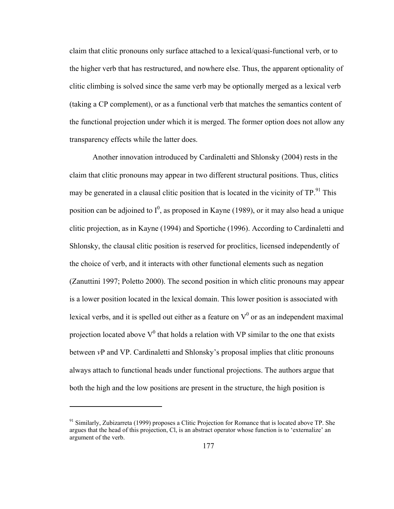claim that clitic pronouns only surface attached to a lexical/quasi-functional verb, or to the higher verb that has restructured, and nowhere else. Thus, the apparent optionality of clitic climbing is solved since the same verb may be optionally merged as a lexical verb (taking a CP complement), or as a functional verb that matches the semantics content of the functional projection under which it is merged. The former option does not allow any transparency effects while the latter does.

 Another innovation introduced by Cardinaletti and Shlonsky (2004) rests in the claim that clitic pronouns may appear in two different structural positions. Thus, clitics may be generated in a clausal clitic position that is located in the vicinity of  $TP<sup>91</sup>$ . This position can be adjoined to  $I^0$ , as proposed in Kayne (1989), or it may also head a unique clitic projection, as in Kayne (1994) and Sportiche (1996). According to Cardinaletti and Shlonsky, the clausal clitic position is reserved for proclitics, licensed independently of the choice of verb, and it interacts with other functional elements such as negation (Zanuttini 1997; Poletto 2000). The second position in which clitic pronouns may appear is a lower position located in the lexical domain. This lower position is associated with lexical verbs, and it is spelled out either as a feature on  $V^0$  or as an independent maximal projection located above  $V^0$  that holds a relation with VP similar to the one that exists between *v*P and VP. Cardinaletti and Shlonsky's proposal implies that clitic pronouns always attach to functional heads under functional projections. The authors argue that both the high and the low positions are present in the structure, the high position is

1

<sup>91</sup> Similarly, Zubizarreta (1999) proposes a Clitic Projection for Romance that is located above TP. She argues that the head of this projection, Cl, is an abstract operator whose function is to 'externalize' an argument of the verb.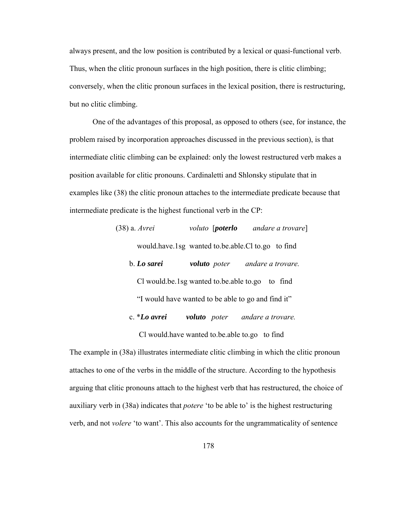always present, and the low position is contributed by a lexical or quasi-functional verb. Thus, when the clitic pronoun surfaces in the high position, there is clitic climbing; conversely, when the clitic pronoun surfaces in the lexical position, there is restructuring, but no clitic climbing.

 One of the advantages of this proposal, as opposed to others (see, for instance, the problem raised by incorporation approaches discussed in the previous section), is that intermediate clitic climbing can be explained: only the lowest restructured verb makes a position available for clitic pronouns. Cardinaletti and Shlonsky stipulate that in examples like (38) the clitic pronoun attaches to the intermediate predicate because that intermediate predicate is the highest functional verb in the CP:

> (38) a. *Avrei voluto* [*poterlo andare a trovare*] would.have.1sg wanted to.be.able.Cl to.go to find b. *Lo sarei voluto poter andare a trovare.*  Cl would.be.1sg wanted to.be.able to.go to find "I would have wanted to be able to go and find it" c. \**Lo avrei voluto poter andare a trovare.*

> > Cl would.have wanted to.be.able to.go to find

The example in (38a) illustrates intermediate clitic climbing in which the clitic pronoun attaches to one of the verbs in the middle of the structure. According to the hypothesis arguing that clitic pronouns attach to the highest verb that has restructured, the choice of auxiliary verb in (38a) indicates that *potere* 'to be able to' is the highest restructuring verb, and not *volere* 'to want'. This also accounts for the ungrammaticality of sentence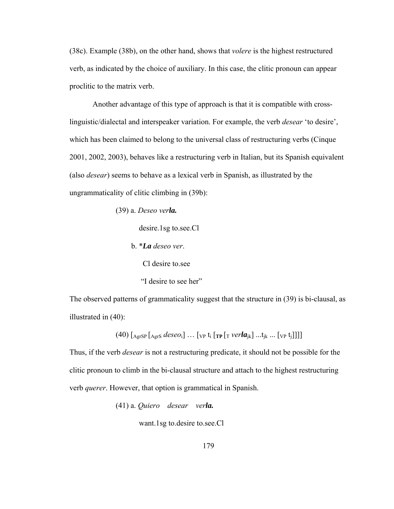(38c). Example (38b), on the other hand, shows that *volere* is the highest restructured verb, as indicated by the choice of auxiliary. In this case, the clitic pronoun can appear proclitic to the matrix verb.

 Another advantage of this type of approach is that it is compatible with crosslinguistic/dialectal and interspeaker variation. For example, the verb *desear* 'to desire', which has been claimed to belong to the universal class of restructuring verbs (Cinque 2001, 2002, 2003), behaves like a restructuring verb in Italian, but its Spanish equivalent (also *desear*) seems to behave as a lexical verb in Spanish, as illustrated by the ungrammaticality of clitic climbing in (39b):

(39) a. *Deseo verla.*

desire.1sg to.see.Cl

b. \**La deseo ver*.

Cl desire to.see

"I desire to see her"

The observed patterns of grammaticality suggest that the structure in (39) is bi-clausal, as illustrated in (40):

 $(40)$   $\lceil_{\text{AgrSP}}$   $\lceil_{\text{AgrS}}$   $\text{desco_i} \rceil$  ...  $\lceil_{\text{VP}}$   $t_i$   $\lceil_{\text{TP}} \rceil$   $\lceil_{\text{TP}}$   $\text{terl}$  $a_{ik} \rceil$  ...  $t_{ik}$  ...  $\lceil_{\text{VP}}$   $t_i \rceil$ ]]]

Thus, if the verb *desear* is not a restructuring predicate, it should not be possible for the clitic pronoun to climb in the bi-clausal structure and attach to the highest restructuring verb *querer*. However, that option is grammatical in Spanish.

(41) a. *Quiero desear verla.*

want.1sg to.desire to.see.Cl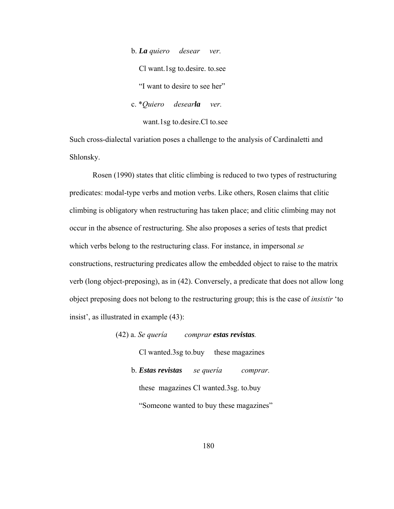b. *La quiero desear ver.*  Cl want.1sg to.desire. to.see "I want to desire to see her" c. \**Quiero desearla ver.*  want.1sg to.desire.Cl to.see

Such cross-dialectal variation poses a challenge to the analysis of Cardinaletti and Shlonsky.

Rosen (1990) states that clitic climbing is reduced to two types of restructuring predicates: modal-type verbs and motion verbs. Like others, Rosen claims that clitic climbing is obligatory when restructuring has taken place; and clitic climbing may not occur in the absence of restructuring. She also proposes a series of tests that predict which verbs belong to the restructuring class. For instance, in impersonal *se* constructions, restructuring predicates allow the embedded object to raise to the matrix verb (long object-preposing), as in (42). Conversely, a predicate that does not allow long object preposing does not belong to the restructuring group; this is the case of *insistir* 'to insist', as illustrated in example (43):

> (42) a. *Se quería comprar estas revistas.* Cl wanted.3sg to.buy these magazines b. *Estas revistas se quería comprar.*  these magazines Cl wanted.3sg. to.buy "Someone wanted to buy these magazines"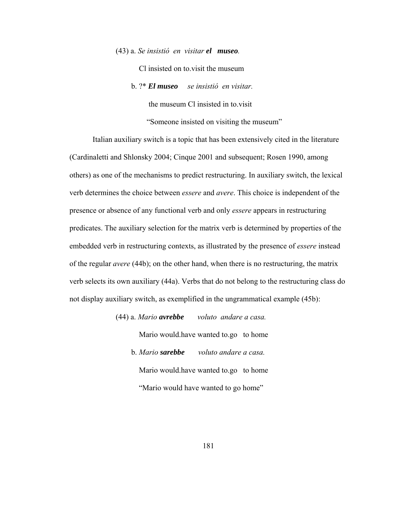(43) a. *Se insistió en visitar el museo.* Cl insisted on to.visit the museum b. ?\* *El museo se insistió en visitar.* the museum Cl insisted in to.visit

"Someone insisted on visiting the museum"

 Italian auxiliary switch is a topic that has been extensively cited in the literature (Cardinaletti and Shlonsky 2004; Cinque 2001 and subsequent; Rosen 1990, among others) as one of the mechanisms to predict restructuring. In auxiliary switch, the lexical verb determines the choice between *essere* and *avere*. This choice is independent of the presence or absence of any functional verb and only *essere* appears in restructuring predicates. The auxiliary selection for the matrix verb is determined by properties of the embedded verb in restructuring contexts, as illustrated by the presence of *essere* instead of the regular *avere* (44b); on the other hand, when there is no restructuring, the matrix verb selects its own auxiliary (44a). Verbs that do not belong to the restructuring class do not display auxiliary switch, as exemplified in the ungrammatical example (45b):

(44) a. *Mario avrebbe voluto andare a casa.* 

Mario would.have wanted to.go to home b. *Mario sarebbe voluto andare a casa.* Mario would have wanted to go to home "Mario would have wanted to go home"

181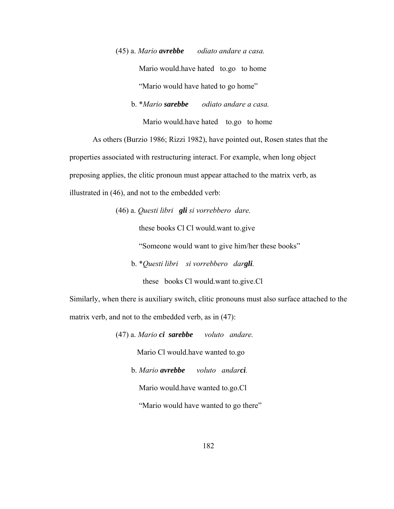- (45) a. *Mario avrebbe odiato andare a casa.*  Mario would.have hated to.go to home "Mario would have hated to go home"
	- b. \**Mario sarebbe odiato andare a casa.*  Mario would have hated to go to home

As others (Burzio 1986; Rizzi 1982), have pointed out, Rosen states that the properties associated with restructuring interact. For example, when long object preposing applies, the clitic pronoun must appear attached to the matrix verb, as illustrated in (46), and not to the embedded verb:

> (46) a. *Questi libri gli si vorrebbero dare.*  these books Cl Cl would.want to.give

> > "Someone would want to give him/her these books"

 b. \**Questi libri si vorrebbero dargli.*  these books Cl would.want to.give.Cl

Similarly, when there is auxiliary switch, clitic pronouns must also surface attached to the matrix verb, and not to the embedded verb, as in (47):

> (47) a. *Mario ci sarebbe voluto andare.*  Mario Cl would.have wanted to.go b. *Mario avrebbe voluto andarci.*  Mario would.have wanted to.go.Cl "Mario would have wanted to go there"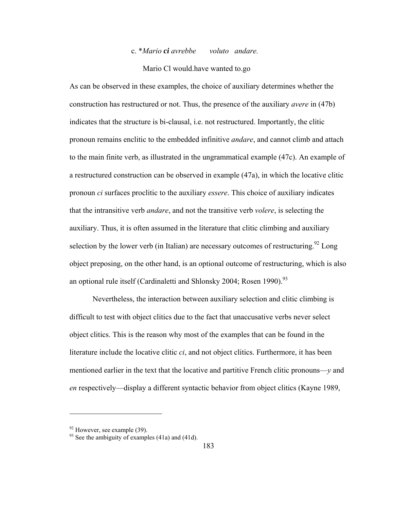# c. \**Mario ci avrebbe voluto andare.*

# Mario Cl would.have wanted to.go

As can be observed in these examples, the choice of auxiliary determines whether the construction has restructured or not. Thus, the presence of the auxiliary *avere* in (47b) indicates that the structure is bi-clausal, i.e. not restructured. Importantly, the clitic pronoun remains enclitic to the embedded infinitive *andare*, and cannot climb and attach to the main finite verb, as illustrated in the ungrammatical example (47c). An example of a restructured construction can be observed in example (47a), in which the locative clitic pronoun *ci* surfaces proclitic to the auxiliary *essere*. This choice of auxiliary indicates that the intransitive verb *andare*, and not the transitive verb *volere*, is selecting the auxiliary. Thus, it is often assumed in the literature that clitic climbing and auxiliary selection by the lower verb (in Italian) are necessary outcomes of restructuring.<sup>92</sup> Long object preposing, on the other hand, is an optional outcome of restructuring, which is also an optional rule itself (Cardinaletti and Shlonsky 2004; Rosen 1990).<sup>93</sup>

 Nevertheless, the interaction between auxiliary selection and clitic climbing is difficult to test with object clitics due to the fact that unaccusative verbs never select object clitics. This is the reason why most of the examples that can be found in the literature include the locative clitic *ci*, and not object clitics. Furthermore, it has been mentioned earlier in the text that the locative and partitive French clitic pronouns—*y* and *en* respectively—display a different syntactic behavior from object clitics (Kayne 1989,

 $\overline{a}$ 

 $92$  However, see example (39).

 $93$  See the ambiguity of examples (41a) and (41d).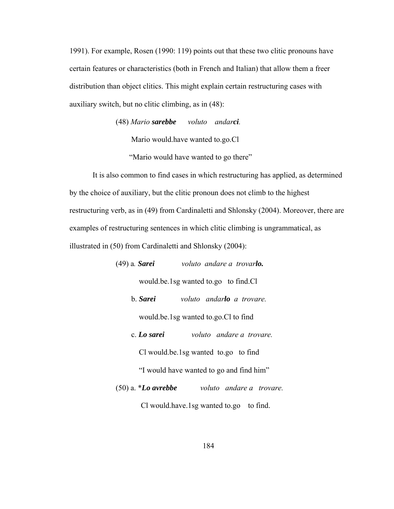1991). For example, Rosen (1990: 119) points out that these two clitic pronouns have certain features or characteristics (both in French and Italian) that allow them a freer distribution than object clitics. This might explain certain restructuring cases with auxiliary switch, but no clitic climbing, as in (48):

> (48) *Mario sarebbe voluto andarci.*  Mario would.have wanted to.go.Cl "Mario would have wanted to go there"

 It is also common to find cases in which restructuring has applied, as determined by the choice of auxiliary, but the clitic pronoun does not climb to the highest restructuring verb, as in (49) from Cardinaletti and Shlonsky (2004). Moreover, there are examples of restructuring sentences in which clitic climbing is ungrammatical, as illustrated in (50) from Cardinaletti and Shlonsky (2004):

> (49) a*. Sarei voluto andare a trovarlo.* would.be.1sg wanted to.go to find.Cl b. *Sarei voluto andarlo a trovare.*  would.be.1sg wanted to.go.Cl to find c. *Lo sarei voluto andare a trovare.* Cl would.be.1sg wanted to.go to find

 "I would have wanted to go and find him" (50) a. \**Lo avrebbe voluto andare a trovare.* Cl would.have.1sg wanted to.go to find.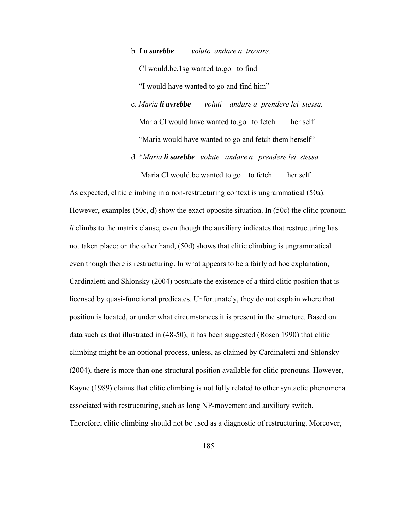b. *Lo sarebbe voluto andare a trovare.*  Cl would.be.1sg wanted to.go to find "I would have wanted to go and find him"

- c. *Maria li avrebbe voluti andare a prendere lei stessa.*  Maria Cl would have wanted to go to fetch her self "Maria would have wanted to go and fetch them herself"
- d. \**Maria li sarebbe**volute andare a prendere lei stessa.*  Maria Cl would be wanted to go to fetch her self

As expected, clitic climbing in a non-restructuring context is ungrammatical (50a). However, examples (50c, d) show the exact opposite situation. In (50c) the clitic pronoun *li* climbs to the matrix clause, even though the auxiliary indicates that restructuring has not taken place; on the other hand, (50d) shows that clitic climbing is ungrammatical even though there is restructuring. In what appears to be a fairly ad hoc explanation, Cardinaletti and Shlonsky (2004) postulate the existence of a third clitic position that is licensed by quasi-functional predicates. Unfortunately, they do not explain where that position is located, or under what circumstances it is present in the structure. Based on data such as that illustrated in (48-50), it has been suggested (Rosen 1990) that clitic climbing might be an optional process, unless, as claimed by Cardinaletti and Shlonsky (2004), there is more than one structural position available for clitic pronouns. However, Kayne (1989) claims that clitic climbing is not fully related to other syntactic phenomena associated with restructuring, such as long NP-movement and auxiliary switch. Therefore, clitic climbing should not be used as a diagnostic of restructuring. Moreover,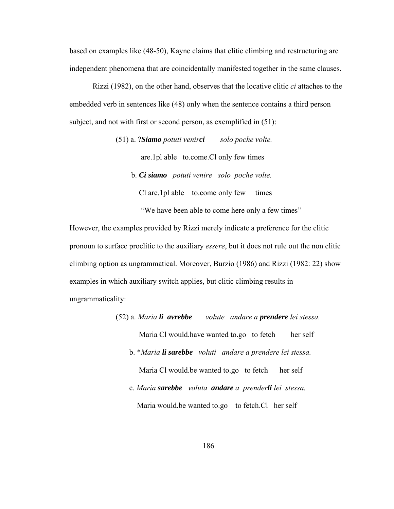based on examples like (48-50), Kayne claims that clitic climbing and restructuring are independent phenomena that are coincidentally manifested together in the same clauses.

 Rizzi (1982), on the other hand, observes that the locative clitic *ci* attaches to the embedded verb in sentences like (48) only when the sentence contains a third person subject, and not with first or second person, as exemplified in (51):

> (51) a. ?*Siamo potuti venirci solo poche volte.*  are.1pl able to.come.Cl only few times

b. *Ci siamo potuti venire solo poche volte.* 

Cl are.1pl able to.come only few times

"We have been able to come here only a few times"

However, the examples provided by Rizzi merely indicate a preference for the clitic pronoun to surface proclitic to the auxiliary *essere*, but it does not rule out the non clitic climbing option as ungrammatical. Moreover, Burzio (1986) and Rizzi (1982: 22) show examples in which auxiliary switch applies, but clitic climbing results in ungrammaticality:

> (52) a. *Maria li avrebbe volute andare a prendere lei stessa.* Maria Cl would have wanted to go to fetch her self b. \**Maria li sarebbe voluti andare a prendere lei stessa.*  Maria Cl would be wanted to go to fetch her self c. *Maria sarebbe voluta andare a prenderli lei stessa.*  Maria would.be wanted to.go to fetch.Cl her self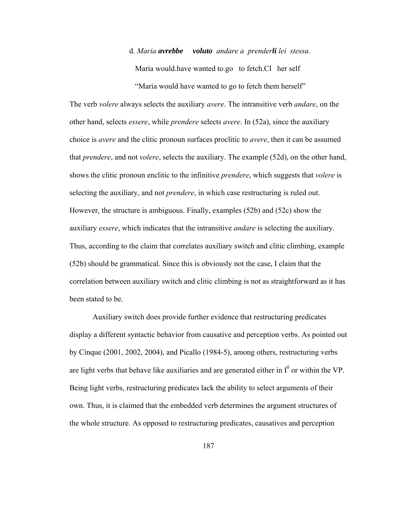d. *Maria avrebbe voluto andare a prenderli lei stessa.*  Maria would.have wanted to.go to fetch.Cl her self "Maria would have wanted to go to fetch them herself"

The verb *volere* always selects the auxiliary *avere*. The intransitive verb *andare*, on the other hand, selects *essere*, while *prendere* selects *avere*. In (52a), since the auxiliary choice is *avere* and the clitic pronoun surfaces proclitic to *avere*, then it can be assumed that *prendere*, and not *volere*, selects the auxiliary. The example (52d), on the other hand, shows the clitic pronoun enclitic to the infinitive *prendere*, which suggests that *volere* is selecting the auxiliary, and not *prendere*, in which case restructuring is ruled out. However, the structure is ambiguous. Finally, examples (52b) and (52c) show the auxiliary *essere*, which indicates that the intransitive *andare* is selecting the auxiliary. Thus, according to the claim that correlates auxiliary switch and clitic climbing, example (52b) should be grammatical. Since this is obviously not the case, I claim that the correlation between auxiliary switch and clitic climbing is not as straightforward as it has been stated to be.

 Auxiliary switch does provide further evidence that restructuring predicates display a different syntactic behavior from causative and perception verbs. As pointed out by Cinque (2001, 2002, 2004), and Picallo (1984-5), among others, restructuring verbs are light verbs that behave like auxiliaries and are generated either in  $I^0$  or within the VP. Being light verbs, restructuring predicates lack the ability to select arguments of their own. Thus, it is claimed that the embedded verb determines the argument structures of the whole structure. As opposed to restructuring predicates, causatives and perception

187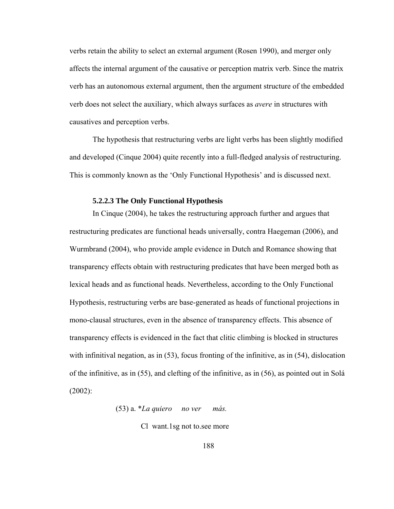verbs retain the ability to select an external argument (Rosen 1990), and merger only affects the internal argument of the causative or perception matrix verb. Since the matrix verb has an autonomous external argument, then the argument structure of the embedded verb does not select the auxiliary, which always surfaces as *avere* in structures with causatives and perception verbs.

 The hypothesis that restructuring verbs are light verbs has been slightly modified and developed (Cinque 2004) quite recently into a full-fledged analysis of restructuring. This is commonly known as the 'Only Functional Hypothesis' and is discussed next.

### **5.2.2.3 The Only Functional Hypothesis**

 In Cinque (2004), he takes the restructuring approach further and argues that restructuring predicates are functional heads universally, contra Haegeman (2006), and Wurmbrand (2004), who provide ample evidence in Dutch and Romance showing that transparency effects obtain with restructuring predicates that have been merged both as lexical heads and as functional heads. Nevertheless, according to the Only Functional Hypothesis, restructuring verbs are base-generated as heads of functional projections in mono-clausal structures, even in the absence of transparency effects. This absence of transparency effects is evidenced in the fact that clitic climbing is blocked in structures with infinitival negation, as in (53), focus fronting of the infinitive, as in (54), dislocation of the infinitive, as in (55), and clefting of the infinitive, as in (56), as pointed out in Solá (2002):

(53) a. \**La quiero no ver más.* 

Cl want.1sg not to.see more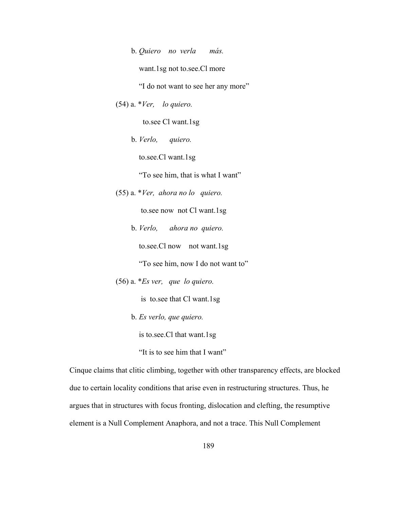b. *Quiero no verla más.* 

want.1sg not to.see.Cl more

"I do not want to see her any more"

(54) a. \**Ver, lo quiero.* 

to.see Cl want.1sg

b. *Verlo, quiero.* 

to.see.Cl want.1sg

"To see him, that is what I want"

(55) a. \**Ver, ahora no lo quiero.* 

to.see now not Cl want.1sg

b. *Verlo, ahora no quiero.* 

to.see.Cl now not want.1sg

"To see him, now I do not want to"

(56) a. \**Es ver, que lo quiero.* 

is to.see that Cl want.1sg

b. *Es verlo, que quiero.* 

is to.see.Cl that want.1sg

"It is to see him that I want"

Cinque claims that clitic climbing, together with other transparency effects, are blocked due to certain locality conditions that arise even in restructuring structures. Thus, he argues that in structures with focus fronting, dislocation and clefting, the resumptive element is a Null Complement Anaphora, and not a trace. This Null Complement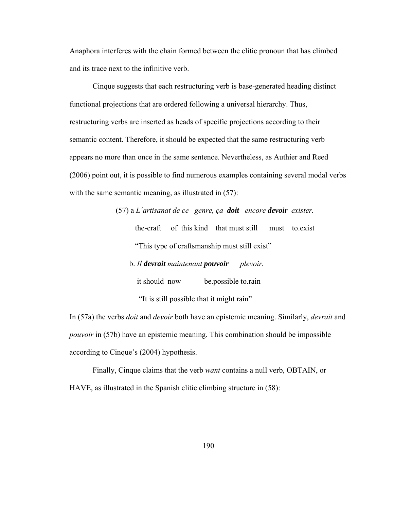Anaphora interferes with the chain formed between the clitic pronoun that has climbed and its trace next to the infinitive verb.

 Cinque suggests that each restructuring verb is base-generated heading distinct functional projections that are ordered following a universal hierarchy. Thus, restructuring verbs are inserted as heads of specific projections according to their semantic content. Therefore, it should be expected that the same restructuring verb appears no more than once in the same sentence. Nevertheless, as Authier and Reed (2006) point out, it is possible to find numerous examples containing several modal verbs with the same semantic meaning, as illustrated in  $(57)$ :

(57) a *L´artisanat de ce genre, ça doit encore devoir exister.* 

 the-craft of this kind that must still must to.exist "This type of craftsmanship must still exist"

 b. *Il devrait maintenant pouvoir plevoir.*  it should now be.possible to.rain "It is still possible that it might rain"

In (57a) the verbs *doit* and *devoir* both have an epistemic meaning. Similarly, *devrait* and *pouvoir* in (57b) have an epistemic meaning. This combination should be impossible according to Cinque's (2004) hypothesis.

Finally, Cinque claims that the verb *want* contains a null verb, OBTAIN, or HAVE, as illustrated in the Spanish clitic climbing structure in (58):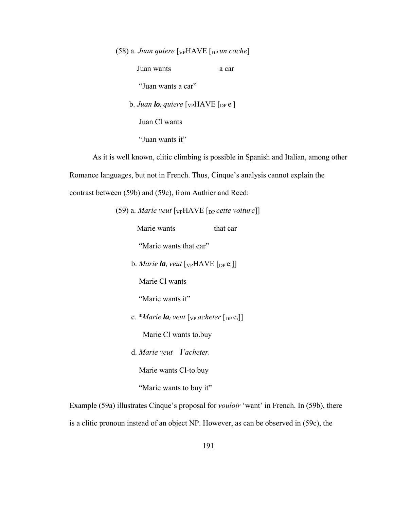(58) a. *Juan quiere* [VPHAVE [DP *un coche*]

Juan wants a car

"Juan wants a car"

b. *Juan*  $lo_i$  quiere  $[\text{v}_P HAVE \, [\text{p}_P e_i]]$ 

Juan Cl wants

"Juan wants it"

As it is well known, clitic climbing is possible in Spanish and Italian, among other

Romance languages, but not in French. Thus, Cinque's analysis cannot explain the

contrast between (59b) and (59c), from Authier and Reed:

(59) a. *Marie veut* [VPHAVE [DP *cette voiture*]]

Marie wants that car

"Marie wants that car"

b. *Marie la*<sup>*i*</sup> veut  $[\text{v}_P HAVE \, [\text{p}_P e_i]]$ 

Marie Cl wants

"Marie wants it"

c. \**Marie la<sub>i</sub> veut* [<sub>VP</sub> *acheter* [<sub>DP</sub>  $e_i$ ]]

Marie Cl wants to.buy

d. *Marie veut l´acheter.*

Marie wants Cl-to.buy

"Marie wants to buy it"

Example (59a) illustrates Cinque's proposal for *vouloir* 'want' in French. In (59b), there is a clitic pronoun instead of an object NP. However, as can be observed in (59c), the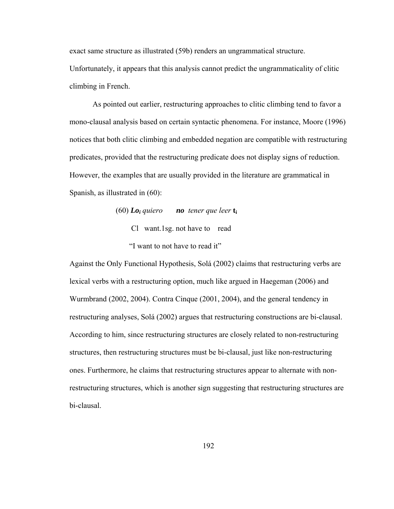exact same structure as illustrated (59b) renders an ungrammatical structure.

Unfortunately, it appears that this analysis cannot predict the ungrammaticality of clitic climbing in French.

 As pointed out earlier, restructuring approaches to clitic climbing tend to favor a mono-clausal analysis based on certain syntactic phenomena. For instance, Moore (1996) notices that both clitic climbing and embedded negation are compatible with restructuring predicates, provided that the restructuring predicate does not display signs of reduction. However, the examples that are usually provided in the literature are grammatical in Spanish, as illustrated in (60):

> (60) *Loi quiero no tener que leer* **ti** Cl want.1sg. not have to read "I want to not have to read it"

Against the Only Functional Hypothesis, Solá (2002) claims that restructuring verbs are lexical verbs with a restructuring option, much like argued in Haegeman (2006) and Wurmbrand (2002, 2004). Contra Cinque (2001, 2004), and the general tendency in restructuring analyses, Solá (2002) argues that restructuring constructions are bi-clausal. According to him, since restructuring structures are closely related to non-restructuring structures, then restructuring structures must be bi-clausal, just like non-restructuring ones. Furthermore, he claims that restructuring structures appear to alternate with nonrestructuring structures, which is another sign suggesting that restructuring structures are bi-clausal.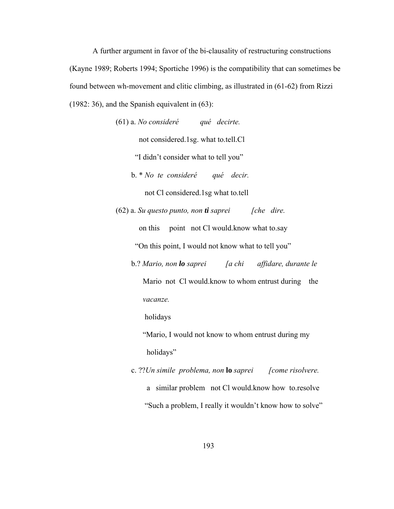A further argument in favor of the bi-clausality of restructuring constructions (Kayne 1989; Roberts 1994; Sportiche 1996) is the compatibility that can sometimes be found between wh-movement and clitic climbing, as illustrated in (61-62) from Rizzi (1982: 36), and the Spanish equivalent in (63):

> (61) a. *No consideré qué decirte.*  not considered.1sg. what to.tell.Cl "I didn't consider what to tell you" b. \* *No te consideré qué decir.*  not Cl considered.1sg what to.tell

 (62) a. *Su questo punto, non ti saprei [che dire.*  on this point not Cl would.know what to.say

"On this point, I would not know what to tell you"

 b.? *Mario, non lo saprei [a chi affidare, durante le* Mario not Cl would.know to whom entrust during the *vacanze.* 

holidays

 "Mario, I would not know to whom entrust during my holidays"

 c. ??*Un simile problema, non* **lo** *saprei [come risolvere.*  a similar problem not Cl would.know how to.resolve "Such a problem, I really it wouldn't know how to solve"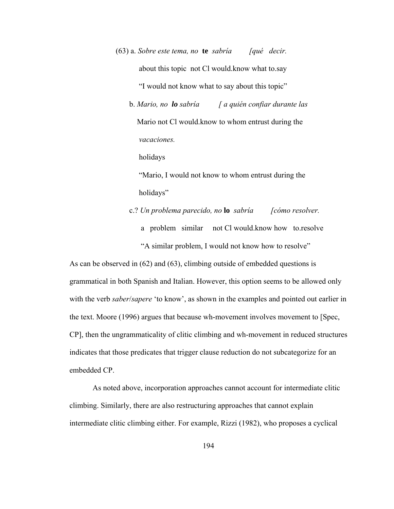- (63) a. *Sobre este tema, no* **te** *sabría [qué decir.*  about this topic not Cl would.know what to say "I would not know what to say about this topic" b. *Mario, no lo sabría [ a quién confiar durante las* 
	- Mario not Cl would.know to whom entrust during the *vacaciones.*

holidays

 "Mario, I would not know to whom entrust during the holidays"

 c.? *Un problema parecido, no* **lo** *sabría [cómo resolver.*  a problem similar not Cl would.know how to.resolve "A similar problem, I would not know how to resolve"

As can be observed in (62) and (63), climbing outside of embedded questions is grammatical in both Spanish and Italian. However, this option seems to be allowed only with the verb *saber*/*sapere* 'to know', as shown in the examples and pointed out earlier in the text. Moore (1996) argues that because wh-movement involves movement to [Spec, CP], then the ungrammaticality of clitic climbing and wh-movement in reduced structures indicates that those predicates that trigger clause reduction do not subcategorize for an embedded CP.

 As noted above, incorporation approaches cannot account for intermediate clitic climbing. Similarly, there are also restructuring approaches that cannot explain intermediate clitic climbing either. For example, Rizzi (1982), who proposes a cyclical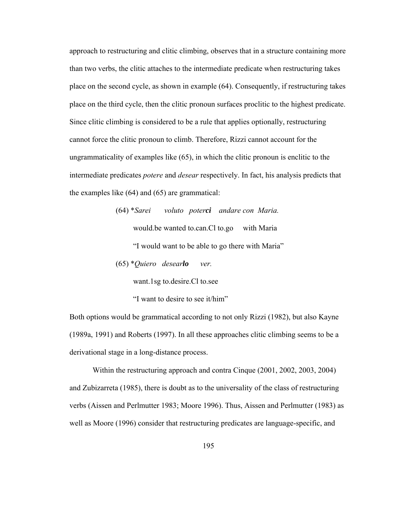approach to restructuring and clitic climbing, observes that in a structure containing more than two verbs, the clitic attaches to the intermediate predicate when restructuring takes place on the second cycle, as shown in example (64). Consequently, if restructuring takes place on the third cycle, then the clitic pronoun surfaces proclitic to the highest predicate. Since clitic climbing is considered to be a rule that applies optionally, restructuring cannot force the clitic pronoun to climb. Therefore, Rizzi cannot account for the ungrammaticality of examples like (65), in which the clitic pronoun is enclitic to the intermediate predicates *potere* and *desear* respectively. In fact, his analysis predicts that the examples like (64) and (65) are grammatical:

> (64) \**Sarei voluto poterci andare con Maria.* would.be wanted to.can.Cl to.go with Maria

"I would want to be able to go there with Maria"

(65) \**Quiero desearlo ver.* 

want.1sg to.desire.Cl to.see

"I want to desire to see it/him"

Both options would be grammatical according to not only Rizzi (1982), but also Kayne (1989a, 1991) and Roberts (1997). In all these approaches clitic climbing seems to be a derivational stage in a long-distance process.

Within the restructuring approach and contra Cinque (2001, 2002, 2003, 2004) and Zubizarreta (1985), there is doubt as to the universality of the class of restructuring verbs (Aissen and Perlmutter 1983; Moore 1996). Thus, Aissen and Perlmutter (1983) as well as Moore (1996) consider that restructuring predicates are language-specific, and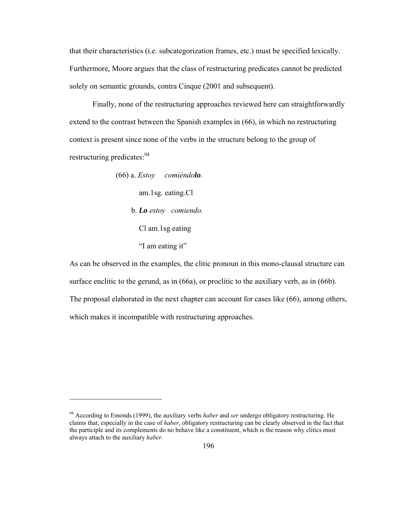that their characteristics (i.e. subcategorization frames, etc.) must be specified lexically. Furthermore, Moore argues that the class of restructuring predicates cannot be predicted solely on semantic grounds, contra Cinque (2001 and subsequent).

 Finally, none of the restructuring approaches reviewed here can straightforwardly extend to the contrast between the Spanish examples in (66), in which no restructuring context is present since none of the verbs in the structure belong to the group of restructuring predicates: <sup>94</sup>

> (66) a. *Estoy comiéndolo.* am.1sg. eating.Cl b. *Lo estoy comiendo.*  Cl am.1sg eating "I am eating it"

 $\overline{a}$ 

As can be observed in the examples, the clitic pronoun in this mono-clausal structure can surface enclitic to the gerund, as in (66a), or proclitic to the auxiliary verb, as in (66b). The proposal elaborated in the next chapter can account for cases like (66), among others, which makes it incompatible with restructuring approaches.

<sup>94</sup> According to Emonds (1999), the auxiliary verbs *haber* and *ser* undergo obligatory restructuring. He claims that, especially in the case of *haber*, obligatory restructuring can be clearly observed in the fact that the participle and its complements do no behave like a constituent, which is the reason why clitics must always attach to the auxiliary *haber.*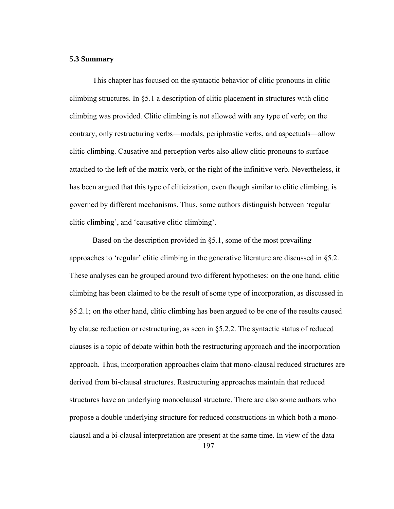#### **5.3 Summary**

 This chapter has focused on the syntactic behavior of clitic pronouns in clitic climbing structures. In §5.1 a description of clitic placement in structures with clitic climbing was provided. Clitic climbing is not allowed with any type of verb; on the contrary, only restructuring verbs—modals, periphrastic verbs, and aspectuals—allow clitic climbing. Causative and perception verbs also allow clitic pronouns to surface attached to the left of the matrix verb, or the right of the infinitive verb. Nevertheless, it has been argued that this type of cliticization, even though similar to clitic climbing, is governed by different mechanisms. Thus, some authors distinguish between 'regular clitic climbing', and 'causative clitic climbing'.

 Based on the description provided in §5.1, some of the most prevailing approaches to 'regular' clitic climbing in the generative literature are discussed in §5.2. These analyses can be grouped around two different hypotheses: on the one hand, clitic climbing has been claimed to be the result of some type of incorporation, as discussed in §5.2.1; on the other hand, clitic climbing has been argued to be one of the results caused by clause reduction or restructuring, as seen in §5.2.2. The syntactic status of reduced clauses is a topic of debate within both the restructuring approach and the incorporation approach. Thus, incorporation approaches claim that mono-clausal reduced structures are derived from bi-clausal structures. Restructuring approaches maintain that reduced structures have an underlying monoclausal structure. There are also some authors who propose a double underlying structure for reduced constructions in which both a monoclausal and a bi-clausal interpretation are present at the same time. In view of the data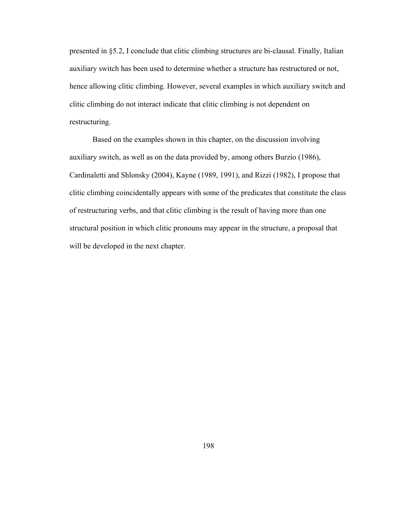presented in §5.2, I conclude that clitic climbing structures are bi-clausal. Finally, Italian auxiliary switch has been used to determine whether a structure has restructured or not, hence allowing clitic climbing. However, several examples in which auxiliary switch and clitic climbing do not interact indicate that clitic climbing is not dependent on restructuring.

 Based on the examples shown in this chapter, on the discussion involving auxiliary switch, as well as on the data provided by, among others Burzio (1986), Cardinaletti and Shlonsky (2004), Kayne (1989, 1991), and Rizzi (1982), I propose that clitic climbing coincidentally appears with some of the predicates that constitute the class of restructuring verbs, and that clitic climbing is the result of having more than one structural position in which clitic pronouns may appear in the structure, a proposal that will be developed in the next chapter.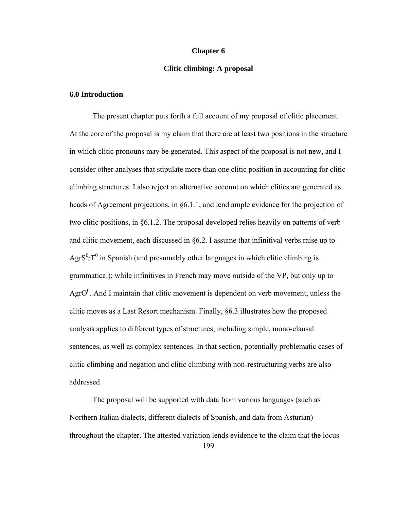#### **Chapter 6**

# **Clitic climbing: A proposal**

#### **6.0 Introduction**

 The present chapter puts forth a full account of my proposal of clitic placement. At the core of the proposal is my claim that there are at least two positions in the structure in which clitic pronouns may be generated. This aspect of the proposal is not new, and I consider other analyses that stipulate more than one clitic position in accounting for clitic climbing structures. I also reject an alternative account on which clitics are generated as heads of Agreement projections, in §6.1.1, and lend ample evidence for the projection of two clitic positions, in §6.1.2. The proposal developed relies heavily on patterns of verb and clitic movement, each discussed in §6.2. I assume that infinitival verbs raise up to  $\text{AgrS}^0/\text{T}^0$  in Spanish (and presumably other languages in which clitic climbing is grammatical); while infinitives in French may move outside of the VP, but only up to AgrO $^{0}$ . And I maintain that clitic movement is dependent on verb movement, unless the clitic moves as a Last Resort mechanism. Finally, §6.3 illustrates how the proposed analysis applies to different types of structures, including simple, mono-clausal sentences, as well as complex sentences. In that section, potentially problematic cases of clitic climbing and negation and clitic climbing with non-restructuring verbs are also addressed.

 The proposal will be supported with data from various languages (such as Northern Italian dialects, different dialects of Spanish, and data from Asturian) throughout the chapter. The attested variation lends evidence to the claim that the locus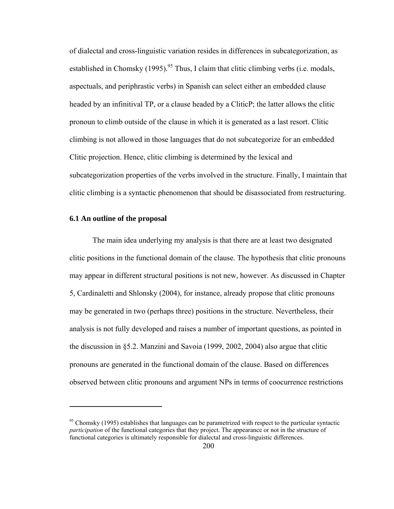of dialectal and cross-linguistic variation resides in differences in subcategorization, as established in Chomsky  $(1995)$ .<sup>95</sup> Thus, I claim that clitic climbing verbs (i.e. modals, aspectuals, and periphrastic verbs) in Spanish can select either an embedded clause headed by an infinitival TP, or a clause headed by a CliticP; the latter allows the clitic pronoun to climb outside of the clause in which it is generated as a last resort. Clitic climbing is not allowed in those languages that do not subcategorize for an embedded Clitic projection. Hence, clitic climbing is determined by the lexical and subcategorization properties of the verbs involved in the structure. Finally, I maintain that clitic climbing is a syntactic phenomenon that should be disassociated from restructuring.

# **6.1 An outline of the proposal**

 $\overline{a}$ 

 The main idea underlying my analysis is that there are at least two designated clitic positions in the functional domain of the clause. The hypothesis that clitic pronouns may appear in different structural positions is not new, however. As discussed in Chapter 5, Cardinaletti and Shlonsky (2004), for instance, already propose that clitic pronouns may be generated in two (perhaps three) positions in the structure. Nevertheless, their analysis is not fully developed and raises a number of important questions, as pointed in the discussion in §5.2. Manzini and Savoia (1999, 2002, 2004) also argue that clitic pronouns are generated in the functional domain of the clause. Based on differences observed between clitic pronouns and argument NPs in terms of coocurrence restrictions

<sup>&</sup>lt;sup>95</sup> Chomsky (1995) establishes that languages can be parametrized with respect to the particular syntactic *participation* of the functional categories that they project. The appearance or not in the structure of functional categories is ultimately responsible for dialectal and cross-linguistic differences.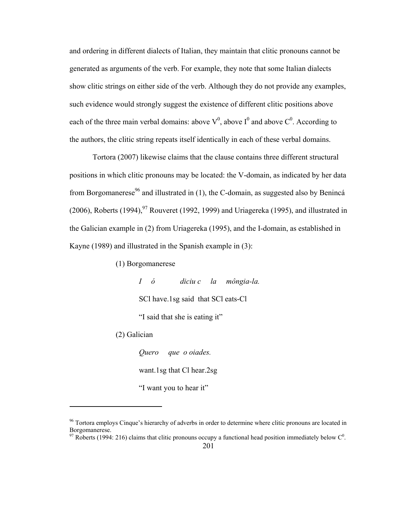and ordering in different dialects of Italian, they maintain that clitic pronouns cannot be generated as arguments of the verb. For example, they note that some Italian dialects show clitic strings on either side of the verb. Although they do not provide any examples, such evidence would strongly suggest the existence of different clitic positions above each of the three main verbal domains: above  $V^0$ , above  $I^0$  and above  $C^0$ . According to the authors, the clitic string repeats itself identically in each of these verbal domains.

 Tortora (2007) likewise claims that the clause contains three different structural positions in which clitic pronouns may be located: the V-domain, as indicated by her data from Borgomanerese<sup>96</sup> and illustrated in (1), the C-domain, as suggested also by Benincá (2006), Roberts (1994),  $97$  Rouveret (1992, 1999) and Uriagereka (1995), and illustrated in the Galician example in (2) from Uriagereka (1995), and the I-domain, as established in Kayne (1989) and illustrated in the Spanish example in (3):

(1) Borgomanerese

 *I ó diciu c la môngia-la.*  SCl have.1sg said that SCl eats-Cl "I said that she is eating it"

(2) Galician

1

 *Quero que o oiades.*  want.1sg that Cl hear.2sg

"I want you to hear it"

<sup>&</sup>lt;sup>96</sup> Tortora employs Cinque's hierarchy of adverbs in order to determine where clitic pronouns are located in Borgomanerese.

 $^{97}$  Roberts (1994: 216) claims that clitic pronouns occupy a functional head position immediately below  $C^0$ .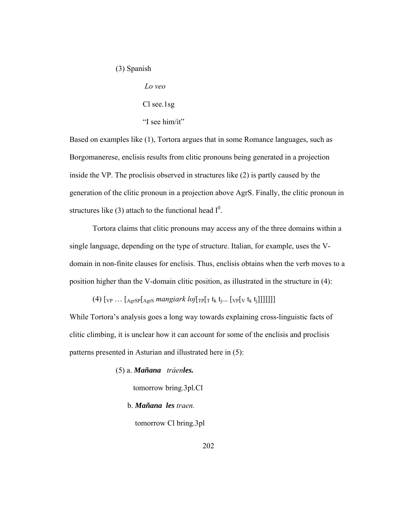(3) Spanish *Lo veo* Cl see.1sg

"I see him/it"

Based on examples like (1), Tortora argues that in some Romance languages, such as Borgomanerese, enclisis results from clitic pronouns being generated in a projection inside the VP. The proclisis observed in structures like (2) is partly caused by the generation of the clitic pronoun in a projection above AgrS. Finally, the clitic pronoun in structures like (3) attach to the functional head  $I^0$ .

 Tortora claims that clitic pronouns may access any of the three domains within a single language, depending on the type of structure. Italian, for example, uses the Vdomain in non-finite clauses for enclisis. Thus, enclisis obtains when the verb moves to a position higher than the V-domain clitic position, as illustrated in the structure in (4):

(4)  $[VP \dots [AgrSP[AgrS \text{ mangi}ark \text{ } loj[TP[T t_k t_i \dots [VP[v t_k t_j]]]]]]]$ 

While Tortora's analysis goes a long way towards explaining cross-linguistic facts of clitic climbing, it is unclear how it can account for some of the enclisis and proclisis patterns presented in Asturian and illustrated here in (5):

> (5) a. *Mañana tráenles.* tomorrow bring.3pl.Cl b. *Mañana les traen.*  tomorrow Cl bring.3pl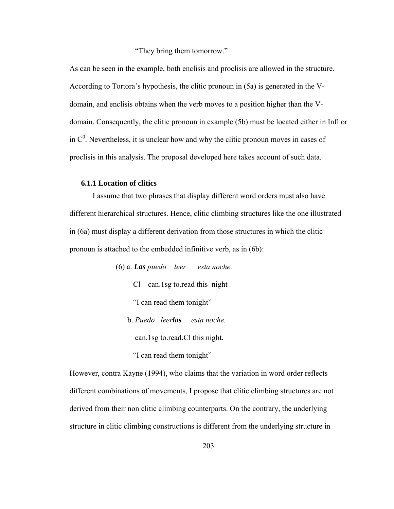# "They bring them tomorrow."

As can be seen in the example, both enclisis and proclisis are allowed in the structure. According to Tortora's hypothesis, the clitic pronoun in (5a) is generated in the Vdomain, and enclisis obtains when the verb moves to a position higher than the Vdomain. Consequently, the clitic pronoun in example (5b) must be located either in Infl or in  $C<sup>0</sup>$ . Nevertheless, it is unclear how and why the clitic pronoun moves in cases of proclisis in this analysis. The proposal developed here takes account of such data.

# **6.1.1 Location of clitics**

 I assume that two phrases that display different word orders must also have different hierarchical structures. Hence, clitic climbing structures like the one illustrated in (6a) must display a different derivation from those structures in which the clitic pronoun is attached to the embedded infinitive verb, as in (6b):

> (6) a. *Las puedo leer esta noche.*  Cl can.1sg to.read this night "I can read them tonight" b. *Puedo leerlas esta noche.*  can.1sg to.read.Cl this night.

> > "I can read them tonight"

However, contra Kayne (1994), who claims that the variation in word order reflects different combinations of movements, I propose that clitic climbing structures are not derived from their non clitic climbing counterparts. On the contrary, the underlying structure in clitic climbing constructions is different from the underlying structure in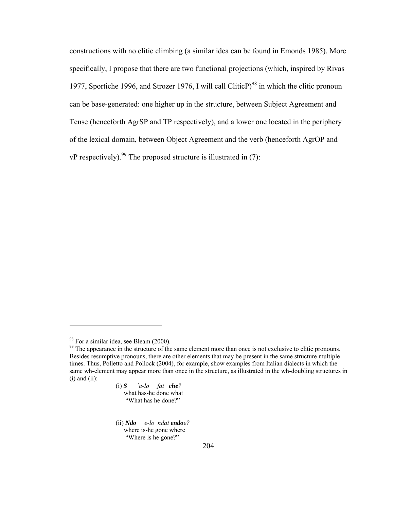constructions with no clitic climbing (a similar idea can be found in Emonds 1985). More specifically, I propose that there are two functional projections (which, inspired by Rivas 1977, Sportiche 1996, and Strozer 1976, I will call CliticP)<sup>98</sup> in which the clitic pronoun can be base-generated: one higher up in the structure, between Subject Agreement and Tense (henceforth AgrSP and TP respectively), and a lower one located in the periphery of the lexical domain, between Object Agreement and the verb (henceforth AgrOP and  $vP$  respectively).<sup>99</sup> The proposed structure is illustrated in (7):

 $\overline{a}$ 

 $(i) S$  *'a-lo fat che?*  what has-he done what "What has he done?"

 (ii) *Ndo e-lo ndat endoe?* where is-he gone where "Where is he gone?"

<sup>&</sup>lt;sup>98</sup> For a similar idea, see Bleam (2000).

<sup>&</sup>lt;sup>99</sup> The appearance in the structure of the same element more than once is not exclusive to clitic pronouns. Besides resumptive pronouns, there are other elements that may be present in the same structure multiple times. Thus, Polletto and Pollock (2004), for example, show examples from Italian dialects in which the same wh-element may appear more than once in the structure, as illustrated in the wh-doubling structures in  $(i)$  and  $(ii)$ :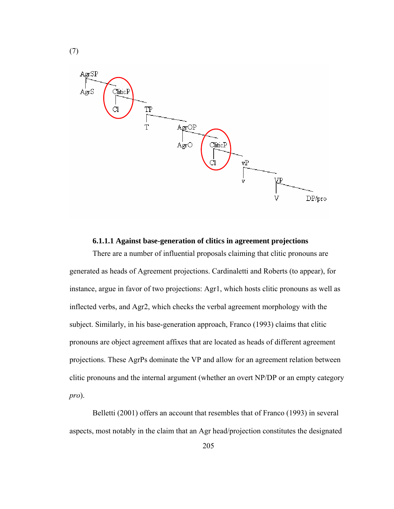

# **6.1.1.1 Against base-generation of clitics in agreement projections**

 There are a number of influential proposals claiming that clitic pronouns are generated as heads of Agreement projections. Cardinaletti and Roberts (to appear), for instance, argue in favor of two projections: Agr1, which hosts clitic pronouns as well as inflected verbs, and Agr2, which checks the verbal agreement morphology with the subject. Similarly, in his base-generation approach, Franco (1993) claims that clitic pronouns are object agreement affixes that are located as heads of different agreement projections. These AgrPs dominate the VP and allow for an agreement relation between clitic pronouns and the internal argument (whether an overt NP/DP or an empty category *pro*).

 Belletti (2001) offers an account that resembles that of Franco (1993) in several aspects, most notably in the claim that an Agr head/projection constitutes the designated

(7)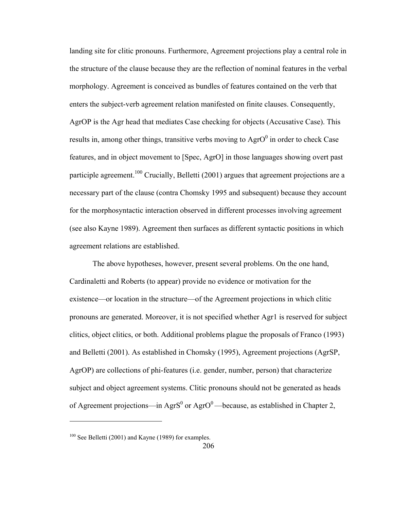landing site for clitic pronouns. Furthermore, Agreement projections play a central role in the structure of the clause because they are the reflection of nominal features in the verbal morphology. Agreement is conceived as bundles of features contained on the verb that enters the subject-verb agreement relation manifested on finite clauses. Consequently, AgrOP is the Agr head that mediates Case checking for objects (Accusative Case). This results in, among other things, transitive verbs moving to  $AgrO<sup>0</sup>$  in order to check Case features, and in object movement to [Spec, AgrO] in those languages showing overt past participle agreement.<sup>100</sup> Crucially, Belletti (2001) argues that agreement projections are a necessary part of the clause (contra Chomsky 1995 and subsequent) because they account for the morphosyntactic interaction observed in different processes involving agreement (see also Kayne 1989). Agreement then surfaces as different syntactic positions in which agreement relations are established.

 The above hypotheses, however, present several problems. On the one hand, Cardinaletti and Roberts (to appear) provide no evidence or motivation for the existence—or location in the structure—of the Agreement projections in which clitic pronouns are generated. Moreover, it is not specified whether Agr1 is reserved for subject clitics, object clitics, or both. Additional problems plague the proposals of Franco (1993) and Belletti (2001). As established in Chomsky (1995), Agreement projections (AgrSP, AgrOP) are collections of phi-features (i.e. gender, number, person) that characterize subject and object agreement systems. Clitic pronouns should not be generated as heads of Agreement projections—in Agr $S^0$  or Agr $O^0$ —because, as established in Chapter 2,

 $\overline{a}$ 

<sup>100</sup> See Belletti (2001) and Kayne (1989) for examples.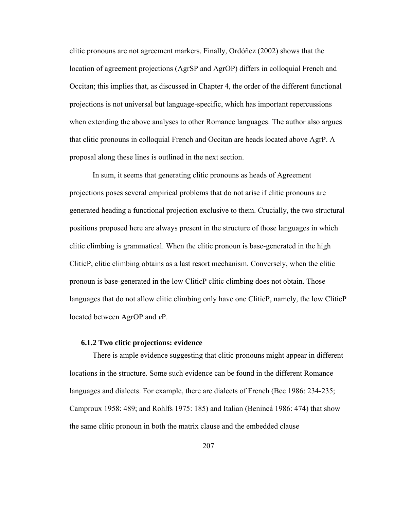clitic pronouns are not agreement markers. Finally, Ordóñez (2002) shows that the location of agreement projections (AgrSP and AgrOP) differs in colloquial French and Occitan; this implies that, as discussed in Chapter 4, the order of the different functional projections is not universal but language-specific, which has important repercussions when extending the above analyses to other Romance languages. The author also argues that clitic pronouns in colloquial French and Occitan are heads located above AgrP. A proposal along these lines is outlined in the next section.

 In sum, it seems that generating clitic pronouns as heads of Agreement projections poses several empirical problems that do not arise if clitic pronouns are generated heading a functional projection exclusive to them. Crucially, the two structural positions proposed here are always present in the structure of those languages in which clitic climbing is grammatical. When the clitic pronoun is base-generated in the high CliticP, clitic climbing obtains as a last resort mechanism. Conversely, when the clitic pronoun is base-generated in the low CliticP clitic climbing does not obtain. Those languages that do not allow clitic climbing only have one CliticP, namely, the low CliticP located between AgrOP and *v*P.

# **6.1.2 Two clitic projections: evidence**

 There is ample evidence suggesting that clitic pronouns might appear in different locations in the structure. Some such evidence can be found in the different Romance languages and dialects. For example, there are dialects of French (Bec 1986: 234-235; Camproux 1958: 489; and Rohlfs 1975: 185) and Italian (Benincá 1986: 474) that show the same clitic pronoun in both the matrix clause and the embedded clause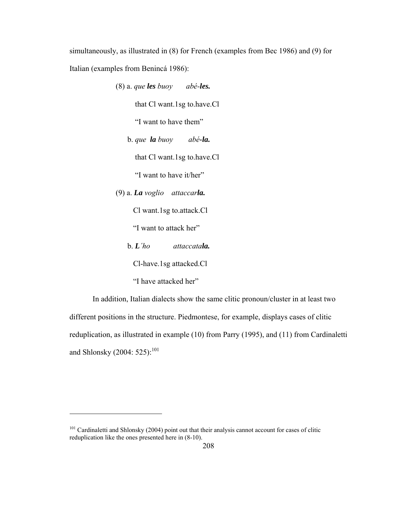simultaneously, as illustrated in (8) for French (examples from Bec 1986) and (9) for Italian (examples from Benincá 1986):

| $(8)$ a. que les buoy abé-les.           |
|------------------------------------------|
| that Cl want. 1sg to. have. Cl           |
| "I want to have them"                    |
| b. que la buoy abé-la.                   |
| that Cl want. 1sg to have Cl             |
| "I want to have it/her"                  |
| $(9)$ a. La voglio attaccarla.           |
| Cl want. 1sg to. attack. Cl              |
| "I want to attack her"                   |
| $b. L'$ <i>ho</i><br><i>attaccatala.</i> |
| Cl-have.1sg attacked.Cl                  |
| "I have attacked her"                    |

 In addition, Italian dialects show the same clitic pronoun/cluster in at least two different positions in the structure. Piedmontese, for example, displays cases of clitic reduplication, as illustrated in example (10) from Parry (1995), and (11) from Cardinaletti and Shlonsky (2004: 525):<sup>101</sup>

 $\overline{a}$ 

<sup>&</sup>lt;sup>101</sup> Cardinaletti and Shlonsky (2004) point out that their analysis cannot account for cases of clitic reduplication like the ones presented here in (8-10).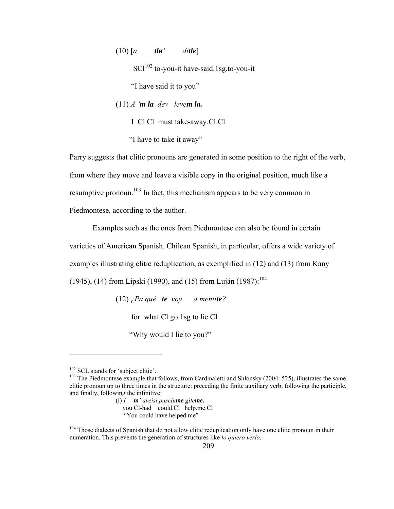$(10)$  [a *tlø*<sup>*'*</sup> ditle]  $\text{SCI}^{102}$  to-you-it have-said.1sg.to-you-it "I have said it to you"  $(11)$  *A* '*m la dev levem la*. I Cl Cl must take-away.Cl.Cl

"I have to take it away"

Parry suggests that clitic pronouns are generated in some position to the right of the verb, from where they move and leave a visible copy in the original position, much like a resumptive pronoun.<sup>103</sup> In fact, this mechanism appears to be very common in Piedmontese, according to the author.

 Examples such as the ones from Piedmontese can also be found in certain varieties of American Spanish. Chilean Spanish, in particular, offers a wide variety of examples illustrating clitic reduplication, as exemplified in (12) and (13) from Kany (1945), (14) from Lipski (1990), and (15) from Luján (1987):<sup>104</sup>

(12) *¿Pa qué te voy a mentite?* 

for what Cl go.1sg to lie.Cl

"Why would I lie to you?"

 $\overline{a}$ 

(i)  $I$  *m* aveisi pusciume giteme. you Cl-had could.Cl help.me.Cl "You could have helped me"

<sup>&</sup>lt;sup>102</sup> SCL stands for 'subject clitic'.<br><sup>103</sup> The Piedmontese example that follows, from Cardinaletti and Shlonsky (2004: 525), illustrates the same clitic pronoun up to three times in the structure: preceding the finite auxiliary verb; following the participle, and finally, following the infinitive:

<sup>&</sup>lt;sup>104</sup> Those dialects of Spanish that do not allow clitic reduplication only have one clitic pronoun in their numeration. This prevents the generation of structures like *lo quiero verlo*.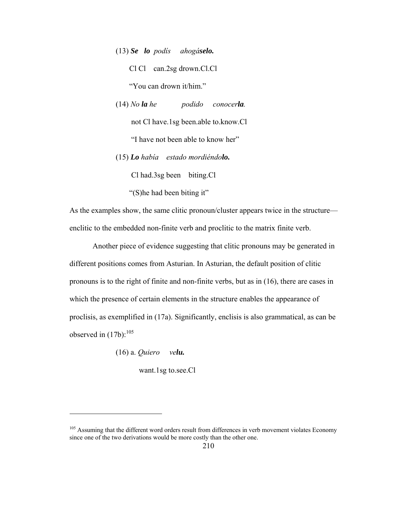(13) *Se lo podís ahogáselo.* Cl Cl can.2sg drown.Cl.Cl "You can drown it/him." (14) *No la he podido conocerla.* 

 not Cl have.1sg been.able to.know.Cl "I have not been able to know her" (15) *Lo había estado mordiéndolo.*

Cl had.3sg been biting.Cl

"(S)he had been biting it"

As the examples show, the same clitic pronoun/cluster appears twice in the structure enclitic to the embedded non-finite verb and proclitic to the matrix finite verb.

 Another piece of evidence suggesting that clitic pronouns may be generated in different positions comes from Asturian. In Asturian, the default position of clitic pronouns is to the right of finite and non-finite verbs, but as in (16), there are cases in which the presence of certain elements in the structure enables the appearance of proclisis, as exemplified in (17a). Significantly, enclisis is also grammatical, as can be observed in  $(17b)$ :<sup>105</sup>

(16) a. *Quiero velu.*

 $\overline{a}$ 

want.1sg to.see.Cl

<sup>&</sup>lt;sup>105</sup> Assuming that the different word orders result from differences in verb movement violates Economy since one of the two derivations would be more costly than the other one.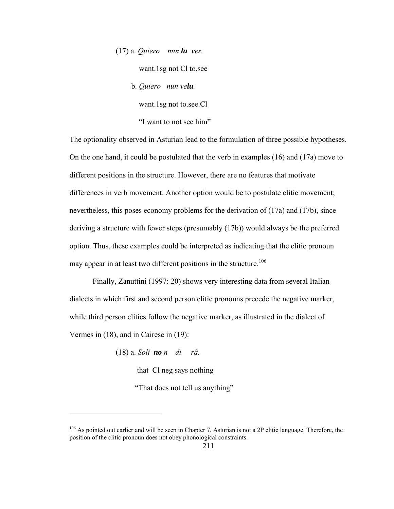(17) a. *Quiero nun lu ver.*  want.1sg not Cl to.see b. *Quiero nun velu.*  want.1sg not to.see.Cl

"I want to not see him"

The optionality observed in Asturian lead to the formulation of three possible hypotheses. On the one hand, it could be postulated that the verb in examples (16) and (17a) move to different positions in the structure. However, there are no features that motivate differences in verb movement. Another option would be to postulate clitic movement; nevertheless, this poses economy problems for the derivation of (17a) and (17b), since deriving a structure with fewer steps (presumably (17b)) would always be the preferred option. Thus, these examples could be interpreted as indicating that the clitic pronoun may appear in at least two different positions in the structure.<sup>106</sup>

 Finally, Zanuttini (1997: 20) shows very interesting data from several Italian dialects in which first and second person clitic pronouns precede the negative marker, while third person clitics follow the negative marker, as illustrated in the dialect of Vermes in (18), and in Cairese in (19):

(18) a. *Soli no n di rã.* 

 $\overline{a}$ 

that Cl neg says nothing

"That does not tell us anything"

<sup>&</sup>lt;sup>106</sup> As pointed out earlier and will be seen in Chapter 7, Asturian is not a 2P clitic language. Therefore, the position of the clitic pronoun does not obey phonological constraints.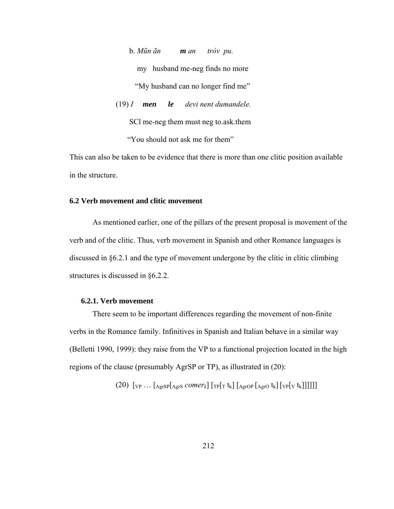b. *Mũn ãn m an tròv pu.*  my husband me-neg finds no more "My husband can no longer find me" (19) *I men le devi nent dumandele.*  SCl me-neg them must neg to.ask.them "You should not ask me for them"

This can also be taken to be evidence that there is more than one clitic position available in the structure.

## **6.2 Verb movement and clitic movement**

 As mentioned earlier, one of the pillars of the present proposal is movement of the verb and of the clitic. Thus, verb movement in Spanish and other Romance languages is discussed in §6.2.1 and the type of movement undergone by the clitic in clitic climbing structures is discussed in §6.2.2.

## **6.2.1. Verb movement**

 There seem to be important differences regarding the movement of non-finite verbs in the Romance family. Infinitives in Spanish and Italian behave in a similar way (Belletti 1990, 1999): they raise from the VP to a functional projection located in the high regions of the clause (presumably AgrSP or TP), as illustrated in (20):

 $(20)$   $[vP$  ...  $\lceil_{\text{AgrSP}}\rceil_{\text{AgrS}}$  *comer<sub>k</sub>*]  $\lceil_{\text{TP}}\rceil_{\text{T}}$   $t_k$ ]  $\lceil_{\text{AgrOP}}\rceil_{\text{AgrO}}$   $t_k$ ]  $\lceil_{\text{VP}}\rceil_{\text{V}}$   $t_k$ ]]]]]]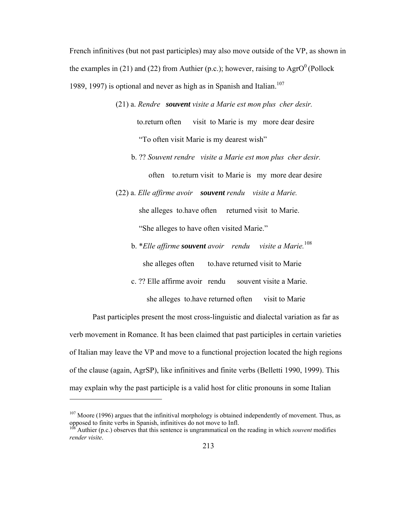French infinitives (but not past participles) may also move outside of the VP, as shown in the examples in (21) and (22) from Authier (p.c.); however, raising to AgrO<sup>0</sup> (Pollock 1989, 1997) is optional and never as high as in Spanish and Italian.<sup>107</sup>

- (21) a. *Rendre souvent visite a Marie est mon plus cher desir.*  to.return often visit to Marie is my more dear desire "To often visit Marie is my dearest wish"
	- b. ?? *Souvent rendre visite a Marie est mon plus cher desir.* often to.return visit to Marie is my more dear desire
- (22) a. *Elle affirme avoir souvent rendu visite a Marie.*  she alleges to.have often returned visit to Marie. "She alleges to have often visited Marie."
	- b. \**Elle affirme souvent avoir rendu visite a Marie.*108 she alleges often to.have returned visit to Marie
	- c. ?? Elle affirme avoir rendu souvent visite a Marie.

she alleges to have returned often visit to Marie

 Past participles present the most cross-linguistic and dialectal variation as far as verb movement in Romance. It has been claimed that past participles in certain varieties of Italian may leave the VP and move to a functional projection located the high regions of the clause (again, AgrSP), like infinitives and finite verbs (Belletti 1990, 1999). This may explain why the past participle is a valid host for clitic pronouns in some Italian

 $107$  Moore (1996) argues that the infinitival morphology is obtained independently of movement. Thus, as opposed to finite verbs in Spanish, infinitives do not move to Infl.

<sup>&</sup>lt;sup>108</sup> Authier (p.c.) observes that this sentence is ungrammatical on the reading in which *souvent* modifies *render visite*.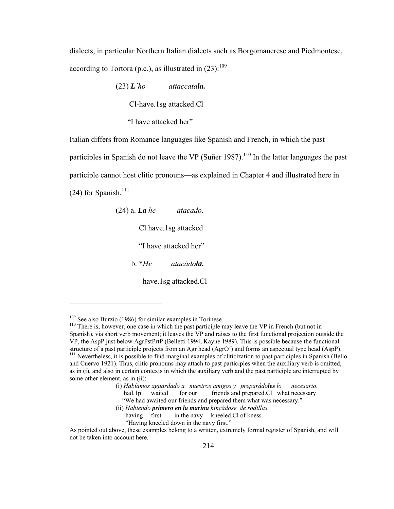dialects, in particular Northern Italian dialects such as Borgomanerese and Piedmontese, according to Tortora (p.c.), as illustrated in  $(23)$ :<sup>109</sup>

> (23) *L´ho attaccatala.*  Cl-have.1sg attacked.Cl "I have attacked her"

Italian differs from Romance languages like Spanish and French, in which the past

participles in Spanish do not leave the VP (Suñer 1987).<sup>110</sup> In the latter languages the past

participle cannot host clitic pronouns—as explained in Chapter 4 and illustrated here in

 $(24)$  for Spanish.<sup>111</sup>

| $(24)$ a. La he | atacado.              |
|-----------------|-----------------------|
|                 | Cl have lsg attacked  |
|                 | "I have attacked her" |
| $h. * He$       | atacádo <b>la</b> .   |
|                 | have.1sg attacked.Cl  |

 $109$  See also Burzio (1986) for similar examples in Torinese.<br> $110$  There is, however, one case in which the past participle may leave the VP in French (but not in Spanish), via short verb movement; it leaves the VP and raises to the first functional projection outside the VP, the AspP just below AgrPstPrtP (Belletti 1994, Kayne 1989). This is possible because the functional

 $111$  Nevertheless, it is possible to find marginal examples of cliticization to past participles in Spanish (Bello and Cuervo 1921). Thus, clitic pronouns may attach to past participles when the auxiliary verb is omitted, as in (i), and also in certain contexts in which the auxiliary verb and the past participle are interrupted by some other element, as in (ii):

 <sup>(</sup>i) *Habíamos aguardado a nuestros amigos y preparádoles lo necesario.*  had.1pl waited for our friends and prepared.Cl what necessary "We had awaited our friends and prepared them what was necessary."

 <sup>(</sup>ii) *Habiendo primero en la marina hincádose de rodillas.*

having first in the navy kneeled.Cl of kness

 <sup>&</sup>quot;Having kneeled down in the navy first."

As pointed out above, these examples belong to a written, extremely formal register of Spanish, and will not be taken into account here.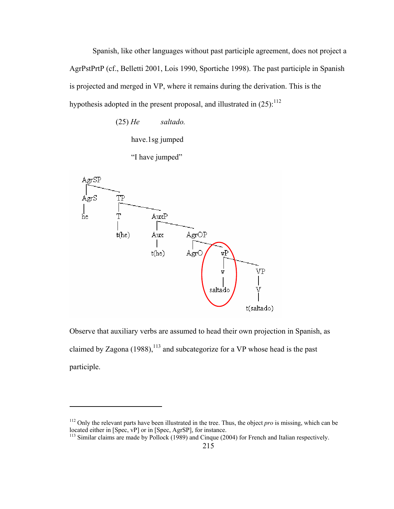Spanish, like other languages without past participle agreement, does not project a AgrPstPrtP (cf., Belletti 2001, Lois 1990, Sportiche 1998). The past participle in Spanish is projected and merged in VP, where it remains during the derivation. This is the hypothesis adopted in the present proposal, and illustrated in  $(25)$ :<sup>112</sup>

(25) *He saltado.* 

have.1sg jumped

"I have jumped"



Observe that auxiliary verbs are assumed to head their own projection in Spanish, as claimed by Zagona (1988), $^{113}$  and subcategorize for a VP whose head is the past participle.

<sup>112</sup> Only the relevant parts have been illustrated in the tree. Thus, the object *pro* is missing, which can be located either in [Spec, vP] or in [Spec, AgrSP], for instance.<br><sup>113</sup> Similar claims are made by Pollock (1989) and Cinque (2004) for French and Italian respectively.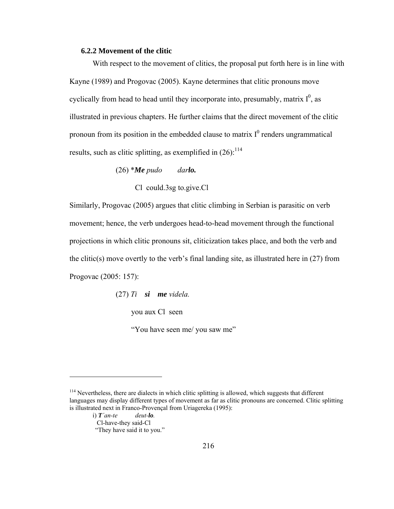## **6.2.2 Movement of the clitic**

 With respect to the movement of clitics, the proposal put forth here is in line with Kayne (1989) and Progovac (2005). Kayne determines that clitic pronouns move cyclically from head to head until they incorporate into, presumably, matrix  $I^0$ , as illustrated in previous chapters. He further claims that the direct movement of the clitic pronoun from its position in the embedded clause to matrix  $I^0$  renders ungrammatical results, such as clitic splitting, as exemplified in  $(26)$ :<sup>114</sup>

(26) \**Me pudo darlo.*

Cl could.3sg to.give.Cl

Similarly, Progovac (2005) argues that clitic climbing in Serbian is parasitic on verb movement; hence, the verb undergoes head-to-head movement through the functional projections in which clitic pronouns sit, cliticization takes place, and both the verb and the clitic(s) move overtly to the verb's final landing site, as illustrated here in (27) from Progovac (2005: 157):

(27) *Ti si me videla.* 

you aux Cl seen

"You have seen me/ you saw me"

<sup>&</sup>lt;sup>114</sup> Nevertheless, there are dialects in which clitic splitting is allowed, which suggests that different languages may display different types of movement as far as clitic pronouns are concerned. Clitic splitting is illustrated next in Franco-Provençal from Uriagereka (1995):

i) *T´an-te deut-lo.*

Cl-have-they said-Cl

 <sup>&</sup>quot;They have said it to you."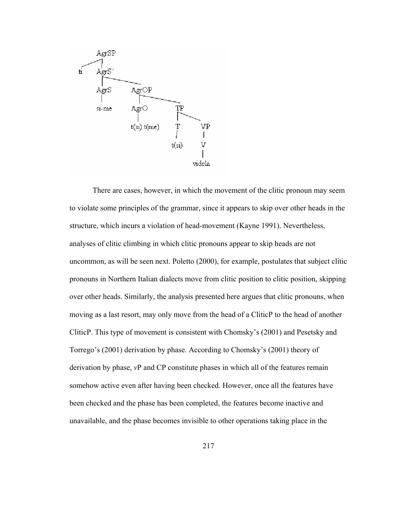

 There are cases, however, in which the movement of the clitic pronoun may seem to violate some principles of the grammar, since it appears to skip over other heads in the structure, which incurs a violation of head-movement (Kayne 1991). Nevertheless, analyses of clitic climbing in which clitic pronouns appear to skip heads are not uncommon, as will be seen next. Poletto (2000), for example, postulates that subject clitic pronouns in Northern Italian dialects move from clitic position to clitic position, skipping over other heads. Similarly, the analysis presented here argues that clitic pronouns, when moving as a last resort, may only move from the head of a CliticP to the head of another CliticP. This type of movement is consistent with Chomsky's (2001) and Pesetsky and Torrego's (2001) derivation by phase. According to Chomsky's (2001) theory of derivation by phase, *v*P and CP constitute phases in which all of the features remain somehow active even after having been checked. However, once all the features have been checked and the phase has been completed, the features become inactive and unavailable, and the phase becomes invisible to other operations taking place in the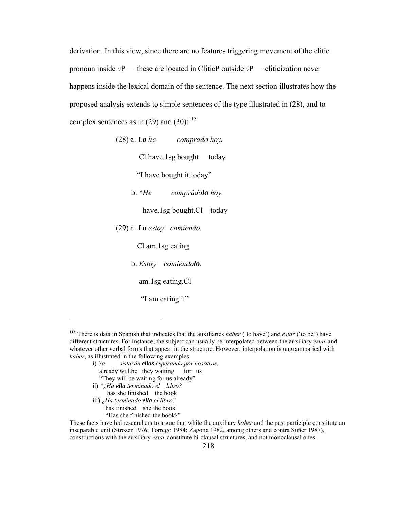derivation. In this view, since there are no features triggering movement of the clitic pronoun inside *v*P — these are located in CliticP outside *v*P — cliticization never happens inside the lexical domain of the sentence. The next section illustrates how the proposed analysis extends to simple sentences of the type illustrated in (28), and to complex sentences as in (29) and (30):<sup>115</sup>

(28) a. *Lo he comprado hoy.* 

Cl have.1sg bought today

"I have bought it today"

b. \**He comprádolo hoy.* 

have.1sg bought.Cl today

(29) a. *Lo estoy comiendo.* 

Cl am.1sg eating

b. *Estoy comiéndolo.* 

am.1sg eating.Cl

"I am eating it"

- i) *Ya estarán ellos esperando por nosotros.* already will be they waiting for us
	- "They will be waiting for us already"
- ii) *\*¿Ha ella terminado el libro?*

 $\overline{a}$ 

- has she finished the book
- iii) *¿Ha terminado ella el libro?* 
	- has finished she the book

"Has she finished the book?"

<sup>115</sup> There is data in Spanish that indicates that the auxiliaries *haber* ('to have') and *estar* ('to be') have different structures. For instance, the subject can usually be interpolated between the auxiliary *estar* and whatever other verbal forms that appear in the structure. However, interpolation is ungrammatical with *haber*, as illustrated in the following examples:

These facts have led researchers to argue that while the auxiliary *haber* and the past participle constitute an inseparable unit (Strozer 1976; Torrego 1984; Zagona 1982, among others and contra Suñer 1987), constructions with the auxiliary *estar* constitute bi-clausal structures, and not monoclausal ones.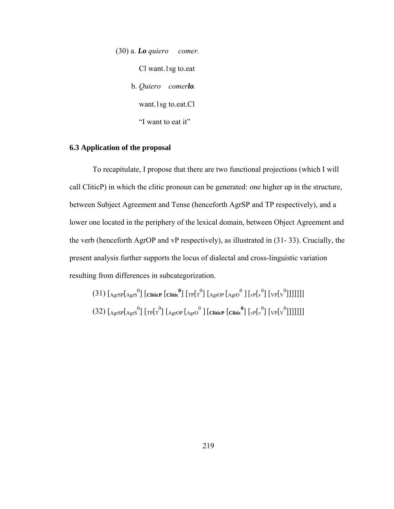(30) a. *Lo quiero comer.*  Cl want.1sg to.eat b. *Quiero comerlo.*  want.1sg to.eat.Cl "I want to eat it"

## **6.3 Application of the proposal**

 To recapitulate, I propose that there are two functional projections (which I will call CliticP) in which the clitic pronoun can be generated: one higher up in the structure, between Subject Agreement and Tense (henceforth AgrSP and TP respectively), and a lower one located in the periphery of the lexical domain, between Object Agreement and the verb (henceforth AgrOP and vP respectively), as illustrated in (31- 33). Crucially, the present analysis further supports the locus of dialectal and cross-linguistic variation resulting from differences in subcategorization.

 $(31)$   $\begin{bmatrix} \text{AgrSP} \text{[AgrS}^0 \end{bmatrix}$   $\begin{bmatrix} \text{Citier} \\ \text{CiticP} \end{bmatrix}$   $\begin{bmatrix} \text{tr} \begin{bmatrix} 0 \\ T \end{bmatrix} \begin{bmatrix} 0 \\ \text{AgrOP} \end{bmatrix} \begin{bmatrix} \text{AgrO}^0 \end{bmatrix} \begin{bmatrix} \text{vp} \begin{bmatrix} 0 \\ \text{vP} \end{bmatrix} \begin{bmatrix} \text{vp} \end{bmatrix} \end{bmatrix} \end{bmatrix}$  $(32)$   $\begin{bmatrix} \begin{smallmatrix} \text{AgrSP} \end{smallmatrix} \begin{bmatrix} 0 \end{bmatrix} \begin{bmatrix} \text{Tr} \end{bmatrix}^0 \end{bmatrix} \begin{bmatrix} \begin{smallmatrix} \text{AgrOP} \end{smallmatrix} \begin{bmatrix} \text{AgrO} \end{bmatrix} \end{bmatrix} \begin{bmatrix} \begin{smallmatrix} \text{Clitic}^0 \end{smallmatrix} \end{bmatrix} \begin{bmatrix} \begin{smallmatrix} \text{VP} \end{bmatrix} \begin{bmatrix} \begin{smallmatrix} \text{VP} \end{bmatrix} \end{bmatrix} \end{bmatrix} \end{bmatrix}$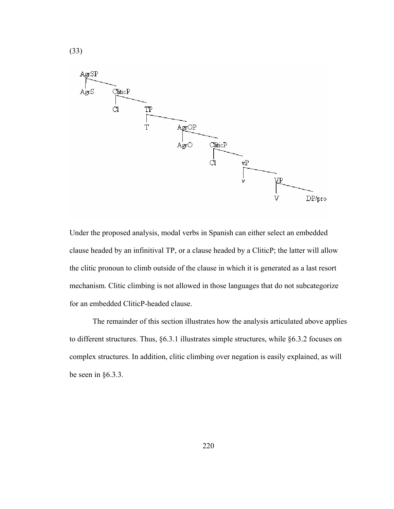

Under the proposed analysis, modal verbs in Spanish can either select an embedded clause headed by an infinitival TP, or a clause headed by a CliticP; the latter will allow the clitic pronoun to climb outside of the clause in which it is generated as a last resort mechanism. Clitic climbing is not allowed in those languages that do not subcategorize for an embedded CliticP-headed clause.

 The remainder of this section illustrates how the analysis articulated above applies to different structures. Thus, §6.3.1 illustrates simple structures, while §6.3.2 focuses on complex structures. In addition, clitic climbing over negation is easily explained, as will be seen in §6.3.3.

(33)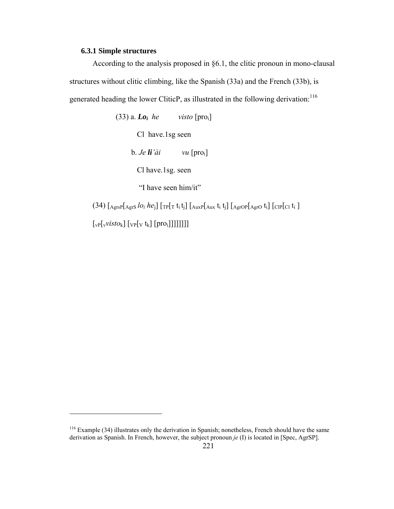## **6.3.1 Simple structures**

 $\overline{a}$ 

 According to the analysis proposed in §6.1, the clitic pronoun in mono-clausal structures without clitic climbing, like the Spanish (33a) and the French (33b), is generated heading the lower CliticP, as illustrated in the following derivation:<sup>116</sup>

> $(33)$  a.  $\boldsymbol{L}\boldsymbol{o_i}$  *he visto*  $[pro_i]$  Cl have.1sg seen b. *Je li'ài vu* [proi] Cl have.1sg. seen "I have seen him/it"

(34)  $[A_{\text{grs}}P[A_{\text{grs}}\beta\log h_e]$   $[\text{Tr}[\text{Tr} t_i t_j]$   $[A_{\text{u}x}P[A_{\text{u}x} t_i t_j]$   $[A_{\text{gr}OP}[A_{\text{gr}O} t_i]$   $[\text{Ch}[\text{Cl} t_i]$  $[\nabla P[\nabla \text{visto}_k] [\nabla P[\nabla \text{ts}][pTQ_i]]]]]]$ 

<sup>&</sup>lt;sup>116</sup> Example (34) illustrates only the derivation in Spanish; nonetheless, French should have the same derivation as Spanish. In French, however, the subject pronoun *je* (I) is located in [Spec, AgrSP].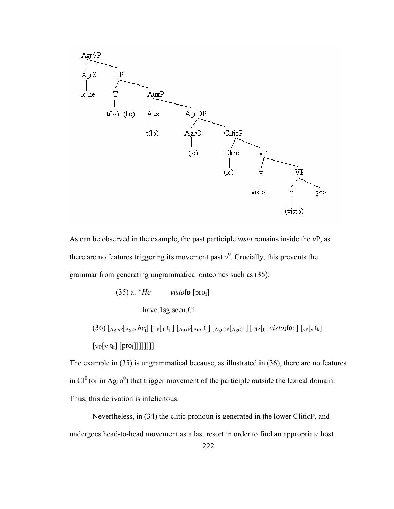

As can be observed in the example, the past participle *visto* remains inside the *v*P, as there are no features triggering its movement past  $v^0$ . Crucially, this prevents the grammar from generating ungrammatical outcomes such as (35):

(35) a. 
$$
*He
$$
 *vistolo* [pro<sub>i</sub>]  
have.1sg seen.  
Cl

 $(36)$   $\left[ \frac{\text{Agrs}}{\text{Agrs}}$  $he_j \right]$   $\left[ \text{TP} \left[ \text{T} \text{t}_j \right]$   $\left[ \frac{\text{Augr}}{\text{Augr}} \right]$   $\left[ \frac{\text{Agro}}{\text{Agro}} \right]$  $\left[ \frac{\text{CIP}}{\text{Cl}} v_i \right]$  $\left[ \frac{\text{VIP}}{\text{Alg}} v_k \right]$  $[\text{vp}[v \, t_k] \, [\text{pro}_i]]]]]]$ ]]

The example in (35) is ungrammatical because, as illustrated in (36), there are no features in  $Cl<sup>0</sup>$  (or in Agro<sup>0</sup>) that trigger movement of the participle outside the lexical domain. Thus, this derivation is infelicitous.

 Nevertheless, in (34) the clitic pronoun is generated in the lower CliticP, and undergoes head-to-head movement as a last resort in order to find an appropriate host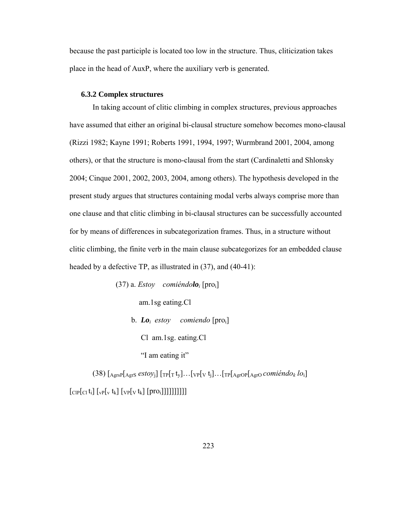because the past participle is located too low in the structure. Thus, cliticization takes place in the head of AuxP, where the auxiliary verb is generated.

## **6.3.2 Complex structures**

 In taking account of clitic climbing in complex structures, previous approaches have assumed that either an original bi-clausal structure somehow becomes mono-clausal (Rizzi 1982; Kayne 1991; Roberts 1991, 1994, 1997; Wurmbrand 2001, 2004, among others), or that the structure is mono-clausal from the start (Cardinaletti and Shlonsky 2004; Cinque 2001, 2002, 2003, 2004, among others). The hypothesis developed in the present study argues that structures containing modal verbs always comprise more than one clause and that clitic climbing in bi-clausal structures can be successfully accounted for by means of differences in subcategorization frames. Thus, in a structure without clitic climbing, the finite verb in the main clause subcategorizes for an embedded clause headed by a defective TP, as illustrated in (37), and (40-41):

> (37) a. *Estoy comiéndolo*<sub>*i*</sub> [pro<sub>i</sub>] am.1sg eating.Cl b. *Loi estoy comiendo* [proi] Cl am.1sg. eating.Cl "I am eating it"

 $(38)$   $\left[ \begin{smallmatrix} \text{Agrs}} \text{P}[\text{Agrs} \ \text{estoy}_j] \end{smallmatrix} \right]$   $\left[ \begin{smallmatrix} \text{TP}[\text{r} \ \text{t}_y \end{smallmatrix} \right]$ ... $\left[ \begin{smallmatrix} \text{VP}[\text{v} \ \text{t}_i \end{smallmatrix} \right]$ ... $\left[ \begin{smallmatrix} \text{TP}[\text{AgrO}} \text{P}[\text{AgrO} \ \text{esto} \ \text{geto} \ \text{geto} \ \text{geto} \ \text{geto} \ \text{geto} \ \text{geto} \ \text{$  $[\text{CIP}[C]$  t<sub>i</sub>]  $[\text{VP}[\text{v} \text{ t}_k]$   $[\text{VP}[\text{v} \text{ t}_k]$   $[\text{pro}_i$ ]]]]]]]]]]]]]]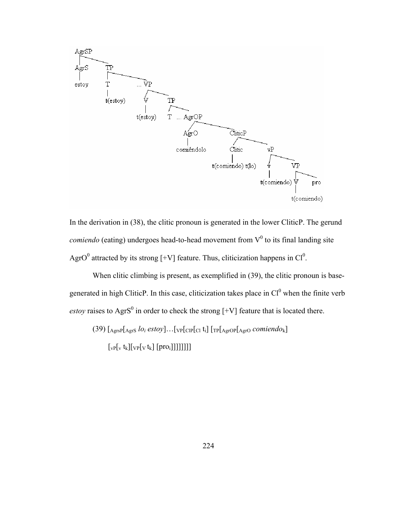

In the derivation in (38), the clitic pronoun is generated in the lower CliticP. The gerund *comiendo* (eating) undergoes head-to-head movement from  $V^0$  to its final landing site AgrO<sup>0</sup> attracted by its strong [+V] feature. Thus, cliticization happens in Cl<sup>0</sup>.

When clitic climbing is present, as exemplified in (39), the clitic pronoun is basegenerated in high CliticP. In this case, cliticization takes place in  $Cl^0$  when the finite verb *estoy* raises to AgrS<sup>0</sup> in order to check the strong  $[+V]$  feature that is located there.

 $(39)$   $\lceil_{\text{Agrs}}\rceil$ <sub>AgrS</sub>  $lo_i$  estoy]...  $\lceil_{\text{VP}}\rceil$ <sub>ClP</sub> $\lceil_{\text{Cl}}\$ t<sub>i</sub> $\lceil_{\text{TP}}\rceil$ <sub>AgrO</sub> $\lceil_{\text{Agro}}$  *comiendo*<sub>k</sub> $\rceil$ 

 $[vP[v t_k][vp[v t_k][pro_i]]]]]]$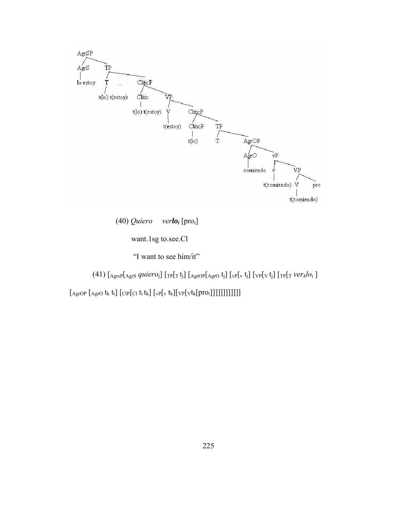

(40) *Quiero verloi* [proi]

want.1sg to.see.Cl

"I want to see him/it"

(41)  $\left[A_{\text{grs}}\right]$  $\left[A_{\text{grs}}\right]$   $\left[\text{tr}[\tau t_j]\right]$   $\left[A_{\text{gr0}}\right]$  $\left[A_{\text{gr0}}t_j\right]$   $\left[\text{tr}[\tau t_j]\right]$   $\left[\text{tr}[\tau t_j]\right]$   $\left[\text{tr}[\tau \text{ker}l\sigma_j]\right]$ 

[AgrOP [AgrO tk ti] [ClP[Cl ti tk] [vP[v tk][VP[Vtk[proi]]]]]]]]]]]]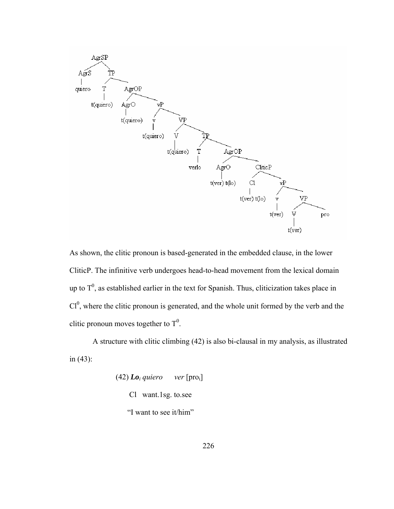

As shown, the clitic pronoun is based-generated in the embedded clause, in the lower CliticP. The infinitive verb undergoes head-to-head movement from the lexical domain up to  $T<sup>0</sup>$ , as established earlier in the text for Spanish. Thus, cliticization takes place in  $Cl<sup>0</sup>$ , where the clitic pronoun is generated, and the whole unit formed by the verb and the clitic pronoun moves together to  $T^0$ .

 A structure with clitic climbing (42) is also bi-clausal in my analysis, as illustrated in (43):

(42) 
$$
Lo_i
$$
 *quiero ver* [pro<sub>i</sub>]  
Cl want.1sg. to see  
"I want to see it/him"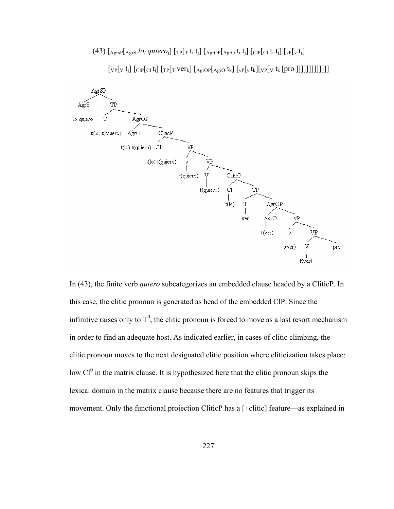## (43)  $[A_{\text{grs}}P[A_{\text{grS}}\text{ }lo_i\text{ }quiero_j]$   $[\text{Tr}[\text{ }r\text{ }t_i\text{ }t_j]$   $[A_{\text{grOP}}[A_{\text{grO}}\text{ }t_i\text{ }t_j]$   $[\text{Ch}[\text{ }c_l\text{ }t_i\text{ }t_j]$   $[vP[v\text{ }t_j]$

 $[\nabla P[\nabla t_j] [\nabla \nabla t_i] [\nabla P[\nabla \nabla \nabla k] [\nabla \nabla \nabla \nabla k] [\nabla \nabla \nabla \nabla k] [\nabla \nabla \nabla \nabla k]$ 



In (43), the finite verb *quiero* subcategorizes an embedded clause headed by a CliticP. In this case, the clitic pronoun is generated as head of the embedded ClP. Since the infinitive raises only to  $T^0$ , the clitic pronoun is forced to move as a last resort mechanism in order to find an adequate host. As indicated earlier, in cases of clitic climbing, the clitic pronoun moves to the next designated clitic position where cliticization takes place: low  $Cl<sup>0</sup>$  in the matrix clause. It is hypothesized here that the clitic pronoun skips the lexical domain in the matrix clause because there are no features that trigger its movement. Only the functional projection CliticP has a [+clitic] feature—as explained in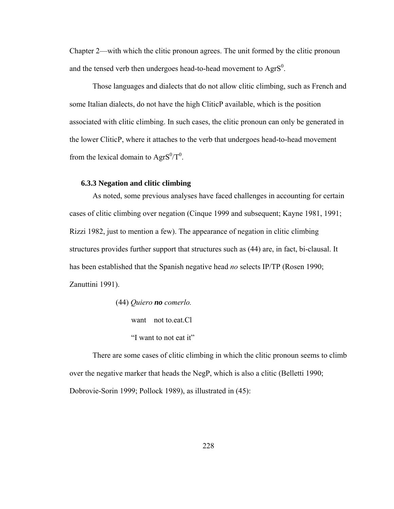Chapter 2—with which the clitic pronoun agrees. The unit formed by the clitic pronoun and the tensed verb then undergoes head-to-head movement to  $AgrS<sup>0</sup>$ .

 Those languages and dialects that do not allow clitic climbing, such as French and some Italian dialects, do not have the high CliticP available, which is the position associated with clitic climbing. In such cases, the clitic pronoun can only be generated in the lower CliticP, where it attaches to the verb that undergoes head-to-head movement from the lexical domain to  $\text{AgrS}^0/\text{T}^0$ .

#### **6.3.3 Negation and clitic climbing**

 As noted, some previous analyses have faced challenges in accounting for certain cases of clitic climbing over negation (Cinque 1999 and subsequent; Kayne 1981, 1991; Rizzi 1982, just to mention a few). The appearance of negation in clitic climbing structures provides further support that structures such as (44) are, in fact, bi-clausal. It has been established that the Spanish negative head *no* selects IP/TP (Rosen 1990; Zanuttini 1991).

> (44) *Quiero no comerlo.*  want not to.eat.Cl "I want to not eat it"

 There are some cases of clitic climbing in which the clitic pronoun seems to climb over the negative marker that heads the NegP, which is also a clitic (Belletti 1990;

Dobrovie-Sorin 1999; Pollock 1989), as illustrated in (45):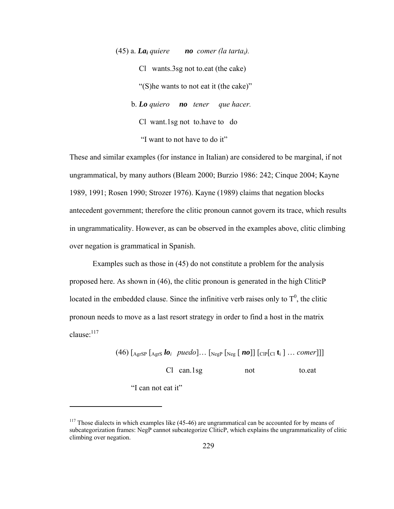(45) a. *Lai quiere no comer (la tartai).* Cl wants.3sg not to.eat (the cake) "(S)he wants to not eat it (the cake)" b. *Lo quiero no tener que hacer.*  Cl want.1sg not to.have to do "I want to not have to do it"

These and similar examples (for instance in Italian) are considered to be marginal, if not ungrammatical, by many authors (Bleam 2000; Burzio 1986: 242; Cinque 2004; Kayne 1989, 1991; Rosen 1990; Strozer 1976). Kayne (1989) claims that negation blocks antecedent government; therefore the clitic pronoun cannot govern its trace, which results in ungrammaticality. However, as can be observed in the examples above, clitic climbing over negation is grammatical in Spanish.

 Examples such as those in (45) do not constitute a problem for the analysis proposed here. As shown in (46), the clitic pronoun is generated in the high CliticP located in the embedded clause. Since the infinitive verb raises only to  $T<sup>0</sup>$ , the clitic pronoun needs to move as a last resort strategy in order to find a host in the matrix clause:117

> $(46)$   $\left[\text{AgrSP}\left[\text{AgrS}\right]$   $\boldsymbol{lo}_i$   $puedo\right] \dots \left[\text{Neg}\left[\text{Neg}\left[\text{no}\right]\right]$   $\left[\text{CI}\left[\text{Cl}\right] \mathbf{t}_i\right] \dots$  comer]] Cl can. 1sg not to.eat

"I can not eat it"

 $117$  Those dialects in which examples like (45-46) are ungrammatical can be accounted for by means of subcategorization frames: NegP cannot subcategorize CliticP, which explains the ungrammaticality of clitic climbing over negation.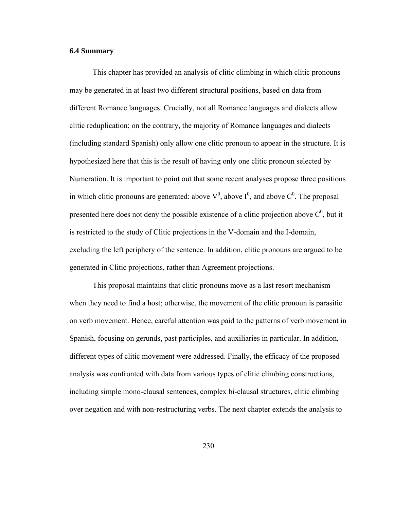## **6.4 Summary**

 This chapter has provided an analysis of clitic climbing in which clitic pronouns may be generated in at least two different structural positions, based on data from different Romance languages. Crucially, not all Romance languages and dialects allow clitic reduplication; on the contrary, the majority of Romance languages and dialects (including standard Spanish) only allow one clitic pronoun to appear in the structure. It is hypothesized here that this is the result of having only one clitic pronoun selected by Numeration. It is important to point out that some recent analyses propose three positions in which clitic pronouns are generated: above  $V^0$ , above  $I^0$ , and above  $C^0$ . The proposal presented here does not deny the possible existence of a clitic projection above  $C^0$ , but it is restricted to the study of Clitic projections in the V-domain and the I-domain, excluding the left periphery of the sentence. In addition, clitic pronouns are argued to be generated in Clitic projections, rather than Agreement projections.

 This proposal maintains that clitic pronouns move as a last resort mechanism when they need to find a host; otherwise, the movement of the clitic pronoun is parasitic on verb movement. Hence, careful attention was paid to the patterns of verb movement in Spanish, focusing on gerunds, past participles, and auxiliaries in particular. In addition, different types of clitic movement were addressed. Finally, the efficacy of the proposed analysis was confronted with data from various types of clitic climbing constructions, including simple mono-clausal sentences, complex bi-clausal structures, clitic climbing over negation and with non-restructuring verbs. The next chapter extends the analysis to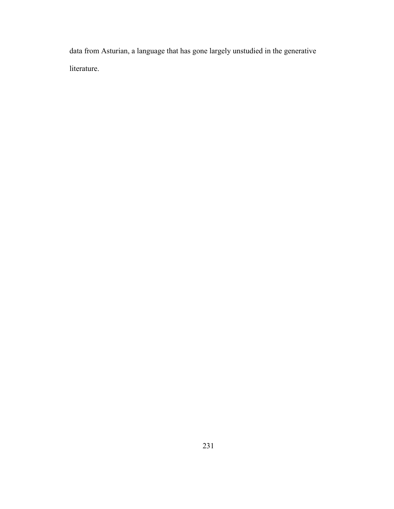data from Asturian, a language that has gone largely unstudied in the generative literature.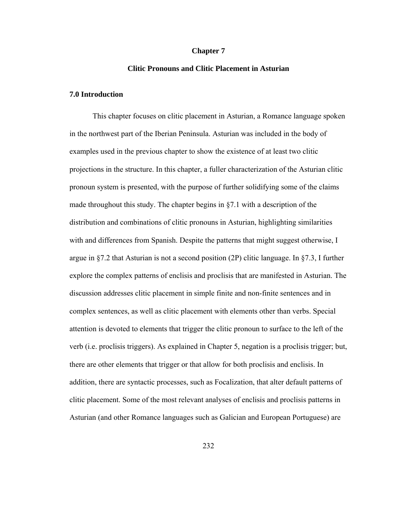### **Chapter 7**

## **Clitic Pronouns and Clitic Placement in Asturian**

## **7.0 Introduction**

This chapter focuses on clitic placement in Asturian, a Romance language spoken in the northwest part of the Iberian Peninsula. Asturian was included in the body of examples used in the previous chapter to show the existence of at least two clitic projections in the structure. In this chapter, a fuller characterization of the Asturian clitic pronoun system is presented, with the purpose of further solidifying some of the claims made throughout this study. The chapter begins in §7.1 with a description of the distribution and combinations of clitic pronouns in Asturian, highlighting similarities with and differences from Spanish. Despite the patterns that might suggest otherwise, I argue in §7.2 that Asturian is not a second position (2P) clitic language. In §7.3, I further explore the complex patterns of enclisis and proclisis that are manifested in Asturian. The discussion addresses clitic placement in simple finite and non-finite sentences and in complex sentences, as well as clitic placement with elements other than verbs. Special attention is devoted to elements that trigger the clitic pronoun to surface to the left of the verb (i.e. proclisis triggers). As explained in Chapter 5, negation is a proclisis trigger; but, there are other elements that trigger or that allow for both proclisis and enclisis. In addition, there are syntactic processes, such as Focalization, that alter default patterns of clitic placement. Some of the most relevant analyses of enclisis and proclisis patterns in Asturian (and other Romance languages such as Galician and European Portuguese) are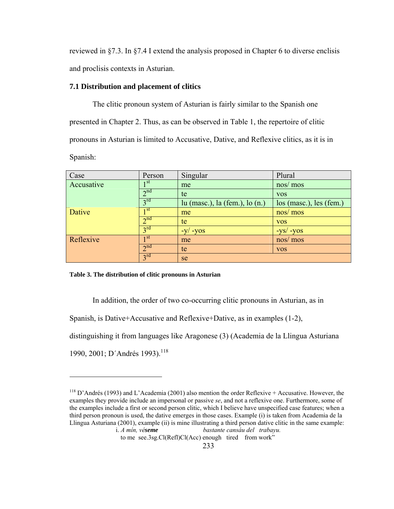reviewed in §7.3. In §7.4 I extend the analysis proposed in Chapter 6 to diverse enclisis and proclisis contexts in Asturian.

## **7.1 Distribution and placement of clitics**

 The clitic pronoun system of Asturian is fairly similar to the Spanish one presented in Chapter 2. Thus, as can be observed in Table 1, the repertoire of clitic pronouns in Asturian is limited to Accusative, Dative, and Reflexive clitics, as it is in Spanish:

| Case       | Person          | Singular                           | Plural                  |
|------------|-----------------|------------------------------------|-------------------------|
| Accusative | 1 st            | me                                 | nos/ mos                |
|            | 2 <sup>nd</sup> | te                                 | <b>VOS</b>              |
|            | 3 <sup>rd</sup> | lu (masc.), la (fem.), lo $(n)$ .) | los (masc.), les (fem.) |
| Dative     | 1 <sup>st</sup> | me                                 | nos/mos                 |
|            | 2 <sup>nd</sup> | te                                 | <b>VOS</b>              |
|            | $3^{\text{rd}}$ | $-y/ -yos$                         | $-ys/ -yos$             |
| Reflexive  | 1 <sup>st</sup> | me                                 | nos/mos                 |
|            | 2 <sup>nd</sup> | te                                 | <b>VOS</b>              |
|            | $3^{\text{rd}}$ | se                                 |                         |

**Table 3. The distribution of clitic pronouns in Asturian** 

In addition, the order of two co-occurring clitic pronouns in Asturian, as in

Spanish, is Dative+Accusative and Reflexive+Dative, as in examples (1-2),

distinguishing it from languages like Aragonese (3) (Academia de la Llingua Asturiana

1990, 2001; D'Andrés 1993).<sup>118</sup>

<sup>&</sup>lt;sup>118</sup> D'Andrés (1993) and L'Academia (2001) also mention the order Reflexive + Accusative. However, the examples they provide include an impersonal or passive *se*, and not a reflexive one. Furthermore, some of the examples include a first or second person clitic, which I believe have unspecified case features; when a third person pronoun is used, the dative emerges in those cases. Example (i) is taken from Academia de la Llingua Asturiana (2001), example (ii) is mine illustrating a third person dative clitic in the same example:

i. *A mín, véseme bastante cansáu del trabayu.*

to me see.3sg.Cl(Refl)Cl(Acc) enough tired from work"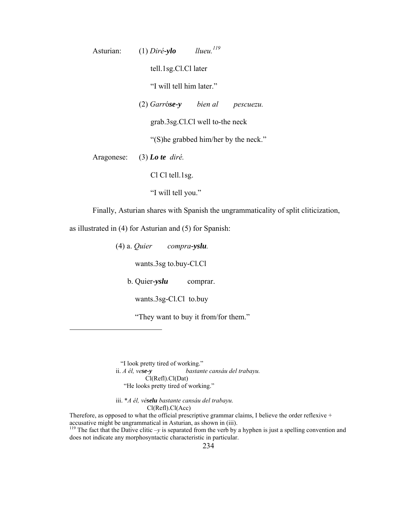|  | Asturian: (1) Diré-ylo              | $ll$ ueu. $^{119}$ |                                       |  |
|--|-------------------------------------|--------------------|---------------------------------------|--|
|  | tell.1sg.Cl.Cl later                |                    |                                       |  |
|  | "I will tell him later."            |                    |                                       |  |
|  | $(2)$ Garróse-y bien al pescuezu.   |                    |                                       |  |
|  | grab.3sg.Cl.Cl well to-the neck     |                    |                                       |  |
|  |                                     |                    | "(S) he grabbed him/her by the neck." |  |
|  | Aragonese: $(3)$ <i>Lo te diré.</i> |                    |                                       |  |
|  | $Cl$ Cl tell. lsg.                  |                    |                                       |  |
|  | "I will tell you."                  |                    |                                       |  |
|  |                                     |                    |                                       |  |

Finally, Asturian shares with Spanish the ungrammaticality of split cliticization,

as illustrated in (4) for Asturian and (5) for Spanish:

 $\overline{a}$ 

| $(4)$ a. Quier | compra <b>-yslu</b> . |
|----------------|-----------------------|
|----------------|-----------------------|

wants.3sg to.buy-Cl.Cl

b. Quier*-yslu* comprar.

wants.3sg-Cl.Cl to.buy

"They want to buy it from/for them."

"I look pretty tired of working."<br>ii.  $A \, \acute{e}l$ , vese-y bastant  $b$ astante cansáu del trabayu. Cl(Refl).Cl(Dat) "He looks pretty tired of working."

 iii. \**A él, véselu bastante cansáu del trabayu.*  Cl(Refl).Cl(Acc)

Therefore, as opposed to what the official prescriptive grammar claims, I believe the order reflexive + accusative might be ungrammatical in Asturian, as shown in (iii).<br><sup>119</sup> The fact that the Dative clitic *–y* is separated from the verb by a hyphen is just a spelling convention and

does not indicate any morphosyntactic characteristic in particular.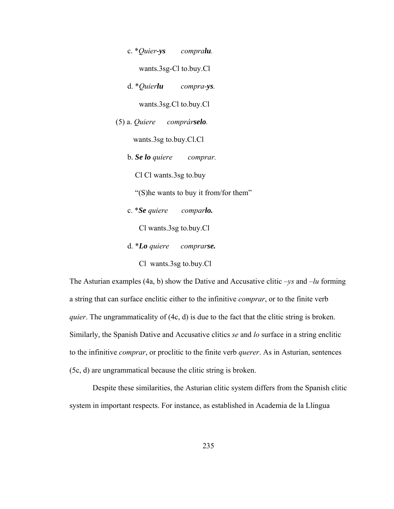c. \**Quier-ys compralu.*  wants.3sg-Cl to.buy.Cl

 d. \**Quierlu compra-ys.*  wants.3sg.Cl to.buy.Cl

(5) a. *Quiere comprárselo.* 

wants.3sg to.buy.Cl.Cl

b. *Se lo quiere comprar.*

Cl Cl wants.3sg to.buy

"(S)he wants to buy it from/for them"

c. \**Se quiere comparlo.* 

Cl wants.3sg to.buy.Cl

d. \**Lo quiere comprarse.* 

The Asturian examples (4a, b) show the Dative and Accusative clitic *–ys* and –*lu* forming a string that can surface enclitic either to the infinitive *comprar*, or to the finite verb *quier*. The ungrammaticality of (4c, d) is due to the fact that the clitic string is broken. Similarly, the Spanish Dative and Accusative clitics *se* and *lo* surface in a string enclitic to the infinitive *comprar*, or proclitic to the finite verb *querer*. As in Asturian, sentences (5c, d) are ungrammatical because the clitic string is broken.

 Despite these similarities, the Asturian clitic system differs from the Spanish clitic system in important respects. For instance, as established in Academia de la Llingua

Cl wants.3sg to.buy.Cl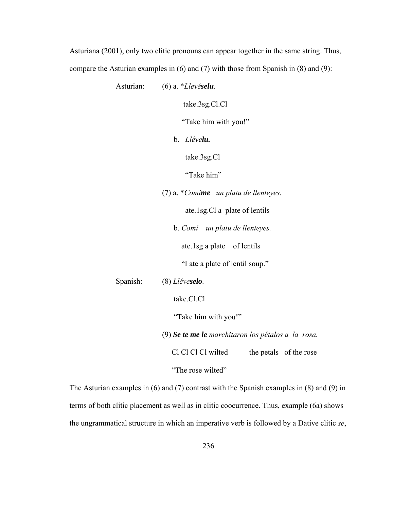Asturiana (2001), only two clitic pronouns can appear together in the same string. Thus, compare the Asturian examples in (6) and (7) with those from Spanish in (8) and (9):

Asturian: (6) a. \**Llevéselu.* 

take.3sg.Cl.Cl

"Take him with you!"

b. *Llévelu.*

take.3sg.Cl

"Take him"

(7) a. \**Comíme un platu de llenteyes.* 

ate.1sg.Cl a plate of lentils

b. *Comí un platu de llenteyes.* 

ate.1sg a plate of lentils

"I ate a plate of lentil soup."

Spanish: (8) *Lléveselo*.

take.Cl.Cl

"Take him with you!"

(9) *Se te me le marchitaron los pétalos a la rosa.*

Cl Cl Cl Cl wilted the petals of the rose

"The rose wilted"

The Asturian examples in (6) and (7) contrast with the Spanish examples in (8) and (9) in terms of both clitic placement as well as in clitic coocurrence. Thus, example (6a) shows the ungrammatical structure in which an imperative verb is followed by a Dative clitic *se*,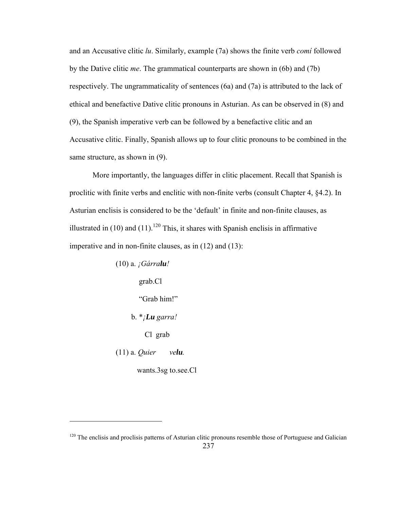and an Accusative clitic *lu*. Similarly, example (7a) shows the finite verb *comí* followed by the Dative clitic *me*. The grammatical counterparts are shown in (6b) and (7b) respectively. The ungrammaticality of sentences (6a) and (7a) is attributed to the lack of ethical and benefactive Dative clitic pronouns in Asturian. As can be observed in (8) and (9), the Spanish imperative verb can be followed by a benefactive clitic and an Accusative clitic. Finally, Spanish allows up to four clitic pronouns to be combined in the same structure, as shown in (9).

 More importantly, the languages differ in clitic placement. Recall that Spanish is proclitic with finite verbs and enclitic with non-finite verbs (consult Chapter 4, §4.2). In Asturian enclisis is considered to be the 'default' in finite and non-finite clauses, as illustrated in  $(10)$  and  $(11)$ .<sup>120</sup> This, it shares with Spanish enclisis in affirmative imperative and in non-finite clauses, as in (12) and (13):

> (10) a. *¡Gárralu!* grab.Cl "Grab him!" b. \**¡Lu garra!* Cl grab (11) a. *Quier velu.* wants.3sg to.see.Cl

<sup>&</sup>lt;sup>120</sup> The enclisis and proclisis patterns of Asturian clitic pronouns resemble those of Portuguese and Galician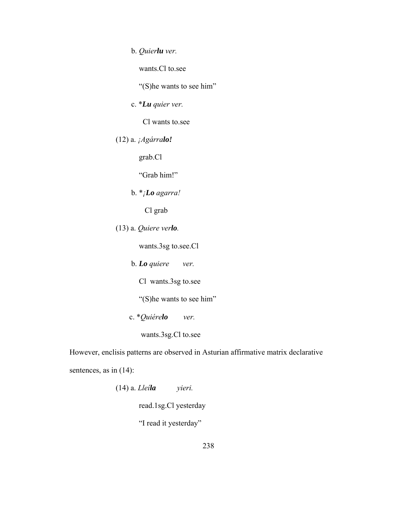b. *Quierlu ver.*

wants.Cl to.see

"(S)he wants to see him"

c. \**Lu quier ver.*

Cl wants to.see

(12) a. *¡Agárralo!*

grab.Cl

"Grab him!"

b. \**¡Lo agarra!*

Cl grab

(13) a. *Quiere verlo.*

wants.3sg to.see.Cl

b. *Lo quiere ver.* 

Cl wants.3sg to.see

"(S)he wants to see him"

c. \**Quiérelo ver.* 

wants.3sg.Cl to.see

However, enclisis patterns are observed in Asturian affirmative matrix declarative sentences, as in  $(14)$ :

> (14) a. *Lleíla yieri.*  read.1sg.Cl yesterday "I read it yesterday"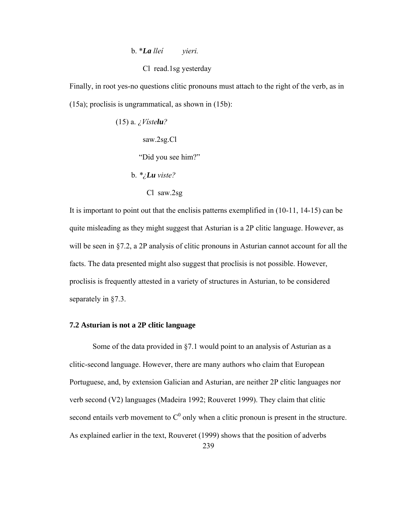### b. \**La lleí yieri.*

## Cl read.1sg yesterday

Finally, in root yes-no questions clitic pronouns must attach to the right of the verb, as in (15a); proclisis is ungrammatical, as shown in (15b):

(15) a. 
$$
\zeta
$$
 *Vistelu?*   
\nsaw.2sg.Cl  
\n"Did you see him?"  
\nb.  $*_{\zeta}$  *Lu viste?* Cl saw.2sg

It is important to point out that the enclisis patterns exemplified in (10-11, 14-15) can be quite misleading as they might suggest that Asturian is a 2P clitic language. However, as will be seen in §7.2, a 2P analysis of clitic pronouns in Asturian cannot account for all the facts. The data presented might also suggest that proclisis is not possible. However, proclisis is frequently attested in a variety of structures in Asturian, to be considered separately in §7.3.

## **7.2 Asturian is not a 2P clitic language**

 Some of the data provided in §7.1 would point to an analysis of Asturian as a clitic-second language. However, there are many authors who claim that European Portuguese, and, by extension Galician and Asturian, are neither 2P clitic languages nor verb second (V2) languages (Madeira 1992; Rouveret 1999). They claim that clitic second entails verb movement to  $C^0$  only when a clitic pronoun is present in the structure. As explained earlier in the text, Rouveret (1999) shows that the position of adverbs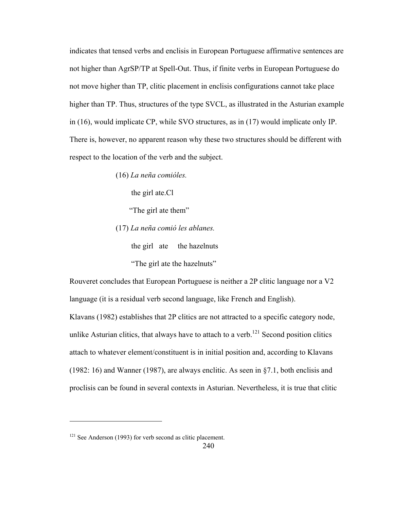indicates that tensed verbs and enclisis in European Portuguese affirmative sentences are not higher than AgrSP/TP at Spell-Out. Thus, if finite verbs in European Portuguese do not move higher than TP, clitic placement in enclisis configurations cannot take place higher than TP. Thus, structures of the type SVCL, as illustrated in the Asturian example in (16), would implicate CP, while SVO structures, as in (17) would implicate only IP. There is, however, no apparent reason why these two structures should be different with respect to the location of the verb and the subject.

(16) *La neña comióles.* 

the girl ate.Cl

"The girl ate them"

(17) *La neña comió les ablanes.*

the girl ate the hazelnuts

"The girl ate the hazelnuts"

Rouveret concludes that European Portuguese is neither a 2P clitic language nor a V2 language (it is a residual verb second language, like French and English).

Klavans (1982) establishes that 2P clitics are not attracted to a specific category node, unlike Asturian clitics, that always have to attach to a verb.<sup>121</sup> Second position clitics attach to whatever element/constituent is in initial position and, according to Klavans (1982: 16) and Wanner (1987), are always enclitic. As seen in §7.1, both enclisis and proclisis can be found in several contexts in Asturian. Nevertheless, it is true that clitic

<sup>&</sup>lt;sup>121</sup> See Anderson (1993) for verb second as clitic placement.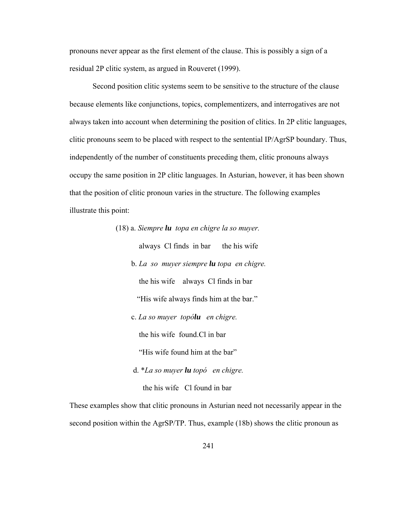pronouns never appear as the first element of the clause. This is possibly a sign of a residual 2P clitic system, as argued in Rouveret (1999).

 Second position clitic systems seem to be sensitive to the structure of the clause because elements like conjunctions, topics, complementizers, and interrogatives are not always taken into account when determining the position of clitics. In 2P clitic languages, clitic pronouns seem to be placed with respect to the sentential IP/AgrSP boundary. Thus, independently of the number of constituents preceding them, clitic pronouns always occupy the same position in 2P clitic languages. In Asturian, however, it has been shown that the position of clitic pronoun varies in the structure. The following examples illustrate this point:

> (18) a. *Siempre lu topa en chigre la so muyer.*  always Cl finds in bar the his wife b. *La so muyer siempre lu topa en chigre.*  the his wife always Cl finds in bar "His wife always finds him at the bar." c. *La so muyer topólu en chigre.* the his wife found.Cl in bar "His wife found him at the bar"

> > d. \**La so muyer lu topó en chigre.*  the his wife Cl found in bar

These examples show that clitic pronouns in Asturian need not necessarily appear in the second position within the AgrSP/TP. Thus, example (18b) shows the clitic pronoun as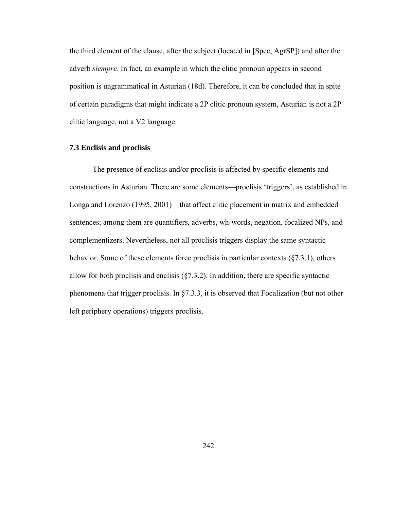the third element of the clause, after the subject (located in [Spec, AgrSP]) and after the adverb *siempre*. In fact, an example in which the clitic pronoun appears in second position is ungrammatical in Asturian (18d). Therefore, it can be concluded that in spite of certain paradigms that might indicate a 2P clitic pronoun system, Asturian is not a 2P clitic language, not a V2 language.

## **7.3 Enclisis and proclisis**

 The presence of enclisis and/or proclisis is affected by specific elements and constructions in Asturian. There are some elements—proclisis 'triggers', as established in Longa and Lorenzo (1995, 2001)—that affect clitic placement in matrix and embedded sentences; among them are quantifiers, adverbs, wh-words, negation, focalized NPs, and complementizers. Nevertheless, not all proclisis triggers display the same syntactic behavior. Some of these elements force proclisis in particular contexts  $(\S7.3.1)$ , others allow for both proclisis and enclisis  $(\xi 7.3.2)$ . In addition, there are specific syntactic phenomena that trigger proclisis. In §7.3.3, it is observed that Focalization (but not other left periphery operations) triggers proclisis.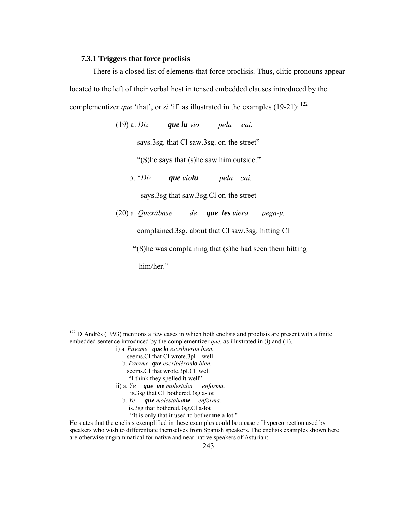### **7.3.1 Triggers that force proclisis**

 There is a closed list of elements that force proclisis. Thus, clitic pronouns appear located to the left of their verbal host in tensed embedded clauses introduced by the complementizer *que* 'that', or  $si$  'if' as illustrated in the examples (19-21):<sup>122</sup>

(19) a. *Diz que lu vio pela cai.* 

says.3sg. that Cl saw.3sg. on-the street"

"(S)he says that (s)he saw him outside."

b. \**Diz que violu pela cai.* 

says.3sg that saw.3sg.Cl on-the street

(20) a. *Quexábase de que les viera pega-y.*

complained.3sg. about that Cl saw.3sg. hitting Cl

"(S)he was complaining that (s)he had seen them hitting

him/her"

 $\overline{a}$ 

"It is only that it used to bother **me** a lot."

 $122$  D'Andrés (1993) mentions a few cases in which both enclisis and proclisis are present with a finite embedded sentence introduced by the complementizer *que*, as illustrated in (i) and (ii).

i) a. *Paezme que lo escribieron bien.*

seems.Cl that Cl wrote.3pl well b. *Paezme que escribiéronlo bien.* seems.Cl that wrote.3pl.Cl well "I think they spelled **it** well"

ii) a. *Ye que me molestaba enforma.*

is.3sg that Cl bothered.3sg a-lot b. *Ye que molestábame enforma.*

is.3sg that bothered.3sg.Cl a-lot

He states that the enclisis exemplified in these examples could be a case of hypercorrection used by speakers who wish to differentiate themselves from Spanish speakers. The enclisis examples shown here are otherwise ungrammatical for native and near-native speakers of Asturian: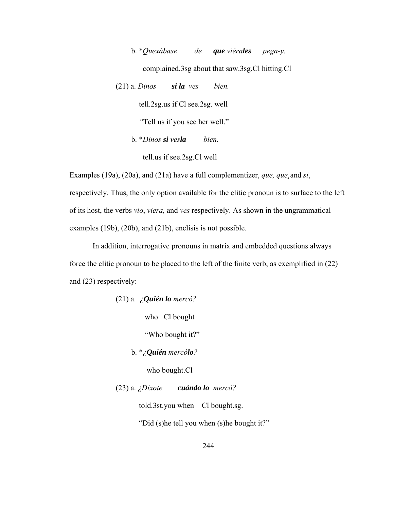b. \**Quexábase de que viérales pega-y.*  complained.3sg about that saw.3sg.Cl hitting.Cl (21) a. *Dinos si la ves bien.*  tell.2sg.us if Cl see.2sg. well  *"*Tell us if you see her well."

b. \**Dinos si vesla bien.*

tell.us if see.2sg.Cl well

Examples (19a), (20a), and (21a) have a full complementizer, *que, que¸*and *si*, respectively. Thus, the only option available for the clitic pronoun is to surface to the left of its host, the verbs *vio*, *viera,* and *ves* respectively. As shown in the ungrammatical examples (19b), (20b), and (21b), enclisis is not possible.

In addition, interrogative pronouns in matrix and embedded questions always force the clitic pronoun to be placed to the left of the finite verb, as exemplified in (22) and (23) respectively:

> (21) a. *¿Quién lo mercó?*  who Cl bought "Who bought it?" b. \**¿Quién mercólo?*  who bought.Cl (23) a. *¿Díxote cuándo lo mercó?*  told.3st.you when Cl bought.sg. "Did (s)he tell you when (s)he bought it?"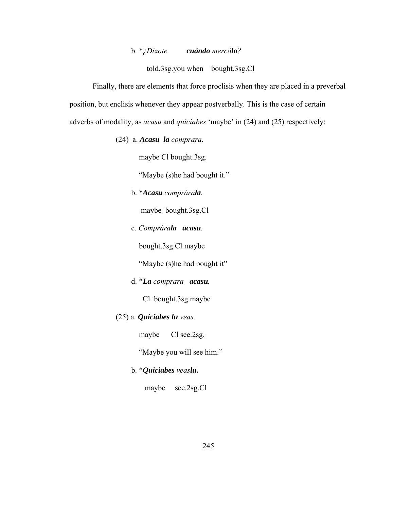# b. \**¿Díxote cuándo mercólo?*  told.3sg.you when bought.3sg.Cl

 Finally, there are elements that force proclisis when they are placed in a preverbal position, but enclisis whenever they appear postverbally. This is the case of certain adverbs of modality, as *acasu* and *quiciabes* 'maybe' in (24) and (25) respectively:

(24) a. *Acasu la comprara.*

maybe Cl bought.3sg.

"Maybe (s)he had bought it."

b. \**Acasu comprárala.* 

maybe bought.3sg.Cl

c. *Comprárala acasu.* 

bought.3sg.Cl maybe

"Maybe (s)he had bought it"

d. \**La comprara acasu.* 

Cl bought.3sg maybe

(25) a. *Quiciabes lu veas.* 

maybe Cl see.2sg.

"Maybe you will see him."

b. \**Quiciabes veaslu.* 

maybe see.2sg.Cl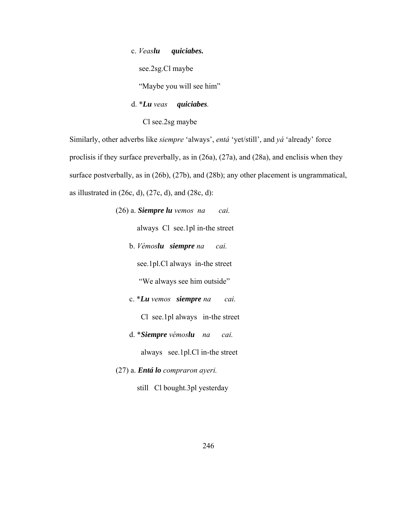## c. *Veaslu quiciabes.*

see.2sg.Cl maybe

"Maybe you will see him"

d. \**Lu veas quiciabes.* 

Cl see.2sg maybe

Similarly, other adverbs like *siempre* 'always', *entá* 'yet/still', and *yá* 'already' force proclisis if they surface preverbally, as in (26a), (27a), and (28a), and enclisis when they surface postverbally, as in (26b), (27b), and (28b); any other placement is ungrammatical, as illustrated in  $(26c, d)$ ,  $(27c, d)$ , and  $(28c, d)$ :

(26) a. *Siempre lu vemos na cai.* 

always Cl see.1pl in-the street

 b. *Vémoslu siempre na cai.*  see.1pl.Cl always in-the street "We always see him outside"

c. \**Lu vemos siempre na cai.* 

Cl see.1pl always in-the street

d. \**Siempre vémoslu na cai.* 

always see.1pl.Cl in-the street

- (27) a. *Entá lo compraron ayeri.* 
	- still Cl bought.3pl yesterday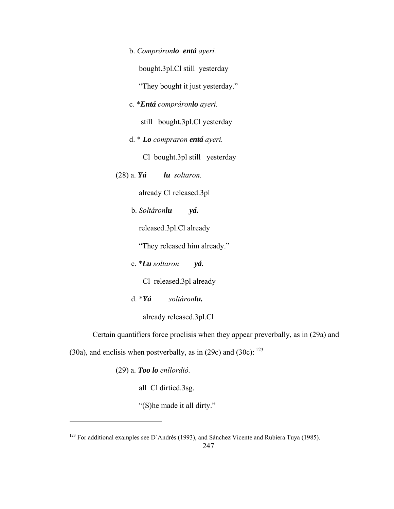b. *Compráronlo entá ayeri.* 

bought.3pl.Cl still yesterday

"They bought it just yesterday."

c. \**Entá compráronlo ayeri.* 

still bought.3pl.Cl yesterday

d. \* *Lo compraron entá ayeri.* 

Cl bought.3pl still yesterday

(28) a. *Yá lu soltaron.* 

already Cl released.3pl

b. *Soltáronlu yá.*

released.3pl.Cl already

"They released him already."

c. \**Lu soltaron yá.* 

Cl released.3pl already

d. \**Yá soltáronlu.* 

already released.3pl.Cl

Certain quantifiers force proclisis when they appear preverbally, as in (29a) and

(30a), and enclisis when postverbally, as in (29c) and (30c):  $123$ 

(29) a. *Too lo enllordió.*

1

all Cl dirtied.3sg.

"(S)he made it all dirty."

<sup>&</sup>lt;sup>123</sup> For additional examples see D'Andrés (1993), and Sánchez Vicente and Rubiera Tuya (1985).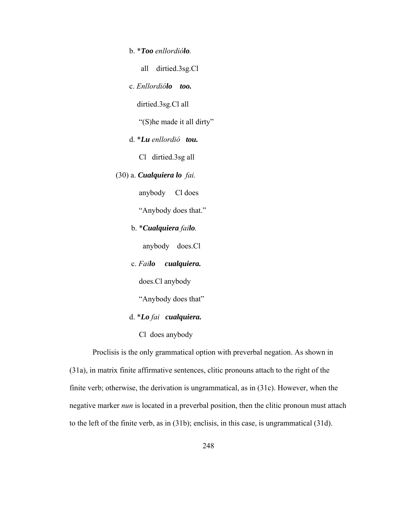b. \**Too enllordiólo.* 

all dirtied.3sg.Cl

c. *Enllordiólo too.* 

dirtied.3sg.Cl all

"(S)he made it all dirty"

d. \**Lu enllordió tou.* 

Cl dirtied.3sg all

(30) a. *Cualquiera lo fai.* 

anybody Cl does

"Anybody does that."

b. \**Cualquiera failo.* 

anybody does.Cl

c. *Failo cualquiera.*

does.Cl anybody

"Anybody does that"

- d. \**Lo fai cualquiera.*
	- Cl does anybody

 Proclisis is the only grammatical option with preverbal negation. As shown in (31a), in matrix finite affirmative sentences, clitic pronouns attach to the right of the finite verb; otherwise, the derivation is ungrammatical, as in (31c). However, when the negative marker *nun* is located in a preverbal position, then the clitic pronoun must attach to the left of the finite verb, as in (31b); enclisis, in this case, is ungrammatical (31d).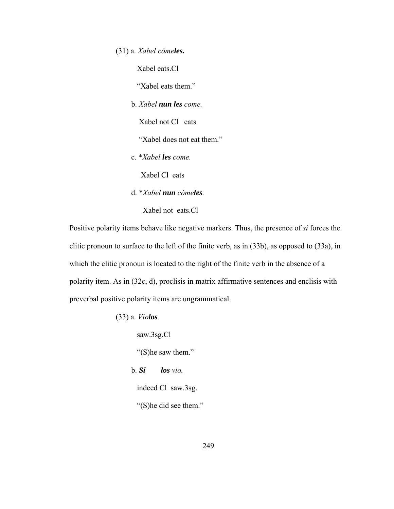(31) a. *Xabel cómeles.* 

Xabel eats.Cl

"Xabel eats them."

b. *Xabel nun les come.* 

Xabel not Cl eats

"Xabel does not eat them."

c. \**Xabel les come.* 

Xabel Cl eats

d. \**Xabel nun cómeles.* 

Xabel not eats.Cl

Positive polarity items behave like negative markers. Thus, the presence of *sí* forces the clitic pronoun to surface to the left of the finite verb, as in (33b), as opposed to (33a), in which the clitic pronoun is located to the right of the finite verb in the absence of a polarity item. As in (32c, d), proclisis in matrix affirmative sentences and enclisis with preverbal positive polarity items are ungrammatical.

(33) a. *Violos.* 

saw.3sg.Cl

"(S)he saw them."

b. *Sí los vio.* 

indeed Cl saw.3sg.

"(S)he did see them."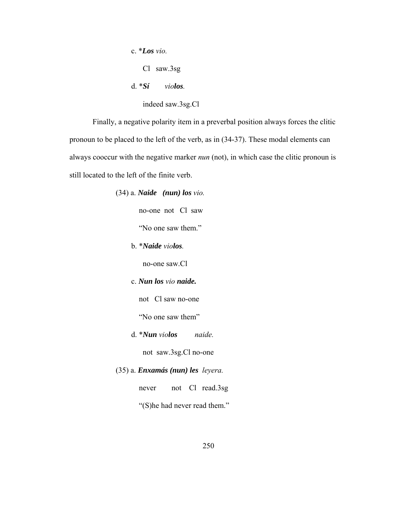c. \**Los vio.* Cl saw.3sg d. \**Sí violos.*  indeed saw.3sg.Cl

 Finally, a negative polarity item in a preverbal position always forces the clitic pronoun to be placed to the left of the verb, as in (34-37). These modal elements can always cooccur with the negative marker *nun* (not), in which case the clitic pronoun is still located to the left of the finite verb.

> (34) a. *Naide (nun) los vio.*  no-one not Cl saw

> > "No one saw them."

b. \**Naide violos.*

no-one saw.Cl

c. *Nun los vio naide.* 

not Cl saw no-one

"No one saw them"

d. \**Nun violos naide.* 

not saw.3sg.Cl no-one

(35) a. *Enxamás (nun) les leyera.* 

never not Cl read.3sg

"(S)he had never read them."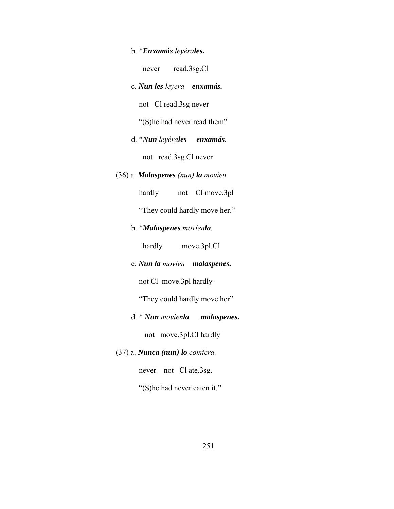b. \**Enxamás leyérales.* 

never read.3sg.Cl

c. *Nun les leyera enxamás.*

not Cl read.3sg never

"(S)he had never read them"

- d. \**Nun leyérales enxamás.*  not read.3sg.Cl never
- (36) a. *Malaspenes (nun) la movíen.*

 hardly not Cl move.3pl "They could hardly move her."

b. \**Malaspenes movíenla.* 

hardly move.3pl.Cl

c. *Nun la movíen malaspenes.*

not Cl move.3pl hardly

"They could hardly move her"

d. \* *Nun movíenla malaspenes.*

not move.3pl.Cl hardly

(37) a. *Nunca (nun) lo comiera.* 

never not Cl ate.3sg.

"(S)he had never eaten it."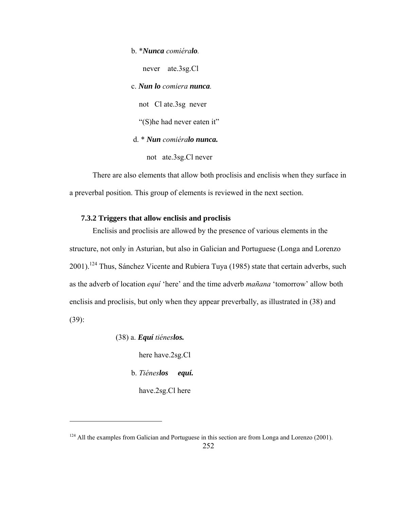b. \**Nunca comiéralo.* 

never ate.3sg.Cl

c. *Nun lo comiera nunca.* 

not Cl ate.3sg never

"(S)he had never eaten it"

d. \* *Nun comiéralo nunca.*

not ate.3sg.Cl never

 There are also elements that allow both proclisis and enclisis when they surface in a preverbal position. This group of elements is reviewed in the next section.

## **7.3.2 Triggers that allow enclisis and proclisis**

Enclisis and proclisis are allowed by the presence of various elements in the structure, not only in Asturian, but also in Galician and Portuguese (Longa and Lorenzo 2001).<sup>124</sup> Thus, Sánchez Vicente and Rubiera Tuya (1985) state that certain adverbs, such as the adverb of location *equí* 'here' and the time adverb *mañana* 'tomorrow' allow both enclisis and proclisis, but only when they appear preverbally, as illustrated in (38) and (39):

(38) a. *Equí tiéneslos.*

 $\overline{a}$ 

here have.2sg.Cl

b. *Tiéneslos equí.*

have.2sg.Cl here

<sup>&</sup>lt;sup>124</sup> All the examples from Galician and Portuguese in this section are from Longa and Lorenzo (2001).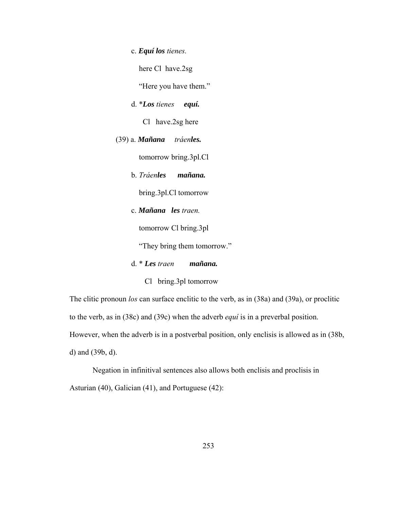c. *Equí los tienes.*

here Cl have.2sg

"Here you have them."

d. \**Los tienes equí.* 

Cl have.2sg here

(39) a. *Mañana tráenles.* 

tomorrow bring.3pl.Cl

b. *Tráenles mañana.*

bring.3pl.Cl tomorrow

c. *Mañana les traen.* 

tomorrow Cl bring.3pl

"They bring them tomorrow."

- d. \* *Les traen mañana.* 
	- Cl bring.3pl tomorrow

The clitic pronoun *los* can surface enclitic to the verb, as in (38a) and (39a), or proclitic to the verb, as in (38c) and (39c) when the adverb *equí* is in a preverbal position. However, when the adverb is in a postverbal position, only enclisis is allowed as in (38b, d) and (39b, d).

 Negation in infinitival sentences also allows both enclisis and proclisis in Asturian (40), Galician (41), and Portuguese (42):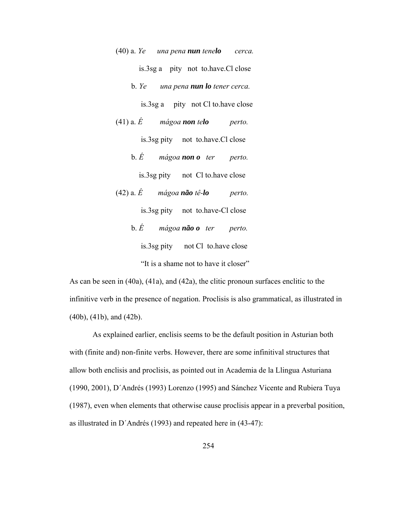(40) a. *Ye una pena nun tenelo cerca.*  is.3sg a pity not to.have.Cl close b. *Ye una pena nun lo tener cerca.* 

is.3sg a pity not Cl to.have close

- $(41)$  a.  $\acute{E}$  *mágoa non* telo *perto.*  is.3sg pity not to.have.Cl close
	- b. *É mágoa non o ter perto.* is.3sg pity not Cl to.have close
- (42)  $a, \dot{E}$  *mágoa* **não** tê-**lo** *perto.*  is.3sg pity not to.have-Cl close b. *É mágoa não o ter perto.*  is.3sg pity not Cl to.have close "It is a shame not to have it closer"

As can be seen in (40a), (41a), and (42a), the clitic pronoun surfaces enclitic to the infinitive verb in the presence of negation. Proclisis is also grammatical, as illustrated in (40b), (41b), and (42b).

 As explained earlier, enclisis seems to be the default position in Asturian both with (finite and) non-finite verbs. However, there are some infinitival structures that allow both enclisis and proclisis, as pointed out in Academia de la Llingua Asturiana (1990, 2001), D´Andrés (1993) Lorenzo (1995) and Sánchez Vicente and Rubiera Tuya (1987), even when elements that otherwise cause proclisis appear in a preverbal position, as illustrated in D´Andrés (1993) and repeated here in (43-47):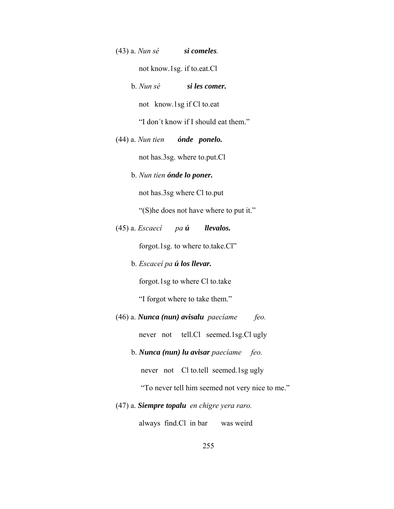| $(43)$ a. Nun sé | si comeles. |
|------------------|-------------|
|                  |             |

not know.1sg. if to.eat.Cl

b. *Nun sé si les comer.*

not know.1sg if Cl to.eat

"I don´t know if I should eat them."

(44) a. *Nun tien ónde ponelo.* 

not has.3sg. where to.put.Cl

b. *Nun tien ónde lo poner.*

not has.3sg where Cl to.put

"(S)he does not have where to put it."

(45) a. *Escaecí pa ú llevalos.* 

forgot.1sg. to where to.take.Cl"

b. *Escaceí pa ú los llevar.* 

forgot.1sg to where Cl to.take

"I forgot where to take them."

(46) a. *Nunca (nun) avisalu paecíame feo.* 

never not tell.Cl seemed.1sg.Cl ugly

b. *Nunca (nun) lu avisar paecíame feo.* 

never not Cl to.tell seemed.1sg ugly

"To never tell him seemed not very nice to me."

(47) a. *Siempre topalu en chigre yera raro.* 

always find.Cl in bar was weird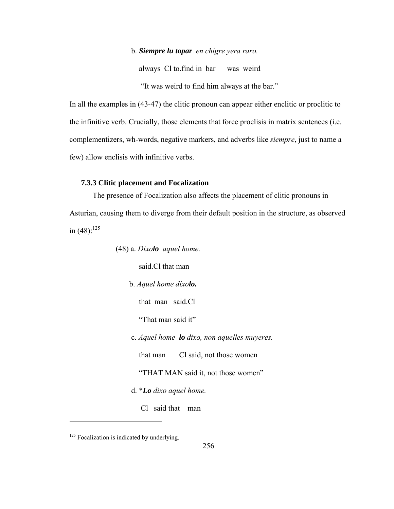## b. *Siempre lu topar en chigre yera raro.*

always Cl to.find in bar was weird

"It was weird to find him always at the bar."

In all the examples in (43-47) the clitic pronoun can appear either enclitic or proclitic to the infinitive verb. Crucially, those elements that force proclisis in matrix sentences (i.e. complementizers, wh-words, negative markers, and adverbs like *siempre*, just to name a few) allow enclisis with infinitive verbs.

#### **7.3.3 Clitic placement and Focalization**

 The presence of Focalization also affects the placement of clitic pronouns in Asturian, causing them to diverge from their default position in the structure, as observed in  $(48)$ :<sup>125</sup>

> (48) a. *Díxolo aquel home.* said.Cl that man b. *Aquel home díxolo.*  that man said.Cl "That man said it" c. *Aquel home lo dixo, non aquelles muyeres.* that man Cl said, not those women "THAT MAN said it, not those women" d. \**Lo dixo aquel home.*  Cl said that man

 $\overline{a}$ 

 $125$  Focalization is indicated by underlying.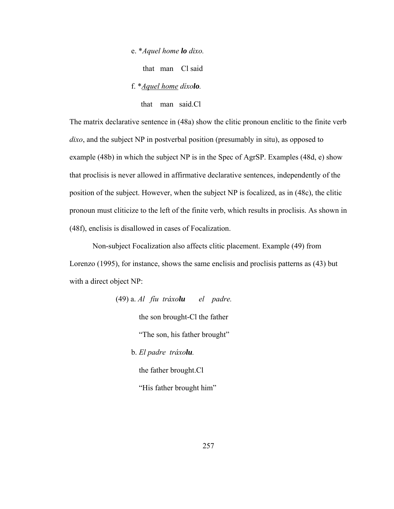e. \**Aquel home lo dixo.*  that man Cl said f. \**Aquel home díxolo.* that man said.Cl

The matrix declarative sentence in (48a) show the clitic pronoun enclitic to the finite verb *dixo*, and the subject NP in postverbal position (presumably in situ), as opposed to example (48b) in which the subject NP is in the Spec of AgrSP. Examples (48d, e) show that proclisis is never allowed in affirmative declarative sentences, independently of the position of the subject. However, when the subject NP is focalized, as in (48c), the clitic pronoun must cliticize to the left of the finite verb, which results in proclisis. As shown in (48f), enclisis is disallowed in cases of Focalization.

 Non-subject Focalization also affects clitic placement. Example (49) from Lorenzo (1995), for instance, shows the same enclisis and proclisis patterns as (43) but with a direct object NP:

(49) a. *Al fíu tráxolu el padre.* 

the son brought-Cl the father

"The son, his father brought"

b. *El padre tráxolu.* 

the father brought.Cl

"His father brought him"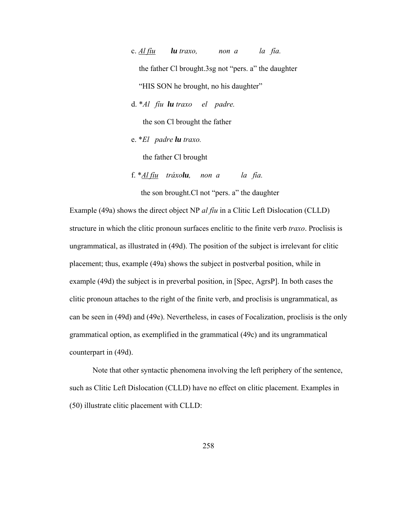c. *Al fíu lu traxo, non a la fía.*  the father Cl brought.3sg not "pers. a" the daughter "HIS SON he brought, no his daughter" d. \**Al fíu lu traxo el padre.* 

the son Cl brought the father

e. \**El padre lu traxo.*

the father Cl brought

f. \**Al fíu tráxolu, non a la fía.*

the son brought.Cl not "pers. a" the daughter

Example (49a) shows the direct object NP *al fíu* in a Clitic Left Dislocation (CLLD) structure in which the clitic pronoun surfaces enclitic to the finite verb *traxo*. Proclisis is ungrammatical, as illustrated in (49d). The position of the subject is irrelevant for clitic placement; thus, example (49a) shows the subject in postverbal position, while in example (49d) the subject is in preverbal position, in [Spec, AgrsP]. In both cases the clitic pronoun attaches to the right of the finite verb, and proclisis is ungrammatical, as can be seen in (49d) and (49e). Nevertheless, in cases of Focalization, proclisis is the only grammatical option, as exemplified in the grammatical (49c) and its ungrammatical counterpart in (49d).

Note that other syntactic phenomena involving the left periphery of the sentence, such as Clitic Left Dislocation (CLLD) have no effect on clitic placement. Examples in (50) illustrate clitic placement with CLLD: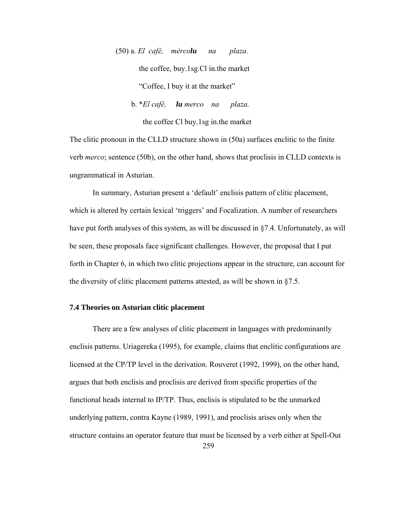(50) a. *El café, mércolu na plaza.*  the coffee, buy.1sg.Cl in.the market "Coffee, I buy it at the market" b. \**El café, lu merco na plaza.*  the coffee Cl buy.1sg in.the market

The clitic pronoun in the CLLD structure shown in (50a) surfaces enclitic to the finite verb *merco*; sentence (50b), on the other hand, shows that proclisis in CLLD contexts is ungrammatical in Asturian.

 In summary, Asturian present a 'default' enclisis pattern of clitic placement, which is altered by certain lexical 'triggers' and Focalization. A number of researchers have put forth analyses of this system, as will be discussed in §7.4. Unfortunately, as will be seen, these proposals face significant challenges. However, the proposal that I put forth in Chapter 6, in which two clitic projections appear in the structure, can account for the diversity of clitic placement patterns attested, as will be shown in §7.5.

#### **7.4 Theories on Asturian clitic placement**

 There are a few analyses of clitic placement in languages with predominantly enclisis patterns. Uriagereka (1995), for example, claims that enclitic configurations are licensed at the CP/TP level in the derivation. Rouveret (1992, 1999), on the other hand, argues that both enclisis and proclisis are derived from specific properties of the functional heads internal to IP/TP. Thus, enclisis is stipulated to be the unmarked underlying pattern, contra Kayne (1989, 1991), and proclisis arises only when the structure contains an operator feature that must be licensed by a verb either at Spell-Out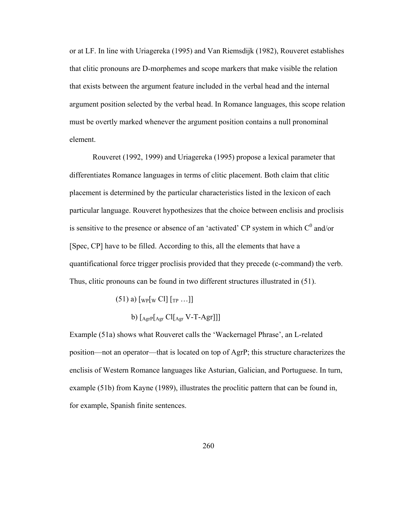or at LF. In line with Uriagereka (1995) and Van Riemsdijk (1982), Rouveret establishes that clitic pronouns are D-morphemes and scope markers that make visible the relation that exists between the argument feature included in the verbal head and the internal argument position selected by the verbal head. In Romance languages, this scope relation must be overtly marked whenever the argument position contains a null pronominal element.

 Rouveret (1992, 1999) and Uriagereka (1995) propose a lexical parameter that differentiates Romance languages in terms of clitic placement. Both claim that clitic placement is determined by the particular characteristics listed in the lexicon of each particular language. Rouveret hypothesizes that the choice between enclisis and proclisis is sensitive to the presence or absence of an 'activated' CP system in which  $C^0$  and/or [Spec, CP] have to be filled. According to this, all the elements that have a quantificational force trigger proclisis provided that they precede (c-command) the verb. Thus, clitic pronouns can be found in two different structures illustrated in (51).

 $(51)$  a)  $[wP[w]$  Cl]  $[rP]$  ...]

b)  $\lceil \frac{\text{AgrP}}{\text{Agr}} \left[ \frac{\text{C}}{\text{Agr}} \left[ \frac{\text{C}}{\text{Agr}} \left[ \frac{\text{C}}{\text{Agr}} \left[ \frac{\text{C}}{\text{Agr}} \left[ \frac{\text{C}}{\text{Agr}} \right] \right] \right] \right]$ 

Example (51a) shows what Rouveret calls the 'Wackernagel Phrase', an L-related position—not an operator—that is located on top of AgrP; this structure characterizes the enclisis of Western Romance languages like Asturian, Galician, and Portuguese. In turn, example (51b) from Kayne (1989), illustrates the proclitic pattern that can be found in, for example, Spanish finite sentences.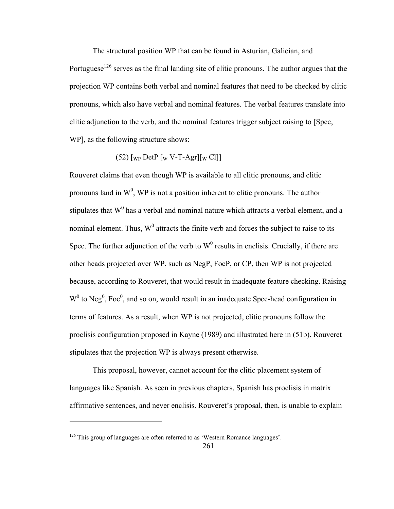The structural position WP that can be found in Asturian, Galician, and

Portuguese<sup>126</sup> serves as the final landing site of clitic pronouns. The author argues that the projection WP contains both verbal and nominal features that need to be checked by clitic pronouns, which also have verbal and nominal features. The verbal features translate into clitic adjunction to the verb, and the nominal features trigger subject raising to [Spec, WP], as the following structure shows:

$$
(52) [wp DetP [w V-T-Agr][w Cl]]
$$

Rouveret claims that even though WP is available to all clitic pronouns, and clitic pronouns land in  $W^0$ , WP is not a position inherent to clitic pronouns. The author stipulates that  $W^0$  has a verbal and nominal nature which attracts a verbal element, and a nominal element. Thus,  $W^0$  attracts the finite verb and forces the subject to raise to its Spec. The further adjunction of the verb to  $W<sup>0</sup>$  results in enclisis. Crucially, if there are other heads projected over WP, such as NegP, FocP, or CP, then WP is not projected because, according to Rouveret, that would result in inadequate feature checking. Raising  $W<sup>0</sup>$  to Neg<sup>0</sup>, Foc<sup>0</sup>, and so on, would result in an inadequate Spec-head configuration in terms of features. As a result, when WP is not projected, clitic pronouns follow the proclisis configuration proposed in Kayne (1989) and illustrated here in (51b). Rouveret stipulates that the projection WP is always present otherwise.

 This proposal, however, cannot account for the clitic placement system of languages like Spanish. As seen in previous chapters, Spanish has proclisis in matrix affirmative sentences, and never enclisis. Rouveret's proposal, then, is unable to explain

1

<sup>&</sup>lt;sup>126</sup> This group of languages are often referred to as 'Western Romance languages'.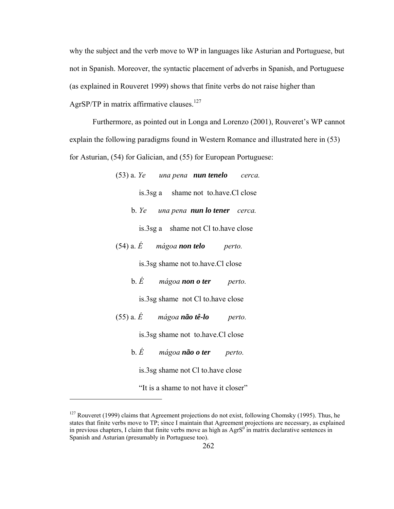why the subject and the verb move to WP in languages like Asturian and Portuguese, but not in Spanish. Moreover, the syntactic placement of adverbs in Spanish, and Portuguese (as explained in Rouveret 1999) shows that finite verbs do not raise higher than AgrSP/TP in matrix affirmative clauses.<sup>127</sup>

 Furthermore, as pointed out in Longa and Lorenzo (2001), Rouveret's WP cannot explain the following paradigms found in Western Romance and illustrated here in (53) for Asturian, (54) for Galician, and (55) for European Portuguese:

| $(53)$ a. Ye una pena nun tenelo cerca.          |
|--------------------------------------------------|
| is.3sg a shame not to.have.Cl close              |
| b. Ye una pena <b>nun lo tener</b> cerca.        |
| is.3sg a shame not Cl to have close              |
| $(54)$ a. $\dot{E}$ mágoa <b>non telo</b> perto. |
| is.3sg shame not to have.Cl close                |
| $b. E$ mágoa non o ter perto.                    |
| is.3sg shame not Cl to have close                |
| $(55)$ a. É mágoa <b>não tê-lo</b> perto.        |
| is.3sg shame not to.have.Cl close                |
| b. $\dot{E}$ mágoa <b>não o ter</b> perto.       |
| is.3sg shame not Cl to have close                |
| "It is a shame to not have it closer"            |

 $\overline{a}$ 

 $127$  Rouveret (1999) claims that Agreement projections do not exist, following Chomsky (1995). Thus, he states that finite verbs move to TP; since I maintain that Agreement projections are necessary, as explained in previous chapters, I claim that finite verbs move as high as  $AgrS<sup>0</sup>$  in matrix declarative sentences in Spanish and Asturian (presumably in Portuguese too).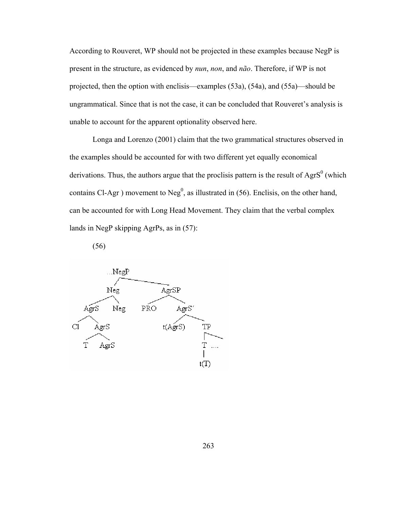According to Rouveret, WP should not be projected in these examples because NegP is present in the structure, as evidenced by *nun*, *non*, and *não*. Therefore, if WP is not projected, then the option with enclisis—examples (53a), (54a), and (55a)—should be ungrammatical. Since that is not the case, it can be concluded that Rouveret's analysis is unable to account for the apparent optionality observed here.

 Longa and Lorenzo (2001) claim that the two grammatical structures observed in the examples should be accounted for with two different yet equally economical derivations. Thus, the authors argue that the proclisis pattern is the result of  $\text{AgrS}^0$  (which contains Cl-Agr ) movement to  $Neg^0$ , as illustrated in (56). Enclisis, on the other hand, can be accounted for with Long Head Movement. They claim that the verbal complex lands in NegP skipping AgrPs, as in (57):

(56)

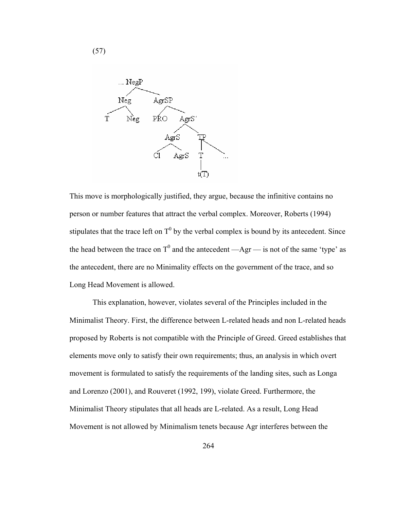

This move is morphologically justified, they argue, because the infinitive contains no person or number features that attract the verbal complex. Moreover, Roberts (1994) stipulates that the trace left on  $T^0$  by the verbal complex is bound by its antecedent. Since the head between the trace on  $T^0$  and the antecedent —Agr — is not of the same 'type' as the antecedent, there are no Minimality effects on the government of the trace, and so Long Head Movement is allowed.

 This explanation, however, violates several of the Principles included in the Minimalist Theory. First, the difference between L-related heads and non L-related heads proposed by Roberts is not compatible with the Principle of Greed. Greed establishes that elements move only to satisfy their own requirements; thus, an analysis in which overt movement is formulated to satisfy the requirements of the landing sites, such as Longa and Lorenzo (2001), and Rouveret (1992, 199), violate Greed. Furthermore, the Minimalist Theory stipulates that all heads are L-related. As a result, Long Head Movement is not allowed by Minimalism tenets because Agr interferes between the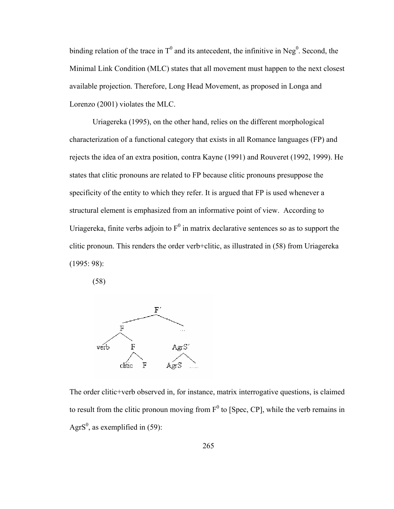binding relation of the trace in  $T^0$  and its antecedent, the infinitive in Neg<sup>0</sup>. Second, the Minimal Link Condition (MLC) states that all movement must happen to the next closest available projection. Therefore, Long Head Movement, as proposed in Longa and Lorenzo (2001) violates the MLC.

 Uriagereka (1995), on the other hand, relies on the different morphological characterization of a functional category that exists in all Romance languages (FP) and rejects the idea of an extra position, contra Kayne (1991) and Rouveret (1992, 1999). He states that clitic pronouns are related to FP because clitic pronouns presuppose the specificity of the entity to which they refer. It is argued that FP is used whenever a structural element is emphasized from an informative point of view. According to Uriagereka, finite verbs adjoin to  $F^0$  in matrix declarative sentences so as to support the clitic pronoun. This renders the order verb+clitic, as illustrated in (58) from Uriagereka (1995: 98):

(58)



The order clitic+verb observed in, for instance, matrix interrogative questions, is claimed to result from the clitic pronoun moving from  $F^0$  to [Spec, CP], while the verb remains in AgrS<sup>0</sup>, as exemplified in (59):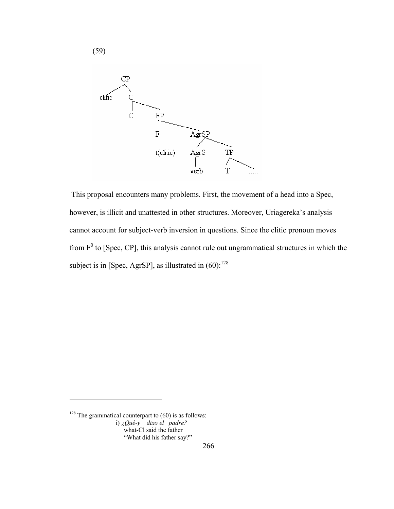

(59)

 This proposal encounters many problems. First, the movement of a head into a Spec, however, is illicit and unattested in other structures. Moreover, Uriagereka's analysis cannot account for subject-verb inversion in questions. Since the clitic pronoun moves from  $F^0$  to [Spec, CP], this analysis cannot rule out ungrammatical structures in which the subject is in [Spec, AgrSP], as illustrated in  $(60)$ :<sup>128</sup>

1

 $128$  The grammatical counterpart to  $(60)$  is as follows: i) *¿Qué-y dixo el padre?* what-Cl said the father "What did his father say?"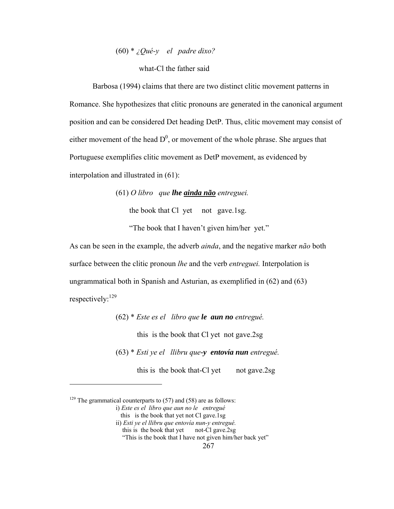(60) \* *¿Qué-y el padre dixo?* 

what-Cl the father said

 Barbosa (1994) claims that there are two distinct clitic movement patterns in Romance. She hypothesizes that clitic pronouns are generated in the canonical argument position and can be considered Det heading DetP. Thus, clitic movement may consist of either movement of the head  $D^0$ , or movement of the whole phrase. She argues that Portuguese exemplifies clitic movement as DetP movement, as evidenced by interpolation and illustrated in (61):

(61) *O libro que lhe ainda não entreguei.* 

 the book that Cl yet not gave.1sg. "The book that I haven't given him/her yet."

As can be seen in the example, the adverb *ainda*, and the negative marker *não* both surface between the clitic pronoun *lhe* and the verb *entreguei.* Interpolation is ungrammatical both in Spanish and Asturian, as exemplified in (62) and (63) respectively:129

(62) \* *Este es el libro que le aun no entregué.* 

this is the book that Cl yet not gave.2sg

(63) \* *Esti ye el llibru que-y entovía nun entregué.* 

this is the book that-Cl yet not gave.2sg

 $\overline{a}$ 

- i) *Este es el libro que aun no le entregué*
- this is the book that yet not Cl gave.1sg
- ii) *Esti ye el llibru que entovía nun-y entregué.* this is the book that yet not-Cl gave.2sg
	- "This is the book that I have not given him/her back yet"

<sup>&</sup>lt;sup>129</sup> The grammatical counterparts to  $(57)$  and  $(58)$  are as follows: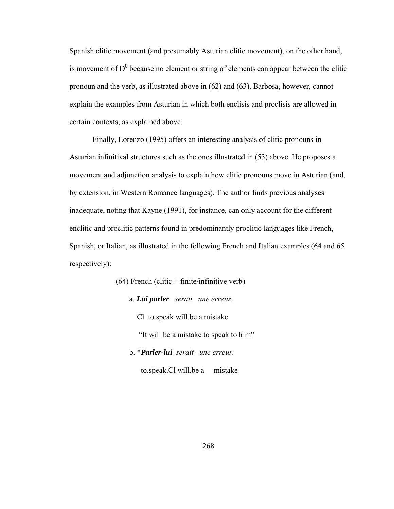Spanish clitic movement (and presumably Asturian clitic movement), on the other hand, is movement of  $D^0$  because no element or string of elements can appear between the clitic pronoun and the verb, as illustrated above in (62) and (63). Barbosa, however, cannot explain the examples from Asturian in which both enclisis and proclisis are allowed in certain contexts, as explained above.

 Finally, Lorenzo (1995) offers an interesting analysis of clitic pronouns in Asturian infinitival structures such as the ones illustrated in (53) above. He proposes a movement and adjunction analysis to explain how clitic pronouns move in Asturian (and, by extension, in Western Romance languages). The author finds previous analyses inadequate, noting that Kayne (1991), for instance, can only account for the different enclitic and proclitic patterns found in predominantly proclitic languages like French, Spanish, or Italian, as illustrated in the following French and Italian examples (64 and 65 respectively):

> $(64)$  French (clitic + finite/infinitive verb) a. *Lui parler serait une erreur.*  Cl to.speak will.be a mistake "It will be a mistake to speak to him" b. \**Parler-lui serait une erreur.*  to.speak.Cl will.be a mistake

> > 268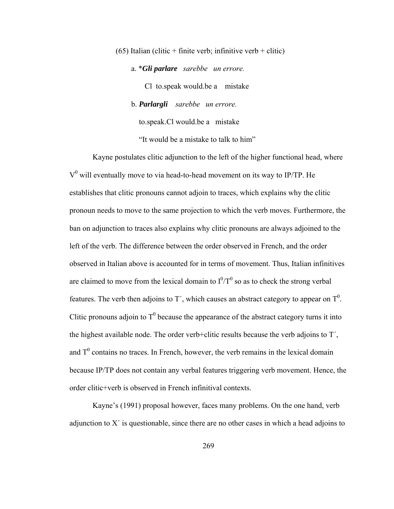(65) Italian (clitic + finite verb; infinitive verb + clitic) a. \**Gli parlare sarebbe un errore.*  Cl to.speak would.be a mistake b. *Parlargli sarebbe un errore.*  to.speak.Cl would.be a mistake "It would be a mistake to talk to him"

Kayne postulates clitic adjunction to the left of the higher functional head, where  $V<sup>0</sup>$  will eventually move to via head-to-head movement on its way to IP/TP. He establishes that clitic pronouns cannot adjoin to traces, which explains why the clitic pronoun needs to move to the same projection to which the verb moves. Furthermore, the ban on adjunction to traces also explains why clitic pronouns are always adjoined to the left of the verb. The difference between the order observed in French, and the order observed in Italian above is accounted for in terms of movement. Thus, Italian infinitives are claimed to move from the lexical domain to  $I^0/T^0$  so as to check the strong verbal features. The verb then adjoins to T', which causes an abstract category to appear on  $T^0$ . Clitic pronouns adjoin to  $T^0$  because the appearance of the abstract category turns it into the highest available node. The order verb+clitic results because the verb adjoins to  $T'$ , and  $T<sup>0</sup>$  contains no traces. In French, however, the verb remains in the lexical domain because IP/TP does not contain any verbal features triggering verb movement. Hence, the order clitic+verb is observed in French infinitival contexts.

 Kayne's (1991) proposal however, faces many problems. On the one hand, verb adjunction to  $X'$  is questionable, since there are no other cases in which a head adjoins to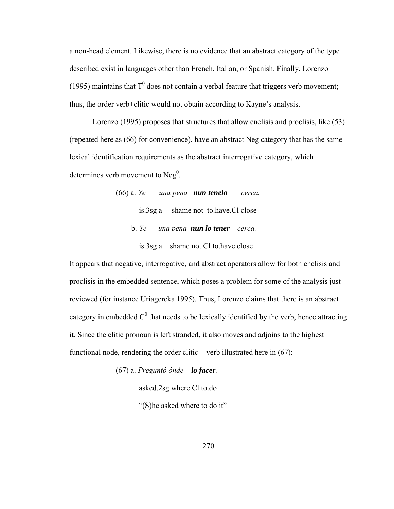a non-head element. Likewise, there is no evidence that an abstract category of the type described exist in languages other than French, Italian, or Spanish. Finally, Lorenzo (1995) maintains that  $T^0$  does not contain a verbal feature that triggers verb movement; thus, the order verb+clitic would not obtain according to Kayne's analysis.

 Lorenzo (1995) proposes that structures that allow enclisis and proclisis, like (53) (repeated here as (66) for convenience), have an abstract Neg category that has the same lexical identification requirements as the abstract interrogative category, which determines verb movement to  $Neg<sup>0</sup>$ .

> (66) a. *Ye una pena nun tenelo cerca.*  is.3sg a shame not to.have.Cl close b. *Ye una pena nun lo tener cerca.*  is.3sg a shame not Cl to.have close

It appears that negative, interrogative, and abstract operators allow for both enclisis and proclisis in the embedded sentence, which poses a problem for some of the analysis just reviewed (for instance Uriagereka 1995). Thus, Lorenzo claims that there is an abstract category in embedded  $C^0$  that needs to be lexically identified by the verb, hence attracting it. Since the clitic pronoun is left stranded, it also moves and adjoins to the highest functional node, rendering the order clitic + verb illustrated here in  $(67)$ :

(67) a. *Preguntó ónde lo facer.* 

asked.2sg where Cl to.do

"(S)he asked where to do it"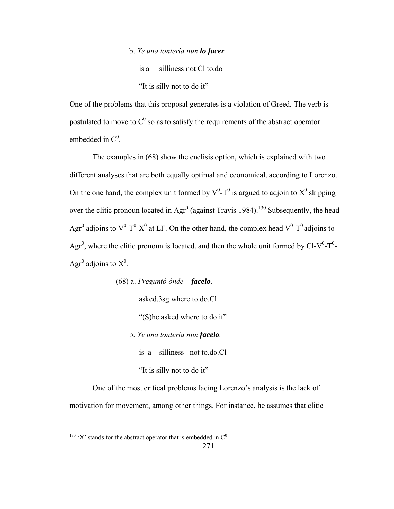# b. *Ye una tontería nun lo facer.*

is a silliness not Cl to.do

"It is silly not to do it"

One of the problems that this proposal generates is a violation of Greed. The verb is postulated to move to  $C^0$  so as to satisfy the requirements of the abstract operator embedded in  $C^0$ .

 The examples in (68) show the enclisis option, which is explained with two different analyses that are both equally optimal and economical, according to Lorenzo. On the one hand, the complex unit formed by  $V^0$ -T<sup>0</sup> is argued to adjoin to  $X^0$  skipping over the clitic pronoun located in Agr<sup>0</sup> (against Travis 1984).<sup>130</sup> Subsequently, the head Agr<sup>0</sup> adjoins to V<sup>0</sup>-T<sup>0</sup>-X<sup>0</sup> at LF. On the other hand, the complex head V<sup>0</sup>-T<sup>0</sup> adjoins to Agr<sup>0</sup>, where the clitic pronoun is located, and then the whole unit formed by  $Cl-V<sup>0</sup>-T<sup>0</sup>$ -Agr<sup>0</sup> adjoins to  $X^0$ .

> (68) a. *Preguntó ónde facelo.* asked.3sg where to.do.Cl "(S)he asked where to do it" b. *Ye una tontería nun facelo.*  is a silliness not to.do.Cl "It is silly not to do it"

 One of the most critical problems facing Lorenzo's analysis is the lack of motivation for movement, among other things. For instance, he assumes that clitic

 $\overline{a}$ 

<sup>&</sup>lt;sup>130</sup> 'X' stands for the abstract operator that is embedded in  $C^0$ .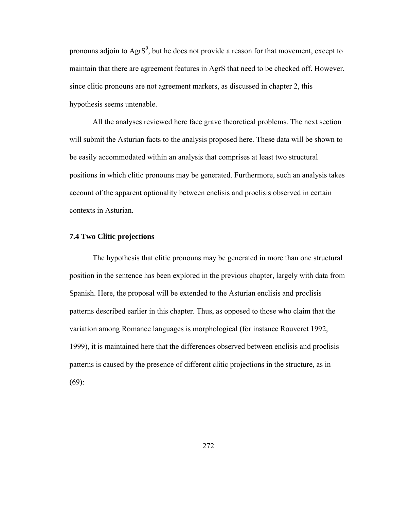pronouns adjoin to  $\text{AgrS}^0$ , but he does not provide a reason for that movement, except to maintain that there are agreement features in AgrS that need to be checked off. However, since clitic pronouns are not agreement markers, as discussed in chapter 2, this hypothesis seems untenable.

 All the analyses reviewed here face grave theoretical problems. The next section will submit the Asturian facts to the analysis proposed here. These data will be shown to be easily accommodated within an analysis that comprises at least two structural positions in which clitic pronouns may be generated. Furthermore, such an analysis takes account of the apparent optionality between enclisis and proclisis observed in certain contexts in Asturian.

## **7.4 Two Clitic projections**

 The hypothesis that clitic pronouns may be generated in more than one structural position in the sentence has been explored in the previous chapter, largely with data from Spanish. Here, the proposal will be extended to the Asturian enclisis and proclisis patterns described earlier in this chapter. Thus, as opposed to those who claim that the variation among Romance languages is morphological (for instance Rouveret 1992, 1999), it is maintained here that the differences observed between enclisis and proclisis patterns is caused by the presence of different clitic projections in the structure, as in  $(69)$ :

272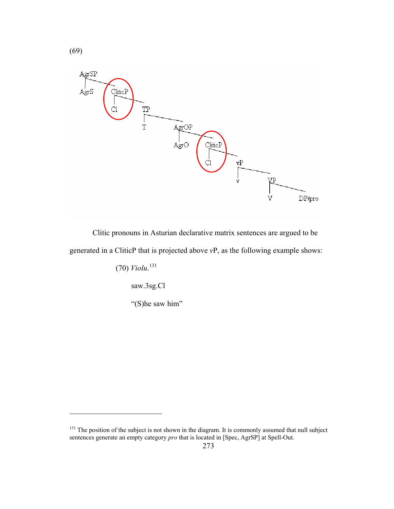

 Clitic pronouns in Asturian declarative matrix sentences are argued to be generated in a CliticP that is projected above *v*P, as the following example shows:

(70) *Violu*. 131

saw.3sg.Cl

"(S)he saw him"

(69)

 $\overline{a}$ 

<sup>&</sup>lt;sup>131</sup> The position of the subject is not shown in the diagram. It is commonly assumed that null subject sentences generate an empty category *pro* that is located in [Spec, AgrSP] at Spell-Out.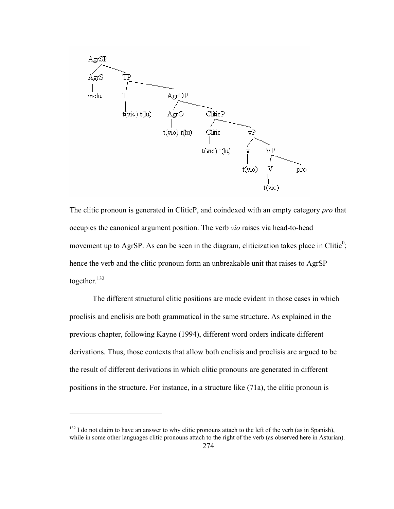

The clitic pronoun is generated in CliticP, and coindexed with an empty category *pro* that occupies the canonical argument position. The verb *vio* raises via head-to-head movement up to AgrSP. As can be seen in the diagram, cliticization takes place in Clitic<sup>0</sup>; hence the verb and the clitic pronoun form an unbreakable unit that raises to AgrSP together.<sup>132</sup>

 The different structural clitic positions are made evident in those cases in which proclisis and enclisis are both grammatical in the same structure. As explained in the previous chapter, following Kayne (1994), different word orders indicate different derivations. Thus, those contexts that allow both enclisis and proclisis are argued to be the result of different derivations in which clitic pronouns are generated in different positions in the structure. For instance, in a structure like (71a), the clitic pronoun is

 $\overline{a}$ 

 $132$  I do not claim to have an answer to why clitic pronouns attach to the left of the verb (as in Spanish), while in some other languages clitic pronouns attach to the right of the verb (as observed here in Asturian).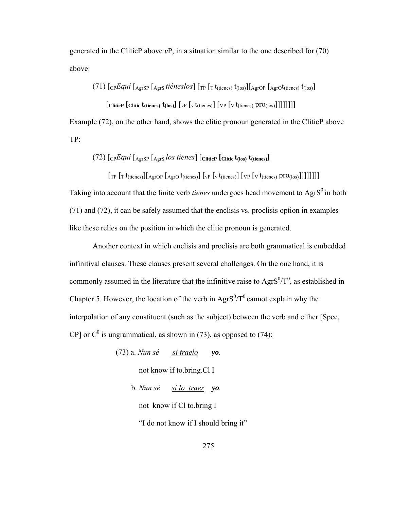generated in the CliticP above *v*P, in a situation similar to the one described for (70) above:

(71) [CP*Equí* [AgrSP [AgrS *tiéneslos*] [TP [T t(tienes) t(los)][AgrOP [AgrOt(tienes) t(los)]

 $\left[ \text{Critic P} \left[ \text{Critic } t_{\text{(tienes)}} \mathbf{t}_{\text{(los)}} \right] \left[ \text{vP} \left[ \text{v} \mathbf{t}_{\text{(tienes)}} \right] \left[ \text{vP} \left[ \text{v} \mathbf{t}_{\text{(tienes)}} \text{ pro}_{\text{(los)}} \right] \right] \right] \right]$ Example (72), on the other hand, shows the clitic pronoun generated in the CliticP above TP:

 $(72)$   $[$ <sub>CP</sub>*Equi*  $[$ <sub>AgrSP</sub>  $[$ <sub>AgrS</sub> *los tienen*  $]$ <sub>CliticP</sub>  $[$ <sub>Clitic</sub>  $\mathbf{t}_{(los)} \mathbf{t}_{(tienes)}$  <sub>Ll</sub>

 $\lceil \text{TP} \rceil_{\text{T}}$   $\text{t}$ (tienes)] $\lceil \text{AgroP} \rceil_{\text{AgroQ}}$   $\text{t}$ (tienes)] $\lceil \text{VP} \rceil_{\text{V}}$   $\text{t}$ (tienes)  $\lceil \text{VP} \rceil_{\text{V}}$   $\text{t}$ (tienes)  $\lceil \text{PO}(\text{los}) \rceil_{\text{V}}$ ]]]]]]]]] Taking into account that the finite verb *tienes* undergoes head movement to AgrS<sup>0</sup> in both (71) and (72), it can be safely assumed that the enclisis vs. proclisis option in examples like these relies on the position in which the clitic pronoun is generated.

 Another context in which enclisis and proclisis are both grammatical is embedded infinitival clauses. These clauses present several challenges. On the one hand, it is commonly assumed in the literature that the infinitive raise to  $\text{AgrS}^0/\text{T}^0$ , as established in Chapter 5. However, the location of the verb in  $\text{AgrS}^0/\text{T}^0$  cannot explain why the interpolation of any constituent (such as the subject) between the verb and either [Spec, CP] or  $C^0$  is ungrammatical, as shown in (73), as opposed to (74):

(73) a. *Nun sé si traelo yo.* 

not know if to.bring.Cl I

b. *Nun sé si lo traer yo.*

not know if Cl to.bring I

"I do not know if I should bring it"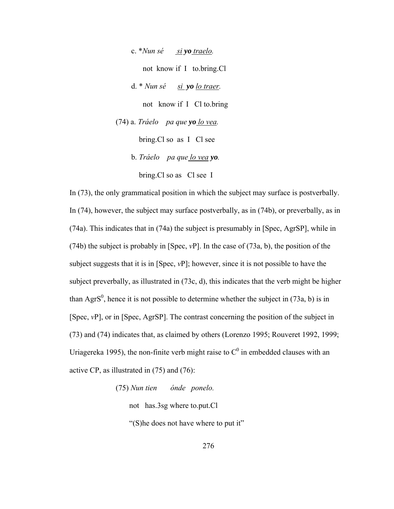c. \**Nun sé si yo traelo.*  not know if I to.bring.Cl d. \* *Nun sé si yo lo traer.*  not know if I Cl to.bring (74) a. *Tráelo pa que yo lo vea.* 

bring.Cl so as I Cl see

b. *Tráelo pa que lo vea yo.* 

bring.Cl so as Cl see I

In (73), the only grammatical position in which the subject may surface is postverbally. In (74), however, the subject may surface postverbally, as in (74b), or preverbally, as in (74a). This indicates that in (74a) the subject is presumably in [Spec, AgrSP], while in (74b) the subject is probably in [Spec, *v*P]. In the case of (73a, b), the position of the subject suggests that it is in [Spec, *v*P]; however, since it is not possible to have the subject preverbally, as illustrated in (73c, d), this indicates that the verb might be higher than AgrS<sup>0</sup>, hence it is not possible to determine whether the subject in (73a, b) is in [Spec, *v*P], or in [Spec, AgrSP]. The contrast concerning the position of the subject in (73) and (74) indicates that, as claimed by others (Lorenzo 1995; Rouveret 1992, 1999; Uriagereka 1995), the non-finite verb might raise to  $C^0$  in embedded clauses with an active CP, as illustrated in (75) and (76):

(75) *Nun tien ónde ponelo.*

not has.3sg where to.put.Cl

"(S)he does not have where to put it"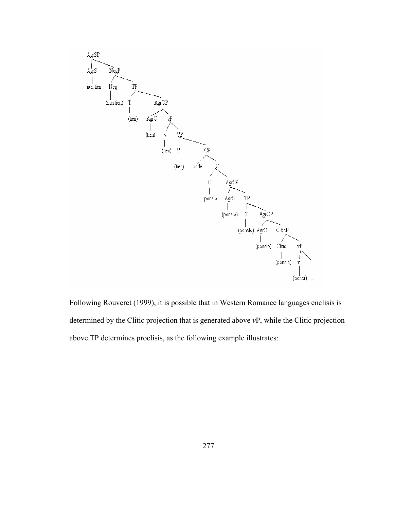

Following Rouveret (1999), it is possible that in Western Romance languages enclisis is determined by the Clitic projection that is generated above *v*P, while the Clitic projection above TP determines proclisis, as the following example illustrates: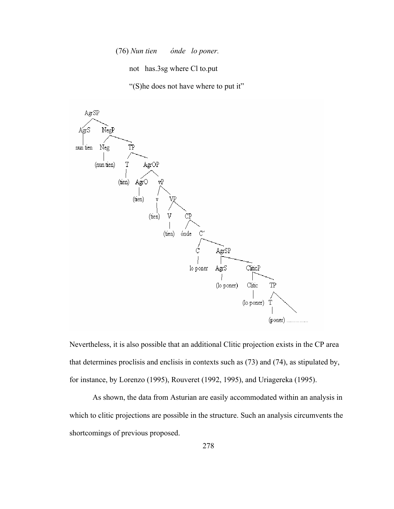(76) *Nun tien ónde lo poner.* 

not has.3sg where Cl to.put

"(S)he does not have where to put it"



Nevertheless, it is also possible that an additional Clitic projection exists in the CP area that determines proclisis and enclisis in contexts such as (73) and (74), as stipulated by, for instance, by Lorenzo (1995), Rouveret (1992, 1995), and Uriagereka (1995).

 As shown, the data from Asturian are easily accommodated within an analysis in which to clitic projections are possible in the structure. Such an analysis circumvents the shortcomings of previous proposed.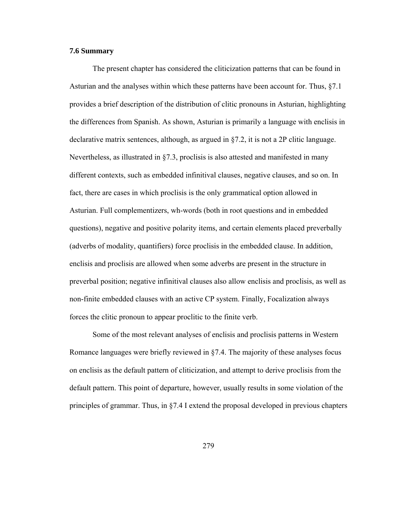## **7.6 Summary**

The present chapter has considered the cliticization patterns that can be found in Asturian and the analyses within which these patterns have been account for. Thus, §7.1 provides a brief description of the distribution of clitic pronouns in Asturian, highlighting the differences from Spanish. As shown, Asturian is primarily a language with enclisis in declarative matrix sentences, although, as argued in §7.2, it is not a 2P clitic language. Nevertheless, as illustrated in §7.3, proclisis is also attested and manifested in many different contexts, such as embedded infinitival clauses, negative clauses, and so on. In fact, there are cases in which proclisis is the only grammatical option allowed in Asturian. Full complementizers, wh-words (both in root questions and in embedded questions), negative and positive polarity items, and certain elements placed preverbally (adverbs of modality, quantifiers) force proclisis in the embedded clause. In addition, enclisis and proclisis are allowed when some adverbs are present in the structure in preverbal position; negative infinitival clauses also allow enclisis and proclisis, as well as non-finite embedded clauses with an active CP system. Finally, Focalization always forces the clitic pronoun to appear proclitic to the finite verb.

 Some of the most relevant analyses of enclisis and proclisis patterns in Western Romance languages were briefly reviewed in §7.4. The majority of these analyses focus on enclisis as the default pattern of cliticization, and attempt to derive proclisis from the default pattern. This point of departure, however, usually results in some violation of the principles of grammar. Thus, in §7.4 I extend the proposal developed in previous chapters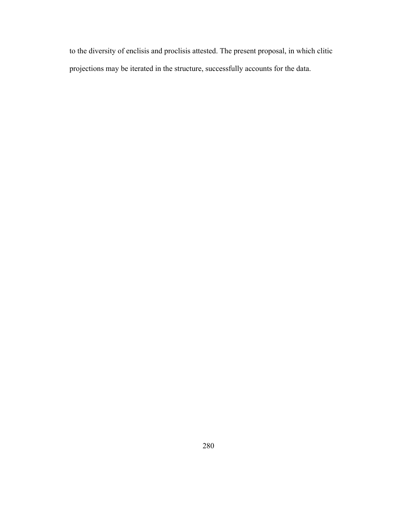to the diversity of enclisis and proclisis attested. The present proposal, in which clitic projections may be iterated in the structure, successfully accounts for the data.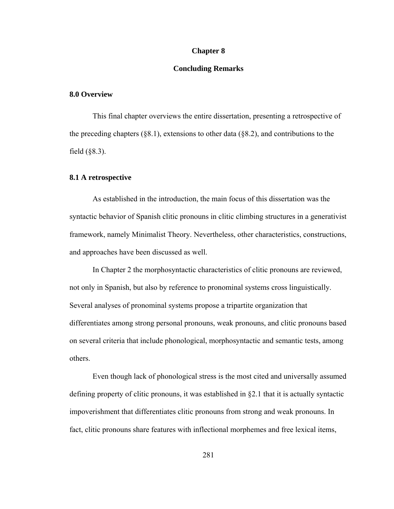#### **Chapter 8**

# **Concluding Remarks**

#### **8.0 Overview**

 This final chapter overviews the entire dissertation, presenting a retrospective of the preceding chapters (§8.1), extensions to other data (§8.2), and contributions to the field  $(\S 8.3)$ .

## **8.1 A retrospective**

As established in the introduction, the main focus of this dissertation was the syntactic behavior of Spanish clitic pronouns in clitic climbing structures in a generativist framework, namely Minimalist Theory. Nevertheless, other characteristics, constructions, and approaches have been discussed as well.

 In Chapter 2 the morphosyntactic characteristics of clitic pronouns are reviewed, not only in Spanish, but also by reference to pronominal systems cross linguistically. Several analyses of pronominal systems propose a tripartite organization that differentiates among strong personal pronouns, weak pronouns, and clitic pronouns based on several criteria that include phonological, morphosyntactic and semantic tests, among others.

Even though lack of phonological stress is the most cited and universally assumed defining property of clitic pronouns, it was established in §2.1 that it is actually syntactic impoverishment that differentiates clitic pronouns from strong and weak pronouns. In fact, clitic pronouns share features with inflectional morphemes and free lexical items,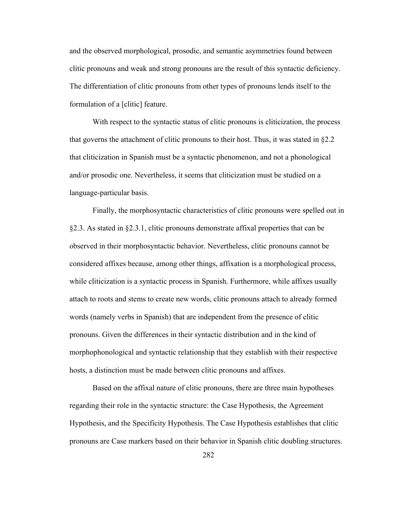and the observed morphological, prosodic, and semantic asymmetries found between clitic pronouns and weak and strong pronouns are the result of this syntactic deficiency. The differentiation of clitic pronouns from other types of pronouns lends itself to the formulation of a [clitic] feature.

 With respect to the syntactic status of clitic pronouns is cliticization, the process that governs the attachment of clitic pronouns to their host. Thus, it was stated in §2.2 that cliticization in Spanish must be a syntactic phenomenon, and not a phonological and/or prosodic one. Nevertheless, it seems that cliticization must be studied on a language-particular basis.

 Finally, the morphosyntactic characteristics of clitic pronouns were spelled out in §2.3. As stated in §2.3.1, clitic pronouns demonstrate affixal properties that can be observed in their morphosyntactic behavior. Nevertheless, clitic pronouns cannot be considered affixes because, among other things, affixation is a morphological process, while cliticization is a syntactic process in Spanish. Furthermore, while affixes usually attach to roots and stems to create new words, clitic pronouns attach to already formed words (namely verbs in Spanish) that are independent from the presence of clitic pronouns. Given the differences in their syntactic distribution and in the kind of morphophonological and syntactic relationship that they establish with their respective hosts, a distinction must be made between clitic pronouns and affixes.

 Based on the affixal nature of clitic pronouns, there are three main hypotheses regarding their role in the syntactic structure: the Case Hypothesis, the Agreement Hypothesis, and the Specificity Hypothesis. The Case Hypothesis establishes that clitic pronouns are Case markers based on their behavior in Spanish clitic doubling structures.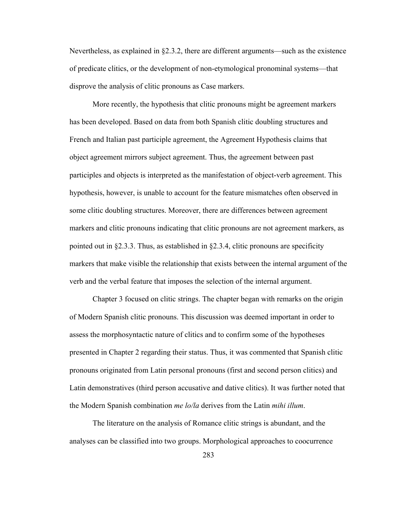Nevertheless, as explained in  $\S 2.3.2$ , there are different arguments—such as the existence of predicate clitics, or the development of non-etymological pronominal systems—that disprove the analysis of clitic pronouns as Case markers.

 More recently, the hypothesis that clitic pronouns might be agreement markers has been developed. Based on data from both Spanish clitic doubling structures and French and Italian past participle agreement, the Agreement Hypothesis claims that object agreement mirrors subject agreement. Thus, the agreement between past participles and objects is interpreted as the manifestation of object-verb agreement. This hypothesis, however, is unable to account for the feature mismatches often observed in some clitic doubling structures. Moreover, there are differences between agreement markers and clitic pronouns indicating that clitic pronouns are not agreement markers, as pointed out in  $\S2.3.3$ . Thus, as established in  $\S2.3.4$ , clitic pronouns are specificity markers that make visible the relationship that exists between the internal argument of the verb and the verbal feature that imposes the selection of the internal argument.

Chapter 3 focused on clitic strings. The chapter began with remarks on the origin of Modern Spanish clitic pronouns. This discussion was deemed important in order to assess the morphosyntactic nature of clitics and to confirm some of the hypotheses presented in Chapter 2 regarding their status. Thus, it was commented that Spanish clitic pronouns originated from Latin personal pronouns (first and second person clitics) and Latin demonstratives (third person accusative and dative clitics). It was further noted that the Modern Spanish combination *me lo/la* derives from the Latin *mihi illum*.

 The literature on the analysis of Romance clitic strings is abundant, and the analyses can be classified into two groups. Morphological approaches to coocurrence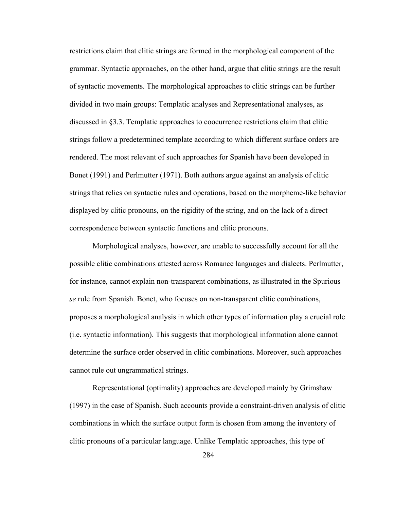restrictions claim that clitic strings are formed in the morphological component of the grammar. Syntactic approaches, on the other hand, argue that clitic strings are the result of syntactic movements. The morphological approaches to clitic strings can be further divided in two main groups: Templatic analyses and Representational analyses, as discussed in §3.3. Templatic approaches to coocurrence restrictions claim that clitic strings follow a predetermined template according to which different surface orders are rendered. The most relevant of such approaches for Spanish have been developed in Bonet (1991) and Perlmutter (1971). Both authors argue against an analysis of clitic strings that relies on syntactic rules and operations, based on the morpheme-like behavior displayed by clitic pronouns, on the rigidity of the string, and on the lack of a direct correspondence between syntactic functions and clitic pronouns.

 Morphological analyses, however, are unable to successfully account for all the possible clitic combinations attested across Romance languages and dialects. Perlmutter, for instance, cannot explain non-transparent combinations, as illustrated in the Spurious *se* rule from Spanish. Bonet, who focuses on non-transparent clitic combinations, proposes a morphological analysis in which other types of information play a crucial role (i.e. syntactic information). This suggests that morphological information alone cannot determine the surface order observed in clitic combinations. Moreover, such approaches cannot rule out ungrammatical strings.

 Representational (optimality) approaches are developed mainly by Grimshaw (1997) in the case of Spanish. Such accounts provide a constraint-driven analysis of clitic combinations in which the surface output form is chosen from among the inventory of clitic pronouns of a particular language. Unlike Templatic approaches, this type of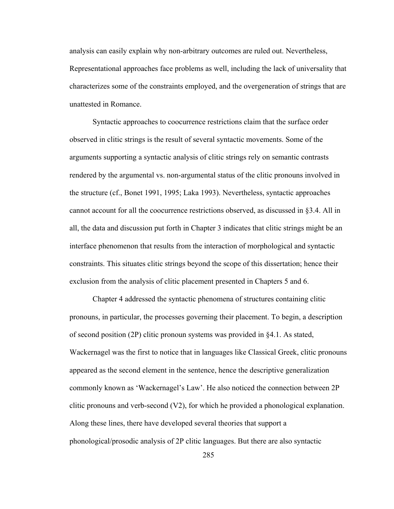analysis can easily explain why non-arbitrary outcomes are ruled out. Nevertheless, Representational approaches face problems as well, including the lack of universality that characterizes some of the constraints employed, and the overgeneration of strings that are unattested in Romance.

 Syntactic approaches to coocurrence restrictions claim that the surface order observed in clitic strings is the result of several syntactic movements. Some of the arguments supporting a syntactic analysis of clitic strings rely on semantic contrasts rendered by the argumental vs. non-argumental status of the clitic pronouns involved in the structure (cf., Bonet 1991, 1995; Laka 1993). Nevertheless, syntactic approaches cannot account for all the coocurrence restrictions observed, as discussed in §3.4. All in all, the data and discussion put forth in Chapter 3 indicates that clitic strings might be an interface phenomenon that results from the interaction of morphological and syntactic constraints. This situates clitic strings beyond the scope of this dissertation; hence their exclusion from the analysis of clitic placement presented in Chapters 5 and 6.

 Chapter 4 addressed the syntactic phenomena of structures containing clitic pronouns, in particular, the processes governing their placement. To begin, a description of second position (2P) clitic pronoun systems was provided in  $\S 4.1$ . As stated, Wackernagel was the first to notice that in languages like Classical Greek, clitic pronouns appeared as the second element in the sentence, hence the descriptive generalization commonly known as 'Wackernagel's Law'. He also noticed the connection between 2P clitic pronouns and verb-second  $(V2)$ , for which he provided a phonological explanation. Along these lines, there have developed several theories that support a phonological/prosodic analysis of 2P clitic languages. But there are also syntactic

285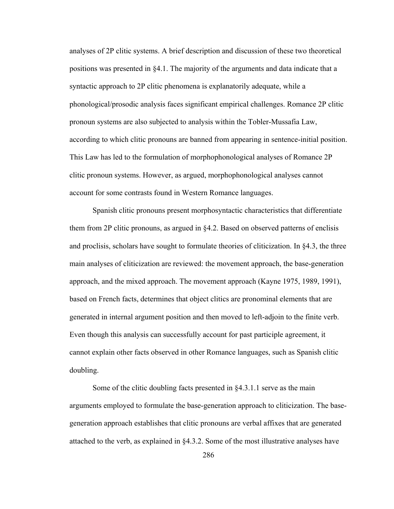analyses of 2P clitic systems. A brief description and discussion of these two theoretical positions was presented in §4.1. The majority of the arguments and data indicate that a syntactic approach to 2P clitic phenomena is explanatorily adequate, while a phonological/prosodic analysis faces significant empirical challenges. Romance 2P clitic pronoun systems are also subjected to analysis within the Tobler-Mussafia Law, according to which clitic pronouns are banned from appearing in sentence-initial position. This Law has led to the formulation of morphophonological analyses of Romance 2P clitic pronoun systems. However, as argued, morphophonological analyses cannot account for some contrasts found in Western Romance languages.

 Spanish clitic pronouns present morphosyntactic characteristics that differentiate them from 2P clitic pronouns, as argued in §4.2. Based on observed patterns of enclisis and proclisis, scholars have sought to formulate theories of cliticization. In §4.3, the three main analyses of cliticization are reviewed: the movement approach, the base-generation approach, and the mixed approach. The movement approach (Kayne 1975, 1989, 1991), based on French facts, determines that object clitics are pronominal elements that are generated in internal argument position and then moved to left-adjoin to the finite verb. Even though this analysis can successfully account for past participle agreement, it cannot explain other facts observed in other Romance languages, such as Spanish clitic doubling.

 Some of the clitic doubling facts presented in §4.3.1.1 serve as the main arguments employed to formulate the base-generation approach to cliticization. The basegeneration approach establishes that clitic pronouns are verbal affixes that are generated attached to the verb, as explained in §4.3.2. Some of the most illustrative analyses have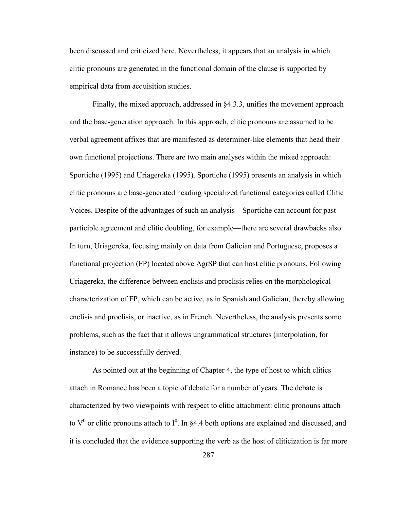been discussed and criticized here. Nevertheless, it appears that an analysis in which clitic pronouns are generated in the functional domain of the clause is supported by empirical data from acquisition studies.

 Finally, the mixed approach, addressed in §4.3.3, unifies the movement approach and the base-generation approach. In this approach, clitic pronouns are assumed to be verbal agreement affixes that are manifested as determiner-like elements that head their own functional projections. There are two main analyses within the mixed approach: Sportiche (1995) and Uriagereka (1995). Sportiche (1995) presents an analysis in which clitic pronouns are base-generated heading specialized functional categories called Clitic Voices. Despite of the advantages of such an analysis—Sportiche can account for past participle agreement and clitic doubling, for example—there are several drawbacks also. In turn, Uriagereka, focusing mainly on data from Galician and Portuguese, proposes a functional projection (FP) located above AgrSP that can host clitic pronouns. Following Uriagereka, the difference between enclisis and proclisis relies on the morphological characterization of FP, which can be active, as in Spanish and Galician, thereby allowing enclisis and proclisis, or inactive, as in French. Nevertheless, the analysis presents some problems, such as the fact that it allows ungrammatical structures (interpolation, for instance) to be successfully derived.

 As pointed out at the beginning of Chapter 4, the type of host to which clitics attach in Romance has been a topic of debate for a number of years. The debate is characterized by two viewpoints with respect to clitic attachment: clitic pronouns attach to  $V^0$  or clitic pronouns attach to  $I^0$ . In §4.4 both options are explained and discussed, and it is concluded that the evidence supporting the verb as the host of cliticization is far more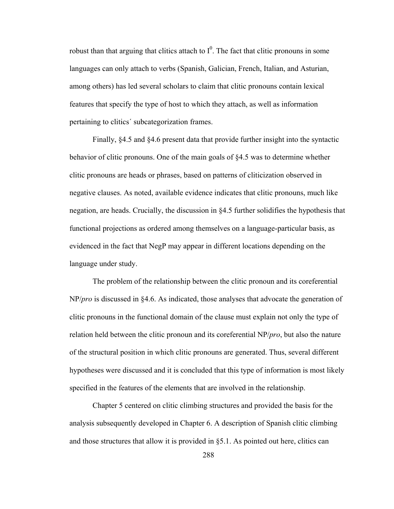robust than that arguing that clitics attach to  $I^0$ . The fact that clitic pronouns in some languages can only attach to verbs (Spanish, Galician, French, Italian, and Asturian, among others) has led several scholars to claim that clitic pronouns contain lexical features that specify the type of host to which they attach, as well as information pertaining to clitics´ subcategorization frames.

 Finally, §4.5 and §4.6 present data that provide further insight into the syntactic behavior of clitic pronouns. One of the main goals of §4.5 was to determine whether clitic pronouns are heads or phrases, based on patterns of cliticization observed in negative clauses. As noted, available evidence indicates that clitic pronouns, much like negation, are heads. Crucially, the discussion in §4.5 further solidifies the hypothesis that functional projections as ordered among themselves on a language-particular basis, as evidenced in the fact that NegP may appear in different locations depending on the language under study.

 The problem of the relationship between the clitic pronoun and its coreferential NP/*pro* is discussed in §4.6. As indicated, those analyses that advocate the generation of clitic pronouns in the functional domain of the clause must explain not only the type of relation held between the clitic pronoun and its coreferential NP/*pro*, but also the nature of the structural position in which clitic pronouns are generated. Thus, several different hypotheses were discussed and it is concluded that this type of information is most likely specified in the features of the elements that are involved in the relationship.

 Chapter 5 centered on clitic climbing structures and provided the basis for the analysis subsequently developed in Chapter 6. A description of Spanish clitic climbing and those structures that allow it is provided in §5.1. As pointed out here, clitics can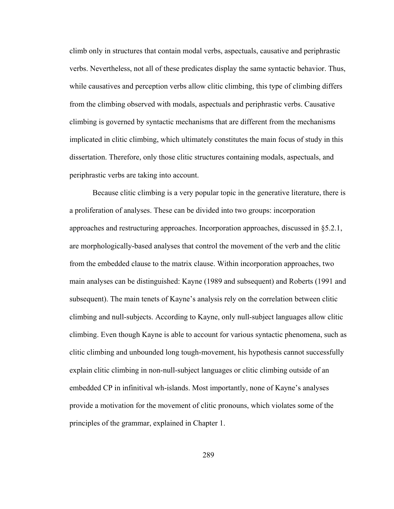climb only in structures that contain modal verbs, aspectuals, causative and periphrastic verbs. Nevertheless, not all of these predicates display the same syntactic behavior. Thus, while causatives and perception verbs allow clitic climbing, this type of climbing differs from the climbing observed with modals, aspectuals and periphrastic verbs. Causative climbing is governed by syntactic mechanisms that are different from the mechanisms implicated in clitic climbing, which ultimately constitutes the main focus of study in this dissertation. Therefore, only those clitic structures containing modals, aspectuals, and periphrastic verbs are taking into account.

 Because clitic climbing is a very popular topic in the generative literature, there is a proliferation of analyses. These can be divided into two groups: incorporation approaches and restructuring approaches. Incorporation approaches, discussed in §5.2.1, are morphologically-based analyses that control the movement of the verb and the clitic from the embedded clause to the matrix clause. Within incorporation approaches, two main analyses can be distinguished: Kayne (1989 and subsequent) and Roberts (1991 and subsequent). The main tenets of Kayne's analysis rely on the correlation between clitic climbing and null-subjects. According to Kayne, only null-subject languages allow clitic climbing. Even though Kayne is able to account for various syntactic phenomena, such as clitic climbing and unbounded long tough-movement, his hypothesis cannot successfully explain clitic climbing in non-null-subject languages or clitic climbing outside of an embedded CP in infinitival wh-islands. Most importantly, none of Kayne's analyses provide a motivation for the movement of clitic pronouns, which violates some of the principles of the grammar, explained in Chapter 1.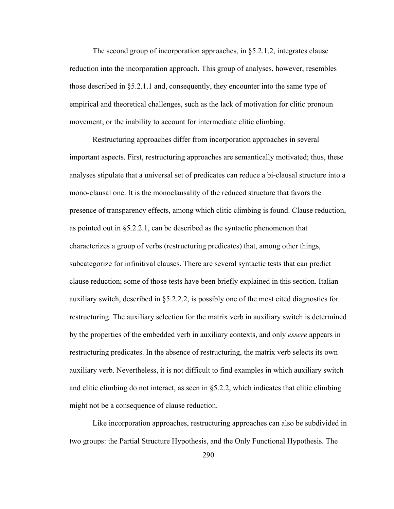The second group of incorporation approaches, in §5.2.1.2, integrates clause reduction into the incorporation approach. This group of analyses, however, resembles those described in §5.2.1.1 and, consequently, they encounter into the same type of empirical and theoretical challenges, such as the lack of motivation for clitic pronoun movement, or the inability to account for intermediate clitic climbing.

 Restructuring approaches differ from incorporation approaches in several important aspects. First, restructuring approaches are semantically motivated; thus, these analyses stipulate that a universal set of predicates can reduce a bi-clausal structure into a mono-clausal one. It is the monoclausality of the reduced structure that favors the presence of transparency effects, among which clitic climbing is found. Clause reduction, as pointed out in §5.2.2.1, can be described as the syntactic phenomenon that characterizes a group of verbs (restructuring predicates) that, among other things, subcategorize for infinitival clauses. There are several syntactic tests that can predict clause reduction; some of those tests have been briefly explained in this section. Italian auxiliary switch, described in §5.2.2.2, is possibly one of the most cited diagnostics for restructuring. The auxiliary selection for the matrix verb in auxiliary switch is determined by the properties of the embedded verb in auxiliary contexts, and only *essere* appears in restructuring predicates. In the absence of restructuring, the matrix verb selects its own auxiliary verb. Nevertheless, it is not difficult to find examples in which auxiliary switch and clitic climbing do not interact, as seen in  $\S 5.2.2$ , which indicates that clitic climbing might not be a consequence of clause reduction.

 Like incorporation approaches, restructuring approaches can also be subdivided in two groups: the Partial Structure Hypothesis, and the Only Functional Hypothesis. The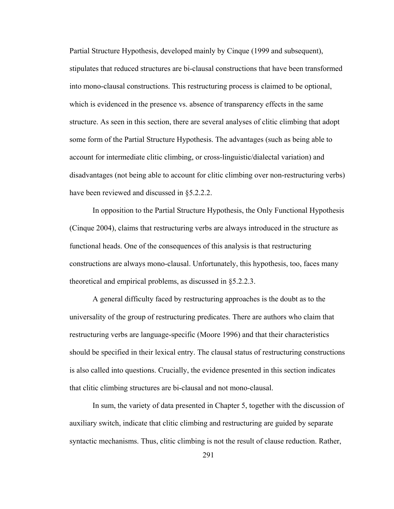Partial Structure Hypothesis, developed mainly by Cinque (1999 and subsequent), stipulates that reduced structures are bi-clausal constructions that have been transformed into mono-clausal constructions. This restructuring process is claimed to be optional, which is evidenced in the presence vs. absence of transparency effects in the same structure. As seen in this section, there are several analyses of clitic climbing that adopt some form of the Partial Structure Hypothesis. The advantages (such as being able to account for intermediate clitic climbing, or cross-linguistic/dialectal variation) and disadvantages (not being able to account for clitic climbing over non-restructuring verbs) have been reviewed and discussed in §5.2.2.2.

 In opposition to the Partial Structure Hypothesis, the Only Functional Hypothesis (Cinque 2004), claims that restructuring verbs are always introduced in the structure as functional heads. One of the consequences of this analysis is that restructuring constructions are always mono-clausal. Unfortunately, this hypothesis, too, faces many theoretical and empirical problems, as discussed in §5.2.2.3.

 A general difficulty faced by restructuring approaches is the doubt as to the universality of the group of restructuring predicates. There are authors who claim that restructuring verbs are language-specific (Moore 1996) and that their characteristics should be specified in their lexical entry. The clausal status of restructuring constructions is also called into questions. Crucially, the evidence presented in this section indicates that clitic climbing structures are bi-clausal and not mono-clausal.

 In sum, the variety of data presented in Chapter 5, together with the discussion of auxiliary switch, indicate that clitic climbing and restructuring are guided by separate syntactic mechanisms. Thus, clitic climbing is not the result of clause reduction. Rather,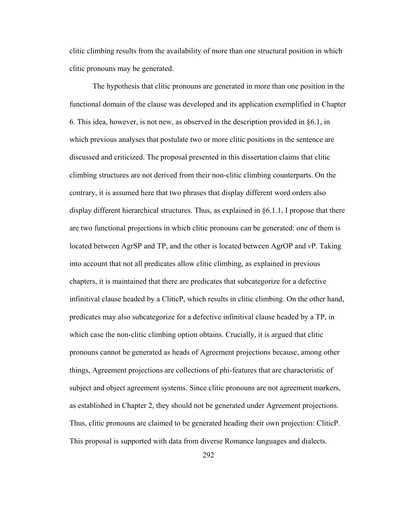clitic climbing results from the availability of more than one structural position in which clitic pronouns may be generated.

 The hypothesis that clitic pronouns are generated in more than one position in the functional domain of the clause was developed and its application exemplified in Chapter 6. This idea, however, is not new, as observed in the description provided in §6.1, in which previous analyses that postulate two or more clitic positions in the sentence are discussed and criticized. The proposal presented in this dissertation claims that clitic climbing structures are not derived from their non-clitic climbing counterparts. On the contrary, it is assumed here that two phrases that display different word orders also display different hierarchical structures. Thus, as explained in §6.1.1, I propose that there are two functional projections in which clitic pronouns can be generated: one of them is located between AgrSP and TP, and the other is located between AgrOP and *v*P. Taking into account that not all predicates allow clitic climbing, as explained in previous chapters, it is maintained that there are predicates that subcategorize for a defective infinitival clause headed by a CliticP, which results in clitic climbing. On the other hand, predicates may also subcategorize for a defective infinitival clause headed by a TP, in which case the non-clitic climbing option obtains. Crucially, it is argued that clitic pronouns cannot be generated as heads of Agreement projections because, among other things, Agreement projections are collections of phi-features that are characteristic of subject and object agreement systems. Since clitic pronouns are not agreement markers, as established in Chapter 2, they should not be generated under Agreement projections. Thus, clitic pronouns are claimed to be generated heading their own projection: CliticP. This proposal is supported with data from diverse Romance languages and dialects.

292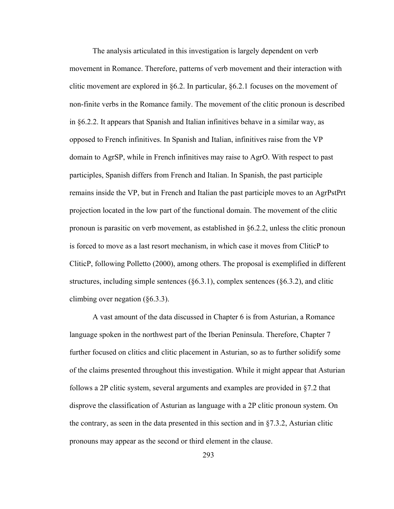The analysis articulated in this investigation is largely dependent on verb movement in Romance. Therefore, patterns of verb movement and their interaction with clitic movement are explored in §6.2. In particular, §6.2.1 focuses on the movement of non-finite verbs in the Romance family. The movement of the clitic pronoun is described in §6.2.2. It appears that Spanish and Italian infinitives behave in a similar way, as opposed to French infinitives. In Spanish and Italian, infinitives raise from the VP domain to AgrSP, while in French infinitives may raise to AgrO. With respect to past participles, Spanish differs from French and Italian. In Spanish, the past participle remains inside the VP, but in French and Italian the past participle moves to an AgrPstPrt projection located in the low part of the functional domain. The movement of the clitic pronoun is parasitic on verb movement, as established in §6.2.2, unless the clitic pronoun is forced to move as a last resort mechanism, in which case it moves from CliticP to CliticP, following Polletto (2000), among others. The proposal is exemplified in different structures, including simple sentences  $(\S6.3.1)$ , complex sentences  $(\S6.3.2)$ , and clitic climbing over negation  $(\S6.3.3)$ .

A vast amount of the data discussed in Chapter 6 is from Asturian, a Romance language spoken in the northwest part of the Iberian Peninsula. Therefore, Chapter 7 further focused on clitics and clitic placement in Asturian, so as to further solidify some of the claims presented throughout this investigation. While it might appear that Asturian follows a 2P clitic system, several arguments and examples are provided in §7.2 that disprove the classification of Asturian as language with a 2P clitic pronoun system. On the contrary, as seen in the data presented in this section and in §7.3.2, Asturian clitic pronouns may appear as the second or third element in the clause.

293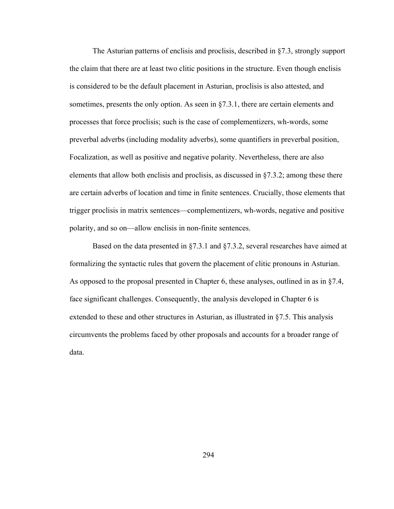The Asturian patterns of enclisis and proclisis, described in §7.3, strongly support the claim that there are at least two clitic positions in the structure. Even though enclisis is considered to be the default placement in Asturian, proclisis is also attested, and sometimes, presents the only option. As seen in §7.3.1, there are certain elements and processes that force proclisis; such is the case of complementizers, wh-words, some preverbal adverbs (including modality adverbs), some quantifiers in preverbal position, Focalization, as well as positive and negative polarity. Nevertheless, there are also elements that allow both enclisis and proclisis, as discussed in §7.3.2; among these there are certain adverbs of location and time in finite sentences. Crucially, those elements that trigger proclisis in matrix sentences—complementizers, wh-words, negative and positive polarity, and so on—allow enclisis in non-finite sentences.

 Based on the data presented in §7.3.1 and §7.3.2, several researches have aimed at formalizing the syntactic rules that govern the placement of clitic pronouns in Asturian. As opposed to the proposal presented in Chapter 6, these analyses, outlined in as in  $\S$ 7.4, face significant challenges. Consequently, the analysis developed in Chapter 6 is extended to these and other structures in Asturian, as illustrated in §7.5. This analysis circumvents the problems faced by other proposals and accounts for a broader range of data.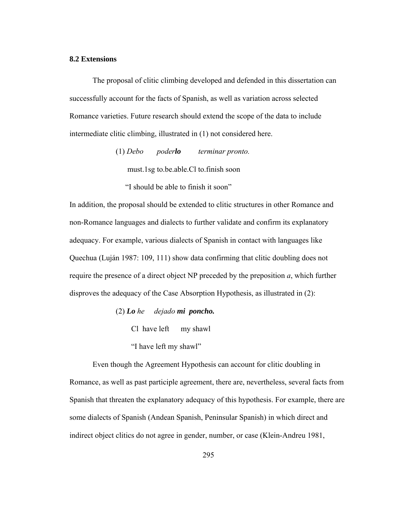#### **8.2 Extensions**

 The proposal of clitic climbing developed and defended in this dissertation can successfully account for the facts of Spanish, as well as variation across selected Romance varieties. Future research should extend the scope of the data to include intermediate clitic climbing, illustrated in (1) not considered here.

> (1) *Debo poderlo terminar pronto.* must.1sg to.be.able.Cl to.finish soon

"I should be able to finish it soon"

In addition, the proposal should be extended to clitic structures in other Romance and non-Romance languages and dialects to further validate and confirm its explanatory adequacy. For example, various dialects of Spanish in contact with languages like Quechua (Luján 1987: 109, 111) show data confirming that clitic doubling does not require the presence of a direct object NP preceded by the preposition *a*, which further disproves the adequacy of the Case Absorption Hypothesis, as illustrated in (2):

- (2) *Lo he dejado mi poncho.* 
	- Cl have left my shawl
	- "I have left my shawl"

 Even though the Agreement Hypothesis can account for clitic doubling in Romance, as well as past participle agreement, there are, nevertheless, several facts from Spanish that threaten the explanatory adequacy of this hypothesis. For example, there are some dialects of Spanish (Andean Spanish, Peninsular Spanish) in which direct and indirect object clitics do not agree in gender, number, or case (Klein-Andreu 1981,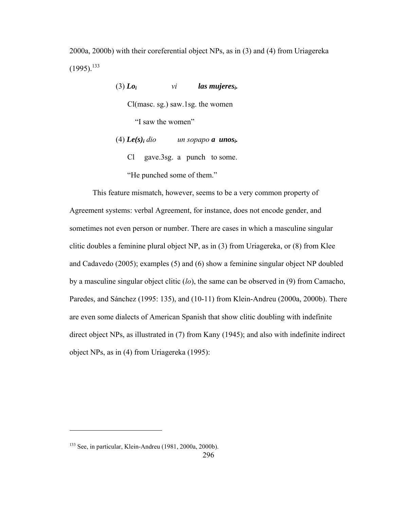2000a, 2000b) with their coreferential object NPs, as in (3) and (4) from Uriagereka  $(1995).^{133}$ 

> (3) *Loi vi las mujeresi.*  Cl(masc. sg.) saw.1sg. the women "I saw the women" (4)  $Le(s)$ *i dio* un sopapo *a* **unos***i*. Cl gave.3sg. a punch to some. "He punched some of them."

This feature mismatch, however, seems to be a very common property of Agreement systems: verbal Agreement, for instance, does not encode gender, and sometimes not even person or number. There are cases in which a masculine singular clitic doubles a feminine plural object NP, as in (3) from Uriagereka, or (8) from Klee and Cadavedo (2005); examples (5) and (6) show a feminine singular object NP doubled by a masculine singular object clitic (*lo*), the same can be observed in (9) from Camacho, Paredes, and Sánchez (1995: 135), and (10-11) from Klein-Andreu (2000a, 2000b). There are even some dialects of American Spanish that show clitic doubling with indefinite direct object NPs, as illustrated in (7) from Kany (1945); and also with indefinite indirect object NPs, as in (4) from Uriagereka (1995):

 $\overline{a}$ 

<sup>133</sup> See, in particular, Klein-Andreu (1981, 2000a, 2000b).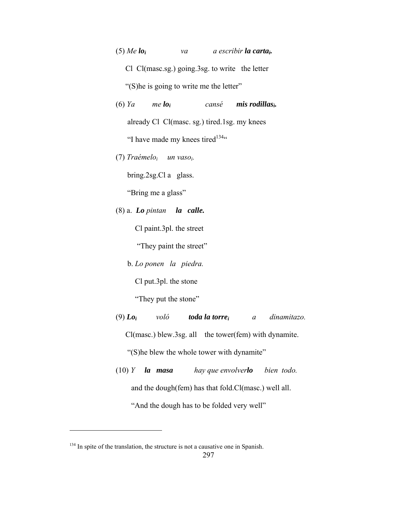(5) *Me loi va a escribir la cartai.*  Cl Cl(masc.sg.) going.3sg. to write the letter "(S)he is going to write me the letter"

- (6) *Ya me loi cansé mis rodillasi.*  already Cl Cl(masc. sg.) tired.1sg. my knees "I have made my knees tired $134$ "
- (7) *Traémeloi un vasoi.*

bring.2sg.Cl a glass.

"Bring me a glass"

(8) a. *Lo pintan la calle.*

Cl paint.3pl. the street

"They paint the street"

b. *Lo ponen la piedra.* 

Cl put.3pl. the stone

"They put the stone"

- (9) *Loi voló toda la torrei a dinamitazo.* Cl(masc.) blew.3sg. all the tower(fem) with dynamite. "(S)he blew the whole tower with dynamite"
- (10) *Y la masa hay que envolverlo bien todo.*  and the dough(fem) has that fold.Cl(masc.) well all. "And the dough has to be folded very well"

 $\overline{a}$ 

<sup>&</sup>lt;sup>134</sup> In spite of the translation, the structure is not a causative one in Spanish.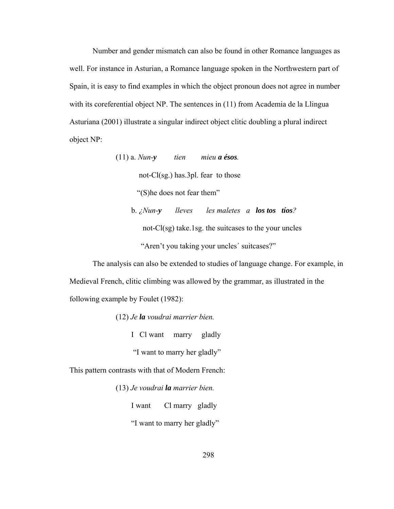Number and gender mismatch can also be found in other Romance languages as well. For instance in Asturian, a Romance language spoken in the Northwestern part of Spain, it is easy to find examples in which the object pronoun does not agree in number with its coreferential object NP. The sentences in (11) from Academia de la Llingua Asturiana (2001) illustrate a singular indirect object clitic doubling a plural indirect object NP:

- (11) a. *Nun-y tien mieu a ésos.*  not-Cl(sg.) has.3pl. fear to those "(S)he does not fear them"
	- b. *¿Nun-y lleves les maletes a los tos tíos?*  not-Cl(sg) take.1sg. the suitcases to the your uncles "Aren't you taking your uncles' suitcases?"

 The analysis can also be extended to studies of language change. For example, in Medieval French, clitic climbing was allowed by the grammar, as illustrated in the following example by Foulet (1982):

(12) *Je la voudrai marrier bien.*

- I Cl want marry gladly
- "I want to marry her gladly"

This pattern contrasts with that of Modern French:

(13) *Je voudrai la marrier bien.* 

I want Cl marry gladly

"I want to marry her gladly"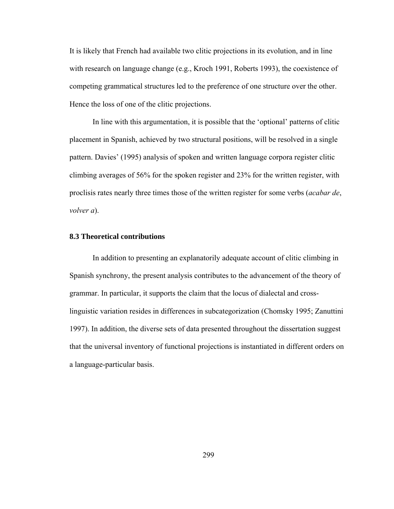It is likely that French had available two clitic projections in its evolution, and in line with research on language change (e.g., Kroch 1991, Roberts 1993), the coexistence of competing grammatical structures led to the preference of one structure over the other. Hence the loss of one of the clitic projections.

In line with this argumentation, it is possible that the 'optional' patterns of clitic placement in Spanish, achieved by two structural positions, will be resolved in a single pattern. Davies' (1995) analysis of spoken and written language corpora register clitic climbing averages of 56% for the spoken register and 23% for the written register, with proclisis rates nearly three times those of the written register for some verbs (*acabar de*, *volver a*).

### **8.3 Theoretical contributions**

 In addition to presenting an explanatorily adequate account of clitic climbing in Spanish synchrony, the present analysis contributes to the advancement of the theory of grammar. In particular, it supports the claim that the locus of dialectal and crosslinguistic variation resides in differences in subcategorization (Chomsky 1995; Zanuttini 1997). In addition, the diverse sets of data presented throughout the dissertation suggest that the universal inventory of functional projections is instantiated in different orders on a language-particular basis.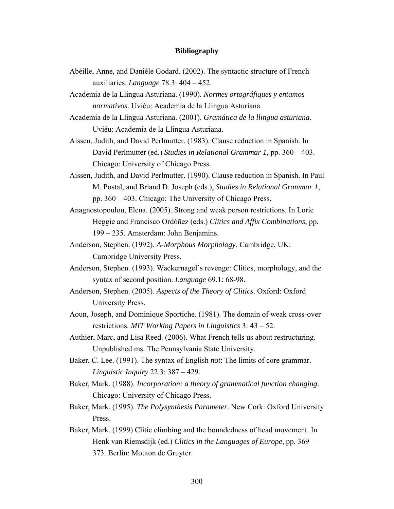## **Bibliography**

- Abéille, Anne, and Danièle Godard. (2002). The syntactic structure of French auxiliaries. *Language* 78.3: 404 – 452.
- Academia de la Llingua Asturiana. (1990). *Normes ortográfiques y entamos normativos*. Uviéu: Academia de la Llingua Asturiana.
- Academia de la Llingua Asturiana. (2001). *Gramática de la llingua asturiana*. Uviéu: Academia de la Llingua Asturiana.
- Aissen, Judith, and David Perlmutter. (1983). Clause reduction in Spanish. In David Perlmutter (ed.) *Studies in Relational Grammar 1*, pp. 360 – 403. Chicago: University of Chicago Press.
- Aissen, Judith, and David Perlmutter. (1990). Clause reduction in Spanish. In Paul M. Postal, and Briand D. Joseph (eds.), *Studies in Relational Grammar 1*, pp. 360 – 403. Chicago: The University of Chicago Press.
- Anagnostopoulou, Elena. (2005). Strong and weak person restrictions. In Lorie Heggie and Francisco Ordóñez (eds.) *Clitics and Affix Combinations*, pp. 199 – 235. Amsterdam: John Benjamins.
- Anderson, Stephen. (1992). *A-Morphous Morphology*. Cambridge, UK: Cambridge University Press.
- Anderson, Stephen. (1993). Wackernagel's revenge: Clitics, morphology, and the syntax of second position. *Language* 69.1: 68-98.
- Anderson, Stephen. (2005). *Aspects of the Theory of Clitics*. Oxford: Oxford University Press.
- Aoun, Joseph, and Dominique Sportiche. (1981). The domain of weak cross-over restrictions. *MIT Working Papers in Linguistics* 3: 43 – 52.
- Authier, Marc, and Lisa Reed. (2006). What French tells us about restructuring. Unpublished ms. The Pennsylvania State University.
- Baker, C. Lee. (1991). The syntax of English *not*: The limits of core grammar. *Linguistic Inquiry* 22.3: 387 – 429.
- Baker, Mark. (1988). *Incorporation: a theory of grammatical function changing*. Chicago: University of Chicago Press.
- Baker, Mark. (1995). *The Polysynthesis Parameter*. New Cork: Oxford University Press.
- Baker, Mark. (1999) Clitic climbing and the boundedness of head movement. In Henk van Riemsdijk (ed.) *Clitics in the Languages of Europe*, pp. 369 – 373. Berlin: Mouton de Gruyter.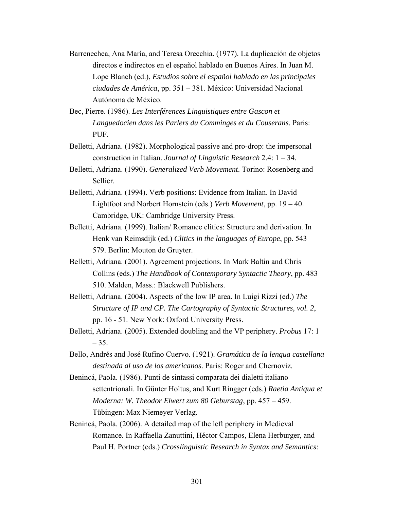- Barrenechea, Ana María, and Teresa Orecchia. (1977). La duplicación de objetos directos e indirectos en el español hablado en Buenos Aires. In Juan M. Lope Blanch (ed.), *Estudios sobre el español hablado en las principales ciudades de América*, pp. 351 – 381. México: Universidad Nacional Autónoma de México.
- Bec, Pierre. (1986). *Les Interférences Linguistiques entre Gascon et Languedocien dans les Parlers du Comminges et du Couserans*. Paris: PUF.
- Belletti, Adriana. (1982). Morphological passive and pro-drop: the impersonal construction in Italian. *Journal of Linguistic Research* 2.4: 1 – 34.
- Belletti, Adriana. (1990). *Generalized Verb Movement*. Torino: Rosenberg and Sellier.
- Belletti, Adriana. (1994). Verb positions: Evidence from Italian. In David Lightfoot and Norbert Hornstein (eds.) *Verb Movement*, pp. 19 – 40. Cambridge, UK: Cambridge University Press.
- Belletti, Adriana. (1999). Italian/ Romance clitics: Structure and derivation. In Henk van Reimsdijk (ed.) *Clitics in the languages of Europe*, pp. 543 – 579. Berlin: Mouton de Gruyter.
- Belletti, Adriana. (2001). Agreement projections. In Mark Baltin and Chris Collins (eds.) *The Handbook of Contemporary Syntactic Theory*, pp. 483 – 510. Malden, Mass.: Blackwell Publishers.
- Belletti, Adriana. (2004). Aspects of the low IP area. In Luigi Rizzi (ed.) *The Structure of IP and CP. The Cartography of Syntactic Structures, vol. 2*, pp. 16 - 51. New York: Oxford University Press.
- Belletti, Adriana. (2005). Extended doubling and the VP periphery. *Probus* 17: 1  $-35.$
- Bello, Andrés and José Rufino Cuervo. (1921). *Gramática de la lengua castellana destinada al uso de los americanos*. Paris: Roger and Chernoviz.
- Benincá, Paola. (1986). Punti de sintassi comparata dei dialetti italiano settentrionali. In Günter Holtus, and Kurt Ringger (eds.) *Raetia Antiqua et Moderna: W. Theodor Elwert zum 80 Geburstag*, pp. 457 – 459. Tübingen: Max Niemeyer Verlag.
- Benincá, Paola. (2006). A detailed map of the left periphery in Medieval Romance. In Raffaella Zanuttini, Héctor Campos, Elena Herburger, and Paul H. Portner (eds.) *Crosslinguistic Research in Syntax and Semantics:*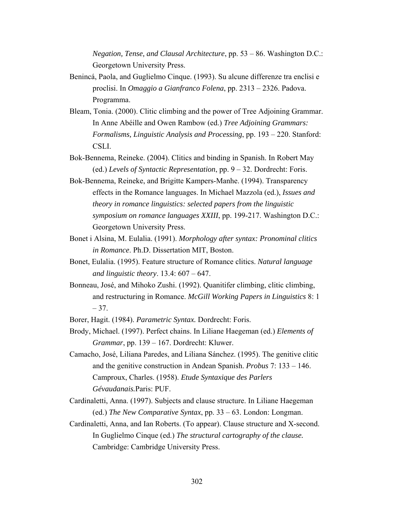*Negation, Tense, and Clausal Architecture*, pp. 53 – 86. Washington D.C.: Georgetown University Press.

- Benincá, Paola, and Guglielmo Cinque. (1993). Su alcune differenze tra enclisi e proclisi. In *Omaggio a Gianfranco Folena*, pp. 2313 – 2326. Padova. Programma.
- Bleam, Tonia. (2000). Clitic climbing and the power of Tree Adjoining Grammar. In Anne Abéille and Owen Rambow (ed.) *Tree Adjoining Grammars: Formalisms, Linguistic Analysis and Processing*, pp. 193 – 220. Stanford: CSLI.
- Bok-Bennema, Reineke. (2004). Clitics and binding in Spanish. In Robert May (ed.) *Levels of Syntactic Representation*, pp. 9 – 32. Dordrecht: Foris.
- Bok-Bennema, Reineke, and Brigitte Kampers-Manhe. (1994). Transparency effects in the Romance languages. In Michael Mazzola (ed.), *Issues and theory in romance linguistics: selected papers from the linguistic symposium on romance languages XXIII*, pp. 199-217. Washington D.C.: Georgetown University Press.
- Bonet i Alsina, M. Eulalia. (1991). *Morphology after syntax: Pronominal clitics in Romance*. Ph.D. Dissertation MIT, Boston.
- Bonet, Eulalia. (1995). Feature structure of Romance clitics. *Natural language and linguistic theory*. 13.4: 607 – 647.
- Bonneau, José, and Mihoko Zushi. (1992). Quanitifer climbing, clitic climbing, and restructuring in Romance. *McGill Working Papers in Linguistics* 8: 1 – 37.
- Borer, Hagit. (1984). *Parametric Syntax.* Dordrecht: Foris.
- Brody, Michael. (1997). Perfect chains. In Liliane Haegeman (ed.) *Elements of Grammar*, pp. 139 – 167. Dordrecht: Kluwer.
- Camacho, José, Liliana Paredes, and Liliana Sánchez. (1995). The genitive clitic and the genitive construction in Andean Spanish. *Probus* 7: 133 – 146. Camproux, Charles. (1958). *Etude Syntaxique des Parlers Gévaudanais.*Paris: PUF.
- Cardinaletti, Anna. (1997). Subjects and clause structure. In Liliane Haegeman (ed.) *The New Comparative Syntax*, pp. 33 – 63. London: Longman.
- Cardinaletti, Anna, and Ian Roberts. (To appear). Clause structure and X-second. In Guglielmo Cinque (ed.) *The structural cartography of the clause.*  Cambridge: Cambridge University Press.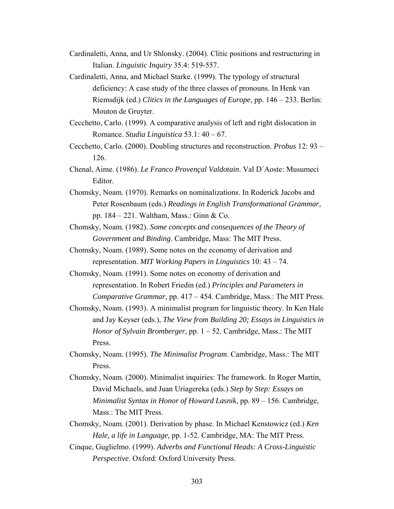- Cardinaletti, Anna, and Ur Shlonsky. (2004). Clitic positions and restructuring in Italian. *Linguistic Inquiry* 35.4: 519-557.
- Cardinaletti, Anna, and Michael Starke. (1999). The typology of structural deficiency: A case study of the three classes of pronouns. In Henk van Riemsdijk (ed.) *Clitics in the Languages of Europe*, pp. 146 – 233. Berlin: Mouton de Gruyter.
- Cecchetto, Carlo. (1999). A comparative analysis of left and right dislocation in Romance. *Studia Linguistica* 53.1: 40 – 67.
- Cecchetto, Carlo. (2000). Doubling structures and reconstruction. *Probus* 12: 93 126.
- Chenal, Aime. (1986). *Le Franco Provençal Valdotain*. Val D´Aoste: Musumeci Editor.
- Chomsky, Noam. (1970). Remarks on nominalizations. In Roderick Jacobs and Peter Rosenbaum (eds.) *Readings in English Transformational Grammar*, pp. 184 – 221. Waltham, Mass.: Ginn & Co.
- Chomsky, Noam. (1982). *Some concepts and consequences of the Theory of Government and Binding*. Cambridge, Mass: The MIT Press.
- Chomsky, Noam. (1989). Some notes on the economy of derivation and representation. *MIT Working Papers in Linguistics* 10: 43 – 74.
- Chomsky, Noam. (1991). Some notes on economy of derivation and representation. In Robert Friedin (ed.) *Principles and Parameters in Comparative Grammar*, pp. 417 – 454. Cambridge, Mass.: The MIT Press.
- Chomsky, Noam. (1993). A minimalist program for linguistic theory. In Ken Hale and Jay Keyser (eds.), *The View from Building 20; Essays in Linguistics in Honor of Sylvain Bromberger*, pp. 1 – 52. Cambridge, Mass.: The MIT Press.
- Chomsky, Noam. (1995). *The Minimalist Program*. Cambridge, Mass.: The MIT Press.
- Chomsky, Noam. (2000). Minimalist inquiries: The framework. In Roger Martin, David Michaels, and Juan Uriagereka (eds.) *Step by Step: Essays on Minimalist Syntax in Honor of Howard Lasnik*, pp. 89 – 156. Cambridge, Mass.: The MIT Press.
- Chomsky, Noam. (2001). Derivation by phase. In Michael Kenstowicz (ed.) *Ken Hale, a life in Language,* pp. 1-52. Cambridge, MA: The MIT Press.
- Cinque, Guglielmo. (1999). *Adverbs and Functional Heads: A Cross-Linguistic Perspective*. Oxford: Oxford University Press.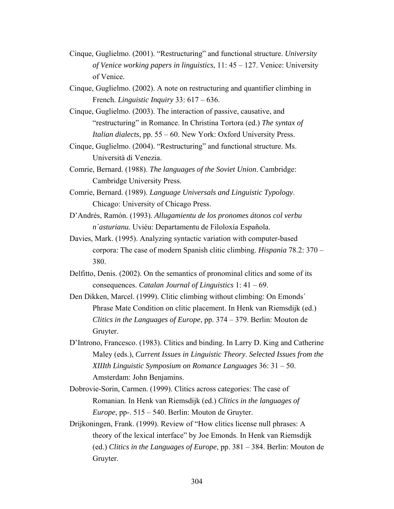- Cinque, Guglielmo. (2001). "Restructuring" and functional structure. *University of Venice working papers in linguistics*, 11: 45 – 127. Venice: University of Venice.
- Cinque, Guglielmo. (2002). A note on restructuring and quantifier climbing in French. *Linguistic Inquiry* 33: 617 – 636.
- Cinque, Guglielmo. (2003). The interaction of passive, causative, and "restructuring" in Romance. In Christina Tortora (ed.) *The syntax of Italian dialects*, pp. 55 – 60. New York: Oxford University Press.
- Cinque, Guglielmo. (2004). "Restructuring" and functional structure. Ms. Università di Venezia.
- Comrie, Bernard. (1988). *The languages of the Soviet Union*. Cambridge: Cambridge University Press.
- Comrie, Bernard. (1989). *Language Universals and Linguistic Typology*. Chicago: University of Chicago Press.
- D'Andrés, Ramón. (1993). *Allugamientu de los pronomes átonos col verbu n´asturianu.* Uviéu: Departamentu de Filoloxía Española.
- Davies, Mark. (1995). Analyzing syntactic variation with computer-based corpora: The case of modern Spanish clitic climbing. *Hispania* 78.2: 370 – 380.
- Delfitto, Denis. (2002). On the semantics of pronominal clitics and some of its consequences. *Catalan Journal of Linguistics* 1: 41 – 69.
- Den Dikken, Marcel. (1999). Clitic climbing without climbing: On Emonds´ Phrase Mate Condition on clitic placement. In Henk van Riemsdijk (ed.) *Clitics in the Languages of Europe*, pp. 374 – 379. Berlin: Mouton de Gruyter.
- D'Introno, Francesco. (1983). Clitics and binding. In Larry D. King and Catherine Maley (eds.), *Current Issues in Linguistic Theory*. *Selected Issues from the XIIIth Linguistic Symposium on Romance Languages* 36: 31 – 50. Amsterdam: John Benjamins.
- Dobrovie-Sorin, Carmen. (1999). Clitics across categories: The case of Romanian*.* In Henk van Riemsdijk (ed.) *Clitics in the languages of Europe*, pp-. 515 – 540. Berlin: Mouton de Gruyter.
- Drijkoningen, Frank. (1999). Review of "How clitics license null phrases: A theory of the lexical interface" by Joe Emonds. In Henk van Riemsdijk (ed.) *Clitics in the Languages of Europe*, pp. 381 – 384. Berlin: Mouton de Gruyter.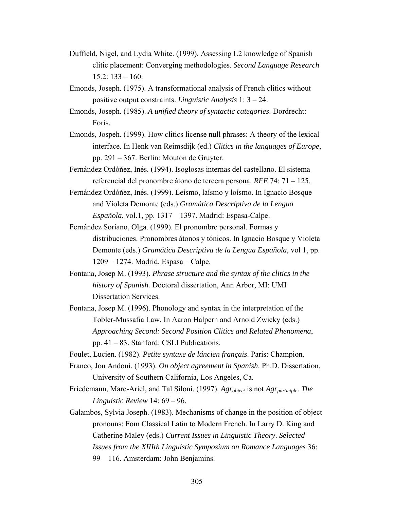- Duffield, Nigel, and Lydia White. (1999). Assessing L2 knowledge of Spanish clitic placement: Converging methodologies. *Second Language Research*  $15.2: 133 - 160.$
- Emonds, Joseph. (1975). A transformational analysis of French clitics without positive output constraints. *Linguistic Analysis* 1: 3 – 24.
- Emonds, Joseph. (1985). *A unified theory of syntactic categories*. Dordrecht: Foris.
- Emonds, Jospeh. (1999). How clitics license null phrases: A theory of the lexical interface. In Henk van Reimsdijk (ed.) *Clitics in the languages of Europe*, pp. 291 – 367. Berlin: Mouton de Gruyter.
- Fernández Ordóñez, Inés. (1994). Isoglosas internas del castellano. El sistema referencial del pronombre átono de tercera persona. *RFE* 74: 71 – 125.
- Fernández Ordóñez, Inés. (1999). Leísmo, laísmo y loísmo. In Ignacio Bosque and Violeta Demonte (eds.) *Gramática Descriptiva de la Lengua Española*, vol.1, pp. 1317 – 1397. Madrid: Espasa-Calpe.
- Fernández Soriano, Olga. (1999). El pronombre personal. Formas y distribuciones. Pronombres átonos y tónicos. In Ignacio Bosque y Violeta Demonte (eds.) *Gramática Descriptiva de la Lengua Española*, vol 1, pp. 1209 – 1274. Madrid. Espasa – Calpe.
- Fontana, Josep M. (1993). *Phrase structure and the syntax of the clitics in the history of Spanish.* Doctoral dissertation, Ann Arbor, MI: UMI Dissertation Services.
- Fontana, Josep M. (1996). Phonology and syntax in the interpretation of the Tobler-Mussafia Law. In Aaron Halpern and Arnold Zwicky (eds.) *Approaching Second: Second Position Clitics and Related Phenomena*, pp. 41 – 83. Stanford: CSLI Publications.

Foulet, Lucien. (1982). *Petite syntaxe de láncien français*. Paris: Champion.

- Franco, Jon Andoni. (1993). *On object agreement in Spanish*. Ph.D. Dissertation, University of Southern California, Los Angeles, Ca.
- Friedemann, Marc-Ariel, and Tal Siloni. (1997). *Agr<sub>obiect</sub>* is not *Agr<sub>participle</sub>*. *The Linguistic Review* 14: 69 – 96.
- Galambos, Sylvia Joseph. (1983). Mechanisms of change in the position of object pronouns: Fom Classical Latin to Modern French. In Larry D. King and Catherine Maley (eds.) *Current Issues in Linguistic Theory*. *Selected Issues from the XIIIth Linguistic Symposium on Romance Languages* 36: 99 – 116. Amsterdam: John Benjamins.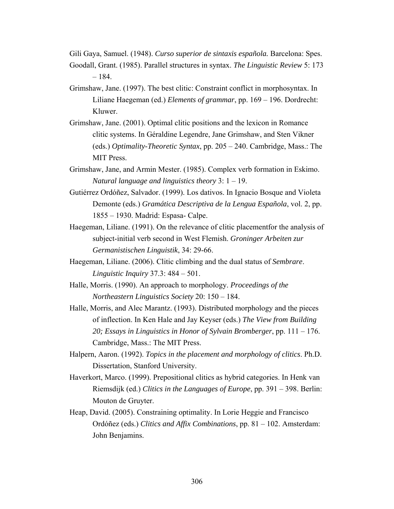Gili Gaya, Samuel. (1948). *Curso superior de sintaxis española.* Barcelona: Spes.

- Goodall, Grant. (1985). Parallel structures in syntax. *The Linguistic Review* 5: 173 – 184.
- Grimshaw, Jane. (1997). The best clitic: Constraint conflict in morphosyntax. In Liliane Haegeman (ed.) *Elements of grammar*, pp. 169 – 196. Dordrecht: Kluwer.
- Grimshaw, Jane. (2001). Optimal clitic positions and the lexicon in Romance clitic systems. In Géraldine Legendre, Jane Grimshaw, and Sten Vikner (eds.) *Optimality-Theoretic Syntax*, pp. 205 – 240. Cambridge, Mass.: The MIT Press.
- Grimshaw, Jane, and Armin Mester. (1985). Complex verb formation in Eskimo.  *Natural language and linguistics theory* 3: 1 – 19.
- Gutiérrez Ordóñez, Salvador. (1999). Los dativos. In Ignacio Bosque and Violeta Demonte (eds.) *Gramática Descriptiva de la Lengua Española*, vol. 2, pp. 1855 – 1930. Madrid: Espasa- Calpe.
- Haegeman, Liliane. (1991). On the relevance of clitic placementfor the analysis of subject-initial verb second in West Flemish. *Groninger Arbeiten zur Germanistischen Linguistik*, 34: 29-66.
- Haegeman, Liliane. (2006). Clitic climbing and the dual status of *Sembrare*. *Linguistic Inquiry* 37.3: 484 – 501.
- Halle, Morris. (1990). An approach to morphology. *Proceedings of the Northeastern Linguistics Society* 20: 150 – 184.
- Halle, Morris, and Alec Marantz. (1993). Distributed morphology and the pieces of inflection. In Ken Hale and Jay Keyser (eds.) *The View from Building 20; Essays in Linguistics in Honor of Sylvain Bromberger*, pp. 111 – 176. Cambridge, Mass.: The MIT Press.
- Halpern, Aaron. (1992). *Topics in the placement and morphology of clitics*. Ph.D. Dissertation, Stanford University.
- Haverkort, Marco. (1999). Prepositional clitics as hybrid categories. In Henk van Riemsdijk (ed.) *Clitics in the Languages of Europe*, pp. 391 – 398. Berlin: Mouton de Gruyter.
- Heap, David. (2005). Constraining optimality. In Lorie Heggie and Francisco Ordóñez (eds.) *Clitics and Affix Combinations*, pp. 81 – 102. Amsterdam: John Benjamins.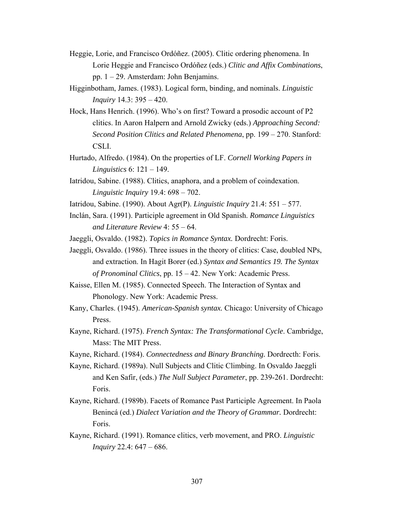- Heggie, Lorie, and Francisco Ordóñez. (2005). Clitic ordering phenomena. In Lorie Heggie and Francisco Ordóñez (eds.) *Clitic and Affix Combinations*, pp. 1 – 29. Amsterdam: John Benjamins.
- Higginbotham, James. (1983). Logical form, binding, and nominals. *Linguistic Inquiry* 14.3: 395 – 420.
- Hock, Hans Henrich. (1996). Who's on first? Toward a prosodic account of P2 clitics. In Aaron Halpern and Arnold Zwicky (eds.) *Approaching Second: Second Position Clitics and Related Phenomena*, pp. 199 – 270. Stanford: CSLI.
- Hurtado, Alfredo. (1984). On the properties of LF. *Cornell Working Papers in Linguistics* 6: 121 – 149.
- Iatridou, Sabine. (1988). Clitics, anaphora, and a problem of coindexation. *Linguistic Inquiry* 19.4: 698 – 702.
- Iatridou, Sabine. (1990). About Agr(P). *Linguistic Inquiry* 21.4: 551 577.
- Inclán, Sara. (1991). Participle agreement in Old Spanish. *Romance Linguistics and Literature Review* 4: 55 – 64.
- Jaeggli, Osvaldo. (1982). *Topics in Romance Syntax.* Dordrecht: Foris.
- Jaeggli, Osvaldo. (1986). Three issues in the theory of clitics: Case, doubled NPs, and extraction. In Hagit Borer (ed.) *Syntax and Semantics 19. The Syntax of Pronominal Clitics*, pp. 15 – 42. New York: Academic Press.
- Kaisse, Ellen M. (1985). Connected Speech. The Interaction of Syntax and Phonology. New York: Academic Press.
- Kany, Charles. (1945). *American-Spanish syntax.* Chicago: University of Chicago Press.
- Kayne, Richard. (1975). *French Syntax: The Transformational Cycle*. Cambridge, Mass: The MIT Press.
- Kayne, Richard. (1984). *Connectedness and Binary Branching.* Dordrecth: Foris.
- Kayne, Richard. (1989a). Null Subjects and Clitic Climbing. In Osvaldo Jaeggli and Ken Safir, (eds.) *The Null Subject Parameter*, pp. 239-261. Dordrecht: Foris.
- Kayne, Richard. (1989b). Facets of Romance Past Participle Agreement. In Paola Benincá (ed.) *Dialect Variation and the Theory of Grammar.* Dordrecht: Foris.
- Kayne, Richard. (1991). Romance clitics, verb movement, and PRO. *Linguistic Inquiry* 22.4: 647 – 686.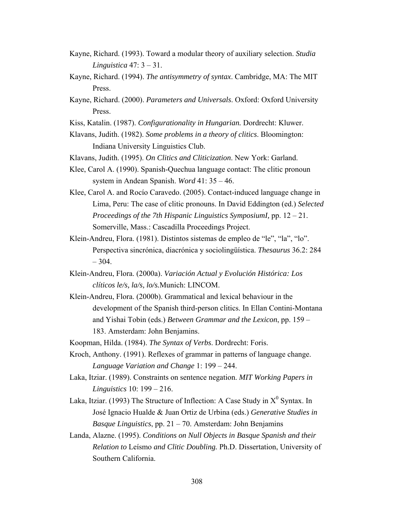- Kayne, Richard. (1993). Toward a modular theory of auxiliary selection. *Studia Linguistica* 47: 3 – 31.
- Kayne, Richard. (1994). *The antisymmetry of syntax*. Cambridge, MA: The MIT Press.
- Kayne, Richard. (2000). *Parameters and Universals*. Oxford: Oxford University Press.
- Kiss, Katalin. (1987). *Configurationality in Hungarian.* Dordrecht: Kluwer.
- Klavans, Judith. (1982). *Some problems in a theory of clitics*. Bloomington: Indiana University Linguistics Club.
- Klavans, Judith. (1995). *On Clitics and Cliticization*. New York: Garland.
- Klee, Carol A. (1990). Spanish-Quechua language contact: The clitic pronoun system in Andean Spanish. *Word* 41: 35 – 46.
- Klee, Carol A. and Rocío Caravedo. (2005). Contact-induced language change in Lima, Peru: The case of clitic pronouns. In David Eddington (ed.) *Selected Proceedings of the 7th Hispanic Linguistics SymposiumI,* pp. 12 – 21. Somerville, Mass.: Cascadilla Proceedings Project.
- Klein-Andreu, Flora. (1981). Distintos sistemas de empleo de "le", "la", "lo". Perspectiva sincrónica, diacrónica y sociolingüística. *Thesaurus* 36.2: 284  $-304.$
- Klein-Andreu, Flora. (2000a). *Variación Actual y Evolución Histórica: Los clíticos le/s, la/s, lo/s.*Munich: LINCOM.
- Klein-Andreu, Flora. (2000b). Grammatical and lexical behaviour in the development of the Spanish third-person clitics. In Ellan Contini-Montana and Yishai Tobin (eds.) *Between Grammar and the Lexicon*, pp. 159 – 183. Amsterdam: John Benjamins.

Koopman, Hilda. (1984). *The Syntax of Verbs*. Dordrecht: Foris.

- Kroch, Anthony. (1991). Reflexes of grammar in patterns of language change. *Language Variation and Change* 1: 199 – 244.
- Laka, Itziar. (1989). Constraints on sentence negation. *MIT Working Papers in Linguistics* 10: 199 – 216.
- Laka, Itziar. (1993) The Structure of Inflection: A Case Study in  $X^0$  Syntax. In José Ignacio Hualde & Juan Ortiz de Urbina (eds.) *Generative Studies in Basque Linguistics*, pp. 21 – 70. Amsterdam: John Benjamins
- Landa, Alazne. (1995). *Conditions on Null Objects in Basque Spanish and their Relation to* Leísmo *and Clitic Doubling.* Ph.D. Dissertation, University of Southern California.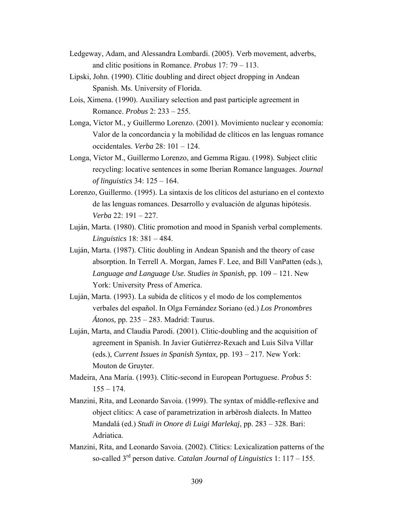- Ledgeway, Adam, and Alessandra Lombardi. (2005). Verb movement, adverbs, and clitic positions in Romance. *Probus* 17: 79 – 113.
- Lipski, John. (1990). Clitic doubling and direct object dropping in Andean Spanish. Ms. University of Florida.
- Lois, Ximena. (1990). Auxiliary selection and past participle agreement in Romance. *Probus* 2: 233 – 255.
- Longa, Víctor M., y Guillermo Lorenzo. (2001). Movimiento nuclear y economía: Valor de la concordancia y la mobilidad de clíticos en las lenguas romance occidentales. *Verba* 28: 101 – 124.
- Longa, Víctor M., Guillermo Lorenzo, and Gemma Rigau. (1998). Subject clitic recycling: locative sentences in some Iberian Romance languages. *Journal of linguistics* 34: 125 – 164.
- Lorenzo, Guillermo. (1995). La sintaxis de los clíticos del asturiano en el contexto de las lenguas romances. Desarrollo y evaluación de algunas hipótesis. *Verba* 22: 191 – 227.
- Luján, Marta. (1980). Clitic promotion and mood in Spanish verbal complements. *Linguistics* 18: 381 – 484.
- Luján, Marta. (1987). Clitic doubling in Andean Spanish and the theory of case absorption. In Terrell A. Morgan, James F. Lee, and Bill VanPatten (eds.), *Language and Language Use. Studies in Spanish*, pp. 109 – 121. New York: University Press of America.
- Luján, Marta. (1993). La subida de clíticos y el modo de los complementos verbales del español. In Olga Fernández Soriano (ed.) *Los Pronombres Átonos,* pp. 235 – 283. Madrid: Taurus.
- Luján, Marta, and Claudia Parodi. (2001). Clitic-doubling and the acquisition of agreement in Spanish. In Javier Gutiérrez-Rexach and Luis Silva Villar (eds.), *Current Issues in Spanish Syntax,* pp. 193 – 217. New York: Mouton de Gruyter.
- Madeira, Ana María. (1993). Clitic-second in European Portuguese. *Probus* 5:  $155 - 174.$
- Manzini, Rita, and Leonardo Savoia. (1999). The syntax of middle-reflexive and object clitics: A case of parametrization in arbërosh dialects. In Matteo Mandalá (ed.) *Studi in Onore di Luigi Marlekaj*, pp. 283 – 328. Bari: Adriatica.
- Manzini, Rita, and Leonardo Savoia. (2002). Clitics: Lexicalization patterns of the so-called 3rd person dative. *Catalan Journal of Linguistics* 1: 117 – 155.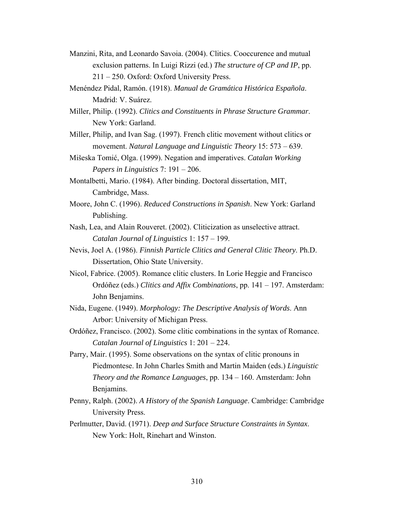- Manzini, Rita, and Leonardo Savoia. (2004). Clitics. Cooccurence and mutual exclusion patterns. In Luigi Rizzi (ed.) *The structure of CP and IP*, pp. 211 – 250. Oxford: Oxford University Press.
- Menéndez Pidal, Ramón. (1918). *Manual de Gramática Histórica Española*. Madrid: V. Suárez.
- Miller, Philip. (1992). *Clitics and Constituents in Phrase Structure Grammar*. New York: Garland.
- Miller, Philip, and Ivan Sag. (1997). French clitic movement without clitics or movement. *Natural Language and Linguistic Theory* 15: 573 – 639.
- Mišeska Tomić, Olga. (1999). Negation and imperatives. *Catalan Working Papers in Linguistics* 7: 191 – 206.
- Montalbetti, Mario. (1984). After binding. Doctoral dissertation, MIT, Cambridge, Mass.
- Moore, John C. (1996). *Reduced Constructions in Spanish*. New York: Garland Publishing.
- Nash, Lea, and Alain Rouveret. (2002). Cliticization as unselective attract. *Catalan Journal of Linguistics* 1: 157 – 199.
- Nevis, Joel A. (1986). *Finnish Particle Clitics and General Clitic Theory*. Ph.D. Dissertation, Ohio State University.
- Nicol, Fabrice. (2005). Romance clitic clusters. In Lorie Heggie and Francisco Ordóñez (eds.) *Clitics and Affix Combinations*, pp. 141 – 197. Amsterdam: John Benjamins.
- Nida, Eugene. (1949). *Morphology: The Descriptive Analysis of Words*. Ann Arbor: University of Michigan Press.
- Ordóñez, Francisco. (2002). Some clitic combinations in the syntax of Romance. *Catalan Journal of Linguistics* 1: 201 – 224.
- Parry, Mair. (1995). Some observations on the syntax of clitic pronouns in Piedmontese. In John Charles Smith and Martin Maiden (eds.) *Linguistic Theory and the Romance Languages*, pp. 134 – 160. Amsterdam: John Benjamins.
- Penny, Ralph. (2002). *A History of the Spanish Language*. Cambridge: Cambridge University Press.
- Perlmutter, David. (1971). *Deep and Surface Structure Constraints in Syntax*. New York: Holt, Rinehart and Winston.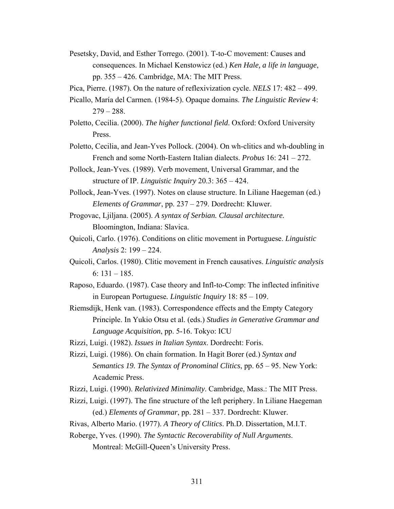Pesetsky, David, and Esther Torrego. (2001). T-to-C movement: Causes and consequences. In Michael Kenstowicz (ed.) *Ken Hale, a life in language*, pp. 355 – 426. Cambridge, MA: The MIT Press.

Pica, Pierre. (1987). On the nature of reflexivization cycle. *NELS* 17: 482 – 499.

- Picallo, María del Carmen. (1984-5). Opaque domains. *The Linguistic Review* 4:  $279 - 288$ .
- Poletto, Cecilia. (2000). *The higher functional field*. Oxford: Oxford University Press.
- Poletto, Cecilia, and Jean-Yves Pollock. (2004). On wh-clitics and wh-doubling in French and some North-Eastern Italian dialects. *Probus* 16: 241 – 272.
- Pollock, Jean-Yves. (1989). Verb movement, Universal Grammar, and the structure of IP. *Linguistic Inquiry* 20.3: 365 – 424.
- Pollock, Jean-Yves. (1997). Notes on clause structure. In Liliane Haegeman (ed.) *Elements of Grammar*, pp. 237 – 279. Dordrecht: Kluwer.
- Progovac, Ljiljana. (2005). *A syntax of Serbian. Clausal architecture.* Bloomington, Indiana: Slavica.
- Quicoli, Carlo. (1976). Conditions on clitic movement in Portuguese. *Linguistic Analysis* 2: 199 – 224.
- Quicoli, Carlos. (1980). Clitic movement in French causatives. *Linguistic analysis* 6:  $131 - 185$ .
- Raposo, Eduardo. (1987). Case theory and Infl-to-Comp: The inflected infinitive in European Portuguese*. Linguistic Inquiry* 18: 85 – 109.
- Riemsdijk, Henk van. (1983). Correspondence effects and the Empty Category Principle. In Yukio Otsu et al. (eds.) *Studies in Generative Grammar and Language Acquisition*, pp. 5-16. Tokyo: ICU
- Rizzi, Luigi. (1982). *Issues in Italian Syntax*. Dordrecht: Foris.
- Rizzi, Luigi. (1986). On chain formation. In Hagit Borer (ed.) *Syntax and Semantics 19. The Syntax of Pronominal Clitics*, pp. 65 – 95. New York: Academic Press.
- Rizzi, Luigi. (1990). *Relativized Minimality*. Cambridge, Mass.: The MIT Press.
- Rizzi, Luigi. (1997). The fine structure of the left periphery. In Liliane Haegeman (ed.) *Elements of Grammar*, pp. 281 – 337. Dordrecht: Kluwer.
- Rivas, Alberto Mario. (1977). *A Theory of Clitics*. Ph.D. Dissertation, M.I.T.
- Roberge, Yves. (1990). *The Syntactic Recoverability of Null Arguments*. Montreal: McGill-Queen's University Press.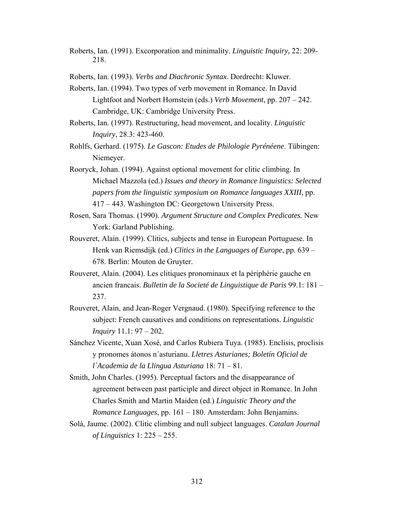- Roberts, Ian. (1991). Excorporation and minimality. *Linguistic Inquiry,* 22: 209- 218.
- Roberts, Ian. (1993). *Verbs and Diachronic Syntax*. Dordrecht: Kluwer.
- Roberts, Ian. (1994). Two types of verb movement in Romance. In David Lightfoot and Norbert Hornstein (eds.) *Verb Movement*, pp. 207 – 242. Cambridge, UK: Cambridge University Press.
- Roberts, Ian. (1997). Restructuring, head movement, and locality. *Linguistic Inquiry*, 28.3: 423-460.
- Rohlfs, Gerhard. (1975). *Le Gascon: Etudes de Philologie Pyrénéene*. Tübingen: Niemeyer.
- Rooryck, Johan. (1994). Against optional movement for clitic climbing. In Michael Mazzola (ed.) *Issues and theory in Romance linguistics: Selected papers from the linguistic symposium on Romance languages XXIII*, pp. 417 – 443. Washington DC: Georgetown University Press.
- Rosen, Sara Thomas. (1990). *Argument Structure and Complex Predicates.* New York: Garland Publishing.
- Rouveret, Alain. (1999). Clitics, subjects and tense in European Portuguese. In Henk van Riemsdijk (ed.) *Clitics in the Languages of Europe*, pp. 639 – 678. Berlin: Mouton de Gruyter.
- Rouveret, Alain. (2004). Les clitiques pronominaux et la périphérie gauche en ancien francais. *Bulletin de la Societé de Linguistique de Paris* 99.1: 181 – 237.
- Rouveret, Alain, and Jean-Roger Vergnaud. (1980). Specifying reference to the subject: French causatives and conditions on representations. *Linguistic Inquiry* 11.1: 97 – 202.
- Sánchez Vicente, Xuan Xosé, and Carlos Rubiera Tuya. (1985). Enclisis, proclisis y pronomes átonos n´asturianu. *Lletres Asturianes; Boletín Oficial de l´Academia de la Llingua Asturiana* 18: 71 – 81.
- Smith, John Charles. (1995). Perceptual factors and the disappearance of agreement between past participle and direct object in Romance. In John Charles Smith and Martin Maiden (ed.) *Linguistic Theory and the Romance Languages*, pp. 161 – 180. Amsterdam: John Benjamins.
- Solá, Jaume. (2002). Clitic climbing and null subject languages. *Catalan Journal of Linguistics* 1: 225 – 255.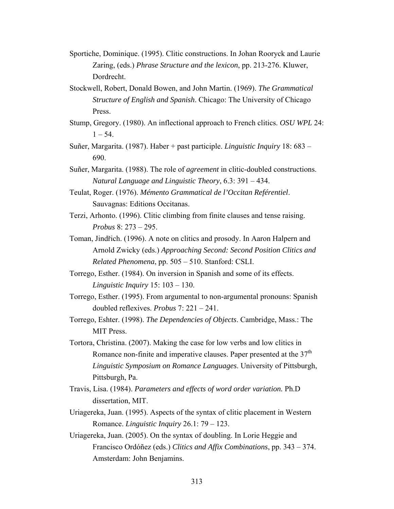- Sportiche, Dominique. (1995). Clitic constructions. In Johan Rooryck and Laurie Zaring, (eds.) *Phrase Structure and the lexicon*, pp. 213-276. Kluwer, Dordrecht.
- Stockwell, Robert, Donald Bowen, and John Martin. (1969). *The Grammatical Structure of English and Spanish*. Chicago: The University of Chicago Press.
- Stump, Gregory. (1980). An inflectional approach to French clitics. *OSU WPL* 24:  $1 - 54$
- Suñer, Margarita. (1987). Haber + past participle. *Linguistic Inquiry* 18: 683 690.
- Suñer, Margarita. (1988). The role of *agreement* in clitic-doubled constructions. *Natural Language and Linguistic Theory*, 6.3: 391 – 434.
- Teulat, Roger. (1976). *Mémento Grammatical de l'Occitan Reférentiel*. Sauvagnas: Editions Occitanas.
- Terzi, Arhonto. (1996). Clitic climbing from finite clauses and tense raising. *Probus* 8: 273 – 295.
- Toman, Jindřich. (1996). A note on clitics and prosody. In Aaron Halpern and Arnold Zwicky (eds.) *Approaching Second: Second Position Clitics and Related Phenomena*, pp. 505 – 510. Stanford: CSLI.
- Torrego, Esther. (1984). On inversion in Spanish and some of its effects. *Linguistic Inquiry* 15: 103 – 130.
- Torrego, Esther. (1995). From argumental to non-argumental pronouns: Spanish doubled reflexives. *Probus* 7: 221 – 241.
- Torrego, Eshter. (1998). *The Dependencies of Objects*. Cambridge, Mass.: The MIT Press.
- Tortora, Christina. (2007). Making the case for low verbs and low clitics in Romance non-finite and imperative clauses. Paper presented at the  $37<sup>th</sup>$ *Linguistic Symposium on Romance Languages*. University of Pittsburgh, Pittsburgh, Pa.
- Travis, Lisa. (1984). *Parameters and effects of word order variation.* Ph.D dissertation, MIT.
- Uriagereka, Juan. (1995). Aspects of the syntax of clitic placement in Western Romance. *Linguistic Inquiry* 26.1: 79 – 123.
- Uriagereka, Juan. (2005). On the syntax of doubling. In Lorie Heggie and Francisco Ordóñez (eds.) *Clitics and Affix Combinations*, pp. 343 – 374. Amsterdam: John Benjamins.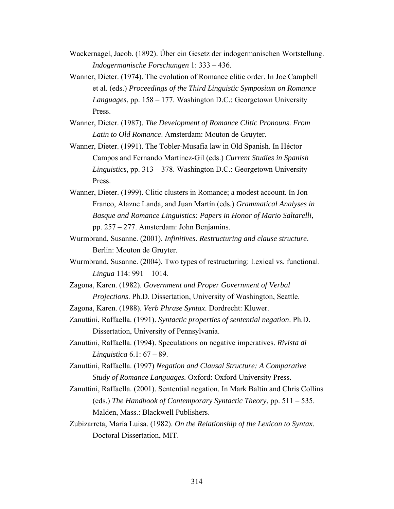- Wackernagel, Jacob. (1892). Über ein Gesetz der indogermanischen Wortstellung. *Indogermanische Forschungen* 1: 333 – 436.
- Wanner, Dieter. (1974). The evolution of Romance clitic order. In Joe Campbell et al. (eds.) *Proceedings of the Third Linguistic Symposium on Romance Languages*, pp. 158 – 177. Washington D.C.: Georgetown University Press.
- Wanner, Dieter. (1987). *The Development of Romance Clitic Pronouns*. *From Latin to Old Romance*. Amsterdam: Mouton de Gruyter.
- Wanner, Dieter. (1991). The Tobler-Musafia law in Old Spanish. In Héctor Campos and Fernando Martínez-Gil (eds.) *Current Studies in Spanish Linguistics*, pp. 313 – 378. Washington D.C.: Georgetown University Press.
- Wanner, Dieter. (1999). Clitic clusters in Romance; a modest account. In Jon Franco, Alazne Landa, and Juan Martín (eds.) *Grammatical Analyses in Basque and Romance Linguistics: Papers in Honor of Mario Saltarelli*, pp. 257 – 277. Amsterdam: John Benjamins.
- Wurmbrand, Susanne. (2001). *Infinitives. Restructuring and clause structure*. Berlin: Mouton de Gruyter.
- Wurmbrand, Susanne. (2004). Two types of restructuring: Lexical vs. functional. *Lingua* 114: 991 – 1014.
- Zagona, Karen. (1982). *Government and Proper Government of Verbal Projections*. Ph.D. Dissertation, University of Washington, Seattle.
- Zagona, Karen. (1988). *Verb Phrase Syntax*. Dordrecht: Kluwer.
- Zanuttini, Raffaella. (1991). *Syntactic properties of sentential negation*. Ph.D. Dissertation, University of Pennsylvania.
- Zanuttini, Raffaella. (1994). Speculations on negative imperatives. *Rivista di Linguistica* 6.1: 67 – 89.
- Zanuttini, Raffaella. (1997) *Negation and Clausal Structure: A Comparative Study of Romance Languages.* Oxford: Oxford University Press.
- Zanuttini, Raffaella. (2001). Sentential negation. In Mark Baltin and Chris Collins (eds.) *The Handbook of Contemporary Syntactic Theory*, pp. 511 – 535. Malden, Mass.: Blackwell Publishers.
- Zubizarreta, María Luisa. (1982). *On the Relationship of the Lexicon to Syntax*. Doctoral Dissertation, MIT.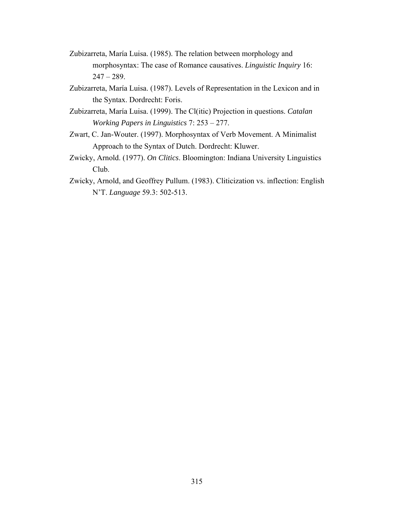- Zubizarreta, María Luisa. (1985). The relation between morphology and morphosyntax: The case of Romance causatives. *Linguistic Inquiry* 16:  $247 - 289$ .
- Zubizarreta, María Luisa. (1987). Levels of Representation in the Lexicon and in the Syntax. Dordrecht: Foris.
- Zubizarreta, María Luisa. (1999). The Cl(itic) Projection in questions. *Catalan Working Papers in Linguistics* 7: 253 – 277.
- Zwart, C. Jan-Wouter. (1997). Morphosyntax of Verb Movement. A Minimalist Approach to the Syntax of Dutch. Dordrecht: Kluwer.
- Zwicky, Arnold. (1977). *On Clitics*. Bloomington: Indiana University Linguistics Club.
- Zwicky, Arnold, and Geoffrey Pullum. (1983). Cliticization vs. inflection: English N'T. *Language* 59.3: 502-513.